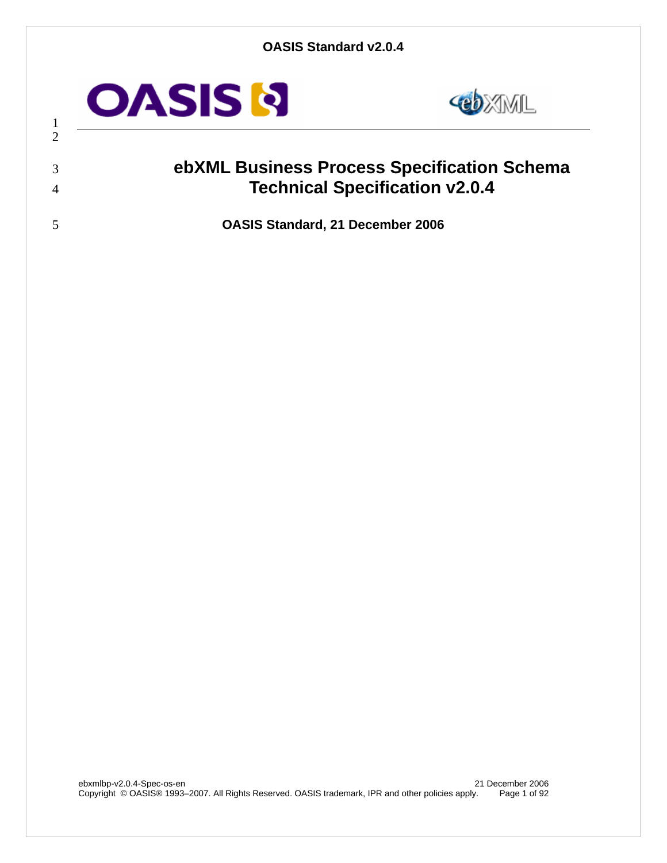

 



# **ebXML Business Process Specification Schema Technical Specification v2.0.4**

**OASIS Standard, 21 December 2006**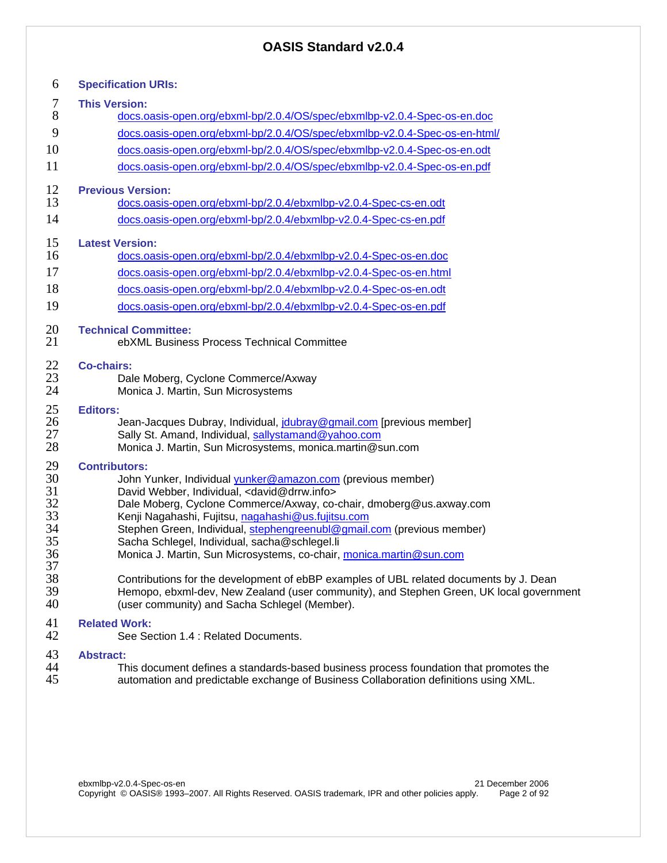| 6                                                  | <b>Specification URIs:</b>                                                                                                                                                                                                                                                                                                                                                                                                                                                               |
|----------------------------------------------------|------------------------------------------------------------------------------------------------------------------------------------------------------------------------------------------------------------------------------------------------------------------------------------------------------------------------------------------------------------------------------------------------------------------------------------------------------------------------------------------|
| 7                                                  | <b>This Version:</b>                                                                                                                                                                                                                                                                                                                                                                                                                                                                     |
| 8                                                  | docs.oasis-open.org/ebxml-bp/2.0.4/OS/spec/ebxmlbp-v2.0.4-Spec-os-en.doc                                                                                                                                                                                                                                                                                                                                                                                                                 |
| 9                                                  | docs.oasis-open.org/ebxml-bp/2.0.4/OS/spec/ebxmlbp-v2.0.4-Spec-os-en-html/                                                                                                                                                                                                                                                                                                                                                                                                               |
| 10                                                 | docs.oasis-open.org/ebxml-bp/2.0.4/OS/spec/ebxmlbp-v2.0.4-Spec-os-en.odt                                                                                                                                                                                                                                                                                                                                                                                                                 |
| 11                                                 | docs.oasis-open.org/ebxml-bp/2.0.4/OS/spec/ebxmlbp-v2.0.4-Spec-os-en.pdf                                                                                                                                                                                                                                                                                                                                                                                                                 |
| 12<br>13                                           | <b>Previous Version:</b><br>docs.oasis-open.org/ebxml-bp/2.0.4/ebxmlbp-v2.0.4-Spec-cs-en.odt                                                                                                                                                                                                                                                                                                                                                                                             |
| 14                                                 | docs.oasis-open.org/ebxml-bp/2.0.4/ebxmlbp-v2.0.4-Spec-cs-en.pdf                                                                                                                                                                                                                                                                                                                                                                                                                         |
| 15                                                 | <b>Latest Version:</b>                                                                                                                                                                                                                                                                                                                                                                                                                                                                   |
| 16                                                 | docs.oasis-open.org/ebxml-bp/2.0.4/ebxmlbp-v2.0.4-Spec-os-en.doc                                                                                                                                                                                                                                                                                                                                                                                                                         |
| 17                                                 | docs.oasis-open.org/ebxml-bp/2.0.4/ebxmlbp-v2.0.4-Spec-os-en.html                                                                                                                                                                                                                                                                                                                                                                                                                        |
| 18                                                 | docs.oasis-open.org/ebxml-bp/2.0.4/ebxmlbp-v2.0.4-Spec-os-en.odt                                                                                                                                                                                                                                                                                                                                                                                                                         |
| 19                                                 | docs.oasis-open.org/ebxml-bp/2.0.4/ebxmlbp-v2.0.4-Spec-os-en.pdf                                                                                                                                                                                                                                                                                                                                                                                                                         |
| 20<br>21                                           | <b>Technical Committee:</b><br>ebXML Business Process Technical Committee                                                                                                                                                                                                                                                                                                                                                                                                                |
| 22<br>23<br>24                                     | <b>Co-chairs:</b><br>Dale Moberg, Cyclone Commerce/Axway<br>Monica J. Martin, Sun Microsystems                                                                                                                                                                                                                                                                                                                                                                                           |
| 25<br>26<br>27<br>28                               | <b>Editors:</b><br>Jean-Jacques Dubray, Individual, joubray@gmail.com [previous member]<br>Sally St. Amand, Individual, sallystamand@yahoo.com<br>Monica J. Martin, Sun Microsystems, monica.martin@sun.com                                                                                                                                                                                                                                                                              |
| 29<br>30<br>31<br>32<br>33<br>34<br>35<br>36<br>37 | <b>Contributors:</b><br>John Yunker, Individual yunker@amazon.com (previous member)<br>David Webber, Individual, <david@drrw.info><br/>Dale Moberg, Cyclone Commerce/Axway, co-chair, dmoberg@us.axway.com<br/>Kenji Nagahashi, Fujitsu, nagahashi@us.fujitsu.com<br/>Stephen Green, Individual, stephengreenubl@gmail.com (previous member)<br/>Sacha Schlegel, Individual, sacha@schlegel.li<br/>Monica J. Martin, Sun Microsystems, co-chair, monica.martin@sun.com</david@drrw.info> |
| 38<br>39<br>40                                     | Contributions for the development of ebBP examples of UBL related documents by J. Dean<br>Hemopo, ebxml-dev, New Zealand (user community), and Stephen Green, UK local government<br>(user community) and Sacha Schlegel (Member).                                                                                                                                                                                                                                                       |
| 41<br>42                                           | <b>Related Work:</b><br>See Section 1.4 : Related Documents.                                                                                                                                                                                                                                                                                                                                                                                                                             |
| 43<br>44<br>45                                     | <b>Abstract:</b><br>This document defines a standards-based business process foundation that promotes the<br>automation and predictable exchange of Business Collaboration definitions using XML.                                                                                                                                                                                                                                                                                        |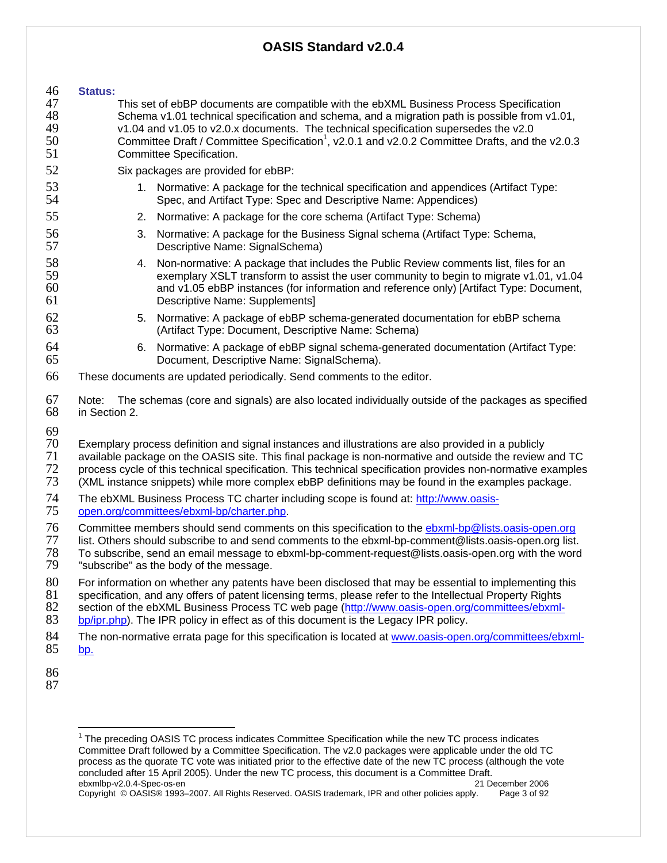#### 46 **Status:**  47 This set of ebBP documents are compatible with the ebXML Business Process Specification 48 Schema v1.01 technical specification and schema, and a migration path is possible from v1.01,<br>49 v1.04 and v1.05 to v2.0.x documents. The technical specification supersedes the v2.0 49 v1.04 and v1.05 to v2.0.x documents. The technical specification supersedes the v2.0 50 **Committee Draft / Committee Specification**<sup>1</sup>, v2.0.1 and v2.0.2 Committee Drafts, and the v2.0.3 51 Committee Specification. 52 Six packages are provided for ebBP: 53 1. Normative: A package for the technical specification and appendices (Artifact Type:<br>54 54 54 Spec. and Artifact Type: Spec and Descriptive Name: Appendices) Spec, and Artifact Type: Spec and Descriptive Name: Appendices) 55 2. Normative: A package for the core schema (Artifact Type: Schema) 56 3. Normative: A package for the Business Signal schema (Artifact Type: Schema,<br>57 Sescriptive Name: SignalSchema) Descriptive Name: SignalSchema) 58 58 58 58 58 58 4. Non-normative: A package that includes the Public Review comments list, files for an 59 59 59 exemplary XSLT transform to assist the user community to begin to migrate v1.01, v1.04<br>60 and v1.05 ebBP instances (for information and reference only) [Artifact Type: Document, and v1.05 ebBP instances (for information and reference only) [Artifact Type: Document, 61 Descriptive Name: Supplements] 62 5. Normative: A package of ebBP schema-generated documentation for ebBP schema 63 (Artifact Type: Document, Descriptive Name: Schema) 64 6. Normative: A package of ebBP signal schema-generated documentation (Artifact Type: 65 Document, Descriptive Name: SignalSchema). 66 These documents are updated periodically. Send comments to the editor. 67 Note: The schemas (core and signals) are also located individually outside of the packages as specified in Section 2. 69<br>70 70 Exemplary process definition and signal instances and illustrations are also provided in a publicly available package on the OASIS site. This final package is non-normative and outside the review and TC 72 process cycle of this technical specification. This technical specification provides non-normative examples<br>73 (XML instance snippets) while more complex ebBP definitions may be found in the examples package. (XML instance snippets) while more complex ebBP definitions may be found in the examples package. 74 The ebXML Business Process TC charter including scope is found at: http://www.oasis-<br>75 open.org/committees/ebxml-bp/charter.php. 75 open.org/committees/ebxml-bp/charter.php. 76 Committee members should send comments on this specification to the **ebxml-bp@lists.oasis-open.org**<br>77 list. Others should subscribe to and send comments to the ebxml-bp-comment@lists.oasis-open.org list. 77 list. Others should subscribe to and send comments to the ebxml-bp-comment@lists.oasis-open.org list.<br>78 To subscribe, send an email message to ebxml-bp-comment-request@lists.oasis-open.org with the word 78 To subscribe, send an email message to ebxml-bp-comment-request@lists.oasis-open.org with the word "subscribe" as the body of the message. 80 For information on whether any patents have been disclosed that may be essential to implementing this 81 specification, and any offers of patent licensing terms, please refer to the Intellectual Property Rights<br>82 section of the ebXML Business Process TC web page (http://www.oasis-open.org/committees/ebxml-82 section of the ebXML Business Process TC web page (http://www.oasis-open.org/committees/ebxml-<br>83 bp/ipr.php). The IPR policy in effect as of this document is the Legacy IPR policy.

bp/ipr.php). The IPR policy in effect as of this document is the Legacy IPR policy.

- 84 The non-normative errata page for this specification is located at www.oasis-open.org/committees/ebxml-85 bp.
- 86
- 87

 $\overline{1}$ 

ebxmlbp-v2.0.4-Spec-os-en 21 December 2006 Copyright © OASIS® 1993–2007. All Rights Reserved. OASIS trademark, IPR and other policies apply. Page 3 of 92 <sup>1</sup> The preceding OASIS TC process indicates Committee Specification while the new TC process indicates Committee Draft followed by a Committee Specification. The v2.0 packages were applicable under the old TC process as the quorate TC vote was initiated prior to the effective date of the new TC process (although the vote concluded after 15 April 2005). Under the new TC process, this document is a Committee Draft.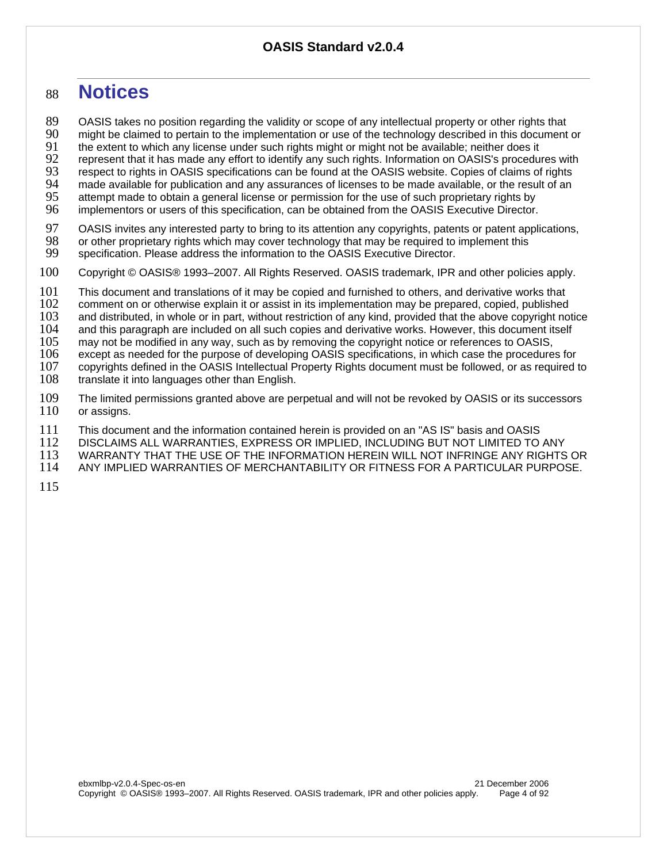# <sup>88</sup>**Notices**

89 OASIS takes no position regarding the validity or scope of any intellectual property or other rights that<br>90 might be claimed to pertain to the implementation or use of the technology described in this document 90 might be claimed to pertain to the implementation or use of the technology described in this document or 91<br>91 the extent to which any license under such rights might or might not be available; neither does it 91 the extent to which any license under such rights might or might not be available; neither does it

92 represent that it has made any effort to identify any such rights. Information on OASIS's procedures with<br>93 respect to rights in OASIS specifications can be found at the OASIS website. Copies of claims of rights

93 respect to rights in OASIS specifications can be found at the OASIS website. Copies of claims of rights 94<br>94 made available for publication and any assurances of licenses to be made available, or the result of an

94 made available for publication and any assurances of licenses to be made available, or the result of an 95<br>95 attempt made to obtain a general license or permission for the use of such proprietary rights by

95 attempt made to obtain a general license or permission for the use of such proprietary rights by<br>96 implementors or users of this specification, can be obtained from the OASIS Executive Director. implementors or users of this specification, can be obtained from the OASIS Executive Director.

97 OASIS invites any interested party to bring to its attention any copyrights, patents or patent applications,<br>98 or other proprietary rights which may cover technology that may be required to implement this

98 or other proprietary rights which may cover technology that may be required to implement this 99 specification. Please address the information to the OASIS Executive Director.

- specification. Please address the information to the OASIS Executive Director.
- 100 Copyright © OASIS® 1993–2007. All Rights Reserved. OASIS trademark, IPR and other policies apply.

101 This document and translations of it may be copied and furnished to others, and derivative works that 102 comment on or otherwise explain it or assist in its implementation may be prepared, copied, published

102 comment on or otherwise explain it or assist in its implementation may be prepared, copied, published<br>103 and distributed, in whole or in part, without restriction of any kind, provided that the above copyright no

103 and distributed, in whole or in part, without restriction of any kind, provided that the above copyright notice<br>104 and this paragraph are included on all such copies and derivative works. However, this document itself

104 and this paragraph are included on all such copies and derivative works. However, this document itself 105 may not be modified in any way, such as by removing the copyright notice or references to OASIS,

105 may not be modified in any way, such as by removing the copyright notice or references to OASIS,

106 except as needed for the purpose of developing OASIS specifications, in which case the procedures for<br>107 copyrights defined in the OASIS Intellectual Property Rights document must be followed, or as required to

107 copyrights defined in the OASIS Intellectual Property Rights document must be followed, or as required to <br>108 translate it into languages other than English.

translate it into languages other than English.

109 The limited permissions granted above are perpetual and will not be revoked by OASIS or its successors 110 or assigns. or assigns.

111 This document and the information contained herein is provided on an "AS IS" basis and OASIS<br>112 DISCLAIMS ALL WARRANTIES, EXPRESS OR IMPLIED, INCLUDING BUT NOT LIMITED TO

112 DISCLAIMS ALL WARRANTIES, EXPRESS OR IMPLIED, INCLUDING BUT NOT LIMITED TO ANY

113 WARRANTY THAT THE USE OF THE INFORMATION HEREIN WILL NOT INFRINGE ANY RIGHTS OR<br>114 ANY IMPLIED WARRANTIES OF MERCHANTABILITY OR FITNESS FOR A PARTICULAR PURPOSE.

ANY IMPLIED WARRANTIES OF MERCHANTABILITY OR FITNESS FOR A PARTICULAR PURPOSE.

115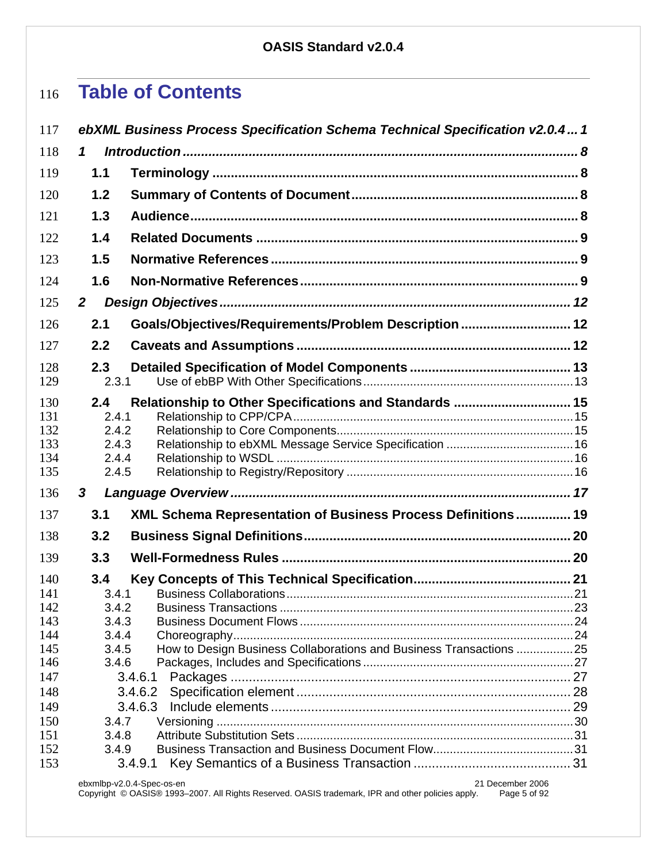# **Table of Contents**

| 117                                                                                            |                                                                                                                       | ebXML Business Process Specification Schema Technical Specification v2.0.4 1 |  |
|------------------------------------------------------------------------------------------------|-----------------------------------------------------------------------------------------------------------------------|------------------------------------------------------------------------------|--|
| 118                                                                                            | 1                                                                                                                     |                                                                              |  |
| 119                                                                                            | 1.1                                                                                                                   |                                                                              |  |
| 120                                                                                            | 1.2                                                                                                                   |                                                                              |  |
| 121                                                                                            | 1.3                                                                                                                   |                                                                              |  |
| 122                                                                                            | 1.4                                                                                                                   |                                                                              |  |
| 123                                                                                            | 1.5                                                                                                                   |                                                                              |  |
| 124                                                                                            | 1.6                                                                                                                   |                                                                              |  |
| 125                                                                                            | $\overline{2}$                                                                                                        |                                                                              |  |
| 126                                                                                            | 2.1                                                                                                                   | Goals/Objectives/Requirements/Problem Description  12                        |  |
| 127                                                                                            | 2.2                                                                                                                   |                                                                              |  |
| 128                                                                                            | 2.3                                                                                                                   |                                                                              |  |
| 129                                                                                            | 2.3.1                                                                                                                 |                                                                              |  |
| 130<br>131<br>132<br>133<br>134<br>135                                                         | 2.4<br>2.4.1<br>2.4.2<br>2.4.3<br>2.4.4<br>2.4.5                                                                      | Relationship to Other Specifications and Standards  15                       |  |
| 136                                                                                            | 3                                                                                                                     |                                                                              |  |
| 137                                                                                            | 3.1                                                                                                                   | XML Schema Representation of Business Process Definitions 19                 |  |
| 138                                                                                            | 3.2                                                                                                                   |                                                                              |  |
| 139                                                                                            | 3.3                                                                                                                   |                                                                              |  |
| 140<br>141<br>142<br>143<br>144<br>145<br>146<br>147<br>148<br>149<br>150<br>151<br>152<br>153 | 3.4<br>3.4.1<br>3.4.2<br>3.4.3<br>3.4.4<br>3.4.5<br>3.4.6<br>3.4.6.1<br>3.4.6.2<br>3.4.6.3<br>3.4.7<br>3.4.8<br>3.4.9 | How to Design Business Collaborations and Business Transactions 25           |  |
|                                                                                                | 3.4.9.1<br>ebxmlbp-v2.0.4-Spec-os-en                                                                                  | 21 December 2006                                                             |  |

Copyright © OASIS® 1993–2007. All Rights Reserved. OASIS trademark, IPR and other policies apply. Page 5 of 92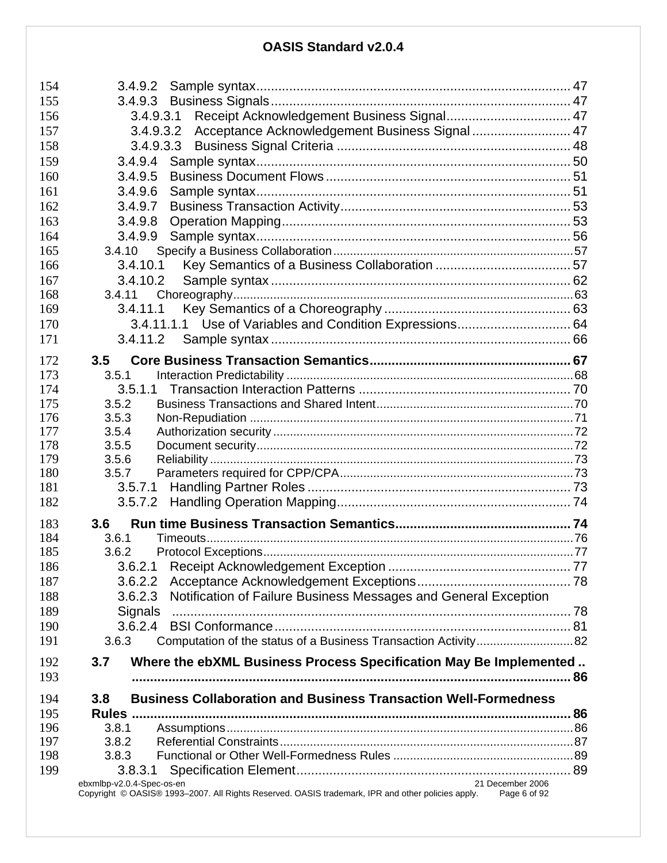| 154        | 3.4.9.2                                                                                                           |  |
|------------|-------------------------------------------------------------------------------------------------------------------|--|
| 155        | 3.4.9.3                                                                                                           |  |
| 156        | 3.4.9.3.1                                                                                                         |  |
| 157        | Acceptance Acknowledgement Business Signal  47<br>3.4.9.3.2                                                       |  |
| 158        | 3.4.9.3.3                                                                                                         |  |
| 159        | 3.4.9.4                                                                                                           |  |
| 160        | 3.4.9.5                                                                                                           |  |
| 161        | 3.4.9.6                                                                                                           |  |
| 162        | 3.4.9.7                                                                                                           |  |
| 163        | 3.4.9.8                                                                                                           |  |
| 164        | 3.4.9.9                                                                                                           |  |
| 165        | 3.4.10                                                                                                            |  |
| 166        | 3.4.10.1                                                                                                          |  |
| 167        | 3.4.10.2                                                                                                          |  |
| 168        | 3.4.11                                                                                                            |  |
| 169        | 3.4.11.1                                                                                                          |  |
| 170        | 3.4.11.1.1 Use of Variables and Condition Expressions 64                                                          |  |
| 171        | 3.4.11.2                                                                                                          |  |
|            |                                                                                                                   |  |
| 172<br>173 | 3.5<br>3.5.1                                                                                                      |  |
| 174        | 3.5.1.1                                                                                                           |  |
| 175        | 3.5.2                                                                                                             |  |
| 176        | 3.5.3                                                                                                             |  |
| 177        | 3.5.4                                                                                                             |  |
| 178        | 3.5.5                                                                                                             |  |
| 179        | 3.5.6                                                                                                             |  |
| 180        | 3.5.7                                                                                                             |  |
| 181        | 3.5.7.1                                                                                                           |  |
| 182        | 3.5.7.2                                                                                                           |  |
|            |                                                                                                                   |  |
| 183        | 3.6                                                                                                               |  |
| 184        | 3.6.1                                                                                                             |  |
| 185        | 3.6.2                                                                                                             |  |
| 186        |                                                                                                                   |  |
| 187        | 3.6.2.2                                                                                                           |  |
| 188        | Notification of Failure Business Messages and General Exception<br>3.6.2.3                                        |  |
| 189        | Signals                                                                                                           |  |
| 190        | 3.6.2.4                                                                                                           |  |
| 191        | 3.6.3                                                                                                             |  |
| 192        | Where the ebXML Business Process Specification May Be Implemented<br>3.7                                          |  |
| 193        |                                                                                                                   |  |
|            |                                                                                                                   |  |
| 194        | <b>Business Collaboration and Business Transaction Well-Formedness</b><br>3.8                                     |  |
| 195        |                                                                                                                   |  |
| 196        | 3.8.1                                                                                                             |  |
| 197        | 3.8.2                                                                                                             |  |
| 198        | 3.8.3                                                                                                             |  |
| 199        | 3.8.3.1<br>21 December 2006<br>ebxmlbp-v2.0.4-Spec-os-en                                                          |  |
|            | Copyright © OASIS® 1993-2007. All Rights Reserved. OASIS trademark, IPR and other policies apply.<br>Page 6 of 92 |  |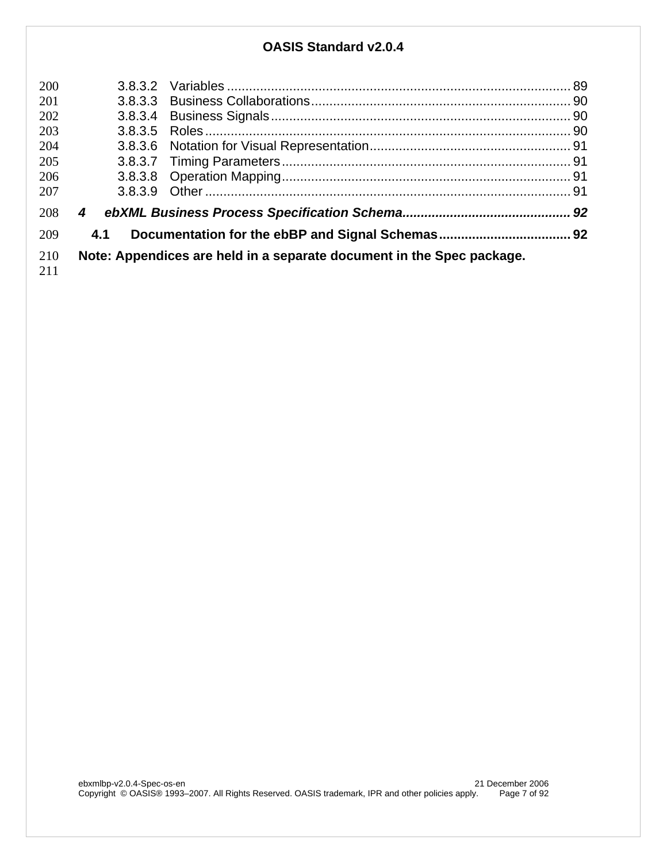| 200 |         |                                                                       |  |
|-----|---------|-----------------------------------------------------------------------|--|
| 201 |         |                                                                       |  |
| 202 |         |                                                                       |  |
| 203 |         |                                                                       |  |
| 204 |         |                                                                       |  |
| 205 |         |                                                                       |  |
| 206 |         |                                                                       |  |
| 207 | 3.8.3.9 |                                                                       |  |
| 208 | 4       |                                                                       |  |
| 209 | 4.1     |                                                                       |  |
| 210 |         | Note: Appendices are held in a separate document in the Spec package. |  |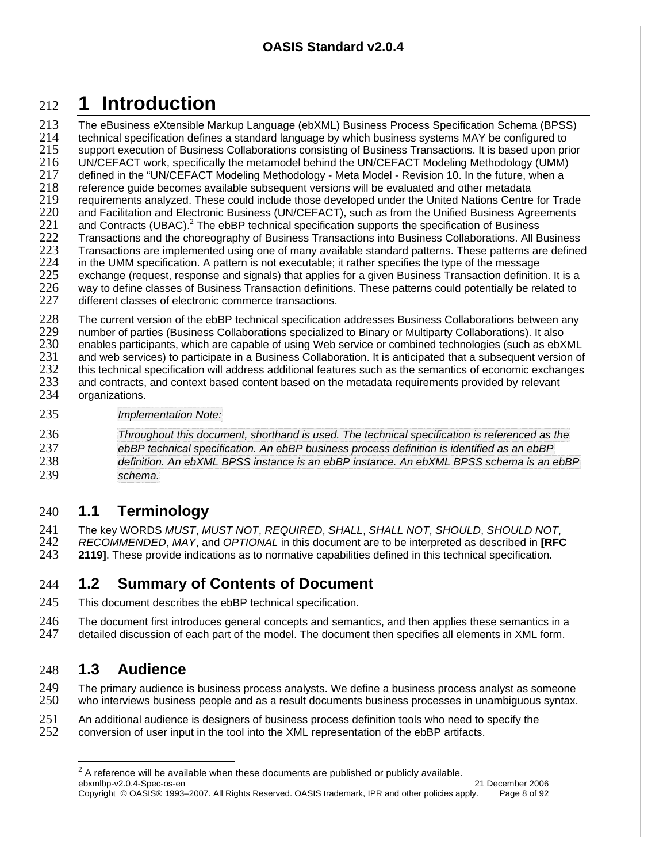# <sup>212</sup>**1 Introduction**

213 The eBusiness eXtensible Markup Language (ebXML) Business Process Specification Schema (BPSS) 214 technical specification defines a standard language by which business systems MAY be configured to 215 support execution of Business Collaborations consisting of Business Transactions. It is based upon prior<br>216 UN/CEFACT work, specifically the metamodel behind the UN/CEFACT Modeling Methodology (UMM) 216 UN/CEFACT work, specifically the metamodel behind the UN/CEFACT Modeling Methodology (UMM) 217 defined in the "UN/CEFACT Modeling Methodology - Meta Model - Revision 10. In the future, when a<br>218 feference quide becomes available subsequent versions will be evaluated and other metadata 218 reference guide becomes available subsequent versions will be evaluated and other metadata<br>219 requirements analyzed. These could include those developed under the United Nations Centre 219 requirements analyzed. These could include those developed under the United Nations Centre for Trade<br>220 and Facilitation and Electronic Business (UN/CEFACT), such as from the Unified Business Agreements 220 and Facilitation and Electronic Business (UN/CEFACT), such as from the Unified Business Agreements 221 and Contracts (UBAC).<sup>2</sup> The ebBP technical specification supports the specification of Business 221 and Contracts (UBAC).<sup>2</sup> The ebBP technical specification supports the specification of Business 222 Transactions and the choreography of Business Transactions collaborations. All E 222 Transactions and the choreography of Business Transactions into Business Collaborations. All Business<br>223 Transactions are implemented using one of many available standard patterns. These patterns are defined 223 Transactions are implemented using one of many available standard patterns. These patterns are defined 224 in the UMM specification. A pattern is not executable; it rather specifies the type of the message 224 in the UMM specification. A pattern is not executable; it rather specifies the type of the message<br>225 exchange (request, response and signals) that applies for a given Business Transaction definitio 225 exchange (request, response and signals) that applies for a given Business Transaction definition. It is a 226 way to define classes of Business Transaction definitions. These patterns could potentially be related to <br>227 different classes of electronic commerce transactions. different classes of electronic commerce transactions.

228 The current version of the ebBP technical specification addresses Business Collaborations between any<br>229 number of parties (Business Collaborations specialized to Binary or Multiparty Collaborations). It also

229 number of parties (Business Collaborations specialized to Binary or Multiparty Collaborations). It also<br>230 enables participants, which are capable of using Web service or combined technologies (such as ebX 230 enables participants, which are capable of using Web service or combined technologies (such as ebXML 231 and web services) to participate in a Business Collaboration. It is anticipated that a subsequent version of <br>232 this technical specification will address additional features such as the semantics of economic exchange 232 this technical specification will address additional features such as the semantics of economic exchanges 233 and contracts, and context based content based on the metadata requirements provided by relevant 233 and contracts, and context based content based on the metadata requirements provided by relevant 234 organizations.

- organizations.
- 235 *Implementation Note:*

*Throughout this document, shorthand is used. The technical specification is referenced as the ebBP technical specification. An ebBP business process definition is identified as an ebBP definition. An ebXML BPSS instance is an ebBP instance. An ebXML BPSS schema is an ebBP*  239 *schema.* 

# 240 **1.1 Terminology**

241 The key WORDS *MUST*, *MUST NOT*, *REQUIRED*, *SHALL*, *SHALL NOT*, *SHOULD*, *SHOULD NOT*, 242 *RECOMMENDED*, *MAY*, and *OPTIONAL* in this document are to be interpreted as described in **[RFC**  243 **2119]**. These provide indications as to normative capabilities defined in this technical specification.

# 244 **1.2 Summary of Contents of Document**

245 This document describes the ebBP technical specification.

246 The document first introduces general concepts and semantics, and then applies these semantics in a<br>247 detailed discussion of each part of the model. The document then specifies all elements in XML form. detailed discussion of each part of the model. The document then specifies all elements in XML form.

# 248 **1.3 Audience**

 $\overline{a}$ 

249 The primary audience is business process analysts. We define a business process analyst as someone<br>250 who interviews business people and as a result documents business processes in unambiguous syntax. who interviews business people and as a result documents business processes in unambiguous syntax.

251 An additional audience is designers of business process definition tools who need to specify the <br>252 conversion of user input in the tool into the XML representation of the ebBP artifacts. 252 conversion of user input in the tool into the XML representation of the ebBP artifacts.

ebxmlbp-v2.0.4-Spec-os-en 21 December 2006 Copyright © OASIS® 1993–2007. All Rights Reserved. OASIS trademark, IPR and other policies apply. Page 8 of 92  $2^2$  A reference will be available when these documents are published or publicly available.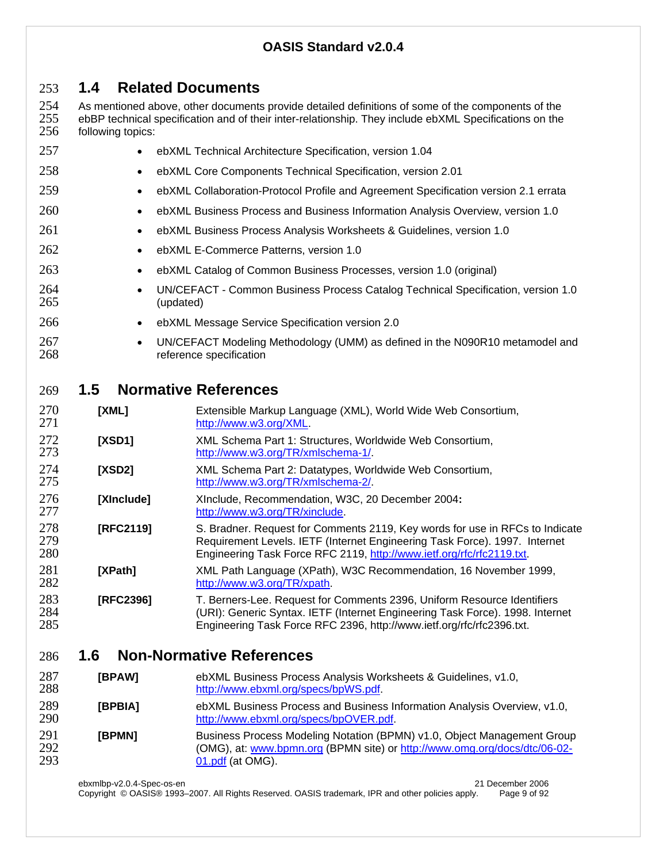# **1.4 Related Documents**

254 As mentioned above, other documents provide detailed definitions of some of the components of the<br>255 ebBP technical specification and of their inter-relationship. They include ebXML Specifications on the 255 ebBP technical specification and of their inter-relationship. They include ebXML Specifications on the 256 following topics: following topics:

| 257               | $\bullet$  | ebXML Technical Architecture Specification, version 1.04                                                                                                                                                                            |
|-------------------|------------|-------------------------------------------------------------------------------------------------------------------------------------------------------------------------------------------------------------------------------------|
| 258               | $\bullet$  | ebXML Core Components Technical Specification, version 2.01                                                                                                                                                                         |
| 259               | $\bullet$  | ebXML Collaboration-Protocol Profile and Agreement Specification version 2.1 errata                                                                                                                                                 |
| 260               | $\bullet$  | ebXML Business Process and Business Information Analysis Overview, version 1.0                                                                                                                                                      |
| 261               | $\bullet$  | ebXML Business Process Analysis Worksheets & Guidelines, version 1.0                                                                                                                                                                |
| 262               | $\bullet$  | ebXML E-Commerce Patterns, version 1.0                                                                                                                                                                                              |
| 263               | $\bullet$  | ebXML Catalog of Common Business Processes, version 1.0 (original)                                                                                                                                                                  |
| 264<br>265        | $\bullet$  | UN/CEFACT - Common Business Process Catalog Technical Specification, version 1.0<br>(updated)                                                                                                                                       |
| 266               | $\bullet$  | ebXML Message Service Specification version 2.0                                                                                                                                                                                     |
| 267<br>268        | $\bullet$  | UN/CEFACT Modeling Methodology (UMM) as defined in the N090R10 metamodel and<br>reference specification                                                                                                                             |
| 269               | 1.5        | <b>Normative References</b>                                                                                                                                                                                                         |
| 270<br>271        | [XML]      | Extensible Markup Language (XML), World Wide Web Consortium,<br>http://www.w3.org/XML.                                                                                                                                              |
| 272<br>273        | [XSD1]     | XML Schema Part 1: Structures, Worldwide Web Consortium,<br>http://www.w3.org/TR/xmlschema-1/.                                                                                                                                      |
| 274<br>275        | [XSD2]     | XML Schema Part 2: Datatypes, Worldwide Web Consortium,<br>http://www.w3.org/TR/xmlschema-2/.                                                                                                                                       |
| 276<br>277        | [XInclude] | XInclude, Recommendation, W3C, 20 December 2004:<br>http://www.w3.org/TR/xinclude.                                                                                                                                                  |
| 278<br>279<br>280 | [RFC2119]  | S. Bradner. Request for Comments 2119, Key words for use in RFCs to Indicate<br>Requirement Levels. IETF (Internet Engineering Task Force). 1997. Internet<br>Engineering Task Force RFC 2119, http://www.ietf.org/rfc/rfc2119.txt. |
| 281<br>282        | [XPath]    | XML Path Language (XPath), W3C Recommendation, 16 November 1999,<br>http://www.w3.org/TR/xpath                                                                                                                                      |
| 283<br>284<br>285 | [RFC2396]  | T. Berners-Lee. Request for Comments 2396, Uniform Resource Identifiers<br>(URI): Generic Syntax. IETF (Internet Engineering Task Force). 1998. Internet<br>Engineering Task Force RFC 2396, http://www.ietf.org/rfc/rfc2396.txt.   |
| 286               | 1.6        | <b>Non-Normative References</b>                                                                                                                                                                                                     |
| 287<br>288        | [BPAW]     | ebXML Business Process Analysis Worksheets & Guidelines, v1.0,<br>http://www.ebxml.org/specs/bpWS.pdf.                                                                                                                              |

| 289<br>290        | <b>IBPBIA1</b> | ebXML Business Process and Business Information Analysis Overview, v1.0,<br>http://www.ebxml.org/specs/bpOVER.pdf.                                                       |
|-------------------|----------------|--------------------------------------------------------------------------------------------------------------------------------------------------------------------------|
| 291<br>292<br>293 | [BPMN]         | Business Process Modeling Notation (BPMN) v1.0, Object Management Group<br>(OMG), at: www.bpmn.org (BPMN site) or http://www.omg.org/docs/dtc/06-02-<br>01.pdf (at OMG). |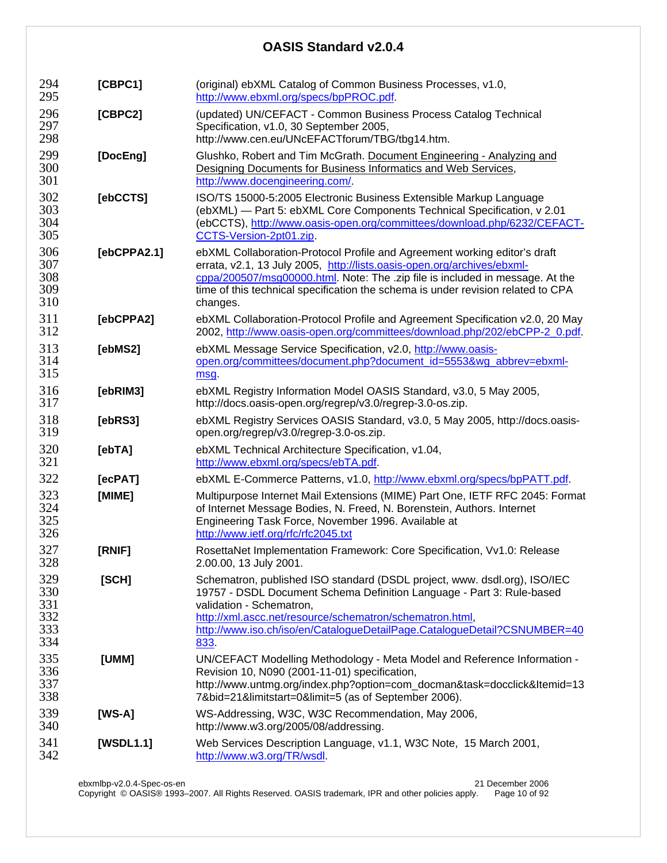| 294<br>295                             | [CBPC1]     | (original) ebXML Catalog of Common Business Processes, v1.0,<br>http://www.ebxml.org/specs/bpPROC.pdf.                                                                                                                                                                                                                                |  |  |  |
|----------------------------------------|-------------|---------------------------------------------------------------------------------------------------------------------------------------------------------------------------------------------------------------------------------------------------------------------------------------------------------------------------------------|--|--|--|
| 296<br>297<br>298                      | [CBPC2]     | (updated) UN/CEFACT - Common Business Process Catalog Technical<br>Specification, v1.0, 30 September 2005,<br>http://www.cen.eu/UNcEFACTforum/TBG/tbg14.htm.                                                                                                                                                                          |  |  |  |
| 299<br>300<br>301                      | [DocEng]    | Glushko, Robert and Tim McGrath. Document Engineering - Analyzing and<br>Designing Documents for Business Informatics and Web Services,<br>http://www.docengineering.com/                                                                                                                                                             |  |  |  |
| 302<br>303<br>304<br>305               | [ebCCTS]    | ISO/TS 15000-5:2005 Electronic Business Extensible Markup Language<br>(ebXML) - Part 5: ebXML Core Components Technical Specification, v 2.01<br>(ebCCTS), http://www.oasis-open.org/committees/download.php/6232/CEFACT-<br>CCTS-Version-2pt01.zip.                                                                                  |  |  |  |
| 306<br>307<br>308<br>309<br>310        | [ebCPPA2.1] | ebXML Collaboration-Protocol Profile and Agreement working editor's draft<br>errata, v2.1, 13 July 2005, http://lists.oasis-open.org/archives/ebxml-<br>cppa/200507/msg00000.html. Note: The .zip file is included in message. At the<br>time of this technical specification the schema is under revision related to CPA<br>changes. |  |  |  |
| 311<br>312                             | [ebCPPA2]   | ebXML Collaboration-Protocol Profile and Agreement Specification v2.0, 20 May<br>2002, http://www.oasis-open.org/committees/download.php/202/ebCPP-2_0.pdf.                                                                                                                                                                           |  |  |  |
| 313<br>314<br>315                      | [ebMS2]     | ebXML Message Service Specification, v2.0, http://www.oasis-<br>open.org/committees/document.php?document_id=5553&wg_abbrev=ebxml-<br>msq.                                                                                                                                                                                            |  |  |  |
| 316<br>317                             | [ebRIM3]    | ebXML Registry Information Model OASIS Standard, v3.0, 5 May 2005,<br>http://docs.oasis-open.org/regrep/v3.0/regrep-3.0-os.zip.                                                                                                                                                                                                       |  |  |  |
| 318<br>319                             | [ebRS3]     | ebXML Registry Services OASIS Standard, v3.0, 5 May 2005, http://docs.oasis-<br>open.org/regrep/v3.0/regrep-3.0-os.zip.                                                                                                                                                                                                               |  |  |  |
| 320<br>321                             | [ebTA]      | ebXML Technical Architecture Specification, v1.04,<br>http://www.ebxml.org/specs/ebTA.pdf.                                                                                                                                                                                                                                            |  |  |  |
| 322                                    | [ecPAT]     | ebXML E-Commerce Patterns, v1.0, http://www.ebxml.org/specs/bpPATT.pdf.                                                                                                                                                                                                                                                               |  |  |  |
| 323<br>324<br>325<br>326               | [MIME]      | Multipurpose Internet Mail Extensions (MIME) Part One, IETF RFC 2045: Format<br>of Internet Message Bodies, N. Freed, N. Borenstein, Authors. Internet<br>Engineering Task Force, November 1996. Available at<br>http://www.ietf.org/rfc/rfc2045.txt                                                                                  |  |  |  |
| 327<br>328                             | [RNIF]      | RosettaNet Implementation Framework: Core Specification, Vv1.0: Release<br>2.00.00, 13 July 2001.                                                                                                                                                                                                                                     |  |  |  |
| 329<br>330<br>331<br>332<br>333<br>334 | [SCH]       | Schematron, published ISO standard (DSDL project, www. dsdl.org), ISO/IEC<br>19757 - DSDL Document Schema Definition Language - Part 3: Rule-based<br>validation - Schematron,<br>http://xml.ascc.net/resource/schematron/schematron.html,<br>http://www.iso.ch/iso/en/CatalogueDetailPage.CatalogueDetail?CSNUMBER=40<br>833         |  |  |  |
| 335<br>336<br>337<br>338               | [UMM]       | UN/CEFACT Modelling Methodology - Meta Model and Reference Information -<br>Revision 10, N090 (2001-11-01) specification,<br>http://www.untmg.org/index.php?option=com_docman&task=docclick&Itemid=13<br>7&bid=21&limitstart=0&limit=5 (as of September 2006).                                                                        |  |  |  |
| 339<br>340                             | $[WS-A]$    | WS-Addressing, W3C, W3C Recommendation, May 2006,<br>http://www.w3.org/2005/08/addressing.                                                                                                                                                                                                                                            |  |  |  |
| 341<br>342                             | [WSDL1.1]   | Web Services Description Language, v1.1, W3C Note, 15 March 2001,<br>http://www.w3.org/TR/wsdl.                                                                                                                                                                                                                                       |  |  |  |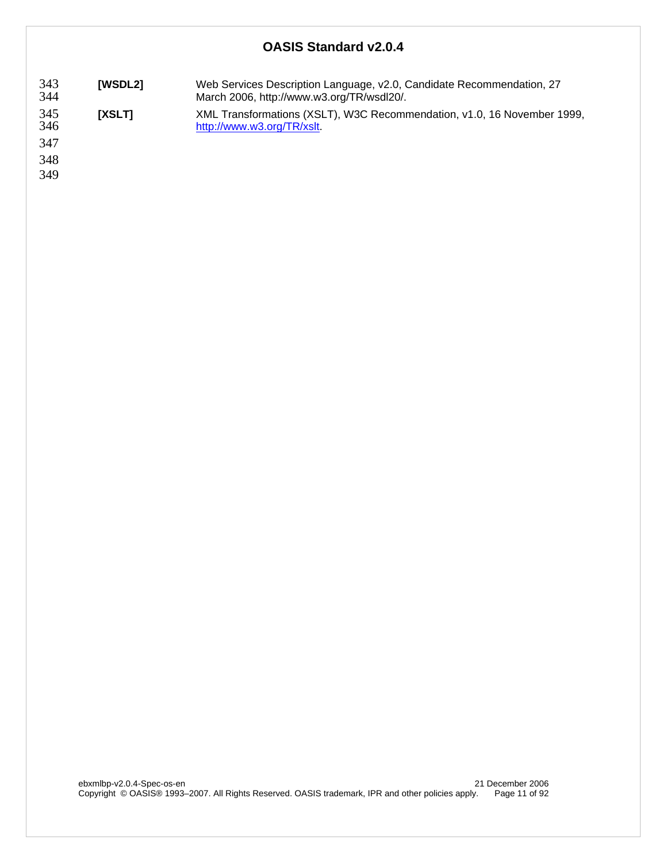| 343   | [WSDL2] | Web Services Description Language, v2.0, Candidate Recommendation, 27                       |
|-------|---------|---------------------------------------------------------------------------------------------|
| $211$ |         | Moreh 2006 $\frac{1}{2}$ http:// $\frac{1}{2}$ $\frac{1}{2}$ or $\frac{1}{2}$ $\frac{1}{2}$ |

- 344 March 2006, http://www.w3.org/TR/wsdl20/.
- 345 **[XSLT]** XML Transformations (XSLT), W3C Recommendation, v1.0, 16 November 1999, http://www.w3.org/TR/xslt.

347

348

349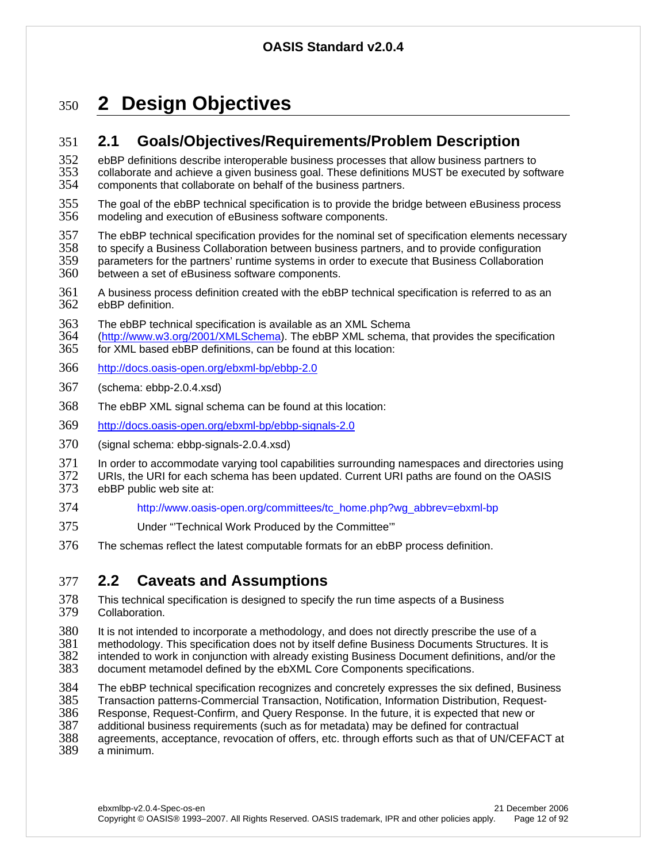# <sup>350</sup>**2 Design Objectives**

# 351 **2.1 Goals/Objectives/Requirements/Problem Description**

352 ebBP definitions describe interoperable business processes that allow business partners to<br>353 collaborate and achieve a given business goal. These definitions MUST be executed by soft 353 collaborate and achieve a given business goal. These definitions MUST be executed by software 354 components that collaborate on behalf of the business partners. components that collaborate on behalf of the business partners.

- 355 The goal of the ebBP technical specification is to provide the bridge between eBusiness process 356 modeling and execution of eBusiness software components. modeling and execution of eBusiness software components.
- 357 The ebBP technical specification provides for the nominal set of specification elements necessary
- 358 to specify a Business Collaboration between business partners, and to provide configuration
- 359 parameters for the partners' runtime systems in order to execute that Business Collaboration<br>360 between a set of eBusiness software components. between a set of eBusiness software components.
- 361 A business process definition created with the ebBP technical specification is referred to as an 362 ebBP definition.
- 363 The ebBP technical specification is available as an XML Schema
- 364 (http://www.w3.org/2001/XMLSchema). The ebBP XML schema, that provides the specification 365 for XML based ebBP definitions, can be found at this location:
- 366 http://docs.oasis-open.org/ebxml-bp/ebbp-2.0
- 367 (schema: ebbp-2.0.4.xsd)
- 368 The ebBP XML signal schema can be found at this location:
- 369 http://docs.oasis-open.org/ebxml-bp/ebbp-signals-2.0
- 370 (signal schema: ebbp-signals-2.0.4.xsd)
- 371 In order to accommodate varying tool capabilities surrounding namespaces and directories using<br>372 URIs the URI for each schema has been undated Current URI paths are found on the OASIS
- 372 URIs, the URI for each schema has been updated. Current URI paths are found on the OASIS<br>373 ebBP public web site at: ebBP public web site at:
- 374 http://www.oasis-open.org/committees/tc\_home.php?wg\_abbrev=ebxml-bp
- 375 Under "'Technical Work Produced by the Committee'"
- 376 The schemas reflect the latest computable formats for an ebBP process definition.

# 377 **2.2 Caveats and Assumptions**

378 This technical specification is designed to specify the run time aspects of a Business<br>379 Collaboration. Collaboration.

380 It is not intended to incorporate a methodology, and does not directly prescribe the use of a<br>381 methodology, This specification does not by itself define Business Documents Structures, It

- 381 methodology. This specification does not by itself define Business Documents Structures. It is
- 382 intended to work in conjunction with already existing Business Document definitions, and/or the 383 document metamodel defined by the ebXML Core Components specifications. document metamodel defined by the ebXML Core Components specifications.
- 384 The ebBP technical specification recognizes and concretely expresses the six defined, Business<br>385 Transaction patterns-Commercial Transaction, Notification, Information Distribution, Request-
- 385 Transaction patterns-Commercial Transaction, Notification, Information Distribution, Request-<br>386 Response, Request-Confirm, and Query Response. In the future, it is expected that new or
- Response, Request-Confirm, and Query Response. In the future, it is expected that new or
- 387 additional business requirements (such as for metadata) may be defined for contractual
- 388 agreements, acceptance, revocation of offers, etc. through efforts such as that of UN/CEFACT at
- a minimum.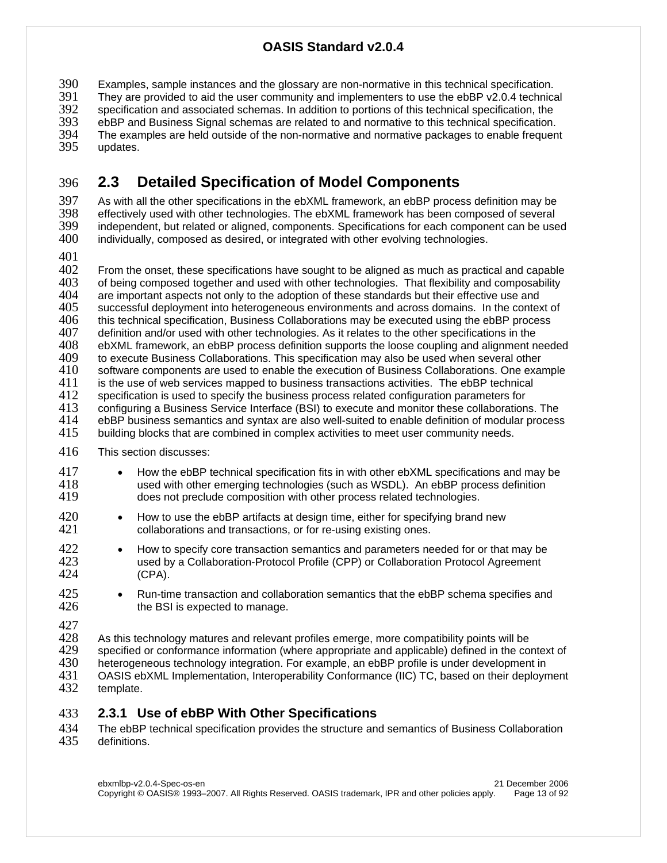390 Examples, sample instances and the glossary are non-normative in this technical specification.<br>391 They are provided to aid the user community and implementers to use the ebBP v2.0.4 technica 391 They are provided to aid the user community and implementers to use the ebBP v2.0.4 technical<br>392 Specification and associated schemas. In addition to portions of this technical specification, the 392 specification and associated schemas. In addition to portions of this technical specification, the 393 septies of the distribution. 393 ebBP and Business Signal schemas are related to and normative to this technical specification.<br>394 The examples are held outside of the non-normative and normative packages to enable frequen The examples are held outside of the non-normative and normative packages to enable frequent 395 updates.

# 396 **2.3 Detailed Specification of Model Components**

397 As with all the other specifications in the ebXML framework, an ebBP process definition may be<br>398 effectively used with other technologies. The ebXML framework has been composed of several 398 effectively used with other technologies. The ebXML framework has been composed of several<br>399 independent. but related or aligned. components. Specifications for each component can be use independent, but related or aligned, components. Specifications for each component can be used 400 individually, composed as desired, or integrated with other evolving technologies.

401<br>402 402 From the onset, these specifications have sought to be aligned as much as practical and capable<br>403 of being composed together and used with other technologies. That flexibility and composability 403 of being composed together and used with other technologies. That flexibility and composability 404 are important aspects not only to the adoption of these standards but their effective use and are important aspects not only to the adoption of these standards but their effective use and 405 successful deployment into heterogeneous environments and across domains. In the context of 406 this technical specification. Business Collaborations may be executed using the ebBP process 406 this technical specification, Business Collaborations may be executed using the ebBP process<br>407 definition and/or used with other technologies. As it relates to the other specifications in the definition and/or used with other technologies. As it relates to the other specifications in the 408 ebXML framework, an ebBP process definition supports the loose coupling and alignment needed to execute Business Collaborations. This specification may also be used when several other<br>410 software components are used to enable the execution of Business Collaborations. One exai  $410$  software components are used to enable the execution of Business Collaborations. One example  $411$  is the use of web services mapped to business transactions activities. The ebBP technical  $411$  is the use of web services mapped to business transactions activities. The ebBP technical  $412$  specification is used to specify the business process related configuration parameters for 412 specification is used to specify the business process related configuration parameters for<br>413 configuring a Business Service Interface (BSI) to execute and monitor these collaboration 413 configuring a Business Service Interface (BSI) to execute and monitor these collaborations. The<br>414 ebBP business semantics and syntax are also well-suited to enable definition of modular process 414 ebBP business semantics and syntax are also well-suited to enable definition of modular process 415 building blocks that are combined in complex activities to meet user community needs. 415 building blocks that are combined in complex activities to meet user community needs.

- 416 This section discusses:
- 417 How the ebBP technical specification fits in with other ebXML specifications and may be used with other emerging technologies (such as WSDL). An ebBP process definition 418 used with other emerging technologies (such as WSDL). An ebBP process definition<br>419 does not preclude composition with other process related technologies. does not preclude composition with other process related technologies.
- 420 How to use the ebBP artifacts at design time, either for specifying brand new 421 collaborations and transactions. or for re-using existing ones. collaborations and transactions, or for re-using existing ones.
- 422 How to specify core transaction semantics and parameters needed for or that may be<br>423  **In the Collaboration-Protocol Profile (CPP)** or Collaboration Protocol Agreement 423 used by a Collaboration-Protocol Profile (CPP) or Collaboration Protocol Agreement  $(CPA)$ .
- 425 Run-time transaction and collaboration semantics that the ebBP schema specifies and 426 the BSI is expected to manage. the BSI is expected to manage.
- 427<br>428

428 As this technology matures and relevant profiles emerge, more compatibility points will be<br>429 specified or conformance information (where appropriate and applicable) defined in the co 429 specified or conformance information (where appropriate and applicable) defined in the context of 430 heterogeneous technology integration. For example, an ebBP profile is under development in heterogeneous technology integration. For example, an ebBP profile is under development in 431 OASIS ebXML Implementation, Interoperability Conformance (IIC) TC, based on their deployment 432 template.

### 433 **2.3.1 Use of ebBP With Other Specifications**

434 The ebBP technical specification provides the structure and semantics of Business Collaboration<br>435 definitions. definitions.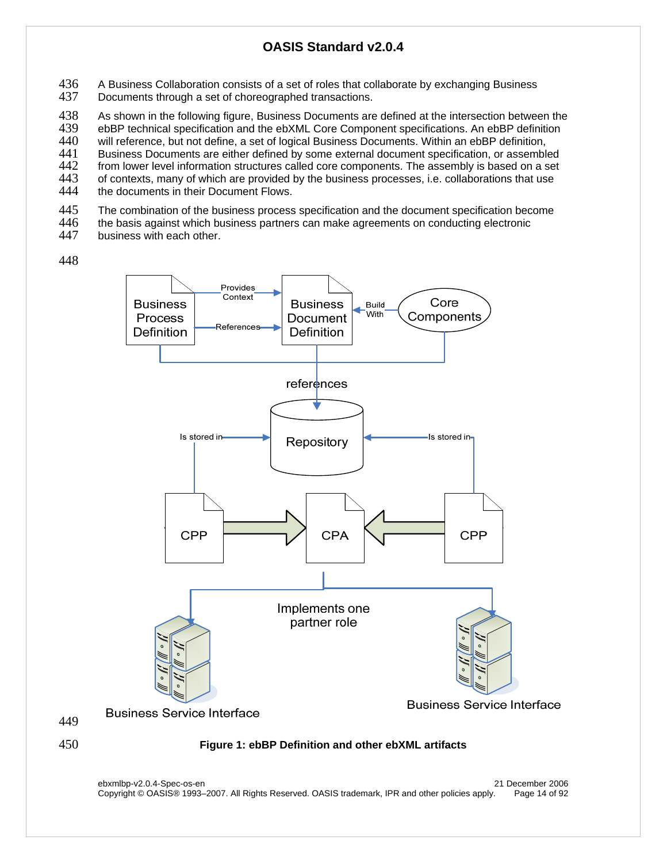- 436 A Business Collaboration consists of a set of roles that collaborate by exchanging Business<br>437 Documents through a set of choreographed transactions.
- Documents through a set of choreographed transactions.

438 As shown in the following figure, Business Documents are defined at the intersection between the 439 ebBP technical specification and the ebXML Core Component specifications. An ebBP definition 439 ebBP technical specification and the ebXML Core Component specifications. An ebBP definition<br>440 will reference, but not define, a set of logical Business Documents. Within an ebBP definition. 440 will reference, but not define, a set of logical Business Documents. Within an ebBP definition, 441 Business Documents are either defined by some external document specification, or assembled 442 from lower level information structures called core components. The assembly is based on a set from lower level information structures called core components. The assembly is based on a set<br>443 of contexts, many of which are provided by the business processes, i.e. collaborations that use 443 of contexts, many of which are provided by the business processes, i.e. collaborations that use<br>444 the documents in their Document Flows.

- the documents in their Document Flows.
- 445 The combination of the business process specification and the document specification become<br>446 the basis against which business partners can make agreements on conducting electronic
- 446 the basis against which business partners can make agreements on conducting electronic<br>447 business with each other.
- business with each other.

448





### 450 **Figure 1: ebBP Definition and other ebXML artifacts**

ebxmlbp-v2.0.4-Spec-os-en 21 December 2006 Copyright © OASIS® 1993–2007. All Rights Reserved. OASIS trademark, IPR and other policies apply. Page 14 of 92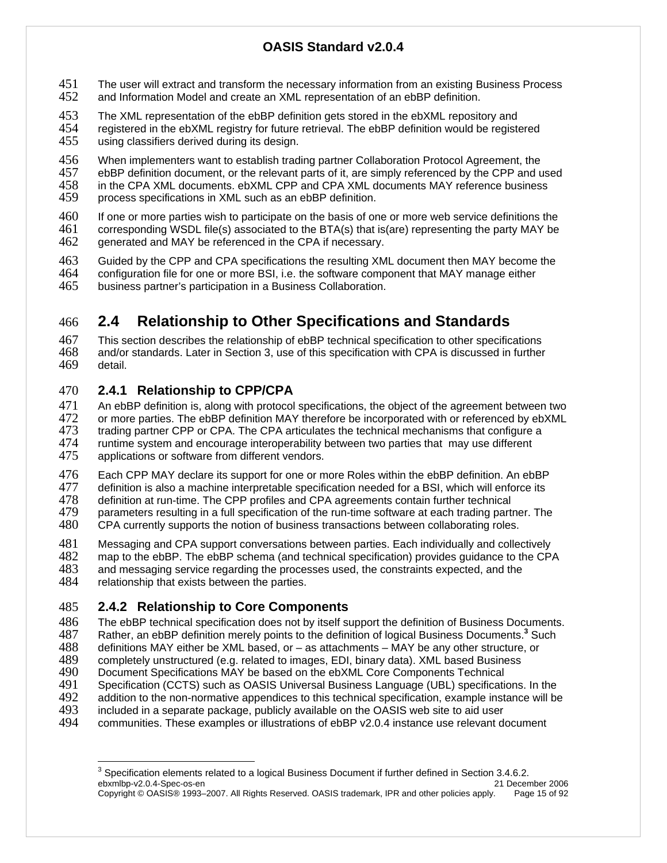- 451 The user will extract and transform the necessary information from an existing Business Process<br>452 and Information Model and create an XML representation of an ebBP definition. and Information Model and create an XML representation of an ebBP definition.
- 
- 453 The XML representation of the ebBP definition gets stored in the ebXML repository and registered in the ebXML registry for future retrieval. The ebBP definition would be registered 455 using classifiers derived during its design.
- 456 When implementers want to establish trading partner Collaboration Protocol Agreement, the 457 ebBP definition document, or the relevant parts of it, are simply referenced by the CPP and u
- 457 ebBP definition document, or the relevant parts of it, are simply referenced by the CPP and used<br>458 in the CPA XML documents. ebXML CPP and CPA XML documents MAY reference business
- 458 in the CPA XML documents. ebXML CPP and CPA XML documents MAY reference business<br>459 process specifications in XML such as an ebBP definition. process specifications in XML such as an ebBP definition.
- 460 If one or more parties wish to participate on the basis of one or more web service definitions the 461 corresponding WSDL file(s) associated to the BTA(s) that is(are) representing the party MAY be 461 corresponding WSDL file(s) associated to the BTA(s) that is(are) representing the party MAY be 462 generated and MAY be referenced in the CPA if necessary.
- 463 Guided by the CPP and CPA specifications the resulting XML document then MAY become the 464 configuration file for one or more BSI, i.e. the software component that MAY manage either
- 465 business partner's participation in a Business Collaboration.

# 466 **2.4 Relationship to Other Specifications and Standards**

467 This section describes the relationship of ebBP technical specification to other specifications 468 and/or standards. Later in Section 3, use of this specification with CPA is discussed in further detail.

### 470 **2.4.1 Relationship to CPP/CPA**

- 471 An ebBP definition is, along with protocol specifications, the object of the agreement between two<br>472 or more parties. The ebBP definition MAY therefore be incorporated with or referenced by ebXML 472 or more parties. The ebBP definition MAY therefore be incorporated with or referenced by ebXML<br>473 trading partner CPP or CPA. The CPA articulates the technical mechanisms that configure a 473 trading partner CPP or CPA. The CPA articulates the technical mechanisms that configure a<br>474 runtime system and encourage interoperability between two parties that may use different 474 runtime system and encourage interoperability between two parties that may use different 475 applications or software from different vendors. applications or software from different vendors.
- 476 Each CPP MAY declare its support for one or more Roles within the ebBP definition. An ebBP<br>477 definition is also a machine interpretable specification needed for a BSI, which will enforce its
- 477 definition is also a machine interpretable specification needed for a BSI, which will enforce its 478 definition at run-time. The CPP profiles and CPA agreements contain further technical
- 478 definition at run-time. The CPP profiles and CPA agreements contain further technical<br>479 barameters resulting in a full specification of the run-time software at each trading part
- 479 parameters resulting in a full specification of the run-time software at each trading partner. The 480 CPA currently supports the notion of business transactions between collaborating roles. CPA currently supports the notion of business transactions between collaborating roles.
- 481 Messaging and CPA support conversations between parties. Each individually and collectively
- 482 map to the ebBP. The ebBP schema (and technical specification) provides guidance to the CPA<br>483 and messaging service regarding the processes used, the constraints expected, and the
- 483 and messaging service regarding the processes used, the constraints expected, and the 484 relationship that exists between the parties. relationship that exists between the parties.
- 485 **2.4.2 Relationship to Core Components**
- 486 The ebBP technical specification does not by itself support the definition of Business Documents.<br>487 Rather, an ebBP definition merely points to the definition of logical Business Documents.<sup>3</sup> Such
- Rather, an ebBP definition merely points to the definition of logical Business Documents.<sup>3</sup> Such<br>488 definitions MAY either be XML based. or as attachments MAY be any other structure. or
- 488 definitions MAY either be XML based, or as attachments MAY be any other structure, or 489 completely unstructured (e.g. related to images, EDI, binary data). XML based Business 489 completely unstructured (e.g. related to images, EDI, binary data). XML based Business<br>490 Document Specifications MAY be based on the ebXML Core Components Technical
- 490 Document Specifications MAY be based on the ebXML Core Components Technical<br>491 Specification (CCTS) such as OASIS Universal Business Language (UBL) specification
- 491 Specification (CCTS) such as OASIS Universal Business Language (UBL) specifications. In the 492 addition to the non-normative appendices to this technical specification. example instance will be
- 492 addition to the non-normative appendices to this technical specification, example instance will be 493 included in a separate package, publicly available on the OASIS web site to aid user
- 493 included in a separate package, publicly available on the OASIS web site to aid user
- 494 communities. These examples or illustrations of ebBP v2.0.4 instance use relevant document

ebxmlbp-v2.0.4-Spec-os-en 21 December 2006 Copyright © OASIS® 1993–2007. All Rights Reserved. OASIS trademark, IPR and other policies apply. Page 15 of 92  $\overline{a}$  $3$  Specification elements related to a logical Business Document if further defined in Section 3.4.6.2.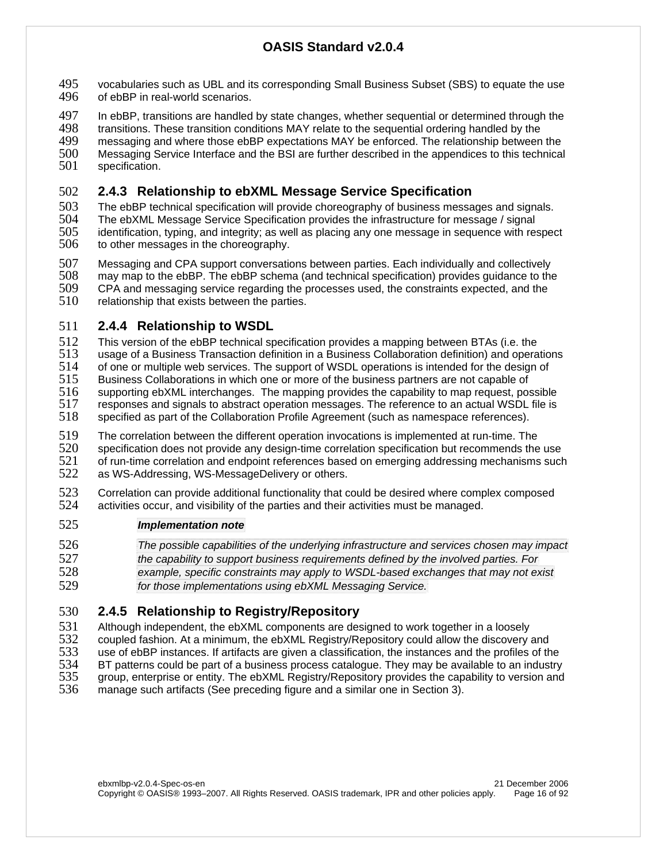- 495 vocabularies such as UBL and its corresponding Small Business Subset (SBS) to equate the use<br>496 of ebBP in real-world scenarios. of ebBP in real-world scenarios.
- 497 In ebBP, transitions are handled by state changes, whether sequential or determined through the 498 transitions. These transition conditions MAY relate to the sequential ordering handled by the
- 498 transitions. These transition conditions MAY relate to the sequential ordering handled by the<br>499 messaging and where those ebBP expectations MAY be enforced. The relationship between
- messaging and where those ebBP expectations MAY be enforced. The relationship between the 500 Messaging Service Interface and the BSI are further described in the appendices to this technical<br>501 specification.
- specification.

# 502 **2.4.3 Relationship to ebXML Message Service Specification**

- 503 The ebBP technical specification will provide choreography of business messages and signals.<br>504 The ebXML Message Service Specification provides the infrastructure for message / signal The ebXML Message Service Specification provides the infrastructure for message / signal 505 identification, typing, and integrity; as well as placing any one message in sequence with respect 506 to other messages in the choreography.
- 
- 507 Messaging and CPA support conversations between parties. Each individually and collectively<br>508 may map to the ebBP. The ebBP schema (and technical specification) provides guidance to the 508 may map to the ebBP. The ebBP schema (and technical specification) provides guidance to the
- 509 CPA and messaging service regarding the processes used, the constraints expected, and the 510 relationship that exists between the parties.
- relationship that exists between the parties.

### 511 **2.4.4 Relationship to WSDL**

- 512 This version of the ebBP technical specification provides a mapping between BTAs (i.e. the 513 usage of a Business Transaction definition in a Business Collaboration definition) and opera
- 513 usage of a Business Transaction definition in a Business Collaboration definition) and operations 514 of one or multiple web services. The support of WSDL operations is intended for the design of
- 514 of one or multiple web services. The support of WSDL operations is intended for the design of 515<br>515 Business Collaborations in which one or more of the business partners are not capable of
- 515 Business Collaborations in which one or more of the business partners are not capable of 516 supporting ebXML interchanges. The mapping provides the capable of 516 supporting ebXML interchanges. The mapping provides the capability to map request, possible
- 517 responses and signals to abstract operation messages. The reference to an actual WSDL file is
- 518 specified as part of the Collaboration Profile Agreement (such as namespace references).
- 519 The correlation between the different operation invocations is implemented at run-time. The<br>520 specification does not provide any design-time correlation specification but recommends the 520 specification does not provide any design-time correlation specification but recommends the use<br>521 of run-time correlation and endpoint references based on emerging addressing mechanisms such 521 of run-time correlation and endpoint references based on emerging addressing mechanisms such<br>522 as WS-Addressing, WS-MessageDelivery or others. as WS-Addressing, WS-MessageDelivery or others.
- 523 Correlation can provide additional functionality that could be desired where complex composed 524 activities occur. and visibility of the parties and their activities must be managed. activities occur, and visibility of the parties and their activities must be managed.

#### 525 *Implementation note*

- 526 *The possible capabilities of the underlying infrastructure and services chosen may impact*  527 *the capability to support business requirements defined by the involved parties. For*
- 528 *example, specific constraints may apply to WSDL-based exchanges that may not exist*  529 *for those implementations using ebXML Messaging Service.*

# 530 **2.4.5 Relationship to Registry/Repository**

531 Although independent, the ebXML components are designed to work together in a loosely<br>532 coupled fashion. At a minimum, the ebXML Registry/Repository could allow the discovery a

- 532 coupled fashion. At a minimum, the ebXML Registry/Repository could allow the discovery and<br>533 use of ebBP instances. If artifacts are given a classification, the instances and the profiles of th 533 use of ebBP instances. If artifacts are given a classification, the instances and the profiles of the 534 BT patterns could be part of a business process catalogue. They may be available to an industry
- 534 BT patterns could be part of a business process catalogue. They may be available to an industry<br>535 group, enterprise or entity. The ebXML Registry/Repository provides the capability to version and 535 group, enterprise or entity. The ebXML Registry/Repository provides the capability to version and 536 manage such artifacts (See preceding figure and a similar one in Section 3). manage such artifacts (See preceding figure and a similar one in Section 3).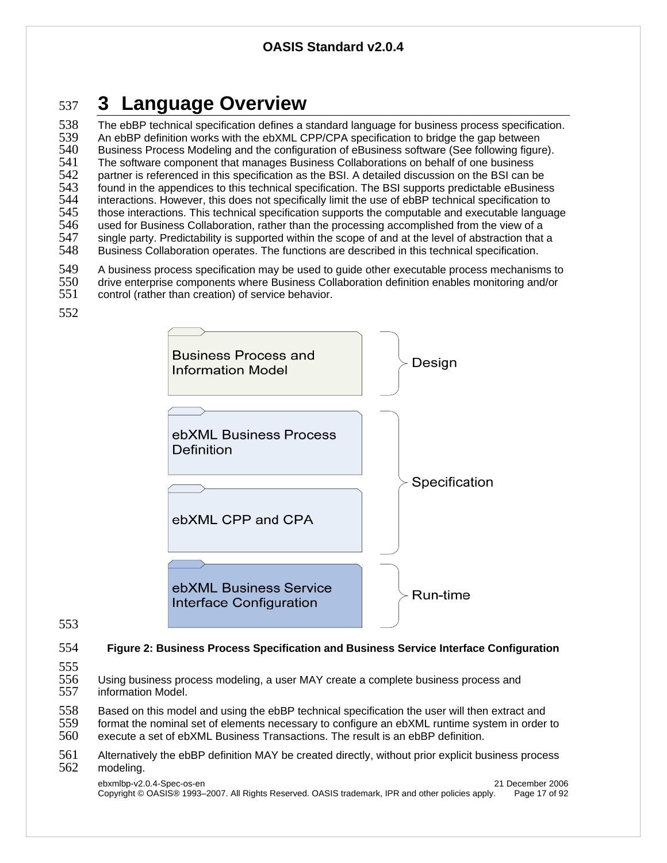# <sup>537</sup>**3 Language Overview**

538 The ebBP technical specification defines a standard language for business process specification.<br>539 An ebBP definition works with the ebXML CPP/CPA specification to bridge the gap between 539 An ebBP definition works with the ebXML CPP/CPA specification to bridge the gap between<br>540 Business Process Modeling and the configuration of eBusiness software (See following figure 540 Business Process Modeling and the configuration of eBusiness software (See following figure).<br>541 The software component that manages Business Collaborations on behalf of one business 541 The software component that manages Business Collaborations on behalf of one business<br>542 partner is referenced in this specification as the BSI. A detailed discussion on the BSI can b 542 partner is referenced in this specification as the BSI. A detailed discussion on the BSI can be<br>543 found in the appendices to this technical specification. The BSI supports predictable eBusines found in the appendices to this technical specification. The BSI supports predictable eBusiness<br>544 interactions. However, this does not specifically limit the use of ebBP technical specification to 544 interactions. However, this does not specifically limit the use of ebBP technical specification to<br>545 those interactions. This technical specification supports the computable and executable langua those interactions. This technical specification supports the computable and executable language 546 used for Business Collaboration, rather than the processing accomplished from the view of a 547 single party. Predictability is supported within the scope of and at the level of abstraction that a<br>548 Business Collaboration operates. The functions are described in this technical specification. Business Collaboration operates. The functions are described in this technical specification.

- 549 A business process specification may be used to guide other executable process mechanisms to<br>550 drive enterprise components where Business Collaboration definition enables monitoring and/or
- 550 drive enterprise components where Business Collaboration definition enables monitoring and/or<br>551 control (rather than creation) of service behavior. control (rather than creation) of service behavior.
- 552



553

554 **Figure 2: Business Process Specification and Business Service Interface Configuration** 

- 555<br>556
- Using business process modeling, a user MAY create a complete business process and 557 information Model.
- 558 Based on this model and using the ebBP technical specification the user will then extract and<br>559 format the nominal set of elements necessary to configure an ebXML runtime system in order
- 559 format the nominal set of elements necessary to configure an ebXML runtime system in order to 560 execute a set of ebXML Business Transactions. The result is an ebBP definition.
- execute a set of ebXML Business Transactions. The result is an ebBP definition.
- 561 Alternatively the ebBP definition MAY be created directly, without prior explicit business process<br>562 modeling. modeling.

ebxmlbp-v2.0.4-Spec-os-en 21 December 2006 Copyright © OASIS® 1993–2007. All Rights Reserved. OASIS trademark, IPR and other policies apply. Page 17 of 92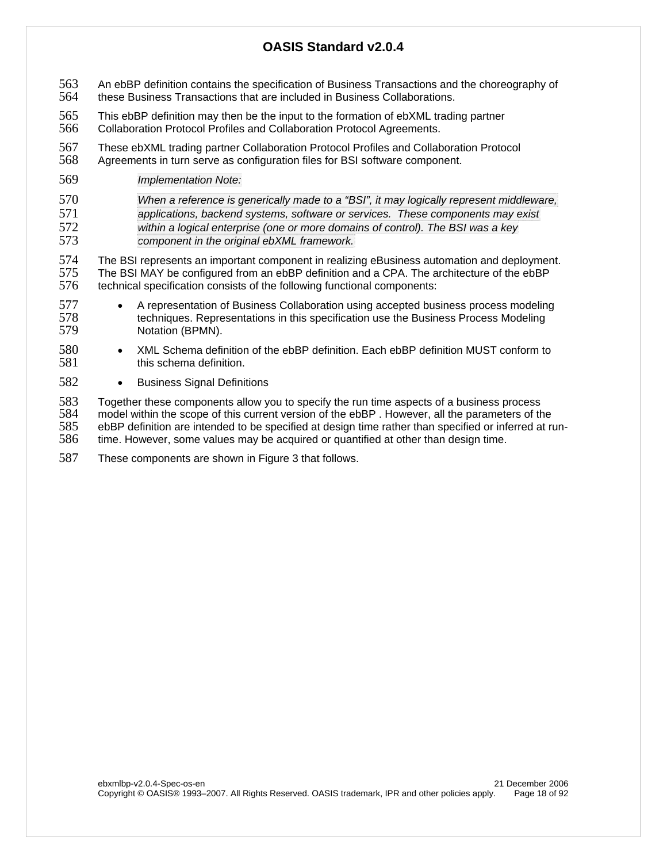- 563 An ebBP definition contains the specification of Business Transactions and the choreography of
- 564 these Business Transactions that are included in Business Collaborations.
- 565 This ebBP definition may then be the input to the formation of ebXML trading partner 566 Collaboration Protocol Profiles and Collaboration Protocol Agreements.
- 567 These ebXML trading partner Collaboration Protocol Profiles and Collaboration Protocol 568 Agreements in turn serve as configuration files for BSI software component.
- 569 *Implementation Note:*
- 570 *When a reference is generically made to a "BSI", it may logically represent middleware,*  571 *applications, backend systems, software or services. These components may exist*  572 *within a logical enterprise (one or more domains of control). The BSI was a key*  component in the original ebXML framework.

574 The BSI represents an important component in realizing eBusiness automation and deployment. 575 The BSI MAY be configured from an ebBP definition and a CPA. The architecture of the ebBP<br>576 technical specification consists of the following functional components: technical specification consists of the following functional components:

- <sup>577</sup> A representation of Business Collaboration using accepted business process modeling<br>578 techniques. Representations in this specification use the Business Process Modeling 578 techniques. Representations in this specification use the Business Process Modeling<br>579 Motation (BPMN). Notation (BPMN).
- 580 XML Schema definition of the ebBP definition. Each ebBP definition MUST conform to 581 this schema definition.
- 582 Business Signal Definitions

583 Together these components allow you to specify the run time aspects of a business process<br>584 model within the scope of this current version of the ebBP. However, all the parameters of th 584 model within the scope of this current version of the ebBP . However, all the parameters of the 585 ebBP definition are intended to be specified at design time rather than specified or inferred at run-<br>586 time. However, some values may be acquired or quantified at other than design time. time. However, some values may be acquired or quantified at other than design time.

587 These components are shown in Figure 3 that follows.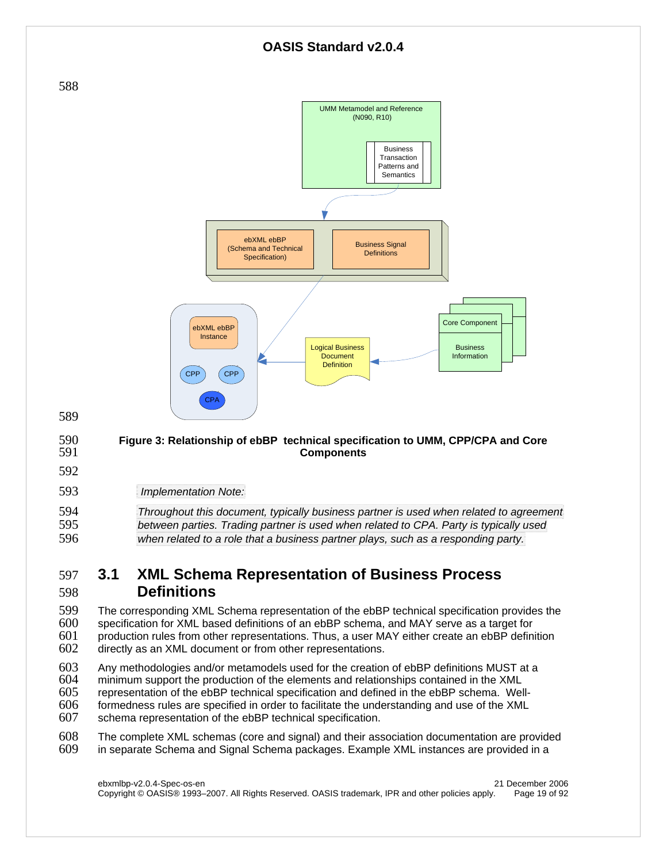

593 *Implementation Note:* 

| 594 | Throughout this document, typically business partner is used when related to agreement |
|-----|----------------------------------------------------------------------------------------|
| 595 | between parties. Trading partner is used when related to CPA. Party is typically used  |
| 596 | when related to a role that a business partner plays, such as a responding party.      |

# 597 **3.1 XML Schema Representation of Business Process**  598 **Definitions**

599 The corresponding XML Schema representation of the ebBP technical specification provides the<br>600 specification for XML based definitions of an ebBP schema, and MAY serve as a target for specification for XML based definitions of an ebBP schema, and MAY serve as a target for  $601$  production rules from other representations. Thus, a user MAY either create an ebBP definition  $602$  directly as an XML document or from other representations. directly as an XML document or from other representations.

603 Any methodologies and/or metamodels used for the creation of ebBP definitions MUST at a<br>604 minimum support the production of the elements and relationships contained in the XML

- 604 minimum support the production of the elements and relationships contained in the XML
- representation of the ebBP technical specification and defined in the ebBP schema. Well- $606$  formedness rules are specified in order to facilitate the understanding and use of the XML  $607$  schema representation of the ebBP technical specification.
- schema representation of the ebBP technical specification.

608 The complete XML schemas (core and signal) and their association documentation are provided<br>609 in separate Schema and Signal Schema packages. Example XML instances are provided in a in separate Schema and Signal Schema packages. Example XML instances are provided in a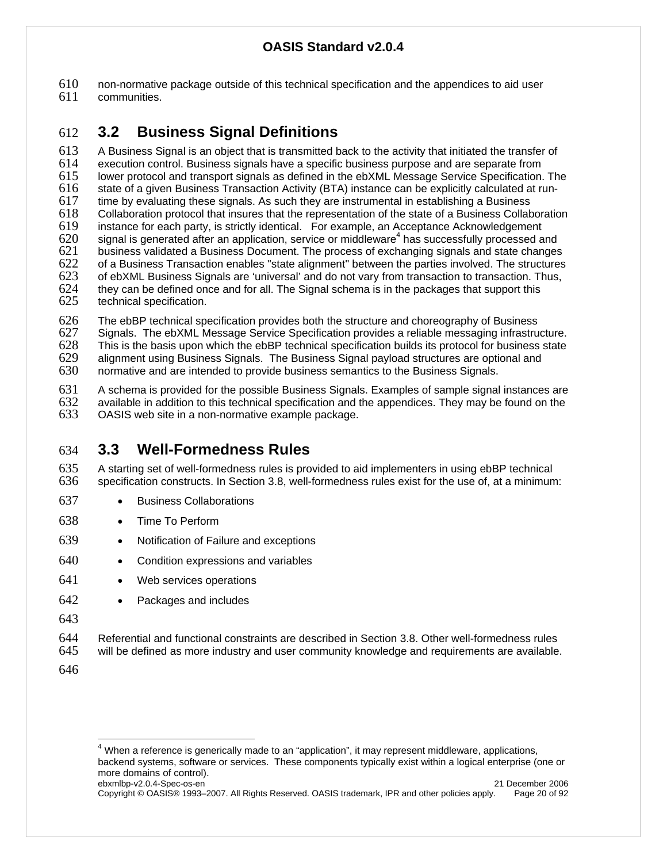610 non-normative package outside of this technical specification and the appendices to aid user

communities.

# 612 **3.2 Business Signal Definitions**

613 A Business Signal is an object that is transmitted back to the activity that initiated the transfer of 614 execution control. Business signals have a specific business purpose and are separate from lower protocol and transport signals as defined in the ebXML Message Service Specification. The 616 state of a given Business Transaction Activity (BTA) instance can be explicitly calculated at run-617 time by evaluating these signals. As such they are instrumental in establishing a Business<br>618 Collaboration protocol that insures that the representation of the state of a Business Collab 618 Collaboration protocol that insures that the representation of the state of a Business Collaboration 619 instance for each party, is strictly identical. For example, an Acceptance Acknowledgement  $s = 620$  signal is generated after an application, service or middleware<sup>4</sup> has successfully processed and  $s = 621$  has business validated a Business Document. The process of exchanging signals and state changes  $621$  business validated a Business Document. The process of exchanging signals and state changes  $622$  of a Business Transaction enables "state alignment" between the parties involved. The structures 622 of a Business Transaction enables "state alignment" between the parties involved. The structures 623 of ebXML Business Signals are 'universal' and do not vary from transaction to transaction. Thus, 623 of ebXML Business Signals are 'universal' and do not vary from transaction to transaction. Thus,  $624$  they can be defined once and for all. The Signal schema is in the packages that support this 624 they can be defined once and for all. The Signal schema is in the packages that support this  $625$  technical specification. technical specification.

626 The ebBP technical specification provides both the structure and choreography of Business<br>627 Signals, The ebXML Message Service Specification provides a reliable messaging infrastrue

Signals. The ebXML Message Service Specification provides a reliable messaging infrastructure. 628 This is the basis upon which the ebBP technical specification builds its protocol for business state 629 alignment using Business Signals. The Business Signal payload structures are optional and 630 normative and are intended to provide business semantics to the Business Signals. normative and are intended to provide business semantics to the Business Signals.

631 A schema is provided for the possible Business Signals. Examples of sample signal instances are<br>632 available in addition to this technical specification and the appendices. They may be found on the 632 available in addition to this technical specification and the appendices. They may be found on the 633 OASIS web site in a non-normative example package. OASIS web site in a non-normative example package.

# 634 **3.3 Well-Formedness Rules**

635 A starting set of well-formedness rules is provided to aid implementers in using ebBP technical 636 specification constructs. In Section 3.8, well-formedness rules exist for the use of, at a minimum:

- 637 Business Collaborations
- 638 Time To Perform
- 639 Notification of Failure and exceptions
- 640 Condition expressions and variables
- 641 Web services operations
- 642 Packages and includes
- 643

644 Referential and functional constraints are described in Section 3.8. Other well-formedness rules<br>645 will be defined as more industry and user community knowledge and requirements are available will be defined as more industry and user community knowledge and requirements are available.

646

ebxmlbp-v2.0.4-Spec-os-en 21 December 2006 4 When a reference is generically made to an "application", it may represent middleware, applications, backend systems, software or services. These components typically exist within a logical enterprise (one or more domains of control).

Copyright © OASIS® 1993–2007. All Rights Reserved. OASIS trademark, IPR and other policies apply. Page 20 of 92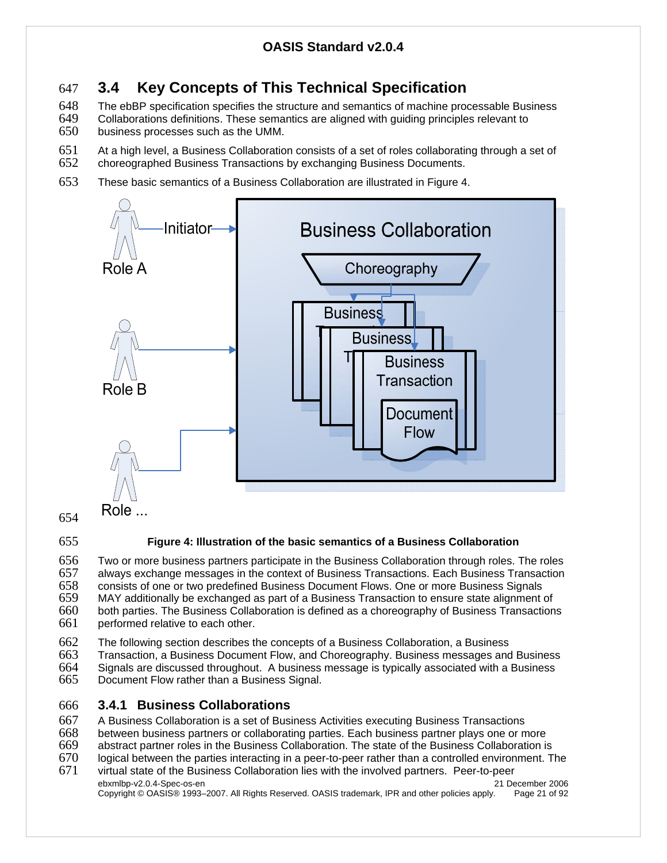# 647 **3.4 Key Concepts of This Technical Specification**

648 The ebBP specification specifies the structure and semantics of machine processable Business<br>649 Collaborations definitions. These semantics are aligned with quiding principles relevant to

- 649 Collaborations definitions. These semantics are aligned with guiding principles relevant to 650 business processes such as the UMM. business processes such as the UMM.
- 651 At a high level, a Business Collaboration consists of a set of roles collaborating through a set of 652 choreographed Business Transactions by exchanging Business Documents.
- choreographed Business Transactions by exchanging Business Documents.
- 653 These basic semantics of a Business Collaboration are illustrated in Figure 4.



### 654

### 655 **Figure 4: Illustration of the basic semantics of a Business Collaboration**

656 Two or more business partners participate in the Business Collaboration through roles. The roles 657 always exchange messages in the context of Business Transactions. Each Business Transaction<br>658 consists of one or two predefined Business Document Flows. One or more Business Signals 658 consists of one or two predefined Business Document Flows. One or more Business Signals 659 MAY additionally be exchanged as part of a Business Transaction to ensure state alignment of 660 both parties. The Business Collaboration is defined as a choreography of Business Transactions<br>661 performed relative to each other. performed relative to each other.

662 The following section describes the concepts of a Business Collaboration, a Business 663 Transaction, a Business Document Flow, and Choreography. Business messages and

- 663 Transaction, a Business Document Flow, and Choreography. Business messages and Business
- 664 Signals are discussed throughout. A business message is typically associated with a Business
- 665 Document Flow rather than a Business Signal.

### 666 **3.4.1 Business Collaborations**

- 667 A Business Collaboration is a set of Business Activities executing Business Transactions
- 

668 between business partners or collaborating parties. Each business partner plays one or more 669 abstract partner roles in the Business Collaboration. The state of the Business Collaboration is

- logical between the parties interacting in a peer-to-peer rather than a controlled environment. The
- ebxmlbp-v2.0.4-Spec-os-en 21 December 2006 671 virtual state of the Business Collaboration lies with the involved partners. Peer-to-peer

Copyright © OASIS® 1993–2007. All Rights Reserved. OASIS trademark, IPR and other policies apply. Page 21 of 92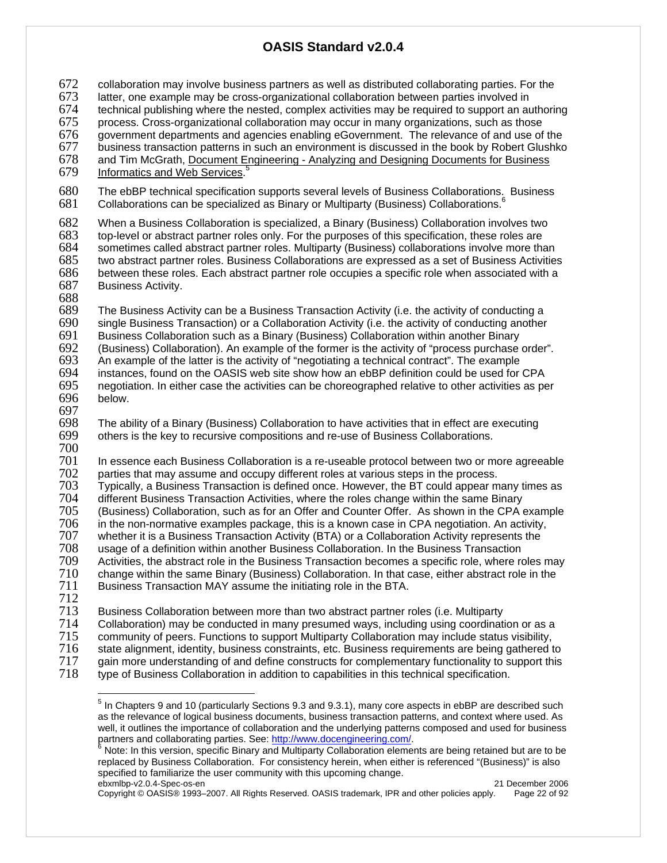$672$  collaboration may involve business partners as well as distributed collaborating parties. For the  $673$  latter, one example may be cross-organizational collaboration between parties involved in

- 673 latter, one example may be cross-organizational collaboration between parties involved in<br>674 lechnical publishing where the nested, complex activities may be required to support an au
- 674 technical publishing where the nested, complex activities may be required to support an authoring
- process. Cross-organizational collaboration may occur in many organizations, such as those 676 government departments and agencies enabling eGovernment. The relevance of and use of the
- 
- 677 business transaction patterns in such an environment is discussed in the book by Robert Glushko<br>678 and Tim McGrath, Document Engineering Analyzing and Designing Documents for Business and Tim McGrath, Document Engineering - Analyzing and Designing Documents for Business

679 Informatics and Web Services.<sup>5</sup>

680 The ebBP technical specification supports several levels of Business Collaborations. Business 681 Collaborations can be specialized as Binary or Multiparty (Business) Collaborations.  $681$ Collaborations can be specialized as Binary or Multiparty (Business) Collaborations.

682 When a Business Collaboration is specialized, a Binary (Business) Collaboration involves two<br>683 top-level or abstract partner roles only. For the purposes of this specification, these roles are 683 top-level or abstract partner roles only. For the purposes of this specification, these roles are 684 sometimes called abstract partner roles. Multiparty (Business) collaborations involve more than<br>685 two abstract partner roles. Business Collaborations are expressed as a set of Business Activities two abstract partner roles. Business Collaborations are expressed as a set of Business Activities 686 between these roles. Each abstract partner role occupies a specific role when associated with a 687 Business Activity. Business Activity.

688

689 The Business Activity can be a Business Transaction Activity (i.e. the activity of conducting a 690 single Business Transaction) or a Collaboration Activity (i.e. the activity of conducting another 691 Business Collaboration such as a Binary (Business) Collaboration such as a Binary (Business) Collaboration such as a Business Collaboration such as a Binary (Business) Collaboration within another Binary 692 (Business) Collaboration). An example of the former is the activity of "process purchase order".  $693$  An example of the latter is the activity of "negotiating a technical contract". The example 693 An example of the latter is the activity of "negotiating a technical contract". The example 694 instances, found on the OASIS web site show how an ebBP definition could be used for 694 instances, found on the OASIS web site show how an ebBP definition could be used for CPA 695 negotiation. In either case the activities can be choreographed relative to other activities as per below.

697

698 The ability of a Binary (Business) Collaboration to have activities that in effect are executing<br>699 others is the key to recursive compositions and re-use of Business Collaborations. others is the key to recursive compositions and re-use of Business Collaborations.

700

701 In essence each Business Collaboration is a re-useable protocol between two or more agreeable<br>702 parties that may assume and occupy different roles at various steps in the process.

702 parties that may assume and occupy different roles at various steps in the process.<br>703 Typically, a Business Transaction is defined once. However, the BT could appear m 703 Typically, a Business Transaction is defined once. However, the BT could appear many times as

704 different Business Transaction Activities, where the roles change within the same Binary

705 (Business) Collaboration, such as for an Offer and Counter Offer. As shown in the CPA example 706 in the non-normative examples package, this is a known case in CPA negotiation. An activity,

706 in the non-normative examples package, this is a known case in CPA negotiation. An activity,

707 whether it is a Business Transaction Activity (BTA) or a Collaboration Activity represents the<br>708 usage of a definition within another Business Collaboration. In the Business Transaction

708 usage of a definition within another Business Collaboration. In the Business Transaction

709 Activities, the abstract role in the Business Transaction becomes a specific role, where roles may<br>710 Change within the same Binary (Business) Collaboration. In that case, either abstract role in the 710 change within the same Binary (Business) Collaboration. In that case, either abstract role in the 711 Business Transaction MAY assume the initiating role in the BTA. Business Transaction MAY assume the initiating role in the BTA.

712

713 Business Collaboration between more than two abstract partner roles (i.e. Multiparty 714 Collaboration) may be conducted in many presumed ways, including using coordination or as a

- 715 community of peers. Functions to support Multiparty Collaboration may include status visibility,<br>716 state alignment, identity, business constraints, etc. Business reguirements are being gathered to
- 716 state alignment, identity, business constraints, etc. Business requirements are being gathered to

717 gain more understanding of and define constructs for complementary functionality to support this<br>718 type of Business Collaboration in addition to capabilities in this technical specification.

type of Business Collaboration in addition to capabilities in this technical specification.

Copyright © OASIS® 1993–2007. All Rights Reserved. OASIS trademark, IPR and other policies apply. Page 22 of 92

<sup>&</sup>lt;u>5</u><br><sup>5</sup> In Chapters 9 and 10 (particularly Sections 9.3 and 9.3.1), many core aspects in ebBP are described such as the relevance of logical business documents, business transaction patterns, and context where used. As well, it outlines the importance of collaboration and the underlying patterns composed and used for business partners and collaborating parties. See: http://www.docengineering.com/.

ebxmlbp-v2.0.4-Spec-os-en 21 December 2006 **Note: In this version, specific Binary and Multiparty Collaboration elements are being retained but are to be** replaced by Business Collaboration. For consistency herein, when either is referenced "(Business)" is also specified to familiarize the user community with this upcoming change.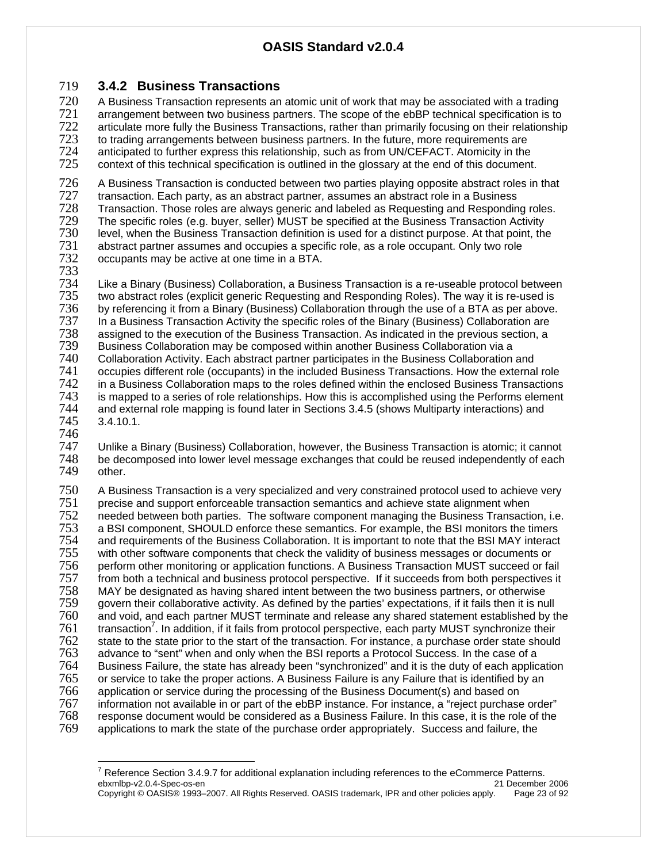### 719 **3.4.2 Business Transactions**

720 A Business Transaction represents an atomic unit of work that may be associated with a trading<br>721 arrangement between two business partners. The scope of the ebBP technical specification is to Technical arrangement between two business partners. The scope of the ebBP technical specification is to<br>The striculate more fully the Business Transactions, rather than primarily focusing on their relationshir 722 articulate more fully the Business Transactions, rather than primarily focusing on their relationship<br>723 to trading arrangements between business partners. In the future, more requirements are to trading arrangements between business partners. In the future, more requirements are 724 anticipated to further express this relationship, such as from UN/CEFACT. Atomicity in the context of this technical specification is outlined in the glossary at the end of this document.

726 A Business Transaction is conducted between two parties playing opposite abstract roles in that<br>727 transaction. Each party, as an abstract partner, assumes an abstract role in a Business 727 transaction. Each party, as an abstract partner, assumes an abstract role in a Business Transaction. Those roles are always generic and labeled as Requesting and Responding roles.<br>
The specific roles (e.g. buver, seller) MUST be specified at the Business Transaction Activity 729 The specific roles (e.g. buyer, seller) MUST be specified at the Business Transaction Activity 730 level, when the Business Transaction definition is used for a distinct purpose. At that point, the 731 abstract partner assumes and occupies a specific role, as a role occupant. Only two role 731 abstract partner assumes and occupies a specific role, as a role occupant. Only two role 732 occupants may be active at one time in a BTA. occupants may be active at one time in a BTA.

733

734 Like a Binary (Business) Collaboration, a Business Transaction is a re-useable protocol between 735 two abstract roles (explicit generic Requesting and Responding Roles). The way it is re-used is 736 by referencing it from a Binary (Business) Collaboration through the use of a BTA as per above.<br>737 In a Business Transaction Activity the specific roles of the Binary (Business) Collaboration are 737 In a Business Transaction Activity the specific roles of the Binary (Business) Collaboration are assigned to the execution of the Business Transaction. As indicated in the previous section, a 739 Business Collaboration may be composed within another Business Collaboration via a 740 Collaboration Activity. Each abstract partner participates in the Business Collaboration and 741 occupies different role (occupants) in the included Business Transactions. How the external role<br>742 in a Business Collaboration maps to the roles defined within the enclosed Business Transactions 742 in a Business Collaboration maps to the roles defined within the enclosed Business Transactions<br>743 is mapped to a series of role relationships. How this is accomplished using the Performs element 743 is mapped to a series of role relationships. How this is accomplished using the Performs element 744 and external role mapping is found later in Sections 3.4.5 (shows Multiparty interactions) and 744 and external role mapping is found later in Sections 3.4.5 (shows Multiparty interactions) and  $3.4.10.1.$ 

746<br>747

747 Unlike a Binary (Business) Collaboration, however, the Business Transaction is atomic; it cannot 748 be decomposed into lower level message exchanges that could be reused independently of each 748 be decomposed into lower level message exchanges that could be reused independently of each 749 other. other.

750 A Business Transaction is a very specialized and very constrained protocol used to achieve very<br>751 precise and support enforceable transaction semantics and achieve state alignment when 751 precise and support enforceable transaction semantics and achieve state alignment when 752 needed between both parties. The software component managing the Business Transaction, i.e.<br>753 a BSI component, SHOULD enforce these semantics. For example, the BSI monitors the timers 753 a BSI component, SHOULD enforce these semantics. For example, the BSI monitors the timers 754 and requirements of the Business Collaboration. It is important to note that the BSI MAY interact 755 with other software components that check the validity of business messages or documents or 756 perform other monitoring or application functions. A Business Transaction MUST succeed or fail 757 from both a technical and business protocol perspective. If it succeeds from both perspectives it<br>758 MAY be designated as having shared intent between the two business partners, or otherwise 758 MAY be designated as having shared intent between the two business partners, or otherwise govern their collaborative activity. As defined by the parties' expectations, if it fails then it is null  $760$  and void, and each partner MUST terminate and release any shared statement established by the  $761$  transaction<sup>7</sup>. In addition, if it fails from protocol perspective, each party MUST synchronize their  $1761$  transaction<sup>7</sup>. In addition, if it fails from protocol perspective, each party MUST synchronize their  $762$  state to the state prior to the statt of the transaction. For instance, a purchase order state should 762 state to the state prior to the start of the transaction. For instance, a purchase order state should 763 advance to "sent" when and only when the BSI reports a Protocol Success. In the case of a 763 advance to "sent" when and only when the BSI reports a Protocol Success. In the case of a<br>764 Business Failure, the state has already been "synchronized" and it is the duty of each applic 764 Business Failure, the state has already been "synchronized" and it is the duty of each application<br>765 or service to take the proper actions. A Business Failure is any Failure that is identified by an or service to take the proper actions. A Business Failure is any Failure that is identified by an 766 application or service during the processing of the Business Document(s) and based on 767 information not available in or part of the ebBP instance. For instance, a "reject purchase order" 768 response document would be considered as a Business Failure. In this case, it is the role of the 769 applications to mark the state of the purchase order appropriately. Success and failure, the applications to mark the state of the purchase order appropriately. Success and failure, the

ebxmlbp-v2.0.4-Spec-os-en 21 December 2006 Copyright © OASIS® 1993–2007. All Rights Reserved. OASIS trademark, IPR and other policies apply. Page 23 of 92  $\overline{a}$  $7$  Reference Section 3.4.9.7 for additional explanation including references to the eCommerce Patterns.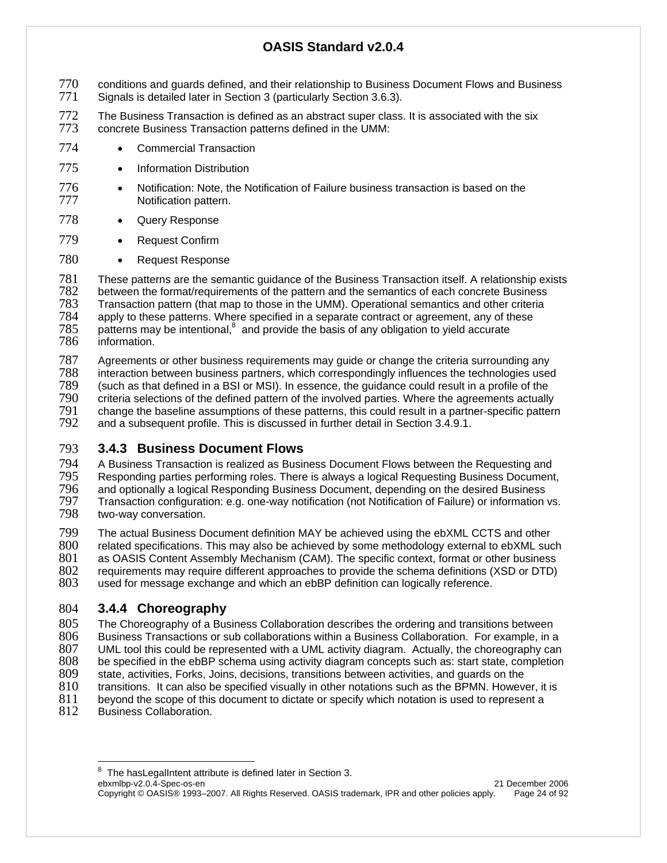- 770 conditions and guards defined, and their relationship to Business Document Flows and Business<br>771 Signals is detailed later in Section 3 (particularly Section 3.6.3).
- Signals is detailed later in Section 3 (particularly Section 3.6.3).
- 772 The Business Transaction is defined as an abstract super class. It is associated with the six<br>773 concrete Business Transaction patterns defined in the UMM: concrete Business Transaction patterns defined in the UMM:
- 774 Commercial Transaction
- 775 Information Distribution
- 776 Notification: Note, the Notification of Failure business transaction is based on the 777 Notification pattern.
- 778 Query Response
- 779 Request Confirm
- 780 Request Response

781 These patterns are the semantic guidance of the Business Transaction itself. A relationship exists 782 between the format/requirements of the pattern and the semantics of each concrete Business<br>783 Transaction pattern (that map to those in the UMM). Operational semantics and other criteria 783 Transaction pattern (that map to those in the UMM). Operational semantics and other criteria 784 apply to these patterns. Where specified in a separate contract or agreement, any of these  $785$  patterns may be intentional,  $8$  and provide the basis of any obligation to yield accurate patterns may be intentional, $<sup>8</sup>$  and provide the basis of any obligation to yield accurate</sup> 786 information.

787 Agreements or other business requirements may guide or change the criteria surrounding any<br>788 interaction between business partners, which correspondingly influences the technologies used 788 interaction between business partners, which correspondingly influences the technologies used 789 (such as that defined in a BSI or MSI). In essence, the guidance could result in a profile of the 790 criteria selections of the defined pattern of the involved parties. Where the agreements actually<br>791 change the baseline assumptions of these patterns, this could result in a partner-specific pattern 791 change the baseline assumptions of these patterns, this could result in a partner-specific pattern and a subsequent profile. This is discussed in further detail in Section 3.4.9.1.

### 793 **3.4.3 Business Document Flows**

794 A Business Transaction is realized as Business Document Flows between the Requesting and<br>795 Responding parties performing roles. There is always a logical Requesting Business Document 795 Responding parties performing roles. There is always a logical Requesting Business Document, 796 and optionally a logical Responding Business Document, 796 and optionally a logical Responding Business Document, depending on the desired Business 797 Transaction configuration: e.g. one-way notification (not Notification of Failure) or information vs. two-way conversation.

799 The actual Business Document definition MAY be achieved using the ebXML CCTS and other<br>800 related specifications. This may also be achieved by some methodology external to ebXML sud 800 related specifications. This may also be achieved by some methodology external to ebXML such<br>801 as OASIS Content Assembly Mechanism (CAM). The specific context, format or other business

801 as OASIS Content Assembly Mechanism (CAM). The specific context, format or other business 802 requirements may require different approaches to provide the schema definitions (XSD or DTD)

802 requirements may require different approaches to provide the schema definitions (XSD or DTD)<br>803 used for message exchange and which an ebBP definition can logically reference. used for message exchange and which an ebBP definition can logically reference.

# 804 **3.4.4 Choreography**

805 The Choreography of a Business Collaboration describes the ordering and transitions between<br>806 Business Transactions or sub collaborations within a Business Collaboration. For example, in a 806 Business Transactions or sub collaborations within a Business Collaboration. For example, in a<br>807 UML tool this could be represented with a UML activity diagram. Actually, the choreography can 807 UML tool this could be represented with a UML activity diagram. Actually, the choreography can 808 be specified in the ebBP schema using activity diagram concepts such as: start state, completion 808 be specified in the ebBP schema using activity diagram concepts such as: start state, completion 809 state. activities. Forks, Joins, decisions, transitions between activities, and quards on the state, activities, Forks, Joins, decisions, transitions between activities, and guards on the 810 transitions. It can also be specified visually in other notations such as the BPMN. However, it is <br>811 bevond the scope of this document to dictate or specify which notation is used to represent a 811 beyond the scope of this document to dictate or specify which notation is used to represent a<br>812 Business Collaboration.

Business Collaboration.

ebxmlbp-v2.0.4-Spec-os-en 21 December 2006 Copyright © OASIS® 1993–2007. All Rights Reserved. OASIS trademark, IPR and other policies apply. Page 24 of 92  $\overline{a}$  $8$  The hasLegalIntent attribute is defined later in Section 3.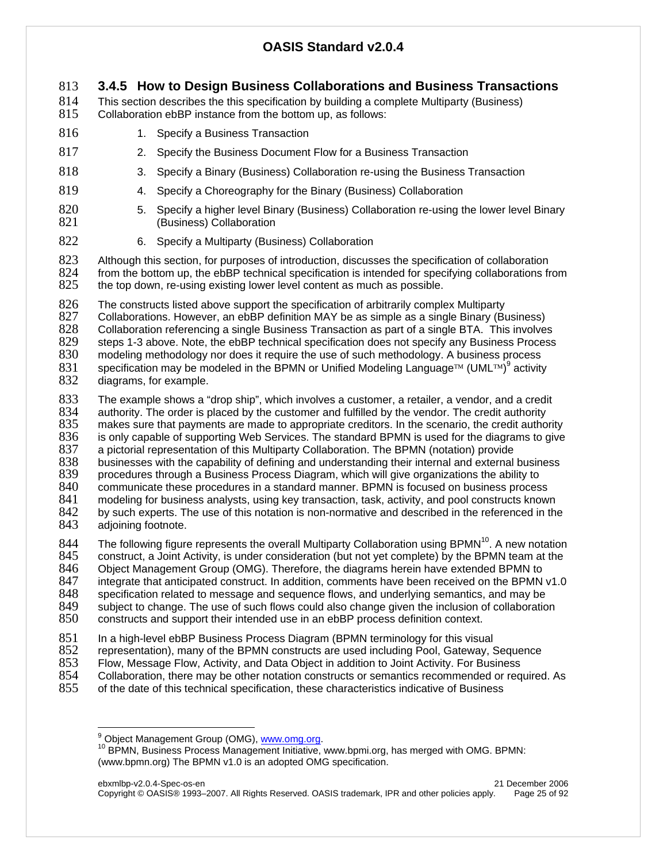#### 813 **3.4.5 How to Design Business Collaborations and Business Transactions**

814 This section describes the this specification by building a complete Multiparty (Business)<br>815 Collaboration ebBP instance from the bottom up, as follows: Collaboration ebBP instance from the bottom up, as follows:

- 816 1. Specify a Business Transaction
- 817 2. Specify the Business Document Flow for a Business Transaction
- 818 3. Specify a Binary (Business) Collaboration re-using the Business Transaction
- 819 4. Specify a Choreography for the Binary (Business) Collaboration
- 820 5. Specify a higher level Binary (Business) Collaboration re-using the lower level Binary<br>821 (Business) Collaboration (Business) Collaboration
- 822 6. Specify a Multiparty (Business) Collaboration

823 Although this section, for purposes of introduction, discusses the specification of collaboration<br>824 from the bottom up, the ebBP technical specification is intended for specifying collaborations from from the bottom up, the ebBP technical specification is intended for specifying collaborations from 825 the top down, re-using existing lower level content as much as possible.

826 The constructs listed above support the specification of arbitrarily complex Multiparty<br>827 Collaborations. However, an ebBP definition MAY be as simple as a single Binary (Bu

827 Collaborations. However, an ebBP definition MAY be as simple as a single Binary (Business)<br>828 Collaboration referencing a single Business Transaction as part of a single BTA. This involve 828 Collaboration referencing a single Business Transaction as part of a single BTA. This involves<br>829 steps 1-3 above. Note, the ebBP technical specification does not specify any Business Process 829 steps 1-3 above. Note, the ebBP technical specification does not specify any Business Process<br>830 modeling methodology nor does it require the use of such methodology. A business process modeling methodology nor does it require the use of such methodology. A business process

- 831 specification may be modeled in the BPMN or Unified Modeling Language<sup>™</sup> (UML™)<sup>9</sup> activity
- 832 diagrams, for example.

833 The example shows a "drop ship", which involves a customer, a retailer, a vendor, and a credit 834 authority. The order is placed by the customer and fulfilled by the vendor. The credit authority<br>835 makes sure that payments are made to appropriate creditors. In the scenario, the credit autho 835 makes sure that payments are made to appropriate creditors. In the scenario, the credit authority 836 is only capable of supporting Web Services. The standard BPMN is used for the diagrams to give 836 is only capable of supporting Web Services. The standard BPMN is used for the diagrams to give 837 apictorial representation of this Multiparty Collaboration. The BPMN (notation) provide 837 a pictorial representation of this Multiparty Collaboration. The BPMN (notation) provide<br>838 businesses with the capability of defining and understanding their internal and external 838 businesses with the capability of defining and understanding their internal and external business<br>839 procedures through a Business Process Diagram, which will give organizations the ability to 839 procedures through a Business Process Diagram, which will give organizations the ability to 840 communicate these procedures in a standard manner. BPMN is focused on business proces 840 communicate these procedures in a standard manner. BPMN is focused on business process<br>841 modeling for business analysts, using key transaction, task, activity, and pool constructs know modeling for business analysts, using key transaction, task, activity, and pool constructs known 842 by such experts. The use of this notation is non-normative and described in the referenced in the <br>843 adioining footnote. adjoining footnote.

The following figure represents the overall Multiparty Collaboration using BPMN<sup>10</sup>. A new notation 845 construct, a Joint Activity, is under consideration (but not yet complete) by the BPMN team at the 845 construct, a Joint Activity, is under consideration (but not yet complete) by the BPMN team at the <br>846 Chiect Management Group (OMG). Therefore, the diagrams herein have extended BPMN to 846 Object Management Group (OMG). Therefore, the diagrams herein have extended BPMN to 847 integrate that anticipated construct. In addition, comments have been received on the BPMN 847 integrate that anticipated construct. In addition, comments have been received on the BPMN v1.0<br>848 specification related to message and sequence flows, and underlying semantics, and may be 848 specification related to message and sequence flows, and underlying semantics, and may be 849 subject to change. The use of such flows could also change given the inclusion of collaboration 850 constructs and support their intended use in an ebBP process definition context. constructs and support their intended use in an ebBP process definition context.

- 851 In a high-level ebBP Business Process Diagram (BPMN terminology for this visual
- 852 representation), many of the BPMN constructs are used including Pool, Gateway, Sequence<br>853 Flow, Message Flow, Activity, and Data Object in addition to Joint Activity. For Business
- 853 Flow, Message Flow, Activity, and Data Object in addition to Joint Activity. For Business
- 854 Collaboration, there may be other notation constructs or semantics recommended or required. As
- 855 of the date of this technical specification, these characteristics indicative of Business

<sup>-&</sup>lt;br>9

<sup>&</sup>lt;sup>10</sup> BPMN, Business Process Management Initiative, www.bpmi.org, has merged with OMG. BPMN: (www.bpmn.org) The BPMN v1.0 is an adopted OMG specification.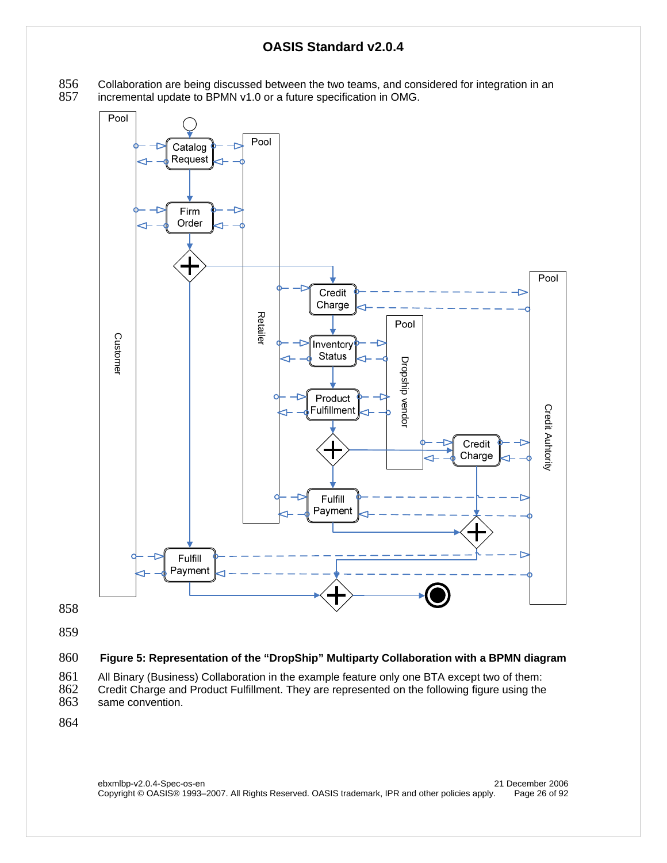856 Collaboration are being discussed between the two teams, and considered for integration in an 857 incremental update to BPMN v1.0 or a future specification in OMG. incremental update to BPMN v1.0 or a future specification in OMG.



858

859

#### 860 **Figure 5: Representation of the "DropShip" Multiparty Collaboration with a BPMN diagram**

861 All Binary (Business) Collaboration in the example feature only one BTA except two of them:<br>862 Credit Charge and Product Fulfillment. They are represented on the following figure using the 862 Credit Charge and Product Fulfillment. They are represented on the following figure using the same convention. same convention.

864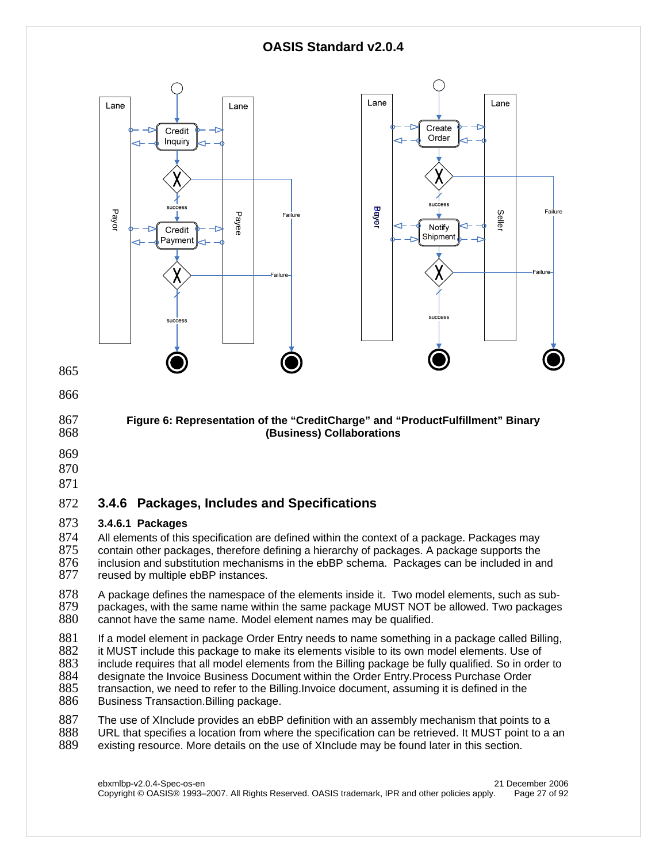

874 All elements of this specification are defined within the context of a package. Packages may<br>875 contain other packages, therefore defining a hierarchy of packages. A package supports the 875 contain other packages, therefore defining a hierarchy of packages. A package supports the 876 inclusion and substitution mechanisms in the ebBP schema. Packages can be included in are 876 inclusion and substitution mechanisms in the ebBP schema. Packages can be included in and 877 reused by multiple ebBP instances. reused by multiple ebBP instances.

878 A package defines the namespace of the elements inside it. Two model elements, such as sub-<br>879 packages, with the same name within the same package MUST NOT be allowed. Two packages 879 packages, with the same name within the same package MUST NOT be allowed. Two packages <br>880 cannot have the same name. Model element names may be qualified. cannot have the same name. Model element names may be qualified.

881 If a model element in package Order Entry needs to name something in a package called Billing,<br>882 it MUST include this package to make its elements visible to its own model elements. Use of

it MUST include this package to make its elements visible to its own model elements. Use of

- 883 include requires that all model elements from the Billing package be fully qualified. So in order to <br>884 designate the Invoice Business Document within the Order Entry Process Purchase Order
- 884 designate the Invoice Business Document within the Order Entry. Process Purchase Order<br>885 transaction, we need to refer to the Billing. Invoice document, assuming it is defined in the
- 885 transaction, we need to refer to the Billing.Invoice document, assuming it is defined in the 886 Business Transaction.Billing package. Business Transaction.Billing package.
- 887 The use of XInclude provides an ebBP definition with an assembly mechanism that points to a<br>888 URL that specifies a location from where the specification can be retrieved. It MUST point to a 888 URL that specifies a location from where the specification can be retrieved. It MUST point to a an <br>889 existing resource. More details on the use of XInclude may be found later in this section.
- existing resource. More details on the use of XInclude may be found later in this section.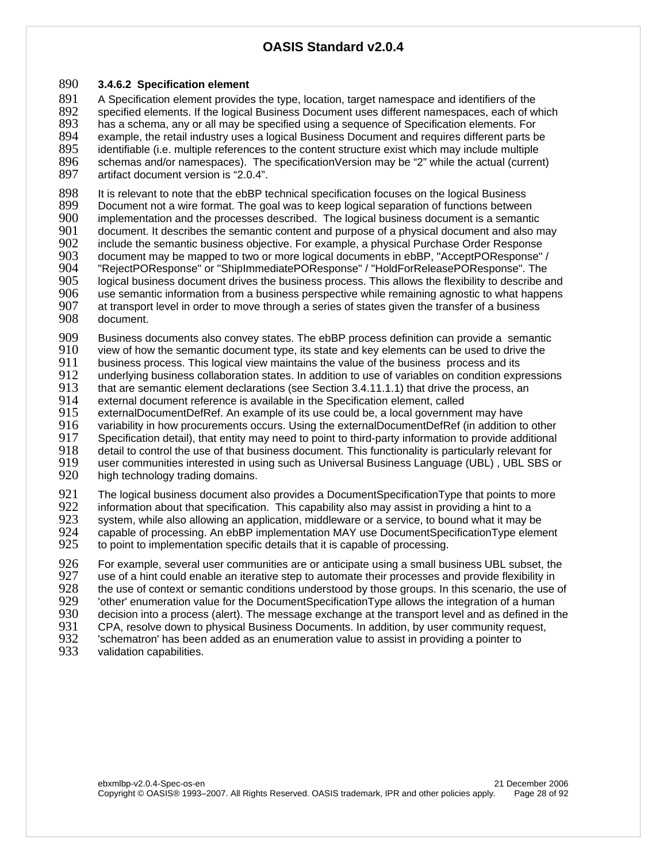#### 890 **3.4.6.2 Specification element**

891 A Specification element provides the type, location, target namespace and identifiers of the 892 specified elements. If the logical Business Document uses different namespaces, each of w specified elements. If the logical Business Document uses different namespaces, each of which 893 has a schema, any or all may be specified using a sequence of Specification elements. For 894 example, the retail industry uses a logical Business Document and requires different parts b 894 example, the retail industry uses a logical Business Document and requires different parts be<br>895 identifiable (i.e. multiple references to the content structure exist which may include multiple 895 identifiable (i.e. multiple references to the content structure exist which may include multiple 896 schemas and/or namespaces). The specificationVersion may be "2" while the actual (curren 896 schemas and/or namespaces). The specificationVersion may be "2" while the actual (current)<br>897 artifact document version is "2.0.4". artifact document version is "2.0.4".

898 It is relevant to note that the ebBP technical specification focuses on the logical Business<br>899 Document not a wire format. The goal was to keep logical separation of functions betweer 899 Document not a wire format. The goal was to keep logical separation of functions between<br>900 implementation and the processes described. The logical business document is a semantio 900 implementation and the processes described. The logical business document is a semantic<br>901 document. It describes the semantic content and purpose of a physical document and also m 901 document. It describes the semantic content and purpose of a physical document and also may<br>902 linclude the semantic business obiective. For example, a physical Purchase Order Response 902 include the semantic business objective. For example, a physical Purchase Order Response<br>903 document may be mapped to two or more logical documents in ebBP. "AcceptPOResponse" 903 document may be mapped to two or more logical documents in ebBP, "AcceptPOResponse" /<br>904 FeiectPOResponse" or "ShipImmediatePOResponse" / "HoldForReleasePOResponse". The 904 "RejectPOResponse" or "ShipImmediatePOResponse" / "HoldForReleasePOResponse". The<br>905 Uogical business document drives the business process. This allows the flexibility to describe a 905 logical business document drives the business process. This allows the flexibility to describe and 906 use semantic information from a business perspective while remaining agnostic to what happens 906 use semantic information from a business perspective while remaining agnostic to what happens<br>907 at transport level in order to move through a series of states given the transfer of a business 907 at transport level in order to move through a series of states given the transfer of a business<br>908 document. document.

909 Business documents also convey states. The ebBP process definition can provide a semantic<br>910 view of how the semantic document type, its state and key elements can be used to drive the

 $910$  view of how the semantic document type, its state and key elements can be used to drive the  $911$  business process. This logical view maintains the value of the business process and its

911 business process. This logical view maintains the value of the business process and its<br>912 underlying business collaboration states. In addition to use of variables on condition exp

912 underlying business collaboration states. In addition to use of variables on condition expressions 913 that are semantic element declarations (see Section 3.4.11.1.1) that drive the process, an that are semantic element declarations (see Section 3.4.11.1.1) that drive the process, an

914 external document reference is available in the Specification element, called<br>915 externalDocumentDefRef. An example of its use could be, a local governmer

915 externalDocumentDefRef. An example of its use could be, a local government may have<br>916 variability in how procurements occurs. Using the externalDocumentDefRef (in addition to

916 variability in how procurements occurs. Using the externalDocumentDefRef (in addition to other 917 Specification detail), that entity may need to point to third-party information to provide additional

917 Specification detail), that entity may need to point to third-party information to provide additional<br>918 detail to control the use of that business document. This functionality is particularly relevant for

918 detail to control the use of that business document. This functionality is particularly relevant for <br>919 user communities interested in using such as Universal Business Language (UBL), UBL SBS o 919 user communities interested in using such as Universal Business Language (UBL), UBL SBS or 920 high technology trading domains.

high technology trading domains.

921 The logical business document also provides a DocumentSpecificationType that points to more<br>922 information about that specification. This capability also may assist in providing a hint to a 922 information about that specification. This capability also may assist in providing a hint to a<br>923 system, while also allowing an application, middleware or a service, to bound what it may b 923 system, while also allowing an application, middleware or a service, to bound what it may be 924 capable of processing. An ebBP implementation MAY use DocumentSpecificationType eleme 924 capable of processing. An ebBP implementation MAY use DocumentSpecificationType element<br>925 to point to implementation specific details that it is capable of processing. to point to implementation specific details that it is capable of processing.

926 For example, several user communities are or anticipate using a small business UBL subset, the 927 use of a hint could enable an iterative step to automate their processes and provide flexibility in 927 use of a hint could enable an iterative step to automate their processes and provide flexibility in 928 the use  $\frac{1}{2}$ 928 the use of context or semantic conditions understood by those groups. In this scenario, the use of 929 context or semantic conditions understanding value for the Document Specification Type allows the integration of a 929 but interty enumeration value for the DocumentSpecificationType allows the integration of a human<br>930 decision into a process (alert). The message exchange at the transport level and as defined in the 930 decision into a process (alert). The message exchange at the transport level and as defined in the 931 CPA, resolve down to physical Business Documents. In addition, by user community request, CPA, resolve down to physical Business Documents. In addition, by user community request, 932 Schematron' has been added as an enumeration value to assist in providing a pointer to 933 validation capabilities.

validation capabilities.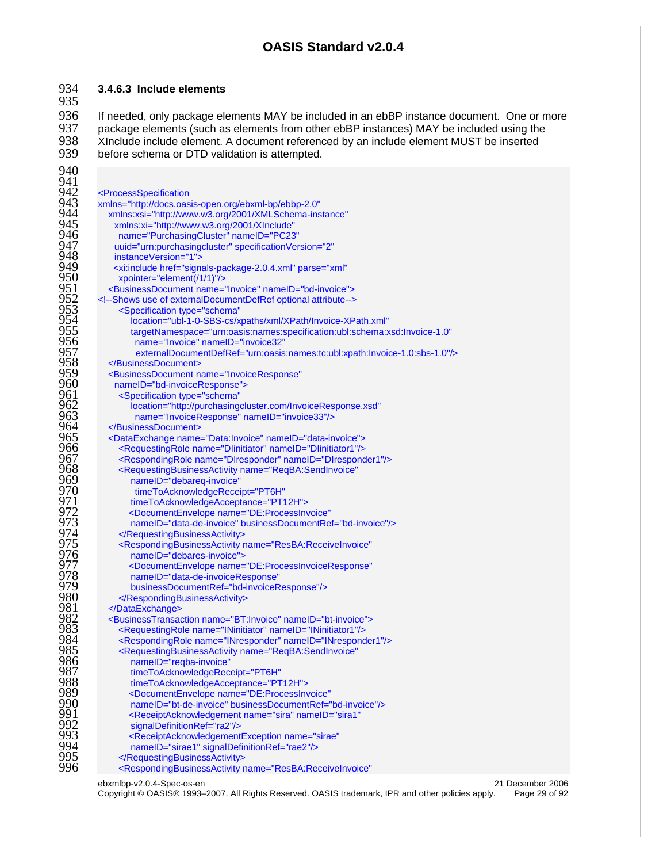#### **3.4.6.3 Include elements**

936 If needed, only package elements MAY be included in an ebBP instance document. One or more 937 package elements (such as elements from other ebBP instances) MAY be included using the 937 package elements (such as elements from other ebBP instances) MAY be included using the 938 XInclude include element. A document referenced by an include element of 938 938 XInclude include element. A document referenced by an include element MUST be inserted<br>939 before schema or DTD validation is attempted. before schema or DTD validation is attempted.

941<br>942 942 <ProcessSpecification<br>943 xmlns="http://docs.oas xmlns="http://docs.oasis-open.org/ebxml-bp/ebbp-2.0" xmlns:xsi="http://www.w3.org/2001/XMLSchema-instance" xmlns:xi="http://www.w3.org/2001/XInclude" name="PurchasingCluster" nameID="PC23" uuid="urn:purchasingcluster" specificationVersion="2" instanceVersion="1"> <xi:include href="signals-package-2.0.4.xml" parse="xml" 950 xpointer="element(/1/1)"/><br>951 <BusinessDocument name="<br>952 <--Shows use of externalDocum <BusinessDocument name="Invoice" nameID="bd-invoice"> <!--Shows use of externalDocumentDefRef optional attribute--> <Specification type="schema" location="ubl-1-0-SBS-cs/xpaths/xml/XPath/Invoice-XPath.xml" targetNamespace="urn:oasis:names:specification:ubl:schema:xsd:Invoice-1.0" name="Invoice" nameID="invoice32" externalDocumentDefRef="urn:oasis:names:tc:ubl:xpath:Invoice-1.0:sbs-1.0"/> </BusinessDocument> <BusinessDocument name="InvoiceResponse" 960 nameID="bd-invoiceResponse"><br>961 <Specification type="schema" <Specification type="schema" location="http://purchasingcluster.com/InvoiceResponse.xsd" name="InvoiceResponse" nameID="invoice33"/> 964 </BusinessDocument><br>965 <DataExchange name= <DataExchange name="Data:Invoice" nameID="data-invoice"> <RequestingRole name="DIinitiator" nameID="DIinitiator1"/> <RespondingRole name="DIresponder" nameID="DIresponder1"/> <RequestingBusinessActivity name="ReqBA:SendInvoice" 969 nameID="debareq-invoice"<br>970 timeToAcknowledgeRece timeToAcknowledgeReceipt="PT6H" timeToAcknowledgeAcceptance="PT12H"> <DocumentEnvelope name="DE:ProcessInvoice" nameID="data-de-invoice" businessDocumentRef="bd-invoice"/> 974 </RequestingBusinessActivity><br>975 <RespondingBusinessActivity r<br>976 nameID="debares-invoice"> <RespondingBusinessActivity name="ResBA:ReceiveInvoice" nameID="debares-invoice"> <DocumentEnvelope name="DE:ProcessInvoiceResponse" nameID="data-de-invoiceResponse" businessDocumentRef="bd-invoiceResponse"/> </RespondingBusinessActivity> 981 </DataExchange><br>982 - BusinessTransac <BusinessTransaction name="BT:Invoice" nameID="bt-invoice"> <RequestingRole name="INinitiator" nameID="INinitiator1"/> <RespondingRole name="INresponder" nameID="INresponder1"/> <RequestingBusinessActivity name="ReqBA:SendInvoice" nameID="reqba-invoice" timeToAcknowledgeReceipt="PT6H" timeToAcknowledgeAcceptance="PT12H"> <DocumentEnvelope name="DE:ProcessInvoice" nameID="bt-de-invoice" businessDocumentRef="bd-invoice"/> <ReceiptAcknowledgement name="sira" nameID="sira1" signalDefinitionRef="ra2"/> <ReceiptAcknowledgementException name="sirae" nameID="sirae1" signalDefinitionRef="rae2"/> </RequestingBusinessActivity> <RespondingBusinessActivity name="ResBA:ReceiveInvoice"

ebxmlbp-v2.0.4-Spec-os-en 21 December 2006

Copyright © OASIS® 1993–2007. All Rights Reserved. OASIS trademark, IPR and other policies apply. Page 29 of 92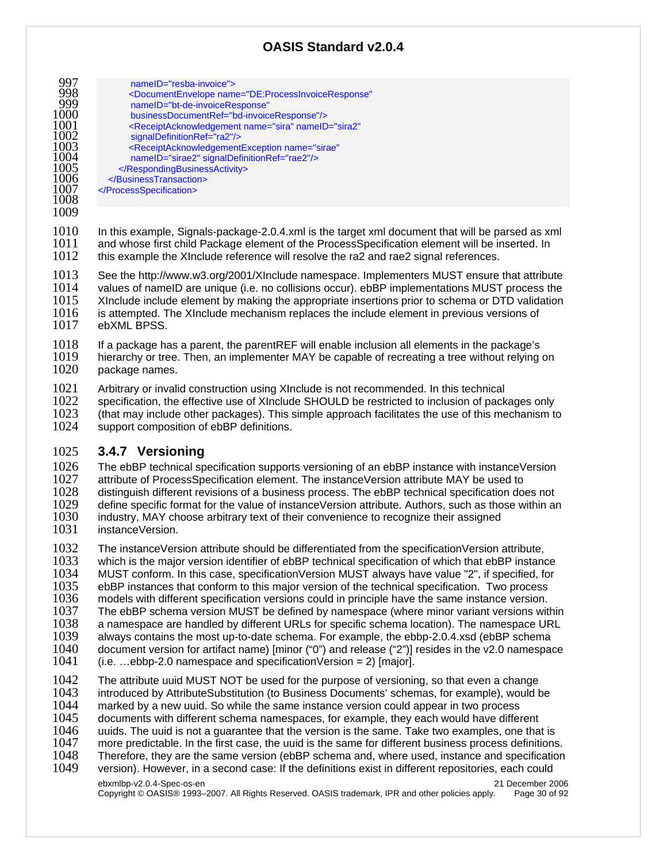|      | nameID="resba-invoice">                                                                     |
|------|---------------------------------------------------------------------------------------------|
| 998  | <documentenvelope <="" name="DE:ProcessInvoiceResponse" th=""></documentenvelope>           |
| 999  | nameID="bt-de-invoiceResponse"                                                              |
| 1000 |                                                                                             |
|      | businessDocumentRef="bd-invoiceResponse"/>                                                  |
| 1001 | <receiptacknowledgement <="" name="sira" nameid="sira2" th=""></receiptacknowledgement>     |
| 1002 | signalDefinitionRef="ra2"/>                                                                 |
| 1003 | <receiptacknowledgementexception <="" name="sirae" th=""></receiptacknowledgementexception> |
| 1004 | nameID="sirae2" signalDefinitionRef="rae2"/>                                                |
| 1005 |                                                                                             |
| 1006 |                                                                                             |
| 1007 |                                                                                             |
| 1008 |                                                                                             |
| 1009 |                                                                                             |
|      |                                                                                             |

1010 In this example, Signals-package-2.0.4.xml is the target xml document that will be parsed as xml 1011 and whose first child Package element of the ProcessSpecification element will be inserted. In and whose first child Package element of the ProcessSpecification element will be inserted. In 1012 this example the XInclude reference will resolve the ra2 and rae2 signal references.

1013 See the http://www.w3.org/2001/XInclude namespace. Implementers MUST ensure that attribute 1014 values of namelD are unique (i.e. no collisions occur). ebBP implementations MUST process the 1014 values of nameID are unique (i.e. no collisions occur). ebBP implementations MUST process the 1015 XInclude include element by making the appropriate insertions prior to schema or DTD validation 1015 XInclude include element by making the appropriate insertions prior to schema or DTD validation<br>1016 is attempted. The XInclude mechanism replaces the include element in previous versions of 1016 is attempted. The XInclude mechanism replaces the include element in previous versions of 1017 ebXML BPSS. ebXML BPSS.

1018 If a package has a parent, the parentREF will enable inclusion all elements in the package's 1019 Interactive inclusion of the District 1019 Interactive in the package's 1019 hierarchy or tree. Then, an implementer MAY be capable of recreating a tree without relying on 1020 package names. package names.

1021 Arbitrary or invalid construction using XInclude is not recommended. In this technical 1022 specification, the effective use of XInclude SHOULD be restricted to inclusion of pack

1022 specification, the effective use of XInclude SHOULD be restricted to inclusion of packages only<br>1023 (that may include other packages). This simple approach facilitates the use of this mechanism to 1023 (that may include other packages). This simple approach facilitates the use of this mechanism to 1024 support composition of ebBP definitions.

support composition of ebBP definitions.

### 1025 **3.4.7 Versioning**

1026 The ebBP technical specification supports versioning of an ebBP instance with instanceVersion<br>1027 attribute of ProcessSpecification element. The instanceVersion attribute MAY be used to 1027 attribute of ProcessSpecification element. The instanceVersion attribute MAY be used to 1028 distinguish different revisions of a business process. The ebBP technical specification does not 1029 define specific format for the value of instanceVersion attribute. Authors, such as those within are 1029 define specific format for the value of instanceVersion attribute. Authors, such as those within an 1030 industry. MAY choose arbitrary text of their convenience to recognize their assigned industry, MAY choose arbitrary text of their convenience to recognize their assigned

1031 instanceVersion.

1032 The instanceVersion attribute should be differentiated from the specificationVersion attribute, 1033 which is the major version identifier of ebBP technical specification of which that ebBP instance<br>1034 MUST conform. In this case, specificationVersion MUST always have value "2", if specified, for 1034 MUST conform. In this case, specificationVersion MUST always have value "2", if specified, for<br>1035 ebBP instances that conform to this major version of the technical specification. Two process 1035 ebBP instances that conform to this major version of the technical specification. Two process 1036 models with different specification versions could in principle have the same instance version. 1036 models with different specification versions could in principle have the same instance version.<br>1037 The ebBP schema version MUST be defined by namespace (where minor variant versions wit

1037 The ebBP schema version MUST be defined by namespace (where minor variant versions within 1038 a namespace are handled by different URLs for specific schema location). The namespace URL 1038 a namespace are handled by different URLs for specific schema location). The namespace URL 1039 always contains the most up-to-date schema. For example, the ebbp-2,0,4,xsd (ebBP schema 1039 always contains the most up-to-date schema. For example, the ebbp-2.0.4.xsd (ebBP schema<br>1040 document version for artifact name) [minor ("0") and release ("2")] resides in the v2.0 namespa 1040 document version for artifact name) [minor ("0") and release ("2")] resides in the v2.0 namespace  $1041$  (i.e. ...ebbp-2.0 namespace and specification Version = 2) [maior].

 $(i.e.$  ...ebbp-2.0 namespace and specificationVersion = 2) [major].

1042 The attribute uuid MUST NOT be used for the purpose of versioning, so that even a change 1043 introduced by AttributeSubstitution (to Business Documents' schemas, for example), would be 1044 marked by a new uuid. So while the same instance version could appear in two process

1044 marked by a new uuid. So while the same instance version could appear in two process<br>1045 documents with different schema namespaces, for example, they each would have differ

- 1045 documents with different schema namespaces, for example, they each would have different 1046 uuids. The uuid is not a quarantee that the version is the same. Take two examples, one that
- 1046 uuids. The uuid is not a guarantee that the version is the same. Take two examples, one that is 1047 more predictable. In the first case, the uuid is the same for different business process definitions
- 1047 more predictable. In the first case, the uuid is the same for different business process definitions.<br>1048 Therefore, they are the same version (ebBP schema and, where used, instance and specification
- 1048 Therefore, they are the same version (ebBP schema and, where used, instance and specification 1049 version). However, in a second case: If the definitions exist in different repositories, each could version). However, in a second case: If the definitions exist in different repositories, each could

ebxmlbp-v2.0.4-Spec-os-en 21 December 2006 Copyright © OASIS® 1993–2007. All Rights Reserved. OASIS trademark, IPR and other policies apply. Page 30 of 92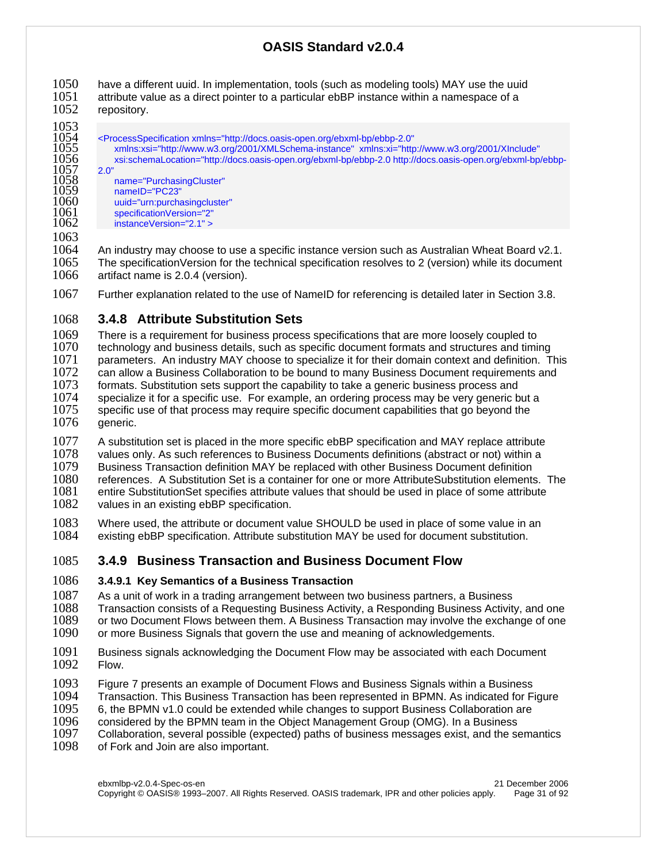1050 have a different uuid. In implementation, tools (such as modeling tools) MAY use the uuid<br>1051 attribute value as a direct pointer to a particular ebBP instance within a namespace of a  $1051$  attribute value as a direct pointer to a particular ebBP instance within a namespace of a  $1052$  repository. repository.

- - 1053<br>1054
	-

1054 <ProcessSpecification xmlns="http://docs.oasis-open.org/ebxml-bp/ebbp-2.0" 1055 xmlns:xsi="http://www.w3.org/2001/XMLSchema-instance" xmlns:xi="http://www.w3.org/2001/XInclude" 1056 xsi:schemaLocation="http://docs.oasis-open.org/ebxml-bp/ebbp-2.0 http://docs.oasis-open.org/ebxml-bp/ebbp-

- 1057<br>1058 1058 name="PurchasingCluster"
- 1059 nameID="PC23" 1060 uuid="urn:purchasingcluster"<br>1061 specificationVersion="2"
- 1061 specificationVersion="2" instanceVersion="2.1" >
- 1063

1064 An industry may choose to use a specific instance version such as Australian Wheat Board v2.1.<br>1065 The specificationVersion for the technical specification resolves to 2 (version) while its document The specificationVersion for the technical specification resolves to 2 (version) while its document 1066 artifact name is 2.0.4 (version).

1067 Further explanation related to the use of NameID for referencing is detailed later in Section 3.8.

# 1068 **3.4.8 Attribute Substitution Sets**

1069 There is a requirement for business process specifications that are more loosely coupled to 1070 technology and business details, such as specific document formats and structures and timin 1070 technology and business details, such as specific document formats and structures and timing<br>1071 Darameters. An industry MAY choose to specialize it for their domain context and definition. T 1071 parameters. An industry MAY choose to specialize it for their domain context and definition. This 1072 can allow a Business Collaboration to be bound to many Business Document requirements and 1072 can allow a Business Collaboration to be bound to many Business Document requirements and 1073 formats. Substitution sets support the capability to take a generic business process and  $1073$  formats. Substitution sets support the capability to take a generic business process and  $1074$  specialize it for a specific use. For example, an ordering process may be very generic b specialize it for a specific use. For example, an ordering process may be very generic but a 1075 specific use of that process may require specific document capabilities that go beyond the 1076 generic.

1077 A substitution set is placed in the more specific ebBP specification and MAY replace attribute 1078 values only. As such references to Business Documents definitions (abstract or not) within a<br>1079 Business Transaction definition MAY be replaced with other Business Document definition 1079 Business Transaction definition MAY be replaced with other Business Document definition<br>1080 Feferences. A Substitution Set is a container for one or more AttributeSubstitution elements 1080 references. A Substitution Set is a container for one or more AttributeSubstitution elements. The 1081 entire Substitution Set specifies attribute values that should be used in place of some attribute 1081 entire SubstitutionSet specifies attribute values that should be used in place of some attribute <br>1082 values in an existing ebBP specification. values in an existing ebBP specification.

1083 Where used, the attribute or document value SHOULD be used in place of some value in an 1084 existing ebBP specification. Attribute substitution MAY be used for document substitution. existing ebBP specification. Attribute substitution MAY be used for document substitution.

### 1085 **3.4.9 Business Transaction and Business Document Flow**

### 1086 **3.4.9.1 Key Semantics of a Business Transaction**

1087 As a unit of work in a trading arrangement between two business partners, a Business<br>1088 Transaction consists of a Requesting Business Activity, a Responding Business Activity

1088 Transaction consists of a Requesting Business Activity, a Responding Business Activity, and one<br>1089 or two Document Flows between them. A Business Transaction may involve the exchange of one or two Document Flows between them. A Business Transaction may involve the exchange of one

- 1090 or more Business Signals that govern the use and meaning of acknowledgements.
- 1091 Business signals acknowledging the Document Flow may be associated with each Document 1092 Flow. 1092
- 1093 Figure 7 presents an example of Document Flows and Business Signals within a Business<br>1094 Transaction. This Business Transaction has been represented in BPMN. As indicated for F
- 1094 Transaction. This Business Transaction has been represented in BPMN. As indicated for Figure 1095 6. the BPMN v1.0 could be extended while changes to support Business Collaboration are
- 1095 6, the BPMN v1.0 could be extended while changes to support Business Collaboration are<br>1096 considered by the BPMN team in the Object Management Group (OMG). In a Business
- 1096 considered by the BPMN team in the Object Management Group (OMG). In a Business
- 1097 Collaboration, several possible (expected) paths of business messages exist, and the semantics 1098 of Fork and Join are also important
- of Fork and Join are also important.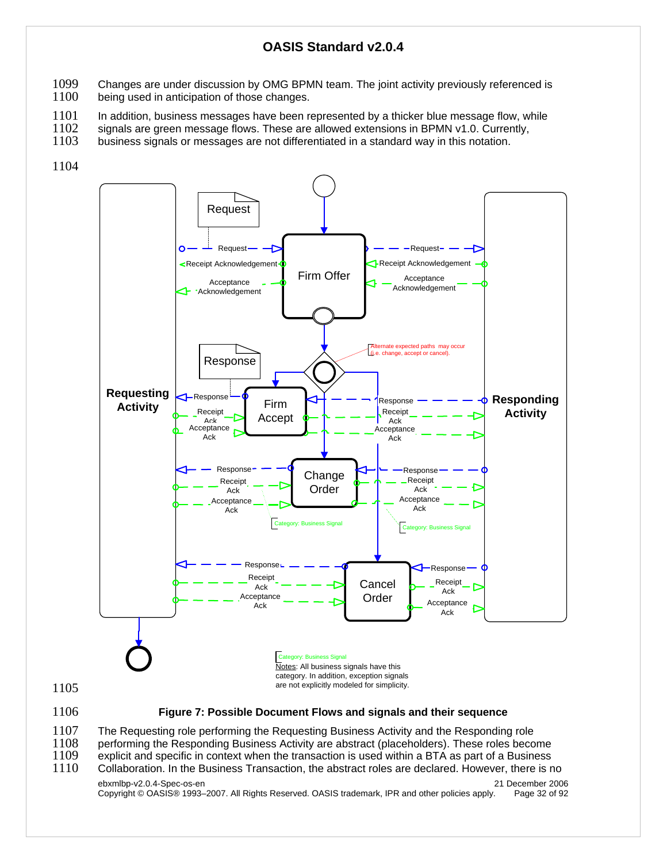- 1099 Changes are under discussion by OMG BPMN team. The joint activity previously referenced is 1100 being used in anticipation of those changes.
- being used in anticipation of those changes.

1101 In addition, business messages have been represented by a thicker blue message flow, while<br>1102 signals are green message flows. These are allowed extensions in BPMN v1.0. Currently.

- $1102$  signals are green message flows. These are allowed extensions in BPMN v1.0. Currently,  $1103$  business signals or messages are not differentiated in a standard way in this notation.
- business signals or messages are not differentiated in a standard way in this notation.
- 1104



1107 The Requesting role performing the Requesting Business Activity and the Responding role<br>1108 performing the Responding Business Activity are abstract (placeholders). These roles beco

- 1108 performing the Responding Business Activity are abstract (placeholders). These roles become 1109 explicit and specific in context when the transaction is used within a BTA as part of a Business 1109 explicit and specific in context when the transaction is used within a BTA as part of a Business<br>1110 Collaboration. In the Business Transaction, the abstract roles are declared. However, there is r
- Collaboration. In the Business Transaction, the abstract roles are declared. However, there is no

ebxmlbp-v2.0.4-Spec-os-en 21 December 2006 Copyright © OASIS® 1993–2007. All Rights Reserved. OASIS trademark, IPR and other policies apply. Page 32 of 92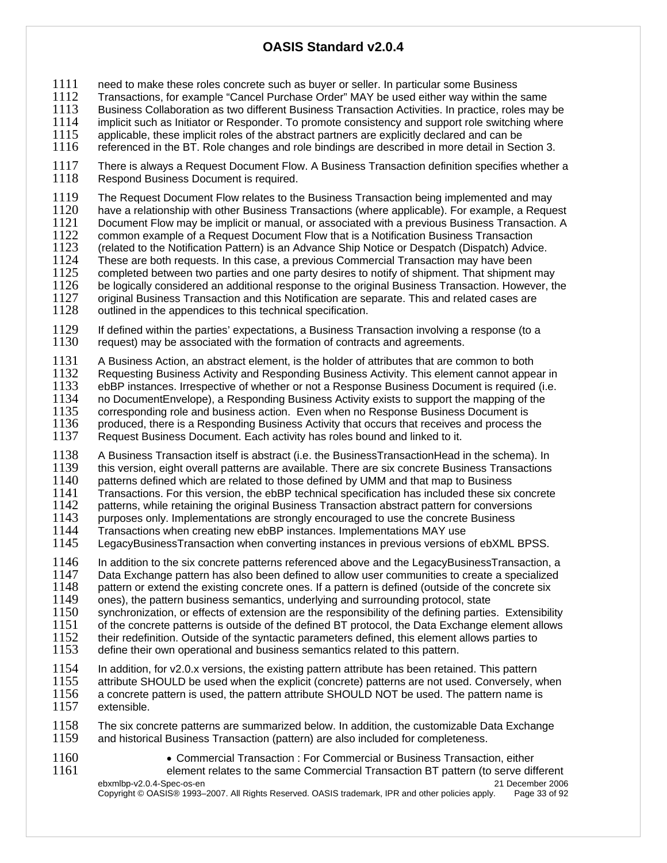1111 need to make these roles concrete such as buyer or seller. In particular some Business<br>1112 Transactions, for example "Cancel Purchase Order" MAY be used either way within the

1112 Transactions, for example "Cancel Purchase Order" MAY be used either way within the same<br>1113 Business Collaboration as two different Business Transaction Activities. In practice, roles mav

1113 Business Collaboration as two different Business Transaction Activities. In practice, roles may be 1114 implicit such as Initiator or Responder. To promote consistency and support role switching where

1114 implicit such as Initiator or Responder. To promote consistency and support role switching where 1115 applicable, these implicit roles of the abstract partners are explicitly declared and can be

applicable, these implicit roles of the abstract partners are explicitly declared and can be

1116 referenced in the BT. Role changes and role bindings are described in more detail in Section 3.

1117 There is always a Request Document Flow. A Business Transaction definition specifies whether a<br>1118 Respond Business Document is required. Respond Business Document is required.

1119 The Request Document Flow relates to the Business Transaction being implemented and may<br>1120 have a relationship with other Business Transactions (where applicable). For example, a Reque

1120 have a relationship with other Business Transactions (where applicable). For example, a Request 1121 Document Flow may be implicit or manual, or associated with a previous Business Transaction. A

- 1121 Document Flow may be implicit or manual, or associated with a previous Business Transaction. A<br>1122 Common example of a Request Document Flow that is a Notification Business Transaction
- 1122 common example of a Request Document Flow that is a Notification Business Transaction<br>1123 (related to the Notification Pattern) is an Advance Ship Notice or Despatch (Dispatch) Advid 1123 (related to the Notification Pattern) is an Advance Ship Notice or Despatch (Dispatch) Advice.<br>1124 These are both requests. In this case, a previous Commercial Transaction may have been
- 1124 These are both requests. In this case, a previous Commercial Transaction may have been<br>1125 Completed between two parties and one party desires to notify of shipment. That shipment
- $1125$  completed between two parties and one party desires to notify of shipment. That shipment may  $1126$  be logically considered an additional response to the original Business Transaction. However, the
- 1126 be logically considered an additional response to the original Business Transaction. However, the 1127 original Business Transaction and this Notification are separate. This and related cases are
- original Business Transaction and this Notification are separate. This and related cases are
- 1128 outlined in the appendices to this technical specification.

1129 If defined within the parties' expectations, a Business Transaction involving a response (to a 1130 request) may be associated with the formation of contracts and agreements. request) may be associated with the formation of contracts and agreements.

1131 A Business Action, an abstract element, is the holder of attributes that are common to both 1132 Requesting Business Activity and Responding Business Activity

1132 Requesting Business Activity and Responding Business Activity. This element cannot appear in 1133 ebBP instances. Irrespective of whether or not a Response Business Document is required (i.e.

1133 ebBP instances. Irrespective of whether or not a Response Business Document is required (i.e. 1134 on DocumentEnvelope), a Responding Business Activity exists to support the mapping of the

1134 no DocumentEnvelope), a Responding Business Activity exists to support the mapping of the 1135 corresponding role and business action. Even when no Response Business Document is

1135 corresponding role and business action. Even when no Response Business Document is 1136 produced, there is a Responding Business Activity that occurs that receives and process to 1136 produced, there is a Responding Business Activity that occurs that receives and process the 1137 Request Business Document. Each activity has roles bound and linked to it.

Request Business Document. Each activity has roles bound and linked to it.

1138 A Business Transaction itself is abstract (i.e. the BusinessTransactionHead in the schema). In<br>1139 this version, eight overall patterns are available. There are six concrete Business Transactions 1139 this version, eight overall patterns are available. There are six concrete Business Transactions 1140 patterns defined which are related to those defined by UMM and that map to Business

1140 patterns defined which are related to those defined by UMM and that map to Business<br>1141 Transactions. For this version, the ebBP technical specification has included these six

1141 Transactions. For this version, the ebBP technical specification has included these six concrete 1142 patterns, while retaining the original Business Transaction abstract pattern for conversions patterns, while retaining the original Business Transaction abstract pattern for conversions

1143 purposes only. Implementations are strongly encouraged to use the concrete Business<br>1144 Transactions when creating new ebBP instances. Implementations MAY use

1144 Transactions when creating new ebBP instances. Implementations MAY use<br>1145 LegacyBusinessTransaction when converting instances in previous versions LegacyBusinessTransaction when converting instances in previous versions of ebXML BPSS.

1146 In addition to the six concrete patterns referenced above and the LegacyBusinessTransaction, a<br>1147 Data Exchange pattern has also been defined to allow user communities to create a specialized

1147 Data Exchange pattern has also been defined to allow user communities to create a specialized<br>1148 pattern or extend the existing concrete ones. If a pattern is defined (outside of the concrete six

 $1148$  pattern or extend the existing concrete ones. If a pattern is defined (outside of the concrete six  $1149$  ones), the pattern business semantics, underlying and surrounding protocol, state

1149 ones), the pattern business semantics, underlying and surrounding protocol, state 1150 synchronization, or effects of extension are the responsibility of the defining parties synchronization, or effects of extension are the responsibility of the defining parties. Extensibility

1151 of the concrete patterns is outside of the defined BT protocol, the Data Exchange element allows<br>1152 their redefinition. Outside of the syntactic parameters defined, this element allows parties to 1152 their redefinition. Outside of the syntactic parameters defined, this element allows parties to 1153 define their own operational and business semantics related to this pattern.

define their own operational and business semantics related to this pattern.

1154 In addition, for v2.0.x versions, the existing pattern attribute has been retained. This pattern 1155 attribute SHOULD be used when the explicit (concrete) patterns are not used. Conversely, when 1156 aconcrete pattern is used. the pattern attribute SHOULD NOT be used. The pattern name is 1156 a concrete pattern is used, the pattern attribute SHOULD NOT be used. The pattern name is 1157 extensible. extensible.

1158 The six concrete patterns are summarized below. In addition, the customizable Data Exchange<br>1159 and historical Business Transaction (pattern) are also included for completeness. and historical Business Transaction (pattern) are also included for completeness.

ebxmlbp-v2.0.4-Spec-os-en 21 December 2006 Copyright © OASIS® 1993–2007. All Rights Reserved. OASIS trademark, IPR and other policies apply. Page 33 of 92 1160 • Commercial Transaction : For Commercial or Business Transaction, either 1161 element relates to the same Commercial Transaction BT pattern (to serve different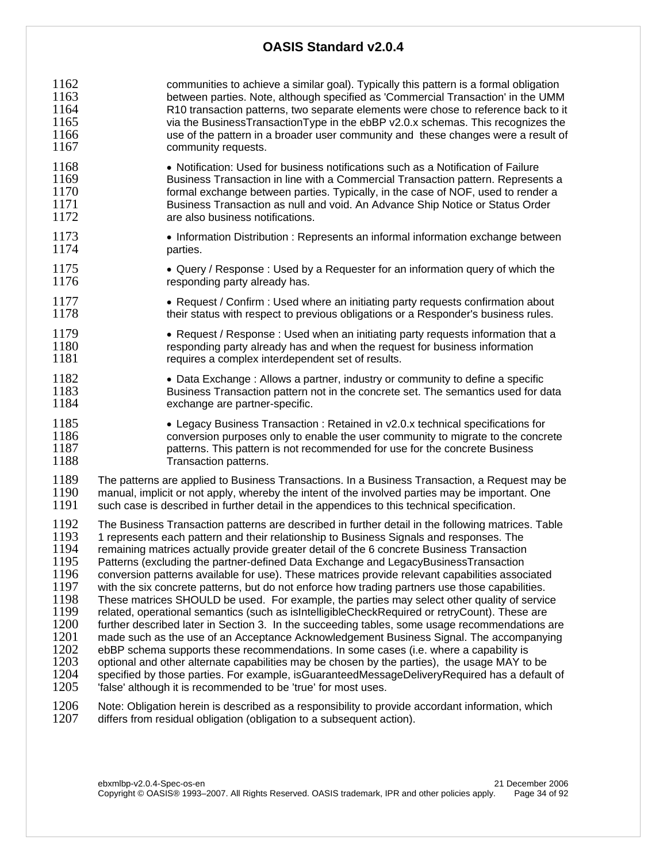1162 communities to achieve a similar goal). Typically this pattern is a formal obligation<br>1163 between parties. Note, although specified as 'Commercial Transaction' in the UMM between parties. Note, although specified as 'Commercial Transaction' in the UMM 1164 R10 transaction patterns, two separate elements were chose to reference back to it<br>1165 via the BusinessTransactionType in the ebBP v2.0.x schemas. This recognizes the via the BusinessTransactionType in the ebBP v2.0.x schemas. This recognizes the 1166 use of the pattern in a broader user community and these changes were a result of 1167 community requests.

- 1168 Notification: Used for business notifications such as a Notification of Failure<br>1169 Business Transaction in line with a Commercial Transaction pattern. Represer 1169 Business Transaction in line with a Commercial Transaction pattern. Represents a<br>1170 formal exchange between parties. Typically, in the case of NOF, used to rend formal exchange between parties. Typically, in the case of NOF, used to render a 1171 Business Transaction as null and void. An Advance Ship Notice or Status Order<br>1172 **In the State of State State State State** are also business notifications. are also business notifications.
- 1173 Information Distribution : Represents an informal information exchange between<br>1174 **•** parties. parties.
- 1175 Query / Response : Used by a Requester for an information query of which the 1176 responding party already has.
- 1177  **Request / Confirm : Used where an initiating party requests confirmation about** 1178 their status with respect to previous obligations or a Responder's business rules.
- 1179 Request / Response : Used when an initiating party requests information that a<br>1180  **The Example and when the request for business information** 1180 responding party already has and when the request for business information<br>1181 requires a complex interdependent set of results. requires a complex interdependent set of results.
- 1182 Data Exchange : Allows a partner, industry or community to define a specific<br>1183 **Business Transaction pattern not in the concrete set. The semantics used for d** 1183 Business Transaction pattern not in the concrete set. The semantics used for data<br>1184 exchange are partner-specific. exchange are partner-specific.
- 1185 Legacy Business Transaction : Retained in v2.0.x technical specifications for<br>1186  **Conversion purposes only to enable the user community to migrate to the concretions** 1186 conversion purposes only to enable the user community to migrate to the concrete<br>1187 contrary conterns. This pattern is not recommended for use for the concrete Business 1187 **1187** patterns. This pattern is not recommended for use for the concrete Business<br>1188 **Transaction patterns**. Transaction patterns.
- 1189 The patterns are applied to Business Transactions. In a Business Transaction, a Request may be 1190 manual, implicit or not apply, whereby the intent of the involved parties may be important. One 1190 manual, implicit or not apply, whereby the intent of the involved parties may be important. One 1191 such case is described in further detail in the appendices to this technical specification. such case is described in further detail in the appendices to this technical specification.

1192 The Business Transaction patterns are described in further detail in the following matrices. Table 1193 1<br>1193 1 represents each pattern and their relationship to Business Signals and responses. The 1193 1 represents each pattern and their relationship to Business Signals and responses. The<br>1194 Fremaining matrices actually provide greater detail of the 6 concrete Business Transaction remaining matrices actually provide greater detail of the 6 concrete Business Transaction 1195 Patterns (excluding the partner-defined Data Exchange and LegacyBusinessTransaction<br>1196 conversion patterns available for use). These matrices provide relevant capabilities assoc 1196 conversion patterns available for use). These matrices provide relevant capabilities associated<br>1197 with the six concrete patterns, but do not enforce how trading partners use those capabilities. 1197 with the six concrete patterns, but do not enforce how trading partners use those capabilities.<br>1198 These matrices SHOULD be used. For example, the parties may select other quality of servic 1198 These matrices SHOULD be used. For example, the parties may select other quality of service<br>1199 Frelated, operational semantics (such as islntelligibleCheckRequired or retryCount). These are 1199 related, operational semantics (such as isIntelligibleCheckRequired or retryCount). These are 1200 further described later in Section 3. In the succeeding tables, some usage recommendations are 1201 made such as the use of an Acceptance Acknowledgement Business Signal. The accompanying 1201 made such as the use of an Acceptance Acknowledgement Business Signal. The accompanying 1202 ebBP schema supports these recommendations. In some cases (i.e. where a capability is  $1202$  ebBP schema supports these recommendations. In some cases (i.e. where a capability is  $1203$  optional and other alternate capabilities may be chosen by the parties), the usage MAY to 1203 optional and other alternate capabilities may be chosen by the parties), the usage MAY to be 1204 specified by those parties. For example, is Guaranteed Message Delivery Required has a defaul specified by those parties. For example, isGuaranteedMessageDeliveryRequired has a default of 1205 'false' although it is recommended to be 'true' for most uses.

1206 Note: Obligation herein is described as a responsibility to provide accordant information, which 1207 differs from residual obligation (obligation to a subsequent action). differs from residual obligation (obligation to a subsequent action).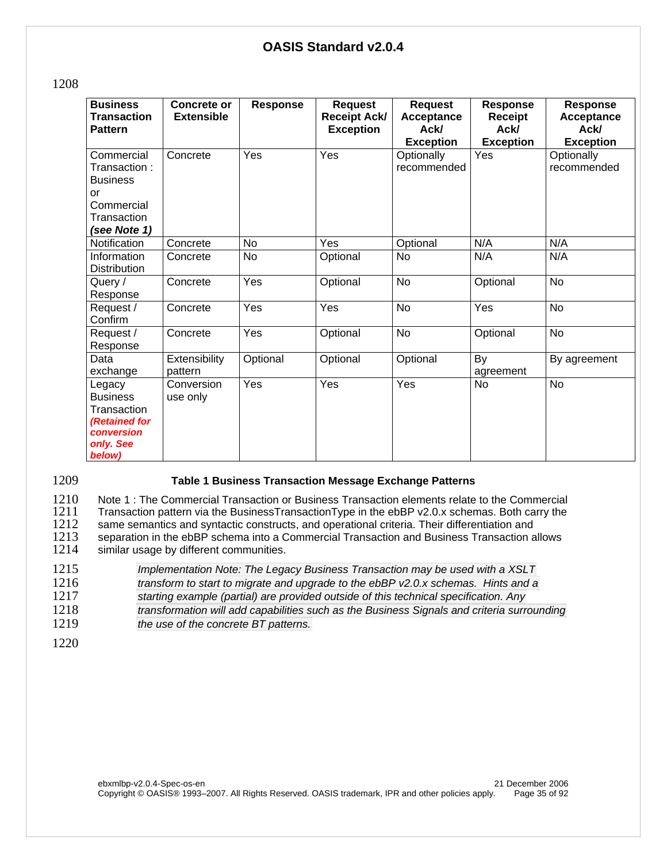| ×<br>۹<br>I |
|-------------|
|-------------|

| <b>Business</b><br><b>Transaction</b><br><b>Pattern</b>                                               | Concrete or<br><b>Extensible</b> | <b>Response</b> | <b>Request</b><br><b>Receipt Ack/</b><br><b>Exception</b> | <b>Request</b><br>Acceptance<br>Ack/<br><b>Exception</b> | Response<br><b>Receipt</b><br><b>Ack/</b><br><b>Exception</b> | <b>Response</b><br>Acceptance<br><b>Ack/</b><br><b>Exception</b> |
|-------------------------------------------------------------------------------------------------------|----------------------------------|-----------------|-----------------------------------------------------------|----------------------------------------------------------|---------------------------------------------------------------|------------------------------------------------------------------|
| Commercial<br>Transaction:<br><b>Business</b><br>or<br>Commercial<br>Transaction<br>(see Note 1)      | Concrete                         | Yes             | Yes                                                       | Optionally<br>recommended                                | Yes                                                           | Optionally<br>recommended                                        |
| <b>Notification</b>                                                                                   | Concrete                         | <b>No</b>       | Yes                                                       | Optional                                                 | N/A                                                           | N/A                                                              |
| Information<br><b>Distribution</b>                                                                    | Concrete                         | <b>No</b>       | Optional                                                  | No                                                       | N/A                                                           | N/A                                                              |
| Query /<br>Response                                                                                   | Concrete                         | Yes             | Optional                                                  | No                                                       | Optional                                                      | <b>No</b>                                                        |
| Request /<br>Confirm                                                                                  | Concrete                         | Yes             | Yes                                                       | <b>No</b>                                                | Yes                                                           | <b>No</b>                                                        |
| Request /<br>Response                                                                                 | Concrete                         | Yes             | Optional                                                  | No                                                       | Optional                                                      | No                                                               |
| Data<br>exchange                                                                                      | Extensibility<br>pattern         | Optional        | Optional                                                  | Optional                                                 | By<br>agreement                                               | By agreement                                                     |
| Legacy<br><b>Business</b><br>Transaction<br><b>(Retained for</b><br>conversion<br>only. See<br>below) | Conversion<br>use only           | Yes             | Yes                                                       | Yes                                                      | <b>No</b>                                                     | <b>No</b>                                                        |

#### 1209 **Table 1 Business Transaction Message Exchange Patterns**

1210 Note 1 : The Commercial Transaction or Business Transaction elements relate to the Commercial<br>1211 Transaction pattern via the BusinessTransactionType in the ebBP v2.0.x schemas. Both carry the 1211 Transaction pattern via the BusinessTransactionType in the ebBP v2.0.x schemas. Both carry the 1212 same semantics and syntactic constructs, and operational criteria. Their differentiation and

- 1212 same semantics and syntactic constructs, and operational criteria. Their differentiation and 1213 separation in the ebBP schema into a Commercial Transaction and Business Transaction a 1213 separation in the ebBP schema into a Commercial Transaction and Business Transaction allows<br>1214 similar usage by different communities. similar usage by different communities.
- 1215 *Implementation Note: The Legacy Business Transaction may be used with a XSLT*  1216 *transform to start to migrate and upgrade to the ebBP v2.0.x schemas. Hints and a*  1217 *starting example (partial) are provided outside of this technical specification. Any*
- 1218 *transformation will add capabilities such as the Business Signals and criteria surrounding*  the use of the concrete BT patterns.
- 1220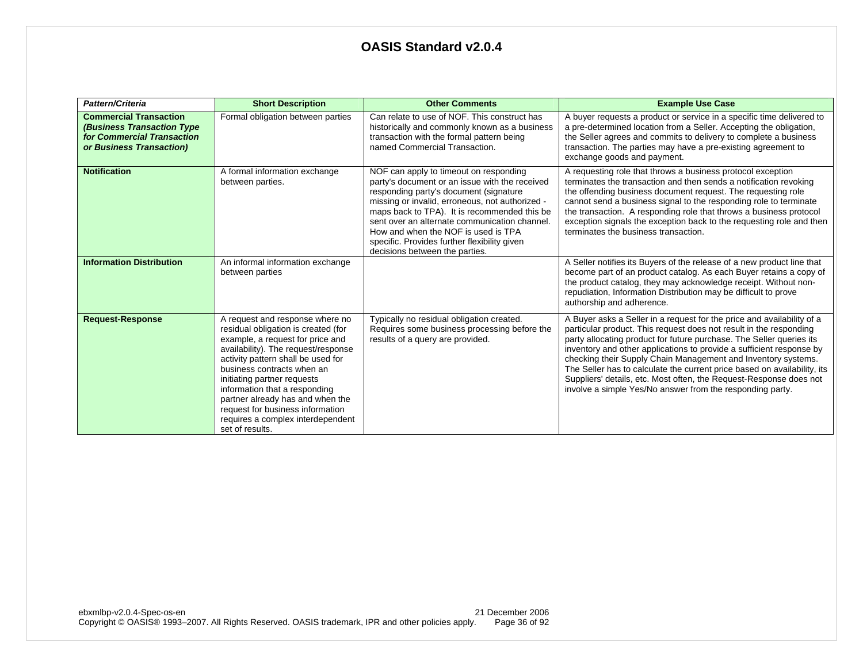| Pattern/Criteria                                                                                                             | <b>Short Description</b>                                                                                                                                                                                                                                                                                                                                                                                              | <b>Other Comments</b>                                                                                                                                                                                                                                                                                                                                                                                           | <b>Example Use Case</b>                                                                                                                                                                                                                                                                                                                                                                                                                                                                                                                                                      |
|------------------------------------------------------------------------------------------------------------------------------|-----------------------------------------------------------------------------------------------------------------------------------------------------------------------------------------------------------------------------------------------------------------------------------------------------------------------------------------------------------------------------------------------------------------------|-----------------------------------------------------------------------------------------------------------------------------------------------------------------------------------------------------------------------------------------------------------------------------------------------------------------------------------------------------------------------------------------------------------------|------------------------------------------------------------------------------------------------------------------------------------------------------------------------------------------------------------------------------------------------------------------------------------------------------------------------------------------------------------------------------------------------------------------------------------------------------------------------------------------------------------------------------------------------------------------------------|
| <b>Commercial Transaction</b><br><b>(Business Transaction Type</b><br>for Commercial Transaction<br>or Business Transaction) | Formal obligation between parties                                                                                                                                                                                                                                                                                                                                                                                     | Can relate to use of NOF. This construct has<br>historically and commonly known as a business<br>transaction with the formal pattern being<br>named Commercial Transaction.                                                                                                                                                                                                                                     | A buyer requests a product or service in a specific time delivered to<br>a pre-determined location from a Seller. Accepting the obligation,<br>the Seller agrees and commits to delivery to complete a business<br>transaction. The parties may have a pre-existing agreement to<br>exchange goods and payment.                                                                                                                                                                                                                                                              |
| <b>Notification</b>                                                                                                          | A formal information exchange<br>between parties.                                                                                                                                                                                                                                                                                                                                                                     | NOF can apply to timeout on responding<br>party's document or an issue with the received<br>responding party's document (signature<br>missing or invalid, erroneous, not authorized -<br>maps back to TPA). It is recommended this be<br>sent over an alternate communication channel.<br>How and when the NOF is used is TPA<br>specific. Provides further flexibility given<br>decisions between the parties. | A requesting role that throws a business protocol exception<br>terminates the transaction and then sends a notification revoking<br>the offending business document request. The requesting role<br>cannot send a business signal to the responding role to terminate<br>the transaction. A responding role that throws a business protocol<br>exception signals the exception back to the requesting role and then<br>terminates the business transaction.                                                                                                                  |
| <b>Information Distribution</b>                                                                                              | An informal information exchange<br>between parties                                                                                                                                                                                                                                                                                                                                                                   |                                                                                                                                                                                                                                                                                                                                                                                                                 | A Seller notifies its Buyers of the release of a new product line that<br>become part of an product catalog. As each Buyer retains a copy of<br>the product catalog, they may acknowledge receipt. Without non-<br>repudiation, Information Distribution may be difficult to prove<br>authorship and adherence.                                                                                                                                                                                                                                                              |
| <b>Request-Response</b>                                                                                                      | A request and response where no<br>residual obligation is created (for<br>example, a request for price and<br>availability). The request/response<br>activity pattern shall be used for<br>business contracts when an<br>initiating partner requests<br>information that a responding<br>partner already has and when the<br>request for business information<br>requires a complex interdependent<br>set of results. | Typically no residual obligation created.<br>Requires some business processing before the<br>results of a query are provided.                                                                                                                                                                                                                                                                                   | A Buyer asks a Seller in a request for the price and availability of a<br>particular product. This request does not result in the responding<br>party allocating product for future purchase. The Seller queries its<br>inventory and other applications to provide a sufficient response by<br>checking their Supply Chain Management and Inventory systems.<br>The Seller has to calculate the current price based on availability, its<br>Suppliers' details, etc. Most often, the Request-Response does not<br>involve a simple Yes/No answer from the responding party. |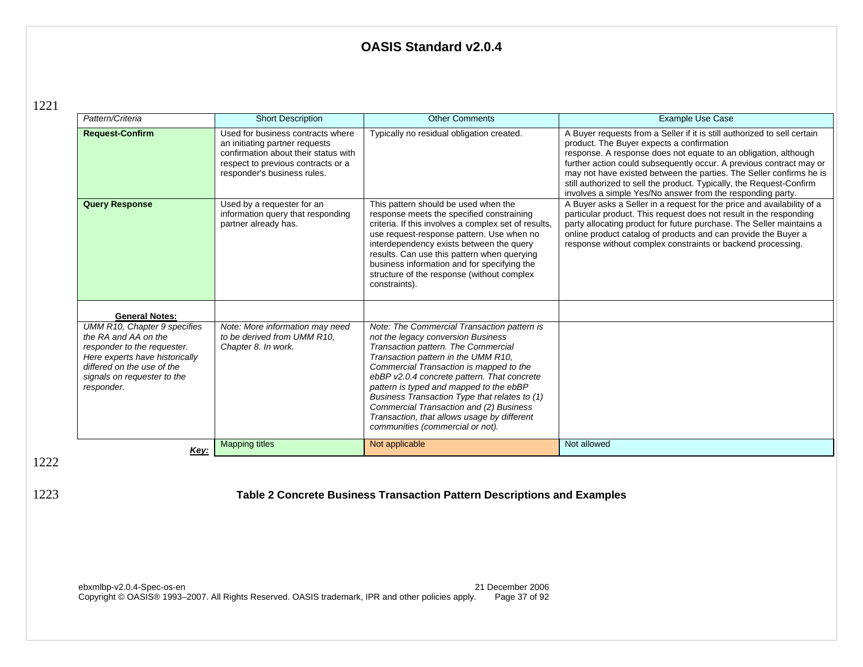1221

| Pattern/Criteria                                                                                                                                                                                 | <b>Short Description</b>                                                                                                                                                         | <b>Other Comments</b>                                                                                                                                                                                                                                                                                                                                                                                                                                                               | <b>Example Use Case</b>                                                                                                                                                                                                                                                                                                                                                                                                                                                      |
|--------------------------------------------------------------------------------------------------------------------------------------------------------------------------------------------------|----------------------------------------------------------------------------------------------------------------------------------------------------------------------------------|-------------------------------------------------------------------------------------------------------------------------------------------------------------------------------------------------------------------------------------------------------------------------------------------------------------------------------------------------------------------------------------------------------------------------------------------------------------------------------------|------------------------------------------------------------------------------------------------------------------------------------------------------------------------------------------------------------------------------------------------------------------------------------------------------------------------------------------------------------------------------------------------------------------------------------------------------------------------------|
| <b>Request-Confirm</b>                                                                                                                                                                           | Used for business contracts where<br>an initiating partner requests<br>confirmation about their status with<br>respect to previous contracts or a<br>responder's business rules. | Typically no residual obligation created.                                                                                                                                                                                                                                                                                                                                                                                                                                           | A Buyer requests from a Seller if it is still authorized to sell certain<br>product. The Buyer expects a confirmation<br>response. A response does not equate to an obligation, although<br>further action could subsequently occur. A previous contract may or<br>may not have existed between the parties. The Seller confirms he is<br>still authorized to sell the product. Typically, the Request-Confirm<br>involves a simple Yes/No answer from the responding party. |
| <b>Query Response</b>                                                                                                                                                                            | Used by a requester for an<br>information query that responding<br>partner already has.                                                                                          | This pattern should be used when the<br>response meets the specified constraining<br>criteria. If this involves a complex set of results,<br>use request-response pattern. Use when no<br>interdependency exists between the query<br>results. Can use this pattern when querying<br>business information and for specifying the<br>structure of the response (without complex<br>constraints).                                                                                     | A Buyer asks a Seller in a request for the price and availability of a<br>particular product. This request does not result in the responding<br>party allocating product for future purchase. The Seller maintains a<br>online product catalog of products and can provide the Buyer a<br>response without complex constraints or backend processing.                                                                                                                        |
| <b>General Notes:</b>                                                                                                                                                                            |                                                                                                                                                                                  |                                                                                                                                                                                                                                                                                                                                                                                                                                                                                     |                                                                                                                                                                                                                                                                                                                                                                                                                                                                              |
| UMM R10, Chapter 9 specifies<br>the RA and AA on the<br>responder to the requester.<br>Here experts have historically<br>differed on the use of the<br>signals on requester to the<br>responder. | Note: More information may need<br>to be derived from UMM R10.<br>Chapter 8. In work.                                                                                            | Note: The Commercial Transaction pattern is<br>not the legacy conversion Business<br>Transaction pattern. The Commercial<br>Transaction pattern in the UMM R10,<br>Commercial Transaction is mapped to the<br>ebBP v2.0.4 concrete pattern. That concrete<br>pattern is typed and mapped to the ebBP<br>Business Transaction Type that relates to (1)<br>Commercial Transaction and (2) Business<br>Transaction, that allows usage by different<br>communities (commercial or not). |                                                                                                                                                                                                                                                                                                                                                                                                                                                                              |
| Key:                                                                                                                                                                                             | <b>Mapping titles</b>                                                                                                                                                            | Not applicable                                                                                                                                                                                                                                                                                                                                                                                                                                                                      | Not allowed                                                                                                                                                                                                                                                                                                                                                                                                                                                                  |

1222

## 1223 **Table 2 Concrete Business Transaction Pattern Descriptions and Examples**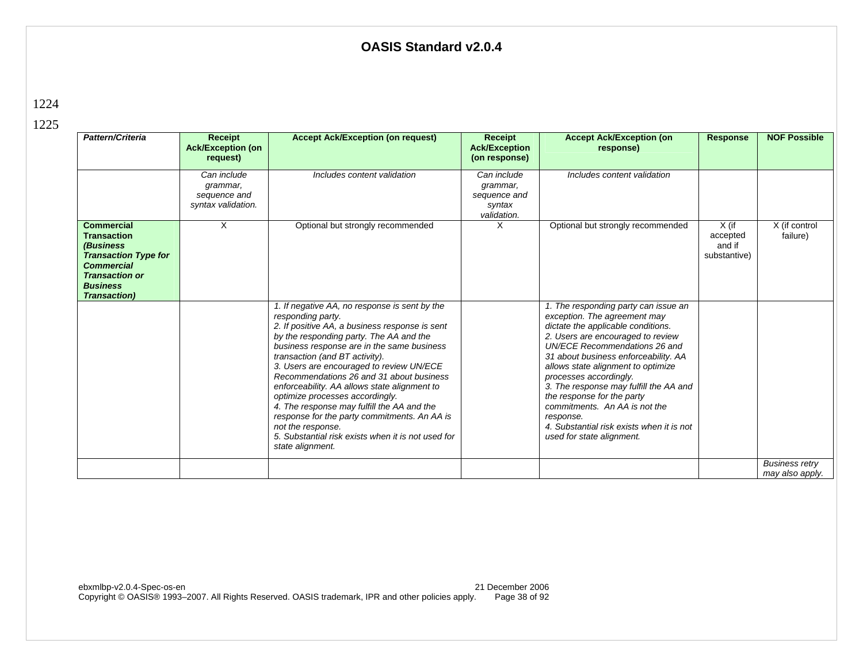| Pattern/Criteria                                                                                                                                                             | <b>Receipt</b><br><b>Ack/Exception (on</b><br>request)        | <b>Accept Ack/Exception (on request)</b>                                                                                                                                                                                                                                                                                                                                                                                                                                                                                                                                                                                | Receipt<br><b>Ack/Exception</b><br>(on response)                 | <b>Accept Ack/Exception (on</b><br>response)                                                                                                                                                                                                                                                                                                                                                                                                                                             | <b>Response</b>                               | <b>NOF Possible</b>                      |
|------------------------------------------------------------------------------------------------------------------------------------------------------------------------------|---------------------------------------------------------------|-------------------------------------------------------------------------------------------------------------------------------------------------------------------------------------------------------------------------------------------------------------------------------------------------------------------------------------------------------------------------------------------------------------------------------------------------------------------------------------------------------------------------------------------------------------------------------------------------------------------------|------------------------------------------------------------------|------------------------------------------------------------------------------------------------------------------------------------------------------------------------------------------------------------------------------------------------------------------------------------------------------------------------------------------------------------------------------------------------------------------------------------------------------------------------------------------|-----------------------------------------------|------------------------------------------|
|                                                                                                                                                                              | Can include<br>grammar,<br>sequence and<br>syntax validation. | Includes content validation                                                                                                                                                                                                                                                                                                                                                                                                                                                                                                                                                                                             | Can include<br>grammar,<br>sequence and<br>syntax<br>validation. | Includes content validation                                                                                                                                                                                                                                                                                                                                                                                                                                                              |                                               |                                          |
| <b>Commercial</b><br><b>Transaction</b><br>(Business<br><b>Transaction Type for</b><br><b>Commercial</b><br><b>Transaction or</b><br><b>Business</b><br><b>Transaction</b> ) | X                                                             | Optional but strongly recommended                                                                                                                                                                                                                                                                                                                                                                                                                                                                                                                                                                                       | х                                                                | Optional but strongly recommended                                                                                                                                                                                                                                                                                                                                                                                                                                                        | $X$ (if<br>accepted<br>and if<br>substantive) | X (if control<br>failure)                |
|                                                                                                                                                                              |                                                               | 1. If negative AA, no response is sent by the<br>responding party.<br>2. If positive AA, a business response is sent<br>by the responding party. The AA and the<br>business response are in the same business<br>transaction (and BT activity).<br>3. Users are encouraged to review UN/ECE<br>Recommendations 26 and 31 about business<br>enforceability. AA allows state alignment to<br>optimize processes accordingly.<br>4. The response may fulfill the AA and the<br>response for the party commitments. An AA is<br>not the response.<br>5. Substantial risk exists when it is not used for<br>state alignment. |                                                                  | 1. The responding party can issue an<br>exception. The agreement may<br>dictate the applicable conditions.<br>2. Users are encouraged to review<br>UN/ECE Recommendations 26 and<br>31 about business enforceability. AA<br>allows state alignment to optimize<br>processes accordingly.<br>3. The response may fulfill the AA and<br>the response for the party<br>commitments. An AA is not the<br>response.<br>4. Substantial risk exists when it is not<br>used for state alignment. |                                               |                                          |
|                                                                                                                                                                              |                                                               |                                                                                                                                                                                                                                                                                                                                                                                                                                                                                                                                                                                                                         |                                                                  |                                                                                                                                                                                                                                                                                                                                                                                                                                                                                          |                                               | <b>Business retry</b><br>may also apply. |

1224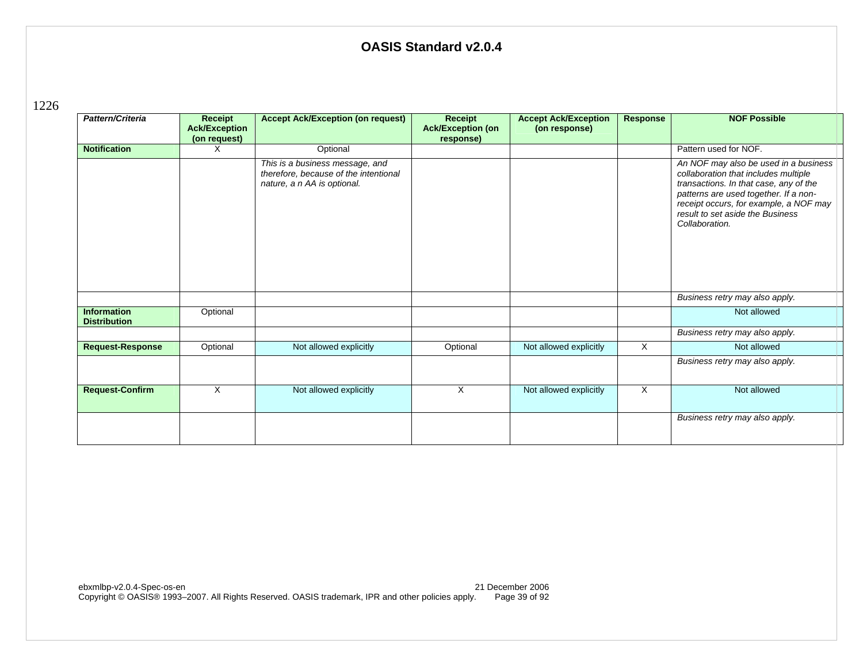1226

| Pattern/Criteria                          | Receipt<br><b>Ack/Exception</b><br>(on request) | <b>Accept Ack/Exception (on request)</b>                                                                | Receipt<br><b>Ack/Exception (on</b><br>response) | <b>Accept Ack/Exception</b><br>(on response) | <b>Response</b> | <b>NOF Possible</b>                                                                                                                                                                                                                                              |
|-------------------------------------------|-------------------------------------------------|---------------------------------------------------------------------------------------------------------|--------------------------------------------------|----------------------------------------------|-----------------|------------------------------------------------------------------------------------------------------------------------------------------------------------------------------------------------------------------------------------------------------------------|
| <b>Notification</b>                       | X                                               | Optional                                                                                                |                                                  |                                              |                 | Pattern used for NOF.                                                                                                                                                                                                                                            |
|                                           |                                                 | This is a business message, and<br>therefore, because of the intentional<br>nature, a n AA is optional. |                                                  |                                              |                 | An NOF may also be used in a business<br>collaboration that includes multiple<br>transactions. In that case, any of the<br>patterns are used together. If a non-<br>receipt occurs, for example, a NOF may<br>result to set aside the Business<br>Collaboration. |
|                                           |                                                 |                                                                                                         |                                                  |                                              |                 | Business retry may also apply.                                                                                                                                                                                                                                   |
| <b>Information</b><br><b>Distribution</b> | Optional                                        |                                                                                                         |                                                  |                                              |                 | Not allowed                                                                                                                                                                                                                                                      |
|                                           |                                                 |                                                                                                         |                                                  |                                              |                 | Business retry may also apply.                                                                                                                                                                                                                                   |
| <b>Request-Response</b>                   | Optional                                        | Not allowed explicitly                                                                                  | Optional                                         | Not allowed explicitly                       | X               | Not allowed                                                                                                                                                                                                                                                      |
|                                           |                                                 |                                                                                                         |                                                  |                                              |                 | Business retry may also apply.                                                                                                                                                                                                                                   |
| <b>Request-Confirm</b>                    | X                                               | Not allowed explicitly                                                                                  | $\times$                                         | Not allowed explicitly                       | X               | Not allowed                                                                                                                                                                                                                                                      |
|                                           |                                                 |                                                                                                         |                                                  |                                              |                 | Business retry may also apply.                                                                                                                                                                                                                                   |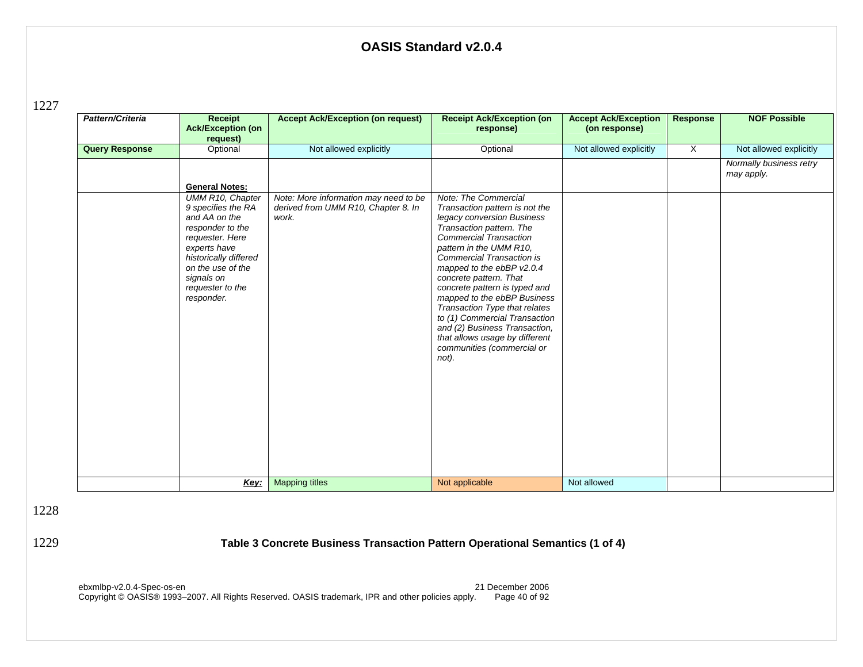1227

| Pattern/Criteria      | <b>Receipt</b><br><b>Ack/Exception (on</b><br>request)                                                                                                                                                       | <b>Accept Ack/Exception (on request)</b>                                              | <b>Receipt Ack/Exception (on</b><br>response)                                                                                                                                                                                                                                                                                                                                                                                                                                                                | <b>Accept Ack/Exception</b><br>(on response) | <b>Response</b> | <b>NOF Possible</b>                   |
|-----------------------|--------------------------------------------------------------------------------------------------------------------------------------------------------------------------------------------------------------|---------------------------------------------------------------------------------------|--------------------------------------------------------------------------------------------------------------------------------------------------------------------------------------------------------------------------------------------------------------------------------------------------------------------------------------------------------------------------------------------------------------------------------------------------------------------------------------------------------------|----------------------------------------------|-----------------|---------------------------------------|
| <b>Query Response</b> | Optional                                                                                                                                                                                                     | Not allowed explicitly                                                                | Optional                                                                                                                                                                                                                                                                                                                                                                                                                                                                                                     | Not allowed explicitly                       | $\mathsf{X}$    | Not allowed explicitly                |
|                       | <b>General Notes:</b>                                                                                                                                                                                        |                                                                                       |                                                                                                                                                                                                                                                                                                                                                                                                                                                                                                              |                                              |                 | Normally business retry<br>may apply. |
|                       | UMM R10, Chapter<br>9 specifies the RA<br>and AA on the<br>responder to the<br>requester. Here<br>experts have<br>historically differed<br>on the use of the<br>signals on<br>requester to the<br>responder. | Note: More information may need to be<br>derived from UMM R10, Chapter 8. In<br>work. | Note: The Commercial<br>Transaction pattern is not the<br>legacy conversion Business<br>Transaction pattern. The<br><b>Commercial Transaction</b><br>pattern in the UMM R10,<br>Commercial Transaction is<br>mapped to the ebBP v2.0.4<br>concrete pattern. That<br>concrete pattern is typed and<br>mapped to the ebBP Business<br>Transaction Type that relates<br>to (1) Commercial Transaction<br>and (2) Business Transaction,<br>that allows usage by different<br>communities (commercial or<br>not). |                                              |                 |                                       |
|                       | Key:                                                                                                                                                                                                         | <b>Mapping titles</b>                                                                 | Not applicable                                                                                                                                                                                                                                                                                                                                                                                                                                                                                               | Not allowed                                  |                 |                                       |

1228

1229 **Table 3 Concrete Business Transaction Pattern Operational Semantics (1 of 4)**

ebxmlbp-v2.0.4-Spec-os-en 21 December 2006 Copyright © OASIS® 1993–2007. All Rights Reserved. OASIS trademark, IPR and other policies apply. Page 40 of 92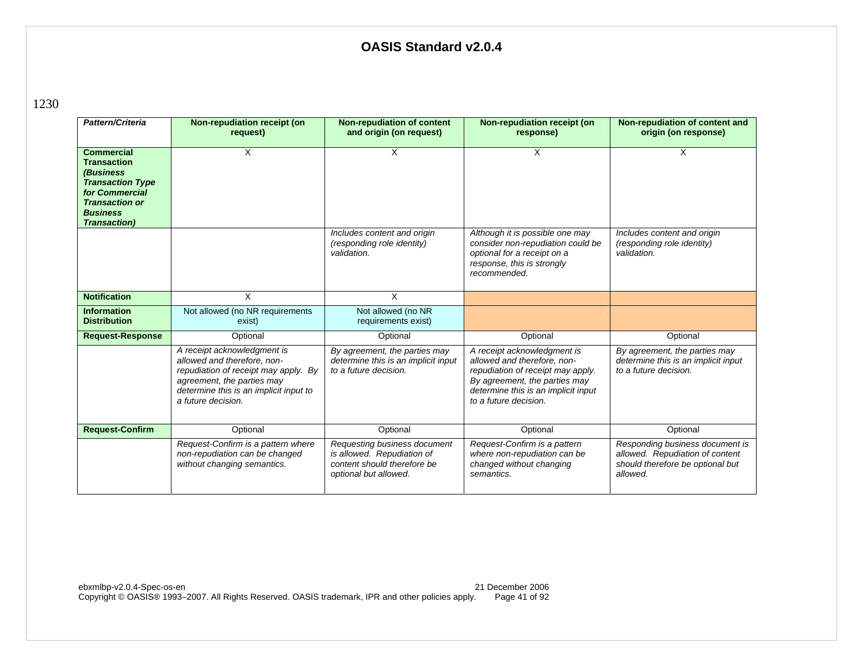1230

| Pattern/Criteria                                                                                                                                                               | Non-repudiation receipt (on<br>request)                                                                                                                                                          | <b>Non-repudiation of content</b><br>and origin (on request)                                                       | Non-repudiation receipt (on<br>response)                                                                                                                                                         | Non-repudiation of content and<br>origin (on response)                                                             |
|--------------------------------------------------------------------------------------------------------------------------------------------------------------------------------|--------------------------------------------------------------------------------------------------------------------------------------------------------------------------------------------------|--------------------------------------------------------------------------------------------------------------------|--------------------------------------------------------------------------------------------------------------------------------------------------------------------------------------------------|--------------------------------------------------------------------------------------------------------------------|
| <b>Commercial</b><br><b>Transaction</b><br><i>(Business</i> )<br><b>Transaction Type</b><br>for Commercial<br><b>Transaction or</b><br><b>Business</b><br><b>Transaction</b> ) | X                                                                                                                                                                                                | X                                                                                                                  | X                                                                                                                                                                                                | X                                                                                                                  |
|                                                                                                                                                                                |                                                                                                                                                                                                  | Includes content and origin<br>(responding role identity)<br>validation.                                           | Although it is possible one may<br>consider non-repudiation could be<br>optional for a receipt on a<br>response, this is strongly<br>recommended.                                                | Includes content and origin<br>(responding role identity)<br>validation.                                           |
| <b>Notification</b>                                                                                                                                                            | X                                                                                                                                                                                                | X                                                                                                                  |                                                                                                                                                                                                  |                                                                                                                    |
| <b>Information</b><br><b>Distribution</b>                                                                                                                                      | Not allowed (no NR requirements<br>exist)                                                                                                                                                        | Not allowed (no NR<br>requirements exist)                                                                          |                                                                                                                                                                                                  |                                                                                                                    |
| <b>Request-Response</b>                                                                                                                                                        | Optional                                                                                                                                                                                         | Optional                                                                                                           | Optional                                                                                                                                                                                         | Optional                                                                                                           |
|                                                                                                                                                                                | A receipt acknowledgment is<br>allowed and therefore, non-<br>repudiation of receipt may apply. By<br>agreement, the parties may<br>determine this is an implicit input to<br>a future decision. | By agreement, the parties may<br>determine this is an implicit input<br>to a future decision.                      | A receipt acknowledgment is<br>allowed and therefore, non-<br>repudiation of receipt may apply.<br>By agreement, the parties may<br>determine this is an implicit input<br>to a future decision. | By agreement, the parties may<br>determine this is an implicit input<br>to a future decision.                      |
| <b>Request-Confirm</b>                                                                                                                                                         | Optional                                                                                                                                                                                         | Optional                                                                                                           | Optional                                                                                                                                                                                         | Optional                                                                                                           |
|                                                                                                                                                                                | Request-Confirm is a pattern where<br>non-repudiation can be changed<br>without changing semantics.                                                                                              | Requesting business document<br>is allowed. Repudiation of<br>content should therefore be<br>optional but allowed. | Request-Confirm is a pattern<br>where non-repudiation can be<br>changed without changing<br>semantics.                                                                                           | Responding business document is<br>allowed. Repudiation of content<br>should therefore be optional but<br>allowed. |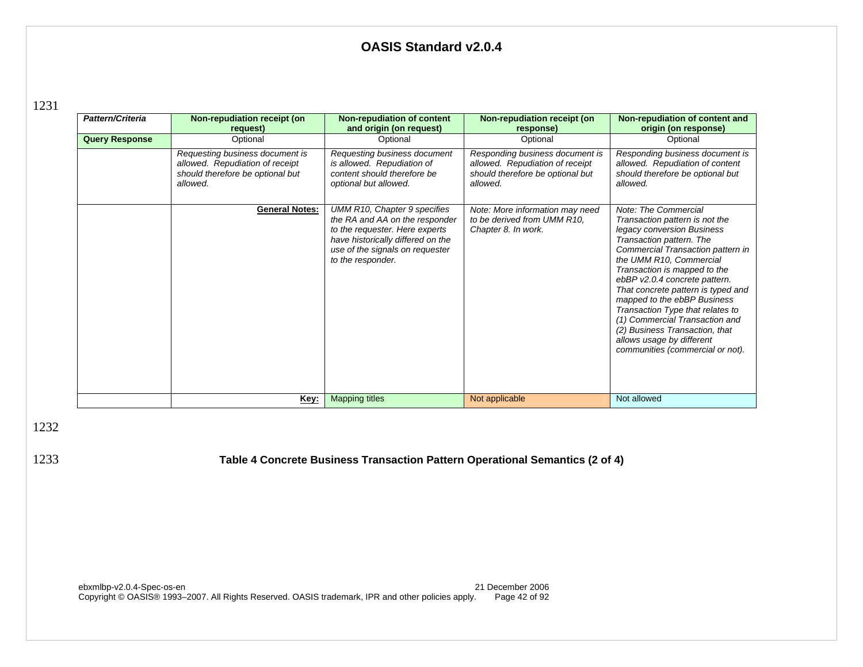1231

| Pattern/Criteria      | Non-repudiation receipt (on<br>request)                                                                            | Non-repudiation of content<br>and origin (on request)                                                                                                                                         | Non-repudiation receipt (on<br>response)                                                                           | Non-repudiation of content and<br>origin (on response)                                                                                                                                                                                                                                                                                                                                                                                                                                          |
|-----------------------|--------------------------------------------------------------------------------------------------------------------|-----------------------------------------------------------------------------------------------------------------------------------------------------------------------------------------------|--------------------------------------------------------------------------------------------------------------------|-------------------------------------------------------------------------------------------------------------------------------------------------------------------------------------------------------------------------------------------------------------------------------------------------------------------------------------------------------------------------------------------------------------------------------------------------------------------------------------------------|
| <b>Query Response</b> | Optional                                                                                                           | Optional                                                                                                                                                                                      | Optional                                                                                                           | Optional                                                                                                                                                                                                                                                                                                                                                                                                                                                                                        |
|                       | Requesting business document is<br>allowed. Repudiation of receipt<br>should therefore be optional but<br>allowed. | Requesting business document<br>is allowed. Repudiation of<br>content should therefore be<br>optional but allowed.                                                                            | Responding business document is<br>allowed. Repudiation of receipt<br>should therefore be optional but<br>allowed. | Responding business document is<br>allowed. Repudiation of content<br>should therefore be optional but<br>allowed.                                                                                                                                                                                                                                                                                                                                                                              |
|                       | <b>General Notes:</b>                                                                                              | UMM R10, Chapter 9 specifies<br>the RA and AA on the responder<br>to the requester. Here experts<br>have historically differed on the<br>use of the signals on requester<br>to the responder. | Note: More information may need<br>to be derived from UMM R10,<br>Chapter 8. In work.                              | Note: The Commercial<br>Transaction pattern is not the<br>legacy conversion Business<br>Transaction pattern. The<br>Commercial Transaction pattern in<br>the UMM R10, Commercial<br>Transaction is mapped to the<br>ebBP v2.0.4 concrete pattern.<br>That concrete pattern is typed and<br>mapped to the ebBP Business<br>Transaction Type that relates to<br>(1) Commercial Transaction and<br>(2) Business Transaction, that<br>allows usage by different<br>communities (commercial or not). |
|                       | <u>Key:</u>                                                                                                        | <b>Mapping titles</b>                                                                                                                                                                         | Not applicable                                                                                                     | Not allowed                                                                                                                                                                                                                                                                                                                                                                                                                                                                                     |

1232

1233 **Table 4 Concrete Business Transaction Pattern Operational Semantics (2 of 4)**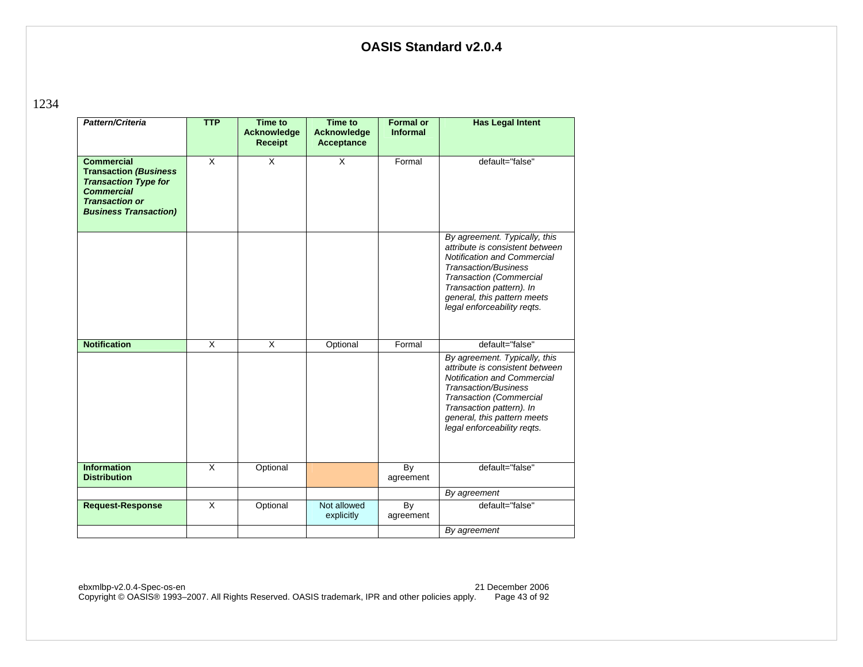1234

| Pattern/Criteria                                                                                                                                               | <b>TTP</b>              | <b>Time to</b><br>Acknowledge<br><b>Receipt</b> | <b>Time to</b><br>Acknowledge<br><b>Acceptance</b> | <b>Formal or</b><br><b>Informal</b> | <b>Has Legal Intent</b>                                                                                                                                                                                                                                           |
|----------------------------------------------------------------------------------------------------------------------------------------------------------------|-------------------------|-------------------------------------------------|----------------------------------------------------|-------------------------------------|-------------------------------------------------------------------------------------------------------------------------------------------------------------------------------------------------------------------------------------------------------------------|
| <b>Commercial</b><br><b>Transaction (Business</b><br><b>Transaction Type for</b><br><b>Commercial</b><br><b>Transaction or</b><br><b>Business Transaction)</b> | $\overline{\mathsf{x}}$ | $\overline{\mathsf{x}}$                         | $\overline{\mathsf{x}}$                            | Formal                              | default="false"                                                                                                                                                                                                                                                   |
|                                                                                                                                                                |                         |                                                 |                                                    |                                     | By agreement. Typically, this<br>attribute is consistent between<br><b>Notification and Commercial</b><br><b>Transaction/Business</b><br><b>Transaction (Commercial</b><br>Transaction pattern). In<br>general, this pattern meets<br>legal enforceability regts. |
| <b>Notification</b>                                                                                                                                            | $\overline{X}$          | X                                               | Optional                                           | Formal                              | default="false"                                                                                                                                                                                                                                                   |
|                                                                                                                                                                |                         |                                                 |                                                    |                                     | By agreement. Typically, this<br>attribute is consistent between<br><b>Notification and Commercial</b><br><b>Transaction/Business</b><br><b>Transaction (Commercial</b><br>Transaction pattern). In<br>general, this pattern meets<br>legal enforceability reqts. |
| <b>Information</b><br><b>Distribution</b>                                                                                                                      | $\mathsf{x}$            | Optional                                        |                                                    | By<br>agreement                     | default="false"                                                                                                                                                                                                                                                   |
|                                                                                                                                                                |                         |                                                 |                                                    |                                     | By agreement                                                                                                                                                                                                                                                      |
| <b>Request-Response</b>                                                                                                                                        | $\overline{\mathsf{x}}$ | Optional                                        | Not allowed<br>explicitly                          | By<br>agreement                     | default="false"                                                                                                                                                                                                                                                   |
|                                                                                                                                                                |                         |                                                 |                                                    |                                     | By agreement                                                                                                                                                                                                                                                      |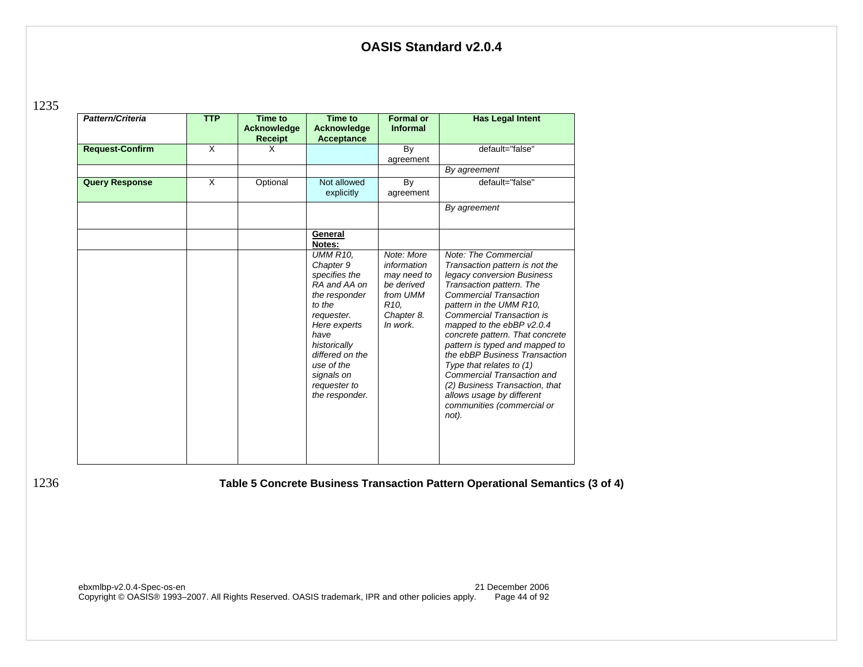1235

| Pattern/Criteria       | <b>TTP</b> | <b>Time to</b><br>Acknowledge<br><b>Receipt</b> | Time to<br>Acknowledge<br><b>Acceptance</b>                                                                                                                                                                                     | <b>Formal or</b><br><b>Informal</b>                                                                               | <b>Has Legal Intent</b>                                                                                                                                                                                                                                                                                                                                                                                                                                                                                             |
|------------------------|------------|-------------------------------------------------|---------------------------------------------------------------------------------------------------------------------------------------------------------------------------------------------------------------------------------|-------------------------------------------------------------------------------------------------------------------|---------------------------------------------------------------------------------------------------------------------------------------------------------------------------------------------------------------------------------------------------------------------------------------------------------------------------------------------------------------------------------------------------------------------------------------------------------------------------------------------------------------------|
| <b>Request-Confirm</b> | X          | X                                               |                                                                                                                                                                                                                                 | By<br>agreement                                                                                                   | default="false"                                                                                                                                                                                                                                                                                                                                                                                                                                                                                                     |
|                        |            |                                                 |                                                                                                                                                                                                                                 |                                                                                                                   | By agreement                                                                                                                                                                                                                                                                                                                                                                                                                                                                                                        |
| <b>Query Response</b>  | X          | Optional                                        | Not allowed<br>explicitly                                                                                                                                                                                                       | By<br>agreement                                                                                                   | default="false"                                                                                                                                                                                                                                                                                                                                                                                                                                                                                                     |
|                        |            |                                                 |                                                                                                                                                                                                                                 |                                                                                                                   | By agreement                                                                                                                                                                                                                                                                                                                                                                                                                                                                                                        |
|                        |            |                                                 | General<br>Notes:                                                                                                                                                                                                               |                                                                                                                   |                                                                                                                                                                                                                                                                                                                                                                                                                                                                                                                     |
|                        |            |                                                 | <b>UMM R10.</b><br>Chapter 9<br>specifies the<br>RA and AA on<br>the responder<br>to the<br>requester.<br>Here experts<br>have<br>historically<br>differed on the<br>use of the<br>signals on<br>requester to<br>the responder. | Note: More<br>information<br>may need to<br>be derived<br>from UMM<br>R <sub>10</sub> .<br>Chapter 8.<br>In work. | Note: The Commercial<br>Transaction pattern is not the<br>legacy conversion Business<br>Transaction pattern. The<br><b>Commercial Transaction</b><br>pattern in the UMM R10,<br><b>Commercial Transaction is</b><br>mapped to the ebBP v2.0.4<br>concrete pattern. That concrete<br>pattern is typed and mapped to<br>the ebBP Business Transaction<br>Type that relates to (1)<br>Commercial Transaction and<br>(2) Business Transaction, that<br>allows usage by different<br>communities (commercial or<br>not). |

1236 **Table 5 Concrete Business Transaction Pattern Operational Semantics (3 of 4)**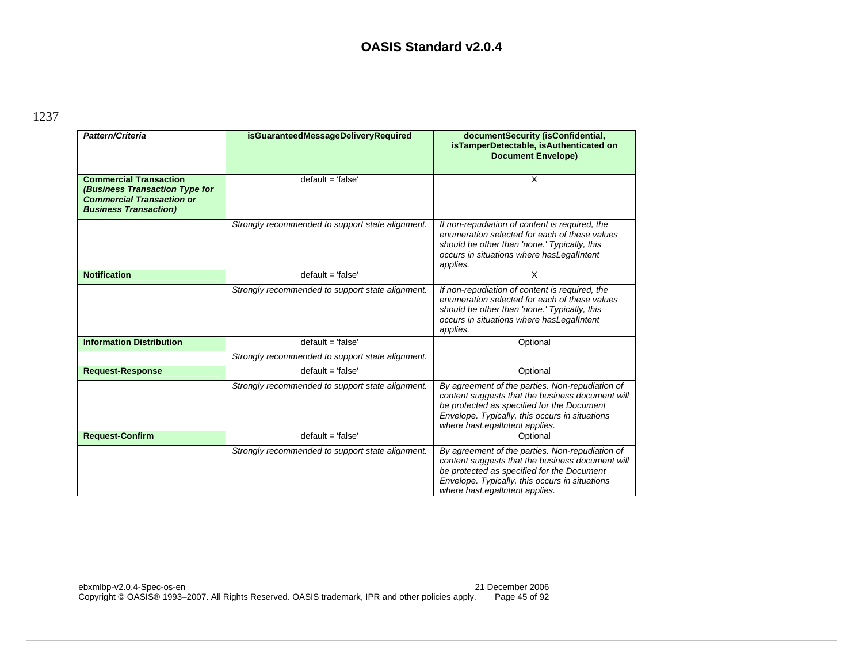1237

| Pattern/Criteria                                                                                                                    | isGuaranteedMessageDeliveryRequired              | documentSecurity (isConfidential,<br>isTamperDetectable, isAuthenticated on<br><b>Document Envelope)</b>                                                                                                                              |
|-------------------------------------------------------------------------------------------------------------------------------------|--------------------------------------------------|---------------------------------------------------------------------------------------------------------------------------------------------------------------------------------------------------------------------------------------|
| <b>Commercial Transaction</b><br>(Business Transaction Type for<br><b>Commercial Transaction or</b><br><b>Business Transaction)</b> | $default = 'false'$                              | X                                                                                                                                                                                                                                     |
|                                                                                                                                     | Strongly recommended to support state alignment. | If non-repudiation of content is required, the<br>enumeration selected for each of these values<br>should be other than 'none.' Typically, this<br>occurs in situations where has LegalIntent<br>applies.                             |
| <b>Notification</b>                                                                                                                 | $default = 'false'$                              | $\overline{\mathsf{x}}$                                                                                                                                                                                                               |
|                                                                                                                                     | Strongly recommended to support state alignment. | If non-repudiation of content is required, the<br>enumeration selected for each of these values<br>should be other than 'none.' Typically, this<br>occurs in situations where has LegalIntent<br>applies.                             |
| <b>Information Distribution</b>                                                                                                     | $default = 'false'$                              | Optional                                                                                                                                                                                                                              |
|                                                                                                                                     | Strongly recommended to support state alignment. |                                                                                                                                                                                                                                       |
| <b>Request-Response</b>                                                                                                             | $default = 'false'$                              | Optional                                                                                                                                                                                                                              |
|                                                                                                                                     | Strongly recommended to support state alignment. | By agreement of the parties. Non-repudiation of<br>content suggests that the business document will<br>be protected as specified for the Document<br>Envelope. Typically, this occurs in situations<br>where has LegalIntent applies. |
| <b>Request-Confirm</b>                                                                                                              | $default = 'false'$                              | Optional                                                                                                                                                                                                                              |
|                                                                                                                                     | Strongly recommended to support state alignment. | By agreement of the parties. Non-repudiation of<br>content suggests that the business document will<br>be protected as specified for the Document<br>Envelope. Typically, this occurs in situations<br>where has LegalIntent applies. |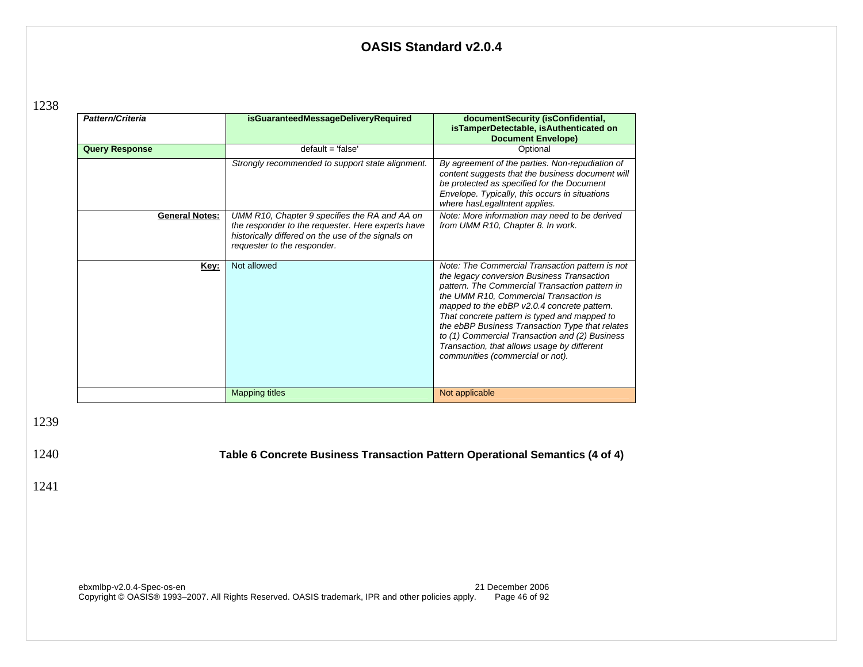| ۹ |  |
|---|--|
|---|--|

1241

|              | Pattern/Criteria      | isGuaranteedMessageDeliveryRequired                                                                                                                                                     | documentSecurity (isConfidential,<br>isTamperDetectable, isAuthenticated on<br><b>Document Envelope)</b>                                                                                                                                                                                                                                                                                                                                                                         |
|--------------|-----------------------|-----------------------------------------------------------------------------------------------------------------------------------------------------------------------------------------|----------------------------------------------------------------------------------------------------------------------------------------------------------------------------------------------------------------------------------------------------------------------------------------------------------------------------------------------------------------------------------------------------------------------------------------------------------------------------------|
|              | <b>Query Response</b> | $default = 'false'$                                                                                                                                                                     | Optional                                                                                                                                                                                                                                                                                                                                                                                                                                                                         |
|              |                       | Strongly recommended to support state alignment.                                                                                                                                        | By agreement of the parties. Non-repudiation of<br>content suggests that the business document will<br>be protected as specified for the Document<br>Envelope. Typically, this occurs in situations<br>where has LegalIntent applies.                                                                                                                                                                                                                                            |
|              | <b>General Notes:</b> | UMM R10, Chapter 9 specifies the RA and AA on<br>the responder to the requester. Here experts have<br>historically differed on the use of the signals on<br>requester to the responder. | Note: More information may need to be derived<br>from UMM R10, Chapter 8. In work.                                                                                                                                                                                                                                                                                                                                                                                               |
|              | Key:                  | Not allowed                                                                                                                                                                             | Note: The Commercial Transaction pattern is not<br>the legacy conversion Business Transaction<br>pattern. The Commercial Transaction pattern in<br>the UMM R10, Commercial Transaction is<br>mapped to the ebBP v2.0.4 concrete pattern.<br>That concrete pattern is typed and mapped to<br>the ebBP Business Transaction Type that relates<br>to (1) Commercial Transaction and (2) Business<br>Transaction, that allows usage by different<br>communities (commercial or not). |
|              |                       | <b>Mapping titles</b>                                                                                                                                                                   | Not applicable                                                                                                                                                                                                                                                                                                                                                                                                                                                                   |
| 1239<br>1240 |                       | Table 6 Concrete Business Transaction Pattern Operational Semantics (4 of 4)                                                                                                            |                                                                                                                                                                                                                                                                                                                                                                                                                                                                                  |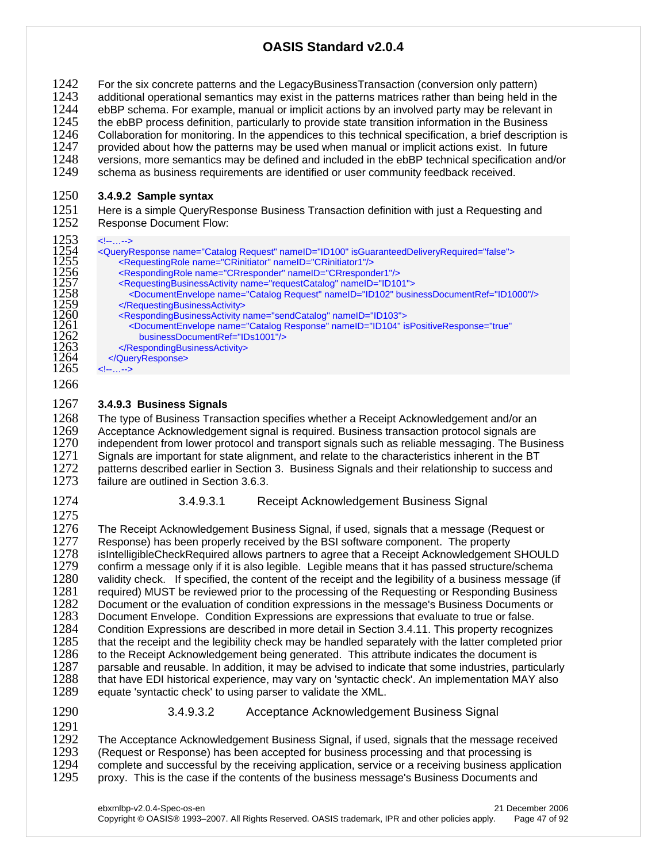1242 For the six concrete patterns and the LegacyBusinessTransaction (conversion only pattern)<br>1243 daditional operational semantics may exist in the patterns matrices rather than being held in 1243 additional operational semantics may exist in the patterns matrices rather than being held in the 1244 ebBP schema. For example, manual or implicit actions by an involved party may be relevant in 1244 ebBP schema. For example, manual or implicit actions by an involved party may be relevant in 1245 the ebBP process definition, particularly to provide state transition information in the Business the ebBP process definition, particularly to provide state transition information in the Business 1246 Collaboration for monitoring. In the appendices to this technical specification, a brief description is 1247 provided about how the patterns may be used when manual or implicit actions exist. In future 1248 versions, more semantics may be defined and included in the ebBP technical specification and versions, more semantics may be defined and included in the ebBP technical specification and/or 1249 schema as business requirements are identified or user community feedback received.

#### 1250 **3.4.9.2 Sample syntax**

1251 Here is a simple QueryResponse Business Transaction definition with just a Requesting and 1252 Response Document Flow: Response Document Flow:

1253 <!--...--><br>1254 <QueryR<br>1255 <Re <QueryResponse name="Catalog Request" nameID="ID100" isGuaranteedDeliveryRequired="false"> 255 <RequestingRole name="CRinitiator" nameID="CRinitiator1"/><br>
1256 <RespondingRole name="CRresponder" nameID="CRrespond<br>
1257 <RequestingBusinessActivity name="requestCatalog" nameID="ID<br>
1259 </RequestingBusinessActivit 1256 <RespondingRole name="CRresponder" nameID="CRresponder1"/> 1257 <RequestingBusinessActivity name="requestCatalog" nameID="ID101"> 1258 <DocumentEnvelope name="Catalog Request" nameID="ID102" businessDocumentRef="ID1000"/> </RequestingBusinessActivity> 1260 <RespondingBusinessActivity name="sendCatalog" nameID="ID103"><br>1261 - DocumentEnvelope name="Catalog Response" nameID="ID104" is 1261 <DocumentEnvelope name="Catalog Response" nameID="ID104" isPositiveResponse="true"<br>1262 businessDocumentRef="IDs1001"/> 1262 businessDocumentRef="IDs1001"/> 1263 </RespondingBusinessActivity> 1264 </QueryResponse><br>1265 <--...-->  $1 - 1 - 1 - 1$ 1266

#### 1267 **3.4.9.3 Business Signals**

1268 The type of Business Transaction specifies whether a Receipt Acknowledgement and/or an 1269 Acceptance Acknowledgement signal is required. Business transaction protocol signals are 1269 Acceptance Acknowledgement signal is required. Business transaction protocol signals are<br>1270 independent from lower protocol and transport signals such as reliable messaging. The Bus 1270 independent from lower protocol and transport signals such as reliable messaging. The Business 1271 Signals are important for state alignment, and relate to the characteristics inherent in the BT 1271 Signals are important for state alignment, and relate to the characteristics inherent in the BT<br>1272 patterns described earlier in Section 3. Business Signals and their relationship to success are 1272 patterns described earlier in Section 3. Business Signals and their relationship to success and 1273 failure are outlined in Section 3.6.3. failure are outlined in Section 3.6.3.

1274 3.4.9.3.1 Receipt Acknowledgement Business Signal

1275<br>1276 1276 The Receipt Acknowledgement Business Signal, if used, signals that a message (Request or 1277 Response) has been properly received by the BSI software component. The property Response) has been properly received by the BSI software component. The property 1278 isIntelligibleCheckRequired allows partners to agree that a Receipt Acknowledgement SHOULD<br>1279 confirm a message only if it is also legible. Legible means that it has passed structure/schema confirm a message only if it is also legible. Legible means that it has passed structure/schema 1280 validity check. If specified, the content of the receipt and the legibility of a business message (if 1281 crequired) MUST be reviewed prior to the processing of the Requesting or Responding Business 1281 required) MUST be reviewed prior to the processing of the Requesting or Responding Business<br>1282 Document or the evaluation of condition expressions in the message's Business Documents or 1282 Document or the evaluation of condition expressions in the message's Business Documents or 1283 Document Envelope. Condition Expressions are expressions that evaluate to true or false. 1283 Document Envelope. Condition Expressions are expressions that evaluate to true or false.<br>1284 Condition Expressions are described in more detail in Section 3.4.11. This property recogni 1284 Condition Expressions are described in more detail in Section 3.4.11. This property recognizes<br>1285 that the receipt and the legibility check may be handled separately with the latter completed prior 1285 that the receipt and the legibility check may be handled separately with the latter completed prior 1286 to the Receipt Acknowledgement being generated. This attribute indicates the document is 1286 to the Receipt Acknowledgement being generated. This attribute indicates the document is 1287 parsable and reusable. In addition, it may be advised to indicate that some industries, partic 1287 parsable and reusable. In addition, it may be advised to indicate that some industries, particularly 1288 that have EDI historical experience, may vary on 'syntactic check'. An implementation MAY also 1288 that have EDI historical experience, may vary on 'syntactic check'. An implementation MAY also<br>1289 equate 'syntactic check' to using parser to validate the XML. equate 'syntactic check' to using parser to validate the XML.

1291

#### 1290 3.4.9.3.2 Acceptance Acknowledgement Business Signal

1292 The Acceptance Acknowledgement Business Signal, if used, signals that the message received<br>1293 (Request or Response) has been accepted for business processing and that processing is 1293 (Request or Response) has been accepted for business processing and that processing is 1294 complete and successful by the receiving application, service or a receiving business applic 1294 complete and successful by the receiving application, service or a receiving business application 1295 proxy. This is the case if the contents of the business message's Business Documents and proxy. This is the case if the contents of the business message's Business Documents and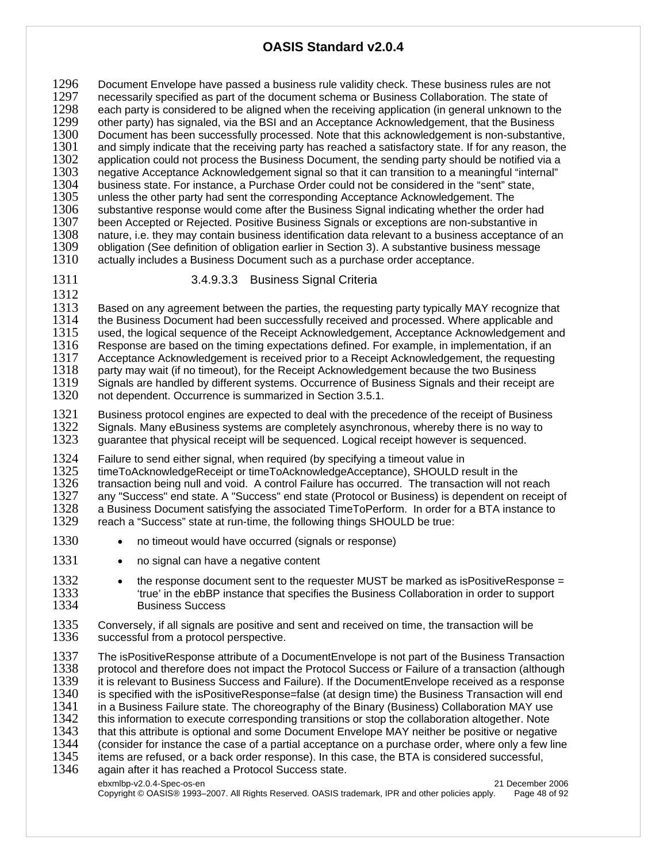1296 Document Envelope have passed a business rule validity check. These business rules are not 1297 necessarily specified as part of the document schema or Business Collaboration. The state of 1297 necessarily specified as part of the document schema or Business Collaboration. The state of 1298 each party is considered to be aligned when the receiving application (in general unknown to the 1298 each party is considered to be aligned when the receiving application (in general unknown to the 1299 other party) has signaled, via the BSI and an Acceptance Acknowledgement, that the Business other party) has signaled, via the BSI and an Acceptance Acknowledgement, that the Business 1300 Document has been successfully processed. Note that this acknowledgement is non-substantive, 1301 and simply indicate that the receiving party has reached a satisfactory state. If for any reason, the 1302 application could not process the Business Document, the sending party should be notified via a 1302 application could not process the Business Document, the sending party should be notified via a<br>1303 negative Acceptance Acknowledgement signal so that it can transition to a meaningful "internal" negative Acceptance Acknowledgement signal so that it can transition to a meaningful "internal" 1304 business state. For instance, a Purchase Order could not be considered in the "sent" state, 1305 unless the other party had sent the corresponding Acceptance Acknowledgement. The 1305 unless the other party had sent the corresponding Acceptance Acknowledgement. The 1306 substantive response would come after the Business Signal indicating whether the orde 1306 substantive response would come after the Business Signal indicating whether the order had<br>1307 been Accepted or Reiected. Positive Business Signals or exceptions are non-substantive in 1307 been Accepted or Rejected. Positive Business Signals or exceptions are non-substantive in 1308 and unconstantive in 1308 1308 nature, i.e. they may contain business identification data relevant to a business acceptance of an 1309 obligation (See definition of obligation earlier in Section 3). A substantive business message 1309 obligation (See definition of obligation earlier in Section 3). A substantive business message 1310 actually includes a Business Document such as a purchase order acceptance. actually includes a Business Document such as a purchase order acceptance.

1312

#### 1311 3.4.9.3.3 Business Signal Criteria

1313 Based on any agreement between the parties, the requesting party typically MAY recognize that 1314 the Business Document had been successfully received and processed. Where applicable and 1314 the Business Document had been successfully received and processed. Where applicable and 1315 used, the logical sequence of the Receipt Acknowledgement and used, the logical sequence of the Receipt Acknowledgement, Acceptance Acknowledgement and 1316 Response are based on the timing expectations defined. For example, in implementation, if an 1317 Acceptance Acknowledgement is received prior to a Receipt Acknowledgement, the requesting 1318 party may wait (if no timeout), for the Receipt Acknowledgement because the two Business 1318 party may wait (if no timeout), for the Receipt Acknowledgement because the two Business<br>1319 Signals are handled by different systems. Occurrence of Business Signals and their receipt 1319 Signals are handled by different systems. Occurrence of Business Signals and their receipt are 1320 not dependent. Occurrence is summarized in Section 3.5.1. not dependent. Occurrence is summarized in Section 3.5.1.

1321 Business protocol engines are expected to deal with the precedence of the receipt of Business<br>1322 Signals. Many eBusiness systems are completely asynchronous, whereby there is no way to 1322 Signals. Many eBusiness systems are completely asynchronous, whereby there is no way to 1323 auarantee that physical receipt will be sequenced. guarantee that physical receipt will be sequenced. Logical receipt however is sequenced.

1324 Failure to send either signal, when required (by specifying a timeout value in 1325 timeToAcknowledgeReceipt or timeToAcknowledgeReceipt or timeToAcknowledgeReceipt or timeToAcknowledgeReceipt or timeToAcknowledgeRece 1325 timeToAcknowledgeReceipt or timeToAcknowledgeAcceptance), SHOULD result in the 1326 transaction being null and void. A control Failure has occurred. The transaction will not reach<br>1327 any "Success" end state. A "Success" end state (Protocol or Business) is dependent on receipt any "Success" end state. A "Success" end state (Protocol or Business) is dependent on receipt of 1328 a Business Document satisfying the associated TimeToPerform. In order for a BTA instance to 1329 reach a "Success" state at run-time, the following things SHOULD be true: reach a "Success" state at run-time, the following things SHOULD be true:

- 1330 no timeout would have occurred (signals or response)
- 1331 no signal can have a negative content

**1332** • the response document sent to the requester MUST be marked as isPositiveResponse = 1333<br>1333 true' in the ebBP instance that specifies the Business Collaboration in order to support 1333 'true' in the ebBP instance that specifies the Business Collaboration in order to support<br>1334 Business Success **Business Success** 

1335 Conversely, if all signals are positive and sent and received on time, the transaction will be 1336 successful from a protocol perspective. successful from a protocol perspective.

ebxmlbp-v2.0.4-Spec-os-en 21 December 2006 1337 The isPositiveResponse attribute of a DocumentEnvelope is not part of the Business Transaction<br>1338 protocol and therefore does not impact the Protocol Success or Failure of a transaction (although protocol and therefore does not impact the Protocol Success or Failure of a transaction (although 1339 it is relevant to Business Success and Failure). If the DocumentEnvelope received as a response<br>1340 is specified with the isPositiveResponse=false (at design time) the Business Transaction will end 1340 is specified with the isPositiveResponse=false (at design time) the Business Transaction will end<br>1341 in a Business Failure state. The choreography of the Binary (Business) Collaboration MAY use 1341 in a Business Failure state. The choreography of the Binary (Business) Collaboration MAY use<br>1342 this information to execute corresponding transitions or stop the collaboration altogether. Note 1342 this information to execute corresponding transitions or stop the collaboration altogether. Note<br>1343 that this attribute is optional and some Document Envelope MAY neither be positive or negative 1343 that this attribute is optional and some Document Envelope MAY neither be positive or negative<br>1344 (consider for instance the case of a partial acceptance on a purchase order, where only a few lin (consider for instance the case of a partial acceptance on a purchase order, where only a few line 1345 items are refused, or a back order response). In this case, the BTA is considered successful, 1346 again after it has reached a Protocol Success state. again after it has reached a Protocol Success state.

Copyright © OASIS® 1993–2007. All Rights Reserved. OASIS trademark, IPR and other policies apply. Page 48 of 92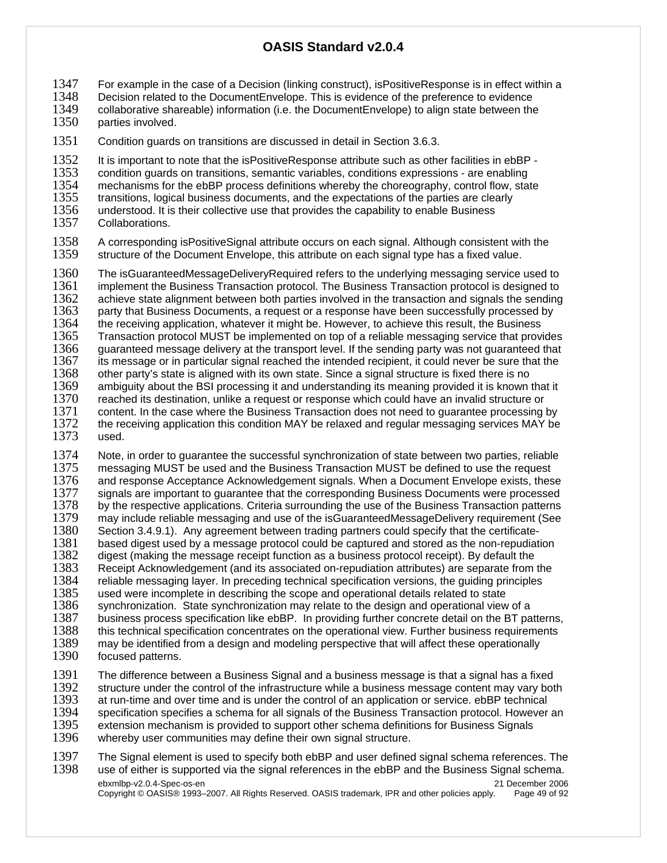1347 For example in the case of a Decision (linking construct), isPositiveResponse is in effect within a 1348 Decision related to the DocumentEnvelope. This is evidence of the preference to evidence

1348 Decision related to the DocumentEnvelope. This is evidence of the preference to evidence<br>1349 Collaborative shareable) information (i.e. the DocumentEnvelope) to align state between the

1349 collaborative shareable) information (i.e. the DocumentEnvelope) to align state between the 1350 parties involved. parties involved.

1351 Condition guards on transitions are discussed in detail in Section 3.6.3.

1352 It is important to note that the isPositiveResponse attribute such as other facilities in ebBP -<br>1353 condition quards on transitions, semantic variables, conditions expressions - are enabling 1353 condition guards on transitions, semantic variables, conditions expressions - are enabling<br>1354 mechanisms for the ebBP process definitions whereby the choreography, control flow, sta 1354 mechanisms for the ebBP process definitions whereby the choreography, control flow, state 1355 transitions. Iodical business documents, and the expectations of the parties are clearly 1355 transitions, logical business documents, and the expectations of the parties are clearly 1356 understood. It is their collective use that provides the capability to enable Business 1356 understood. It is their collective use that provides the capability to enable Business 1357 Collaborations. Collaborations.

1358 A corresponding isPositiveSignal attribute occurs on each signal. Although consistent with the 1359 structure of the Document Envelope. this attribute on each signal type has a fixed value. structure of the Document Envelope, this attribute on each signal type has a fixed value.

1360 The isGuaranteedMessageDeliveryRequired refers to the underlying messaging service used to 1361 implement the Business Transaction protocol. The Business Transaction protocol is designed to 1362 achieve state alignment between both parties involved in the transaction and signals the sending 1362 achieve state alignment between both parties involved in the transaction and signals the sending<br>1363 oarty that Business Documents, a request or a response have been successfully processed by 1363 party that Business Documents, a request or a response have been successfully processed by<br>1364 the receiving application, whatever it might be. However, to achieve this result, the Business 1364 the receiving application, whatever it might be. However, to achieve this result, the Business<br>1365 Transaction protocol MUST be implemented on top of a reliable messaging service that provi 1365 Transaction protocol MUST be implemented on top of a reliable messaging service that provides<br>1366 guaranteed message delivery at the transport level. If the sending party was not quaranteed that 1366 guaranteed message delivery at the transport level. If the sending party was not guaranteed that 1367 its message or in particular signal reached the intended recipient, it could never be sure that the 1367 its message or in particular signal reached the intended recipient, it could never be sure that the 1368 other party's state is aligned with its own state. Since a signal structure is fixed there is no other party's state is aligned with its own state. Since a signal structure is fixed there is no 1369 ambiguity about the BSI processing it and understanding its meaning provided it is known that it 1370 reached its destination, unlike a request or response which could have an invalid structure or 1371 content. In the case where the Business Transaction does not need to guarantee processing by<br>1372 the receiving application this condition MAY be relaxed and regular messaging services MAY be the receiving application this condition MAY be relaxed and regular messaging services MAY be 1373 used.

1374 Note, in order to guarantee the successful synchronization of state between two parties, reliable<br>1375 messaging MUST be used and the Business Transaction MUST be defined to use the request messaging MUST be used and the Business Transaction MUST be defined to use the request 1376 and response Acceptance Acknowledgement signals. When a Document Envelope exists, these<br>1377 signals are important to quarantee that the corresponding Business Documents were processed 1377 signals are important to guarantee that the corresponding Business Documents were processed<br>1378 by the respective applications. Criteria surrounding the use of the Business Transaction patterns by the respective applications. Criteria surrounding the use of the Business Transaction patterns 1379 may include reliable messaging and use of the isGuaranteedMessageDelivery requirement (See<br>1380 Section 3.4.9.1). Any agreement between trading partners could specify that the certificate-Section 3.4.9.1). Any agreement between trading partners could specify that the certificate-1381 based digest used by a message protocol could be captured and stored as the non-repudiation 1382 digest (making the message receipt function as a business protocol receipt). By default the 1383 Receipt Acknowledgement (and its associated on-repudiation attributes) are separate from 1383 Receipt Acknowledgement (and its associated on-repudiation attributes) are separate from the 1384 reliable messaging layer. In preceding technical specification versions, the quiding principles 1384 reliable messaging layer. In preceding technical specification versions, the guiding principles 1385 used were incomplete in describing the scope and operational details related to state 1385 used were incomplete in describing the scope and operational details related to state<br>1386 synchronization. State synchronization may relate to the design and operational view synchronization. State synchronization may relate to the design and operational view of a 1387 business process specification like ebBP. In providing further concrete detail on the BT patterns,<br>1388 this technical specification concentrates on the operational view. Further business requirements 1388 this technical specification concentrates on the operational view. Further business requirements 1389 may be identified from a design and modeling perspective that will affect these operationally may be identified from a design and modeling perspective that will affect these operationally 1390 focused patterns.

1391 The difference between a Business Signal and a business message is that a signal has a fixed<br>1392 Structure under the control of the infrastructure while a business message content may vary bot 1392 structure under the control of the infrastructure while a business message content may vary both 1393 at run-time and over time and is under the control of an application or service. ebBP technical 1393 at run-time and over time and is under the control of an application or service. ebBP technical<br>1394 specification specifies a schema for all signals of the Business Transaction protocol. However 1394 specification specifies a schema for all signals of the Business Transaction protocol. However an 1395 extension mechanism is provided to support other schema definitions for Business Signals 1395 extension mechanism is provided to support other schema definitions for Business Signals<br>1396 whereby user communities may define their own signal structure. whereby user communities may define their own signal structure.

ebxmlbp-v2.0.4-Spec-os-en 21 December 2006 1397 The Signal element is used to specify both ebBP and user defined signal schema references. The 1398 use of either is supported via the signal reference in the ebBP and the Business Signal schema. use of either is supported via the signal references in the ebBP and the Business Signal schema.

Copyright © OASIS® 1993–2007. All Rights Reserved. OASIS trademark, IPR and other policies apply. Page 49 of 92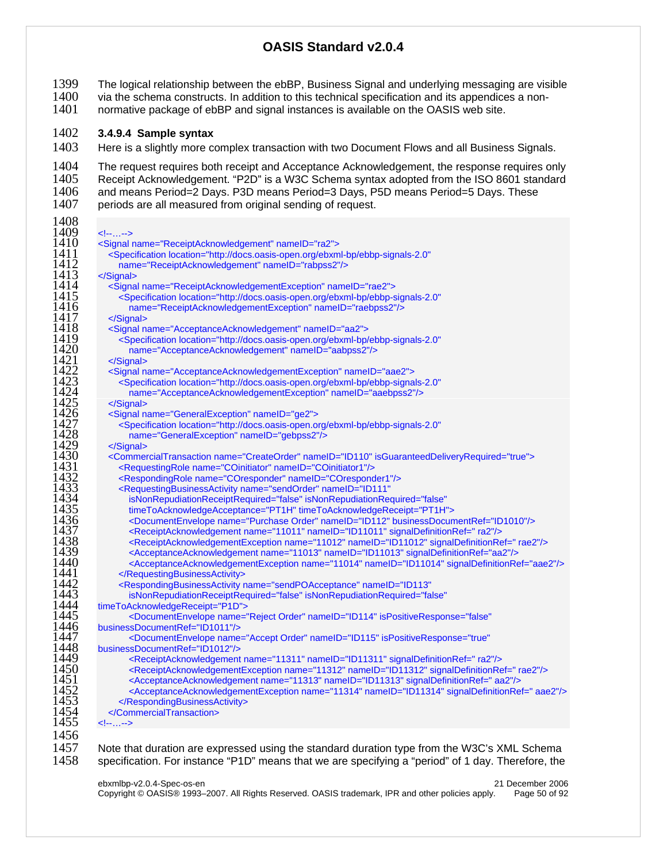- 1399 The logical relationship between the ebBP, Business Signal and underlying messaging are visible<br>1400 via the schema constructs. In addition to this technical specification and its appendices a non-
- via the schema constructs. In addition to this technical specification and its appendices a non-<br> $1401$  normative package of ebBP and signal instances is available on the OASIS web site.
- normative package of ebBP and signal instances is available on the OASIS web site.

## **3.4.9.4 Sample syntax**

1403 Here is a slightly more complex transaction with two Document Flows and all Business Signals.

1404 The request requires both receipt and Acceptance Acknowledgement, the response requires only<br>1405 Receipt Acknowledgement. "P2D" is a W3C Schema syntax adopted from the ISO 8601 standard 1405 Receipt Acknowledgement. "P2D" is a W3C Schema syntax adopted from the ISO 8601 standard<br>1406 and means Period=2 Days. P3D means Period=3 Days. P5D means Period=5 Days. These 1406 and means Period=2 Days. P3D means Period=3 Days, P5D means Period=5 Days. These<br>1407 periods are all measured from original sending of request. periods are all measured from original sending of request. 

| 1408         |                                                                                                                                     |
|--------------|-------------------------------------------------------------------------------------------------------------------------------------|
| 1409         | $\leftarrow$ $\leftarrow$ $\leftarrow$ $\leftarrow$ $\rightarrow$                                                                   |
| 1410         | <signal name="ReceiptAcknowledgement" nameid="ra2"></signal>                                                                        |
| 1411         | <specification <="" location="http://docs.oasis-open.org/ebxml-bp/ebbp-signals-2.0" th=""></specification>                          |
| 1412         | name="ReceiptAcknowledgement" nameID="rabpss2"/>                                                                                    |
| 1413         | $<$ /Signal>                                                                                                                        |
| 1414         | <signal name="ReceiptAcknowledgementException" nameid="rae2"></signal>                                                              |
| 1415         | <specification <="" location="http://docs.oasis-open.org/ebxml-bp/ebbp-signals-2.0" th=""></specification>                          |
| 1416         | name="ReceiptAcknowledgementException" nameID="raebpss2"/>                                                                          |
| 1417         | $<$ /Signal>                                                                                                                        |
| 1418         | <signal name="AcceptanceAcknowledgement" nameid="aa2"></signal>                                                                     |
| 1419         | <specification <="" location="http://docs.oasis-open.org/ebxml-bp/ebbp-signals-2.0" th=""></specification>                          |
| 1420         | name="AcceptanceAcknowledgement" nameID="aabpss2"/>                                                                                 |
| 1421         |                                                                                                                                     |
| 1422         | <signal name="AcceptanceAcknowledgementException" nameid="aae2"></signal>                                                           |
| 1423         | <specification <="" location="http://docs.oasis-open.org/ebxml-bp/ebbp-signals-2.0" th=""></specification>                          |
| 1424         | name="AcceptanceAcknowledgementException" nameID="aaebpss2"/>                                                                       |
| 1425         |                                                                                                                                     |
| 1426         | <signal name="GeneralException" nameid="ge2"></signal>                                                                              |
| 1427         | <specification <="" location="http://docs.oasis-open.org/ebxml-bp/ebbp-signals-2.0" th=""></specification>                          |
| 1428         | name="GeneralException" nameID="gebpss2"/>                                                                                          |
| 1429         |                                                                                                                                     |
| 1430         | <commercialtransaction isguaranteeddeliveryrequired="true" name="CreateOrder" nameid="ID110"></commercialtransaction>               |
| 1431         | <requestingrole name="COinitiator" nameid="COinitiator1"></requestingrole>                                                          |
| 1432         | <respondingrole name="COresponder" nameid="COresponder1"></respondingrole>                                                          |
| 1433         | <requestingbusinessactivity <="" name="sendOrder" nameid="ID111" th=""></requestingbusinessactivity>                                |
| 1434         | isNonRepudiationReceiptRequired="false" isNonRepudiationRequired="false"                                                            |
| 1435         | timeToAcknowledgeAcceptance="PT1H" timeToAcknowledgeReceipt="PT1H">                                                                 |
| 1436         | <documentenvelope businessdocumentref="ID1010" name="Purchase Order" nameid="ID112"></documentenvelope>                             |
| 1437         | <receiptacknowledgement name="11011" nameid="ID11011" signaldefinitionref=" ra2"></receiptacknowledgement>                          |
| 1438         | <receiptacknowledgementexception name="11012" nameid="ID11012" signaldefinitionref="rae2"></receiptacknowledgementexception>        |
| 1439         | <acceptanceacknowledgement name="11013" nameid="ID11013" signaldefinitionref="aa2"></acceptanceacknowledgement>                     |
| 1440         | <acceptanceacknowledgementexception name="11014" nameid="ID11014" signaldefinitionref="aae2"></acceptanceacknowledgementexception>  |
| 1441         |                                                                                                                                     |
| 1442         | <respondingbusinessactivity <="" name="sendPOAcceptance" nameid="ID113" th=""></respondingbusinessactivity>                         |
| 1443         | isNonRepudiationReceiptRequired="false" isNonRepudiationRequired="false"                                                            |
| 1444         | timeToAcknowledgeReceipt="P1D">                                                                                                     |
| 1445         | <documentenvelope <="" ispositiveresponse="false" name="Reject Order" nameid="ID114" th=""></documentenvelope>                      |
| 1446         | businessDocumentRef="ID1011"/>                                                                                                      |
| 1447         | <documentenvelope <="" ispositiveresponse="true" name="Accept Order" nameid="ID115" th=""></documentenvelope>                       |
| 1448<br>1449 | businessDocumentRef="ID1012"/>                                                                                                      |
|              | <receiptacknowledgement name="11311" nameid="ID11311" signaldefinitionref=" ra2"></receiptacknowledgement>                          |
| 1450         | <receiptacknowledgementexception name="11312" nameid="ID11312" signaldefinitionref="rae2"></receiptacknowledgementexception>        |
| 1451         | <acceptanceacknowledgement name="11313" nameid="ID11313" signaldefinitionref=" aa2"></acceptanceacknowledgement>                    |
| 1452<br>1453 | <acceptanceacknowledgementexception name="11314" nameid="ID11314" signaldefinitionref=" aae2"></acceptanceacknowledgementexception> |
| 1454         |                                                                                                                                     |
| 1455         |                                                                                                                                     |
|              | $\leftarrow$ $\leftarrow$ $\leftarrow$ $\leftarrow$ $\rightarrow$                                                                   |
| 1456         |                                                                                                                                     |
| 1457         | Note that duration are expressed using the standard duration type from the W3C's XML Schema                                         |

specification. For instance "P1D" means that we are specifying a "period" of 1 day. Therefore, the

ebxmlbp-v2.0.4-Spec-os-en 21 December 2006 Copyright © OASIS® 1993–2007. All Rights Reserved. OASIS trademark, IPR and other policies apply. Page 50 of 92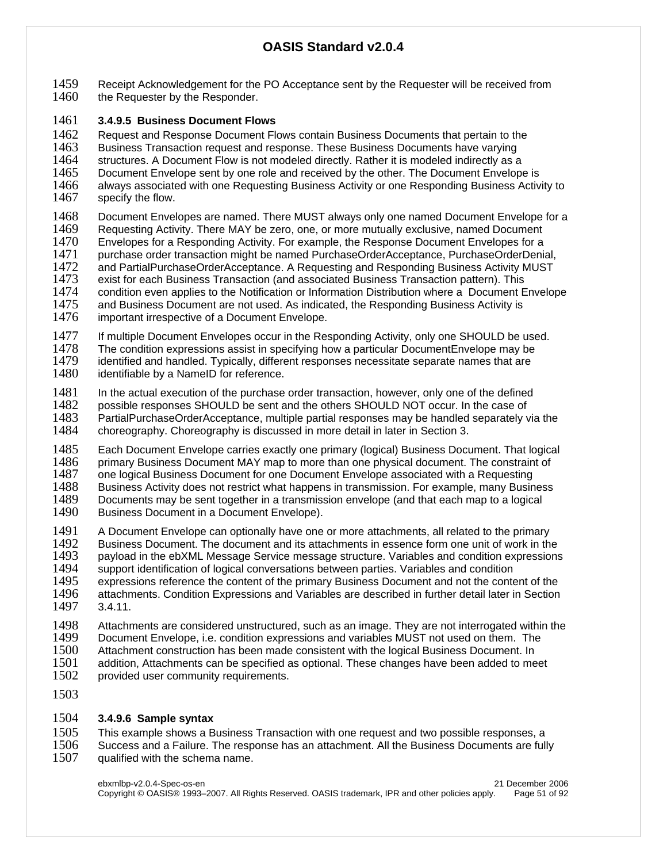1459 Receipt Acknowledgement for the PO Acceptance sent by the Requester will be received from<br>1460 the Requester by the Responder. the Requester by the Responder.

## 1461 **3.4.9.5 Business Document Flows**

1462 Request and Response Document Flows contain Business Documents that pertain to the 1463 Business Transaction request and response. These Business Documents have varying

- 1464 structures. A Document Flow is not modeled directly. Rather it is modeled indirectly as a<br>1465 Document Envelope sent by one role and received by the other. The Document Envelope 1465 Document Envelope sent by one role and received by the other. The Document Envelope is 1466 always associated with one Requesting Business Active 1466 always associated with one Requesting Business Activity or one Responding Business Activity to 1467 specify the flow.
- specify the flow.
- 1468 Document Envelopes are named. There MUST always only one named Document Envelope for a<br>1469 Requesting Activity. There MAY be zero, one, or more mutually exclusive, named Document Requesting Activity. There MAY be zero, one, or more mutually exclusive, named Document 1470 Envelopes for a Responding Activity. For example, the Response Document Envelopes for a<br>1471 Unurchase order transaction might be named PurchaseOrderAcceptance, PurchaseOrderDenia purchase order transaction might be named PurchaseOrderAcceptance, PurchaseOrderDenial, 1472 and PartialPurchaseOrderAcceptance. A Requesting and Responding Business Activity MUST 1473 exist for each Business Transaction (and associated Business Transaction pattern). This<br>1474 condition even applies to the Notification or Information Distribution where a Document E 1474 condition even applies to the Notification or Information Distribution where a Document Envelope<br>1475 and Business Document are not used. As indicated, the Responding Business Activity is 1475 and Business Document are not used. As indicated, the Responding Business Activity is 1476 important irrespective of a Document Envelope.
- important irrespective of a Document Envelope.
- 1477 If multiple Document Envelopes occur in the Responding Activity, only one SHOULD be used.<br>1478 The condition expressions assist in specifying how a particular DocumentEnvelope may be
- 1478 The condition expressions assist in specifying how a particular DocumentEnvelope may be<br>1479 identified and handled. Typically, different responses necessitate separate names that are 1479 identified and handled. Typically, different responses necessitate separate names that are 1480 identifiable by a NamelD for reference.
- identifiable by a NameID for reference.
- 1481 In the actual execution of the purchase order transaction, however, only one of the defined 1482 possible responses SHOULD be sent and the others SHOULD NOT occur. In the case of 1483 PartialPurchaseOrderAcceptance, multiple partial responses may be handled separately y 1483 PartialPurchaseOrderAcceptance, multiple partial responses may be handled separately via the choreography. Choreography is discussed in more detail in later in Section 3.
- 1485 Each Document Envelope carries exactly one primary (logical) Business Document. That logical<br>1486 primary Business Document MAY map to more than one physical document. The constraint of 1486 primary Business Document MAY map to more than one physical document. The constraint of 1487 one logical Business Document for one Document Envelope associated with a Requesting 1487 one logical Business Document for one Document Envelope associated with a Requesting<br>1488 Business Activity does not restrict what happens in transmission. For example, many Busin 1488 Business Activity does not restrict what happens in transmission. For example, many Business 1489 Documents may be sent together in a transmission envelope (and that each map to a logical Documents may be sent together in a transmission envelope (and that each map to a logical 1490 Business Document in a Document Envelope).
- 1491 A Document Envelope can optionally have one or more attachments, all related to the primary<br>1492 Business Document. The document and its attachments in essence form one unit of work in the 1492 Business Document. The document and its attachments in essence form one unit of work in the 1493 payload in the ebXML Message Service message structure. Variables and condition expressions 1493 payload in the ebXML Message Service message structure. Variables and condition expressions 1494 support identification of logical conversations between parties. Variables and condition 1494 support identification of logical conversations between parties. Variables and condition 1495 expressions reference the content of the primary Business Document and not the content 1495 expressions reference the content of the primary Business Document and not the content of the 1496 attachments. Condition Expressions and Variables are described in further detail later in Section attachments. Condition Expressions and Variables are described in further detail later in Section 1497 3.4.11.
- 1498 Attachments are considered unstructured, such as an image. They are not interrogated within the 1499 Document Envelope. i.e. condition expressions and variables MUST not used on them. The 1499 Document Envelope, i.e. condition expressions and variables MUST not used on them. The 1500 Attachment construction has been made consistent with the logical Business Document. In 1500 Attachment construction has been made consistent with the logical Business Document. In 1501 addition, Attachments can be specified as optional. These changes have been added to me addition, Attachments can be specified as optional. These changes have been added to meet 1502 provided user community requirements.
- 1503

## 1504 **3.4.9.6 Sample syntax**

1505 This example shows a Business Transaction with one request and two possible responses, a<br>1506 Success and a Failure. The response has an attachment. All the Business Documents are full 1506 Success and a Failure. The response has an attachment. All the Business Documents are fully 1507 ualified with the schema name. qualified with the schema name.

ebxmlbp-v2.0.4-Spec-os-en 21 December 2006 Copyright © OASIS® 1993–2007. All Rights Reserved. OASIS trademark, IPR and other policies apply. Page 51 of 92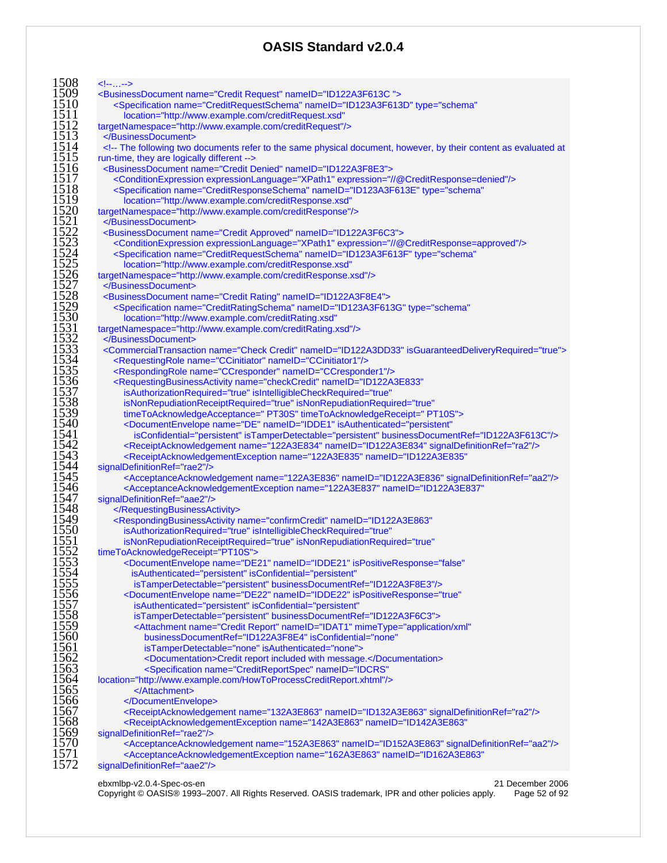| <specification <="" name="CreditRequestSchema" nameid="ID123A3F613D" th="" type="schema"></specification>                                                                     |
|-------------------------------------------------------------------------------------------------------------------------------------------------------------------------------|
| location="http://www.example.com/creditRequest.xsd"                                                                                                                           |
| targetNamespace="http://www.example.com/creditRequest"/><br>                                                                                                                  |
| The following two documents refer to the same physical document, however, by their content as evaluated at</td></tr><tr><td>run-time, they are logically different            |
| <businessdocument name="Credit Denied" nameid="ID122A3F8E3"></businessdocument>                                                                                               |
| <conditionexpression expression="//@CreditResponse=denied" expressionlanguage="XPath1"></conditionexpression>                                                                 |
| <specification <="" name="CreditResponseSchema" nameid="ID123A3F613E" td="" type="schema"></specification>                                                                    |
| location="http://www.example.com/creditResponse.xsd"                                                                                                                          |
| targetNamespace="http://www.example.com/creditResponse"/><br>                                                                                                                 |
| <businessdocument name="Credit Approved" nameid="ID122A3F6C3"></businessdocument>                                                                                             |
| <conditionexpression expression="//@CreditResponse=approved" expressionlanguage="XPath1"></conditionexpression>                                                               |
| <specification <="" name="CreditRequestSchema" nameid="ID123A3F613F" td="" type="schema"></specification>                                                                     |
| location="http://www.example.com/creditResponse.xsd"                                                                                                                          |
| targetNamespace="http://www.example.com/creditResponse.xsd"/>                                                                                                                 |
|                                                                                                                                                                               |
| <businessdocument name="Credit Rating" nameid="ID122A3F8E4"></businessdocument>                                                                                               |
| <specification <="" name="CreditRatingSchema" nameid="ID123A3F613G" td="" type="schema"></specification>                                                                      |
| location="http://www.example.com/creditRating.xsd"                                                                                                                            |
| targetNamespace="http://www.example.com/creditRating.xsd"/>                                                                                                                   |
| <br><commercialtransaction isguaranteeddeliveryrequired="true" name="Check Credit" nameid="ID122A3DD33"></commercialtransaction>                                              |
| <requestingrole name="CCinitiator" nameid="CCinitiator1"></requestingrole>                                                                                                    |
| <respondingrole name="CCresponder" nameid="CCresponder1"></respondingrole>                                                                                                    |
| <requestingbusinessactivity <="" name="checkCredit" nameid="ID122A3E833" td=""></requestingbusinessactivity>                                                                  |
| isAuthorizationRequired="true" isIntelligibleCheckRequired="true"                                                                                                             |
| isNonRepudiationReceiptRequired="true" isNonRepudiationRequired="true"                                                                                                        |
| timeToAcknowledgeAcceptance=" PT30S" timeToAcknowledgeReceipt=" PT10S">                                                                                                       |
| <documentenvelope <="" isauthenticated="persistent" name="DE" nameid="IDDE1" td=""></documentenvelope>                                                                        |
| isConfidential="persistent" isTamperDetectable="persistent" businessDocumentRef="ID122A3F613C"/>                                                                              |
| <receiptacknowledgement name="122A3E834" nameid="ID122A3E834" signaldefinitionref="ra2"></receiptacknowledgement>                                                             |
| <receiptacknowledgementexception <="" name="122A3E835" nameid="ID122A3E835" td=""></receiptacknowledgementexception>                                                          |
| signalDefinitionRef="rae2"/><br><acceptanceacknowledgement name="122A3E836" nameid="ID122A3E836" signaldefinitionref="aa2"></acceptanceacknowledgement>                       |
| <acceptanceacknowledgementexception <="" name="122A3E837" nameid="ID122A3E837" td=""></acceptanceacknowledgementexception>                                                    |
| signalDefinitionRef="aae2"/>                                                                                                                                                  |
|                                                                                                                                                                               |
| <respondingbusinessactivity <="" name="confirmCredit" nameid="ID122A3E863" td=""></respondingbusinessactivity>                                                                |
| isAuthorizationRequired="true" isIntelligibleCheckRequired="true"                                                                                                             |
| isNonRepudiationReceiptRequired="true" isNonRepudiationRequired="true"                                                                                                        |
| timeToAcknowledgeReceipt="PT10S">                                                                                                                                             |
| <documentenvelope <="" ispositiveresponse="false" name="DE21" nameid="IDDE21" td=""></documentenvelope>                                                                       |
| isAuthenticated="persistent" isConfidential="persistent"                                                                                                                      |
| isTamperDetectable="persistent" businessDocumentRef="ID122A3F8E3"/><br><documentenvelope <="" ispositiveresponse="true" name="DE22" nameid="IDDE22" td=""></documentenvelope> |
| isAuthenticated="persistent" isConfidential="persistent"                                                                                                                      |
| isTamperDetectable="persistent" businessDocumentRef="ID122A3F6C3">                                                                                                            |
| <attachment <="" mimetype="application/xml" name="Credit Report" nameid="IDAT1" td=""></attachment>                                                                           |
| businessDocumentRef="ID122A3F8E4" isConfidential="none"                                                                                                                       |
| isTamperDetectable="none" isAuthenticated="none">                                                                                                                             |
| <documentation>Credit report included with message.</documentation>                                                                                                           |
| <specification <="" name="CreditReportSpec" nameid="IDCRS" td=""></specification>                                                                                             |
| location="http://www.example.com/HowToProcessCreditReport.xhtml"/>                                                                                                            |
|                                                                                                                                                                               |
|                                                                                                                                                                               |
| <receiptacknowledgement name="132A3E863" nameid="ID132A3E863" signaldefinitionref="ra2"></receiptacknowledgement>                                                             |
| <receiptacknowledgementexception <="" name="142A3E863" nameid="ID142A3E863" td=""></receiptacknowledgementexception>                                                          |
| signalDefinitionRef="rae2"/><br><acceptanceacknowledgement name="152A3E863" nameid="ID152A3E863" signaldefinitionref="aa2"></acceptanceacknowledgement>                       |
|                                                                                                                                                                               |
| <acceptanceacknowledgementexception <="" name="162A3E863" nameid="ID162A3E863" td=""></acceptanceacknowledgementexception>                                                    |

Copyright © OASIS® 1993–2007. All Rights Reserved. OASIS trademark, IPR and other policies apply. Page 52 of 92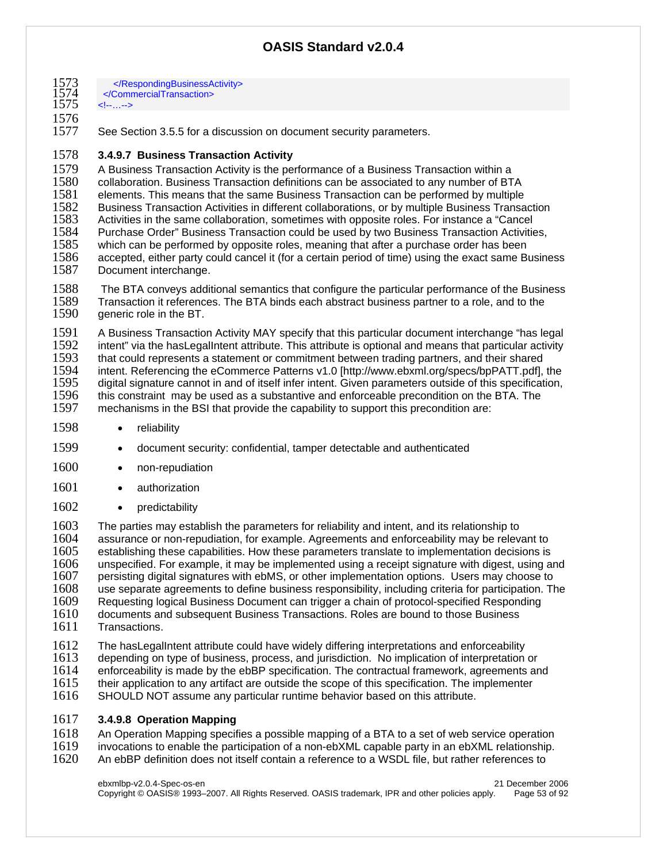| 1573<br>1574<br>1575 | <br><br>…                       |
|----------------------|---------------------------------|
| 1576                 |                                 |
| 1577                 | See Section 3.5.5 for a discuss |

See Section 3.5.5 for a discussion on document security parameters.

#### 1578 **3.4.9.7 Business Transaction Activity**

1579 A Business Transaction Activity is the performance of a Business Transaction within a<br>1580 Collaboration, Business Transaction definitions can be associated to any number of BT 1580 collaboration. Business Transaction definitions can be associated to any number of BTA 1581 elements. This means that the same Business Transaction can be performed by multiple<br>1582 Business Transaction Activities in different collaborations, or by multiple Business Transa 1582 Business Transaction Activities in different collaborations, or by multiple Business Transaction 1583 Activities in the same collaboration, sometimes with opposite roles. For instance a "Cancel 1584 Purchase Order" Business Transaction could be used by two Business Transaction Activities,<br>1585 which can be performed by opposite roles, meaning that after a purchase order has been 1585 which can be performed by opposite roles, meaning that after a purchase order has been<br>1586 accepted, either party could cancel it (for a certain period of time) using the exact same B 1586 accepted, either party could cancel it (for a certain period of time) using the exact same Business 1587 Document interchange. Document interchange.

1588 The BTA conveys additional semantics that configure the particular performance of the Business<br>1589 Transaction it references. The BTA binds each abstract business partner to a role, and to the Transaction it references. The BTA binds each abstract business partner to a role, and to the 1590 generic role in the BT.

1591 A Business Transaction Activity MAY specify that this particular document interchange "has legal<br>1592 intent" via the hasLegalIntent attribute. This attribute is optional and means that particular activity 1592 intent" via the hasLegalIntent attribute. This attribute is optional and means that particular activity<br>1593 that could represents a statement or commitment between trading partners, and their shared 1593 that could represents a statement or commitment between trading partners, and their shared<br>1594 intent. Referencing the eCommerce Patterns v1.0 [http://www.ebxml.org/specs/bpPATT.pdf]. 1594 intent. Referencing the eCommerce Patterns v1.0 [http://www.ebxml.org/specs/bpPATT.pdf], the 1595 digital signature cannot in and of itself infer intent. Given parameters outside of this specification,<br>1596 this constraint may be used as a substantive and enforceable precondition on the BTA. The 1596 this constraint may be used as a substantive and enforceable precondition on the BTA. The 1597 mechanisms in the BSI that provide the capability to support this precondition are: mechanisms in the BSI that provide the capability to support this precondition are:

- 1598 · reliability
- 1599 document security: confidential, tamper detectable and authenticated
- 1600 · non-repudiation
- 1601 authorization
- 1602 predictability

1603 The parties may establish the parameters for reliability and intent, and its relationship to 1604 assurance or non-repudiation, for example, Agreements and enforceability may be relevi-1604 assurance or non-repudiation, for example. Agreements and enforceability may be relevant to 1605 establishing these capabilities. How these parameters translate to implementation decisions is establishing these capabilities. How these parameters translate to implementation decisions is 1606 unspecified. For example, it may be implemented using a receipt signature with digest, using and 1607 upsta<br>1607 persisting digital signatures with ebMS, or other implementation options. Users may choose to 1607 persisting digital signatures with ebMS, or other implementation options. Users may choose to 1608 use separate agreements to define business responsibility, including criteria for participation. The use separate agreements to define business responsibility, including criteria for participation. The 1609 Requesting logical Business Document can trigger a chain of protocol-specified Responding<br>1610 documents and subsequent Business Transactions. Roles are bound to those Business documents and subsequent Business Transactions. Roles are bound to those Business 1611 Transactions.

1612 The hasLegalIntent attribute could have widely differing interpretations and enforceability<br>1613 depending on type of business, process, and iurisdiction. No implication of interpretation 1613 depending on type of business, process, and jurisdiction. No implication of interpretation or 1614 enforceability is made by the ebBP specification. The contractual framework, agreements and

- 1614 enforceability is made by the ebBP specification. The contractual framework, agreements and 1615 their application to any artifact are outside the scope of this specification. The implementer
- 1615 their application to any artifact are outside the scope of this specification. The implementer 1616 SHOULD NOT assume any particular runtime behavior based on this attribute. SHOULD NOT assume any particular runtime behavior based on this attribute.

#### 1617 **3.4.9.8 Operation Mapping**

- 1618 An Operation Mapping specifies a possible mapping of a BTA to a set of web service operation<br>1619 invocations to enable the participation of a non-ebXML capable party in an ebXML relationship. invocations to enable the participation of a non-ebXML capable party in an ebXML relationship.
- 1620 An ebBP definition does not itself contain a reference to a WSDL file, but rather references to

ebxmlbp-v2.0.4-Spec-os-en 21 December 2006 Copyright © OASIS® 1993–2007. All Rights Reserved. OASIS trademark, IPR and other policies apply. Page 53 of 92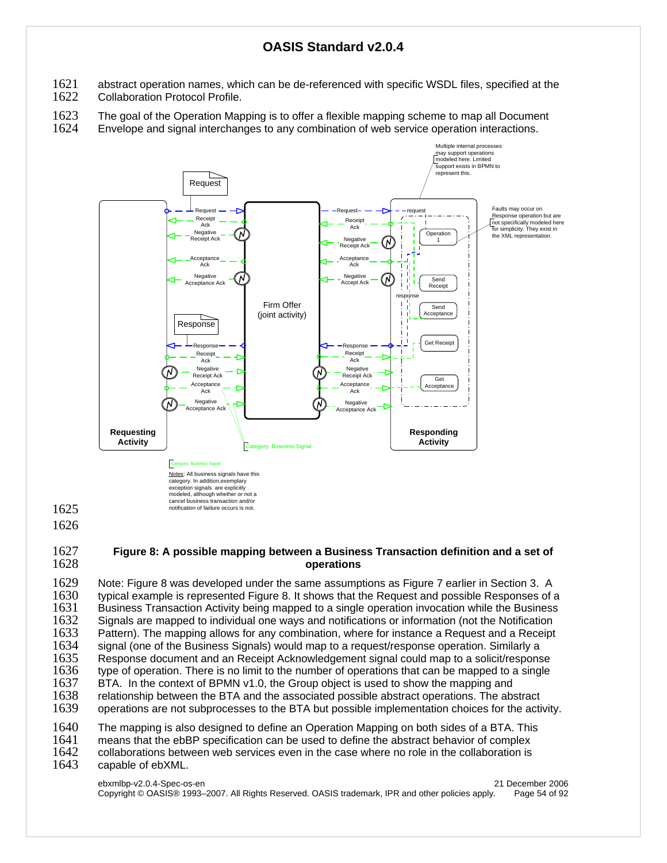- 1621 abstract operation names, which can be de-referenced with specific WSDL files, specified at the 1622 Collaboration Protocol Profile.
- Collaboration Protocol Profile.
- 1623 The goal of the Operation Mapping is to offer a flexible mapping scheme to map all Document 1624 Envelope and signal interchanges to any combination of web service operation interactions. Envelope and signal interchanges to any combination of web service operation interactions.



#### 1627 **Figure 8: A possible mapping between a Business Transaction definition and a set of**  1628 **operations**

1629 Note: Figure 8 was developed under the same assumptions as Figure 7 earlier in Section 3. A<br>1630 troical example is represented Figure 8. It shows that the Request and possible Responses of a 1630 typical example is represented Figure 8. It shows that the Request and possible Responses of a 1631 Business Transaction Activity being mapped to a single operation invocation while the Business<br>1632 Signals are mapped to individual one ways and notifications or information (not the Notification Signals are mapped to individual one ways and notifications or information (not the Notification 1633 Pattern). The mapping allows for any combination, where for instance a Request and a Receipt 1634 signal (one of the Business Signals) would map to a request/response operation. Similarly a<br>1635 Response document and an Receipt Acknowledgement signal could map to a solicit/respons Response document and an Receipt Acknowledgement signal could map to a solicit/response 1636 type of operation. There is no limit to the number of operations that can be mapped to a single 1637 BTA. In the context of BPMN v1.0, the Group object is used to show the mapping and 1637 BTA. In the context of BPMN v1.0, the Group object is used to show the mapping and 1638 relationship between the BTA and the associated possible abstract operations. The abs 1638 relationship between the BTA and the associated possible abstract operations. The abstract 1639 operations are not subprocesses to the BTA but possible implementation choices for the acti operations are not subprocesses to the BTA but possible implementation choices for the activity. 1640 The mapping is also designed to define an Operation Mapping on both sides of a BTA. This 1641 Internal and the ebBP specification can be used to define the abstract behavior of complex

1641 means that the ebBP specification can be used to define the abstract behavior of complex 1642 collaborations between web services even in the case where no role in the collaboration is

- 1642 collaborations between web services even in the case where no role in the collaboration is <br>1643 capable of ebXML.
- capable of ebXML.

1625 1626

> ebxmlbp-v2.0.4-Spec-os-en 21 December 2006 Copyright © OASIS® 1993–2007. All Rights Reserved. OASIS trademark, IPR and other policies apply. Page 54 of 92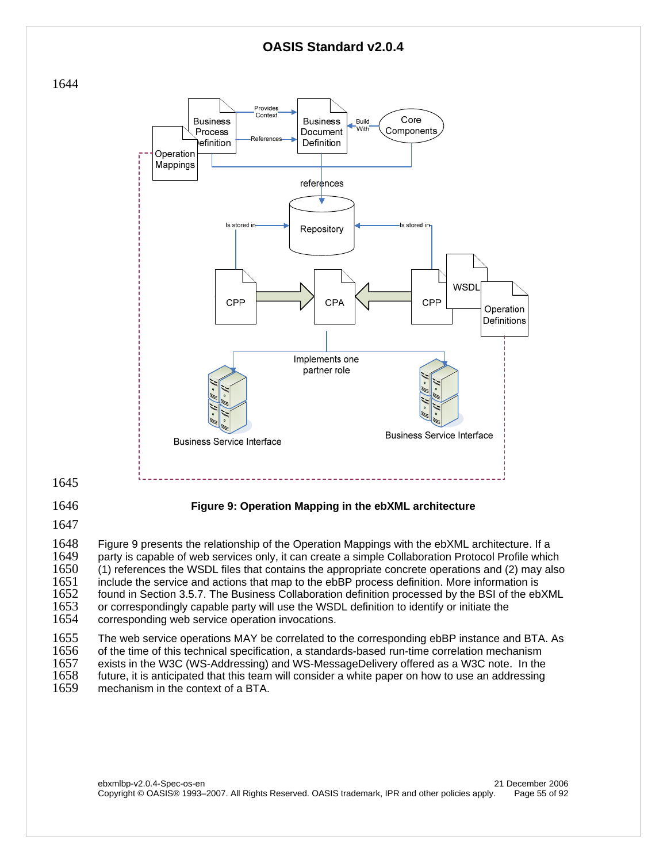



1645

## 1646 **Figure 9: Operation Mapping in the ebXML architecture**

1647

1648 Figure 9 presents the relationship of the Operation Mappings with the ebXML architecture. If a 1649 party is capable of web services only, it can create a simple Collaboration Protocol Profile which<br>1650 (1) references the WSDL files that contains the appropriate concrete operations and (2) may also 1650 (1) references the WSDL files that contains the appropriate concrete operations and (2) may also 1651 include the service and actions that map to the ebBP process definition. More information is 1651 include the service and actions that map to the ebBP process definition. More information is 1652 found in Section 3.5.7. The Business Collaboration definition processed by the BSI of the eb 1652 found in Section 3.5.7. The Business Collaboration definition processed by the BSI of the ebXML<br>1653 or correspondingly capable party will use the WSDL definition to identify or initiate the 1653 or correspondingly capable party will use the WSDL definition to identify or initiate the 1654 corresponding web service operation invocations. corresponding web service operation invocations.

1655 The web service operations MAY be correlated to the corresponding ebBP instance and BTA. As 1656 of the time of this technical specification. a standards-based run-time correlation mechanism 1656 of the time of this technical specification, a standards-based run-time correlation mechanism<br>1657 exists in the W3C (WS-Addressing) and WS-MessageDelivery offered as a W3C note. In the exists in the W3C (WS-Addressing) and WS-MessageDelivery offered as a W3C note. In the 1658 future, it is anticipated that this team will consider a white paper on how to use an addressing 1659 mechanism in the context of a BTA. mechanism in the context of a BTA.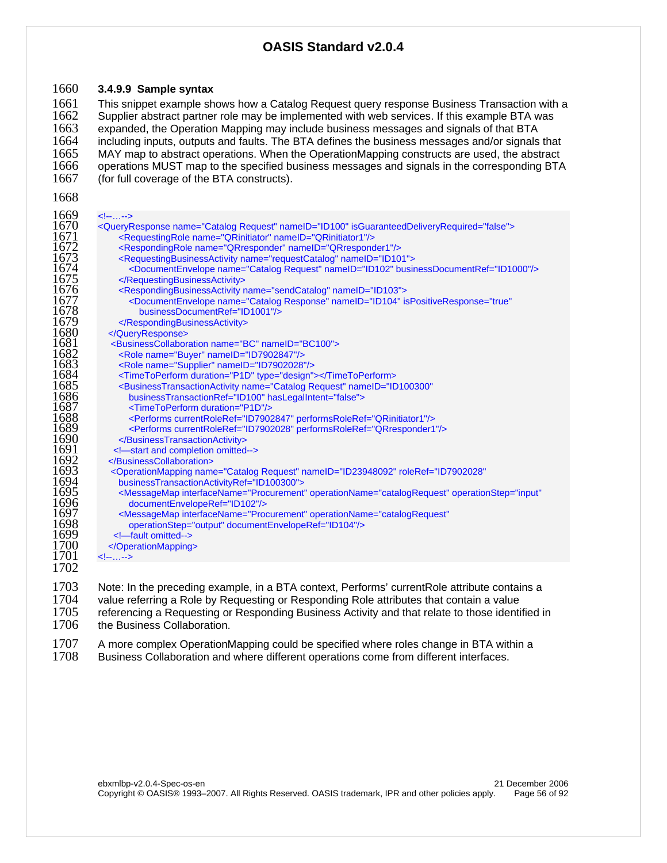#### **3.4.9.9 Sample syntax**

1661 This snippet example shows how a Catalog Request query response Business Transaction with a<br>1662 Supplier abstract partner role may be implemented with web services. If this example BTA was 1662 Supplier abstract partner role may be implemented with web services. If this example BTA was<br>1663 expanded, the Operation Mapping may include business messages and signals of that BTA expanded, the Operation Mapping may include business messages and signals of that BTA including inputs, outputs and faults. The BTA defines the business messages and/or signals that 1665 MAY map to abstract operations. When the OperationMapping constructs are used, the abstract 1666 operations MUST map to the specified business messages and signals in the corresponding BTA 1666 operations MUST map to the specified business messages and signals in the corresponding BTA<br>1667 (for full coverage of the BTA constructs). (for full coverage of the BTA constructs).

| 1669 | $\leftarrow$ ---->                                                                                                    |
|------|-----------------------------------------------------------------------------------------------------------------------|
| 1670 | <queryresponse isguaranteeddeliveryrequired="false" name="Catalog Request" nameid="ID100"></queryresponse>            |
| 1671 | <requestingrole name="QRinitiator" nameid="QRinitiator1"></requestingrole>                                            |
| 1672 | <respondingrole name="QRresponder" nameid="QRresponder1"></respondingrole>                                            |
| 1673 | <requestingbusinessactivity name="requestCatalog" nameid="ID101"></requestingbusinessactivity>                        |
| 1674 | <documentenvelope businessdocumentref="ID1000" name="Catalog Request" nameid="ID102"></documentenvelope>              |
| 1675 |                                                                                                                       |
| 1676 | <respondingbusinessactivity name="sendCatalog" nameid="ID103"></respondingbusinessactivity>                           |
| 1677 | <documentenvelope <="" ispositiveresponse="true" name="Catalog Response" nameid="ID104" th=""></documentenvelope>     |
| 1678 | businessDocumentRef="ID1001"/>                                                                                        |
| 1679 |                                                                                                                       |
| 1680 |                                                                                                                       |
| 1681 | <businesscollaboration name="BC" nameid="BC100"></businesscollaboration>                                              |
| 1682 | <role name="Buyer" nameid="ID7902847"></role>                                                                         |
| 1683 | <role name="Supplier" nameid="ID7902028"></role>                                                                      |
| 1684 | <timetoperform duration="P1D" type="design"></timetoperform>                                                          |
| 1685 | <businesstransactionactivity <="" name="Catalog Request" nameid="ID100300" th=""></businesstransactionactivity>       |
| 1686 | businessTransactionRef="ID100" hasLegalIntent="false">                                                                |
| 1687 | <timetoperform duration="P1D"></timetoperform>                                                                        |
| 1688 | <performs currentroleref="ID7902847" performsroleref="QRinitiator1"></performs>                                       |
| 1689 | <performs currentroleref="ID7902028" performsroleref="QRresponder1"></performs>                                       |
| 1690 |                                                                                                                       |
| 1691 | -start and completion omitted                                                                                         |
| 1692 |                                                                                                                       |
| 1693 | <operationmapping <="" name="Catalog Request" nameid="ID23948092" roleref="ID7902028" th=""></operationmapping>       |
| 1694 | businessTransactionActivityRef="ID100300">                                                                            |
| 1695 | <messagemap <="" interfacename="Procurement" operationname="catalogRequest" operationstep="input" th=""></messagemap> |
| 1696 | documentEnvelopeRef="ID102"/>                                                                                         |
| 1697 | <messagemap <="" interfacename="Procurement" operationname="catalogRequest" th=""></messagemap>                       |
| 1698 | operationStep="output" documentEnvelopeRef="ID104"/>                                                                  |
| 1699 | -fault omitted--                                                                                                      |
| 1700 |                                                                                                                       |
| 1701 | $\leftarrow$                                                                                                          |
| 1702 |                                                                                                                       |
|      |                                                                                                                       |

1703 Note: In the preceding example, in a BTA context, Performs' currentRole attribute contains a<br>1704 value referring a Role by Requesting or Responding Role attributes that contain a value 1704 value referring a Role by Requesting or Responding Role attributes that contain a value<br>1705 Feferencing a Requesting or Responding Business Activity and that relate to those identi 1705 referencing a Requesting or Responding Business Activity and that relate to those identified in 1706 the Business Collaboration. the Business Collaboration.

1707 A more complex OperationMapping could be specified where roles change in BTA within a<br>1708 Business Collaboration and where different operations come from different interfaces. Business Collaboration and where different operations come from different interfaces.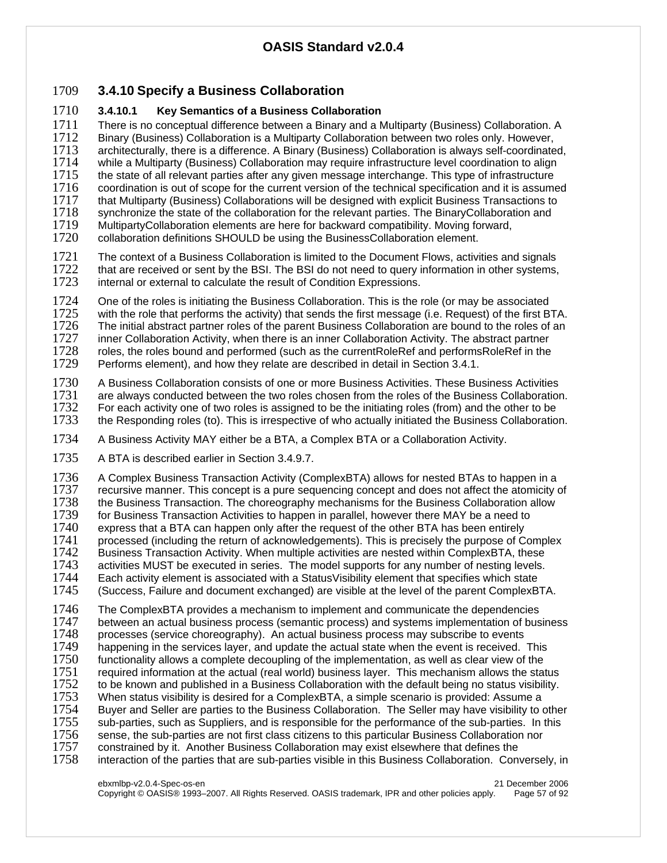## 1709 **3.4.10 Specify a Business Collaboration**

## 1710 **3.4.10.1 Key Semantics of a Business Collaboration**

1711 There is no conceptual difference between a Binary and a Multiparty (Business) Collaboration. A<br>1712 Binary (Business) Collaboration is a Multiparty Collaboration between two roles only. However. 1712 Binary (Business) Collaboration is a Multiparty Collaboration between two roles only. However, 1713 architecturally, there is a difference. A Binary (Business) Collaboration is always self-coordinate 1713 architecturally, there is a difference. A Binary (Business) Collaboration is always self-coordinated,<br>1714 while a Multiparty (Business) Collaboration may require infrastructure level coordination to align 1714 while a Multiparty (Business) Collaboration may require infrastructure level coordination to align<br>1715 the state of all relevant parties after any given message interchange. This type of infrastructure 1715 the state of all relevant parties after any given message interchange. This type of infrastructure 1716 coordination is out of scope for the current version of the technical specification and it is assume 1716 coordination is out of scope for the current version of the technical specification and it is assumed<br>1717 that Multiparty (Business) Collaborations will be designed with explicit Business Transactions to 1717 that Multiparty (Business) Collaborations will be designed with explicit Business Transactions to 1718 synchronize the state of the collaboration for the relevant parties. The BinaryCollaboration and

1718 synchronize the state of the collaboration for the relevant parties. The BinaryCollaboration and 1719 MultipartyCollaboration elements are here for backward compatibility. Moving forward,

1719 MultipartyCollaboration elements are here for backward compatibility. Moving forward,<br>1720 Collaboration definitions SHOULD be using the BusinessCollaboration element. collaboration definitions SHOULD be using the BusinessCollaboration element.

1721 The context of a Business Collaboration is limited to the Document Flows, activities and signals<br>1722 that are received or sent by the BSI. The BSI do not need to query information in other systems. 1722 that are received or sent by the BSI. The BSI do not need to query information in other systems,<br>1723 internal or external to calculate the result of Condition Expressions. internal or external to calculate the result of Condition Expressions.

1724 One of the roles is initiating the Business Collaboration. This is the role (or may be associated 1725 with the role that performs the activity) that sends the first message (i.e. Request) of the first BTA.<br>1726 The initial abstract partner roles of the parent Business Collaboration are bound to the roles of an 1726 The initial abstract partner roles of the parent Business Collaboration are bound to the roles of an 1727 inner Collaboration Activity, when there is an inner Collaboration are bound to the abstract partner inner Collaboration Activity, when there is an inner Collaboration Activity. The abstract partner 1728 roles, the roles bound and performed (such as the currentRoleRef and performsRoleRef in the 1729 Performs element), and how they relate are described in detail in Section 3.4.1. Performs element), and how they relate are described in detail in Section 3.4.1.

1730 A Business Collaboration consists of one or more Business Activities. These Business Activities<br>1731 are always conducted between the two roles chosen from the roles of the Business Collaboration 1731 are always conducted between the two roles chosen from the roles of the Business Collaboration.<br>1732 For each activity one of two roles is assigned to be the initiating roles (from) and the other to be 1732 For each activity one of two roles is assigned to be the initiating roles (from) and the other to be 1733 the Responding roles (to). This is irrespective of who actually initiated the Business Collaboration the Responding roles (to). This is irrespective of who actually initiated the Business Collaboration.

1734 A Business Activity MAY either be a BTA, a Complex BTA or a Collaboration Activity.

1735 A BTA is described earlier in Section 3.4.9.7.

1736 A Complex Business Transaction Activity (ComplexBTA) allows for nested BTAs to happen in a<br>1737 recursive manner. This concept is a pure sequencing concept and does not affect the atomicity of 1737 recursive manner. This concept is a pure sequencing concept and does not affect the atomicity of 1738 the Business Transaction. The choreography mechanisms for the Business Collaboration allow 1738 the Business Transaction. The choreography mechanisms for the Business Collaboration allow<br>1739 for Business Transaction Activities to happen in parallel, however there MAY be a need to 1739 for Business Transaction Activities to happen in parallel, however there MAY be a need to 1740 express that a BTA can happen only after the request of the other BTA has been entirely 1740 express that a BTA can happen only after the request of the other BTA has been entirely<br>1741 processed (including the return of acknowledgements). This is precisely the purpose of C 1741 processed (including the return of acknowledgements). This is precisely the purpose of Complex<br>1742 Business Transaction Activity. When multiple activities are nested within ComplexBTA, these 1742 Business Transaction Activity. When multiple activities are nested within ComplexBTA, these<br>1743 activities MUST be executed in series. The model supports for any number of nesting levels. activities MUST be executed in series. The model supports for any number of nesting levels. 1744 Each activity element is associated with a StatusVisibility element that specifies which state<br>1745 Guccess, Failure and document exchanged) are visible at the level of the parent ComplexB (Success, Failure and document exchanged) are visible at the level of the parent ComplexBTA.

1746 The ComplexBTA provides a mechanism to implement and communicate the dependencies 1747 between an actual business process (semantic process) and systems implementation of business 1748 processes (service choreography). An actual business process may subscribe to events 1748 processes (service choreography). An actual business process may subscribe to events<br>1749 happening in the services layer, and update the actual state when the event is received. 1749 happening in the services layer, and update the actual state when the event is received. This 1750 functionality allows a complete decoupling of the implementation, as well as clear view of the 1750 functionality allows a complete decoupling of the implementation, as well as clear view of the 1751 required information at the actual (real world) business layer. This mechanism allows the stat 1751 required information at the actual (real world) business layer. This mechanism allows the status 1752 to be known and published in a Business Collaboration with the default being no status visibility. 1752 to be known and published in a Business Collaboration with the default being no status visibility.<br>1753 When status visibility is desired for a ComplexBTA, a simple scenario is provided: Assume a 1753 When status visibility is desired for a ComplexBTA, a simple scenario is provided: Assume a<br>1754 Buver and Seller are parties to the Business Collaboration. The Seller may have visibility to o Buyer and Seller are parties to the Business Collaboration. The Seller may have visibility to other 1755 sub-parties, such as Suppliers, and is responsible for the performance of the sub-parties. In this 1756 sense, the sub-parties are not first class citizens to this particular Business Collaboration nor 1757 constrained by it. Another Business Collaboration may exist elsewhere that defines the constrained by it. Another Business Collaboration may exist elsewhere that defines the 1758 interaction of the parties that are sub-parties visible in this Business Collaboration. Conversely, in

ebxmlbp-v2.0.4-Spec-os-en 21 December 2006 Copyright © OASIS® 1993–2007. All Rights Reserved. OASIS trademark, IPR and other policies apply. Page 57 of 92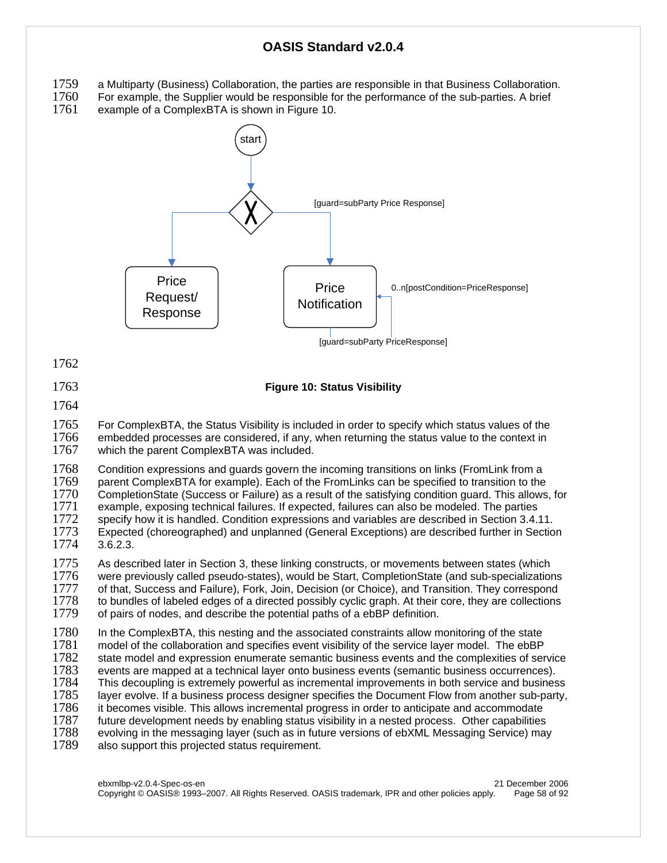- 
- 1759 a Multiparty (Business) Collaboration, the parties are responsible in that Business Collaboration.<br>1760 For example, the Supplier would be responsible for the performance of the sub-parties. A brief 1760 For example, the Supplier would be responsible for the performance of the sub-parties. A brief 1761 example of a ComplexBTA is shown in Figure 10.

example of a ComplexBTA is shown in Figure 10.



1762

#### 1763 **Figure 10: Status Visibility**

#### 1764

1765 For ComplexBTA, the Status Visibility is included in order to specify which status values of the 1766 embedded processes are considered. if any, when returning the status value to the context in 1766 embedded processes are considered, if any, when returning the status value to the context in 1767 which the parent ComplexBTA was included. which the parent ComplexBTA was included.

1768 Condition expressions and guards govern the incoming transitions on links (FromLink from a<br>1769 parent ComplexBTA for example). Each of the FromLinks can be specified to transition to the 1769 parent ComplexBTA for example). Each of the FromLinks can be specified to transition to the 1770 CompletionState (Success or Failure) as a result of the satisfying condition quard. This allows 1770 CompletionState (Success or Failure) as a result of the satisfying condition guard. This allows, for 1771 example, exposing technical failures. If expected, failures can also be modeled. The parties 1772 specify how it is handled. Condition expressions and variables are described in Section 3.4. specify how it is handled. Condition expressions and variables are described in Section 3.4.11. 1773 Expected (choreographed) and unplanned (General Exceptions) are described further in Section 1774 3.6.2.3.

1775 As described later in Section 3, these linking constructs, or movements between states (which 1776 vere previously called pseudo-states), would be Start. CompletionState (and sub-specialization were previously called pseudo-states), would be Start, CompletionState (and sub-specializations 1777 of that, Success and Failure), Fork, Join, Decision (or Choice), and Transition. They correspond 1778 to bundles of labeled edges of a directed possibly cyclic graph. At their core, they are collections 1778 to bundles of labeled edges of a directed possibly cyclic graph. At their core, they are collections 1779 of pairs of nodes, and describe the potential paths of a ebBP definition. of pairs of nodes, and describe the potential paths of a ebBP definition.

1780 In the ComplexBTA, this nesting and the associated constraints allow monitoring of the state<br>1781 model of the collaboration and specifies event visibility of the service layer model. The ebBP 1781 model of the collaboration and specifies event visibility of the service layer model. The ebBP<br>1782 state model and expression enumerate semantic business events and the complexities of ser state model and expression enumerate semantic business events and the complexities of service 1783 events are mapped at a technical layer onto business events (semantic business occurrences).<br>1784 This decoupling is extremely powerful as incremental improvements in both service and busines 1784 This decoupling is extremely powerful as incremental improvements in both service and business<br>1785 layer evolve. If a business process designer specifies the Document Flow from another sub-party, layer evolve. If a business process designer specifies the Document Flow from another sub-party, 1786 it becomes visible. This allows incremental progress in order to anticipate and accommodate<br>1787 future development needs by enabling status visibility in a nested process. Other capabilities future development needs by enabling status visibility in a nested process. Other capabilities 1788 evolving in the messaging layer (such as in future versions of ebXML Messaging Service) may 1789 also support this projected status requirement.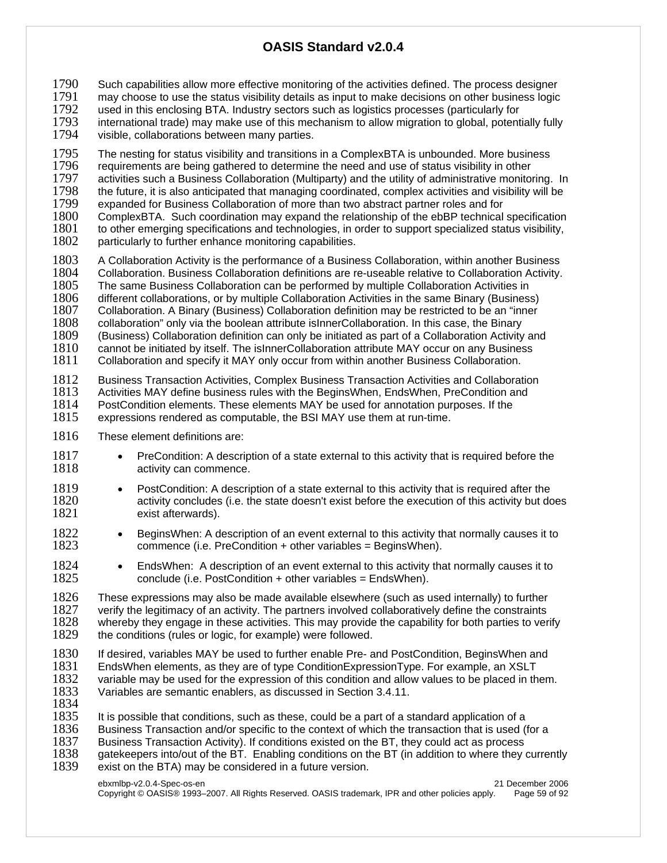1790 Such capabilities allow more effective monitoring of the activities defined. The process designer<br>1791 may choose to use the status visibility details as input to make decisions on other business logic

1791 may choose to use the status visibility details as input to make decisions on other business logic 1792 used in this enclosing BTA. Industry sectors such as logicity for such as logic

1792 used in this enclosing BTA. Industry sectors such as logistics processes (particularly for 1793 international trade) may make use of this mechanism to allow migration to global, potent

1793 international trade) may make use of this mechanism to allow migration to global, potentially fully laited in the visible, collaborations between many parties. visible, collaborations between many parties.

1795 The nesting for status visibility and transitions in a ComplexBTA is unbounded. More business 1796 requirements are being gathered to determine the need and use of status visibility in other 1796 Frequirements are being gathered to determine the need and use of status visibility in other<br>1797 Factivities such a Business Collaboration (Multiparty) and the utility of administrative monitor 1797 activities such a Business Collaboration (Multiparty) and the utility of administrative monitoring. In 1798 the future, it is also anticipated that managing coordinated, complex activities and visibility will be 1798 the future, it is also anticipated that managing coordinated, complex activities and visibility will be 1799 expanded for Business Collaboration of more than two abstract partner roles and for 1799 expanded for Business Collaboration of more than two abstract partner roles and for<br>1800 ComplexBTA. Such coordination may expand the relationship of the ebBP technical

1800 ComplexBTA. Such coordination may expand the relationship of the ebBP technical specification 1801 to other emerging specifications and technologies, in order to support specialized status visibility, 1801 to other emerging specifications and technologies, in order to support specialized status visibility, 1802 particularly to further enhance monitoring capabilities.

particularly to further enhance monitoring capabilities.

1803 A Collaboration Activity is the performance of a Business Collaboration, within another Business<br>1804 Collaboration, Business Collaboration definitions are re-useable relative to Collaboration Activity. 1804 Collaboration. Business Collaboration definitions are re-useable relative to Collaboration Activity.<br>1805 The same Business Collaboration can be performed by multiple Collaboration Activities in The same Business Collaboration can be performed by multiple Collaboration Activities in 1806 different collaborations, or by multiple Collaboration Activities in the same Binary (Business) 1807 Collaboration. A Binary (Business) Collaboration definition may be restricted to be an "inner 1808 collaboration" only via the boolean attribute islnnerCollaboration. In this case, the Binary 1808 collaboration" only via the boolean attribute isInnerCollaboration. In this case, the Binary<br>1809 (Business) Collaboration definition can only be initiated as part of a Collaboration Activity (Business) Collaboration definition can only be initiated as part of a Collaboration Activity and

1810 cannot be initiated by itself. The isInnerCollaboration attribute MAY occur on any Business<br>1811 Collaboration and specify it MAY only occur from within another Business Collaboration. Collaboration and specify it MAY only occur from within another Business Collaboration.

1812 Business Transaction Activities, Complex Business Transaction Activities and Collaboration<br>1813 Activities MAY define business rules with the BeginsWhen, EndsWhen, PreCondition and 1813 Activities MAY define business rules with the BeginsWhen, EndsWhen, PreCondition and 1814 PostCondition elements. These elements MAY be used for annotation purposes. If the PostCondition elements. These elements MAY be used for annotation purposes. If the

1815 expressions rendered as computable, the BSI MAY use them at run-time.

- 1816 These element definitions are:
- 1817 PreCondition: A description of a state external to this activity that is required before the 1818 activity can commence.
- 1819 PostCondition: A description of a state external to this activity that is required after the 1820 activity concludes (i.e. the state doesn't exist before the execution of this activity but does 1821 exist afterwards).
- **1822** BeginsWhen: A description of an event external to this activity that normally causes it to commence (i.e. PreCondition + other variables = BeginsWhen).  $commonce$  (i.e. PreCondition  $+$  other variables = BeginsWhen).
- 1824 EndsWhen: A description of an event external to this activity that normally causes it to 1825 conclude (i.e. PostCondition + other variables = EndsWhen).

1826 These expressions may also be made available elsewhere (such as used internally) to further 1827 verify the legitimacy of an activity. The partners involved collaboratively define the constraints 1827 verify the legitimacy of an activity. The partners involved collaboratively define the constraints 1828 whereby they engage in these activities. This may provide the capability for both parties to ver 1828 whereby they engage in these activities. This may provide the capability for both parties to verify 1829 the conditions (rules or logic, for example) were followed. the conditions (rules or logic, for example) were followed.

1830 If desired, variables MAY be used to further enable Pre- and PostCondition, BeginsWhen and 1831 EndsWhen elements, as they are of type ConditionExpressionType. For example, an XSLT 1831 EndsWhen elements, as they are of type ConditionExpressionType. For example, an XSLT 1832 variable may be used for the expression of this condition and allow values to be placed in them.<br>1833 Variables are semantic enablers, as discussed in Section 3.4.11. Variables are semantic enablers, as discussed in Section 3.4.11.

1834

1835 It is possible that conditions, such as these, could be a part of a standard application of a 1836 Business Transaction and/or specific to the context of which the transaction that is used (for a 1837 Business Transaction Activity). If conditions existed on the BT, they could act as process 1837 Business Transaction Activity). If conditions existed on the BT, they could act as process 1838 at eater at as process 1838

1838 gatekeepers into/out of the BT. Enabling conditions on the BT (in addition to where they currently 1839 exist on the BTA) may be considered in a future version. exist on the BTA) may be considered in a future version.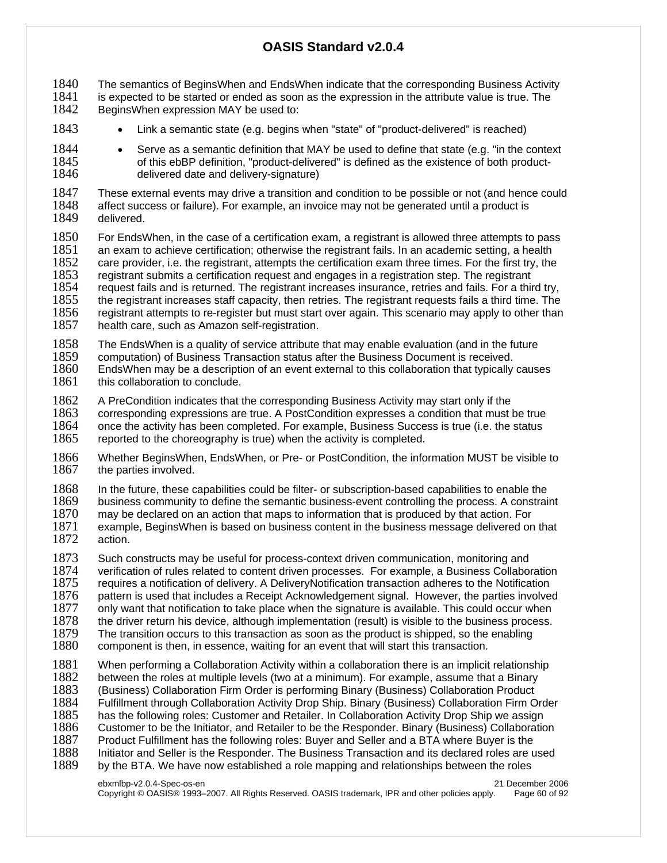1840 The semantics of BeginsWhen and EndsWhen indicate that the corresponding Business Activity<br>1841 is expected to be started or ended as soon as the expression in the attribute value is true. The 1841 is expected to be started or ended as soon as the expression in the attribute value is true. The 1842 Begins When expression MAY be used to: BeginsWhen expression MAY be used to:

- 1843 Link a semantic state (e.g. begins when "state" of "product-delivered" is reached)
- **1844** Serve as a semantic definition that MAY be used to define that state (e.g. "in the context 1845 of this ebBP definition. "product-delivered" is defined as the existence of both product-1845 of this ebBP definition, "product-delivered" is defined as the existence of both product-<br>1846 delivered date and delivery-signature) delivered date and delivery-signature)

1847 These external events may drive a transition and condition to be possible or not (and hence could 1848 affect success or failure). For example, an invoice may not be generated until a product is 1848 affect success or failure). For example, an invoice may not be generated until a product is 1849 delivered. delivered.

1850 For EndsWhen, in the case of a certification exam, a registrant is allowed three attempts to pass 1851 an exam to achieve certification; otherwise the registrant fails. In an academic setting, a health 1852 care provider, i.e. the registrant, attempts the certification exam three times. For the first try, the 1853 registrant submits a certification request and engages in a registration step. The registrant 1853 registrant submits a certification request and engages in a registration step. The registrant<br>1854 request fails and is returned. The registrant increases insurance, retries and fails. For a thir  $1854$  request fails and is returned. The registrant increases insurance, retries and fails. For a third try,<br> $1855$  the registrant increases staff capacity, then retries. The registrant reguests fails a third time. The 1855 the registrant increases staff capacity, then retries. The registrant requests fails a third time. The 1856 registrant attempts to re-register but must start over again. This scenario may apply to other than registrant attempts to re-register but must start over again. This scenario may apply to other than 1857 health care, such as Amazon self-registration.

1858 The EndsWhen is a quality of service attribute that may enable evaluation (and in the future 1859 computation) of Business Transaction status after the Business Document is received.

computation) of Business Transaction status after the Business Document is received.

1860 EndsWhen may be a description of an event external to this collaboration that typically causes 1861 this collaboration to conclude.

1862 A PreCondition indicates that the corresponding Business Activity may start only if the 1863 corresponding expressions are true. A PostCondition expresses a condition that must l  $1863$  corresponding expressions are true. A PostCondition expresses a condition that must be true<br> $1864$  once the activity has been completed. For example. Business Success is true (i.e. the status 1864 once the activity has been completed. For example, Business Success is true (i.e. the status 1865 reported to the choreography is true) when the activity is completed. reported to the choreography is true) when the activity is completed.

- 1866 Whether BeginsWhen, EndsWhen, or Pre- or PostCondition, the information MUST be visible to 1867 the parties involved. the parties involved.
- 1868 In the future, these capabilities could be filter- or subscription-based capabilities to enable the

1869 business community to define the semantic business-event controlling the process. A constraint

- 1870 may be declared on an action that maps to information that is produced by that action. For 1871 example. Begins When is based on business content in the business message delivered or 1871 example, BeginsWhen is based on business content in the business message delivered on that 1872 action. action.
- 1873 Such constructs may be useful for process-context driven communication, monitoring and<br>1874 verification of rules related to content driven processes. For example, a Business Collabor 1874 verification of rules related to content driven processes. For example, a Business Collaboration<br>1875 requires a notification of delivery. A DeliveryNotification transaction adheres to the Notification 1875 requires a notification of delivery. A DeliveryNotification transaction adheres to the Notification 1876 pattern is used that includes a Receipt Acknowledgement signal. However, the parties involved 1877 only want that notification to take place when the signature is available. This could occur when 1877 only want that notification to take place when the signature is available. This could occur when<br>1878 the driver return his device, although implementation (result) is visible to the business process. the driver return his device, although implementation (result) is visible to the business process. 1879 The transition occurs to this transaction as soon as the product is shipped, so the enabling 1880 component is then, in essence, waiting for an event that will start this transaction. component is then, in essence, waiting for an event that will start this transaction.

1881 When performing a Collaboration Activity within a collaboration there is an implicit relationship 1882 between the roles at multiple levels (two at a minimum). For example, assume that a Binary 1882 between the roles at multiple levels (two at a minimum). For example, assume that a Binary<br>1883 (Business) Collaboration Firm Order is performing Binary (Business) Collaboration Product 1883 (Business) Collaboration Firm Order is performing Binary (Business) Collaboration Product<br>1884 Fulfillment through Collaboration Activity Drop Ship. Binary (Business) Collaboration Firm O 1884 Fulfillment through Collaboration Activity Drop Ship. Binary (Business) Collaboration Firm Order 1885 has the following roles: Customer and Retailer. In Collaboration Activity Drop Ship we assign 1885 has the following roles: Customer and Retailer. In Collaboration Activity Drop Ship we assign<br>1886 Customer to be the Initiator, and Retailer to be the Responder. Binary (Business) Collaboratio 1886 Customer to be the Initiator, and Retailer to be the Responder. Binary (Business) Collaboration<br>1887 Product Fulfillment has the following roles: Buyer and Seller and a BTA where Buyer is the 1887 Product Fulfillment has the following roles: Buyer and Seller and a BTA where Buyer is the 1888 Intertional and Seller is the Responder. The Business Transaction and its declared roles are u 1888 Initiator and Seller is the Responder. The Business Transaction and its declared roles are used 1889 by the BTA. We have now established a role mapping and relationships between the roles by the BTA. We have now established a role mapping and relationships between the roles

ebxmlbp-v2.0.4-Spec-os-en 21 December 2006 Copyright © OASIS® 1993–2007. All Rights Reserved. OASIS trademark, IPR and other policies apply. Page 60 of 92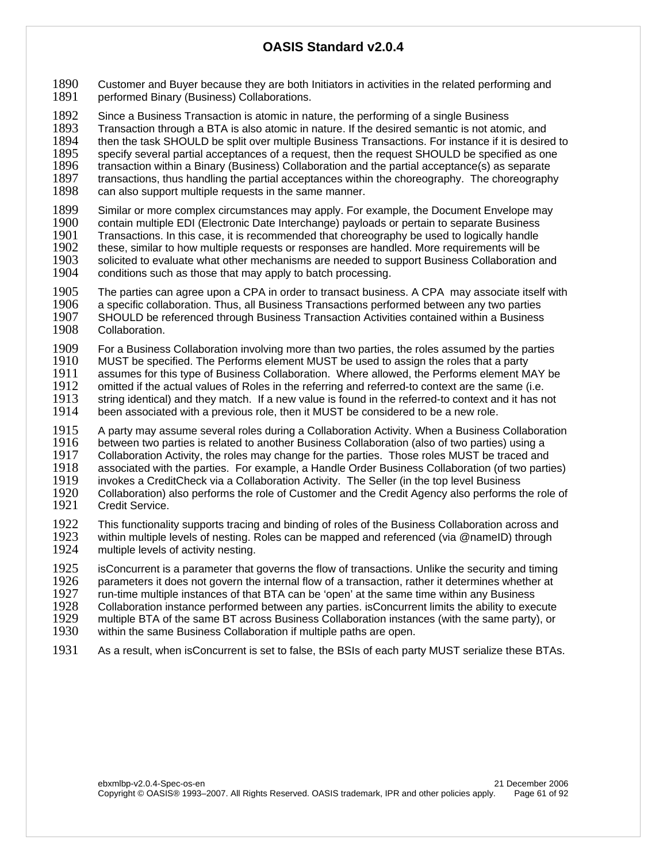1890 Customer and Buyer because they are both Initiators in activities in the related performing and 1891 performed Binary (Business) Collaborations. performed Binary (Business) Collaborations.

1892 Since a Business Transaction is atomic in nature, the performing of a single Business<br>1893 Transaction through a BTA is also atomic in nature. If the desired semantic is not atom Transaction through a BTA is also atomic in nature. If the desired semantic is not atomic, and 1894 then the task SHOULD be split over multiple Business Transactions. For instance if it is desired to 1895 specify several partial acceptances of a request, then the request SHOULD be specified as one 1895 specify several partial acceptances of a request, then the request SHOULD be specified as one<br>1896 transaction within a Binary (Business) Collaboration and the partial acceptance(s) as separate 1896 transaction within a Binary (Business) Collaboration and the partial acceptance(s) as separate<br>1897 transactions, thus handling the partial acceptances within the choreography. The choreograph 1897 transactions, thus handling the partial acceptances within the choreography. The choreography<br>1898 can also support multiple requests in the same manner. can also support multiple requests in the same manner.

1899 Similar or more complex circumstances may apply. For example, the Document Envelope may<br>1900 contain multiple EDI (Electronic Date Interchange) payloads or pertain to separate Business 1900 contain multiple EDI (Electronic Date Interchange) payloads or pertain to separate Business<br>1901 Transactions. In this case, it is recommended that choreography be used to logically handle 1901 Transactions. In this case, it is recommended that choreography be used to logically handle<br>1902 these, similar to how multiple requests or responses are handled. More requirements will be 1902 these, similar to how multiple requests or responses are handled. More requirements will be 1903 solicited to evaluate what other mechanisms are needed to support Business Collaboration a solicited to evaluate what other mechanisms are needed to support Business Collaboration and 1904 conditions such as those that may apply to batch processing.

1905 The parties can agree upon a CPA in order to transact business. A CPA may associate itself with 1906 a specific collaboration. Thus, all Business Transactions performed between any two parties 1906 a specific collaboration. Thus, all Business Transactions performed between any two parties<br>1907 – SHOULD be referenced through Business Transaction Activities contained within a Business 1907 SHOULD be referenced through Business Transaction Activities contained within a Business<br>1908 Collaboration. Collaboration.

1909 For a Business Collaboration involving more than two parties, the roles assumed by the parties 1910 MUST be specified. The Performs element MUST be used to assign the roles that a party

1910 MUST be specified. The Performs element MUST be used to assign the roles that a party<br>1911 assumes for this type of Business Collaboration. Where allowed, the Performs element M

1911 assumes for this type of Business Collaboration. Where allowed, the Performs element MAY be 1912 omitted if the actual values of Roles in the referring and referred-to context are the same (i.e.

omitted if the actual values of Roles in the referring and referred-to context are the same (i.e. 1913 string identical) and they match. If a new value is found in the referred-to context and it has not 1914 been associated with a previous role, then it MUST be considered to be a new role. been associated with a previous role, then it MUST be considered to be a new role.

1915 A party may assume several roles during a Collaboration Activity. When a Business Collaboration<br>1916 between two parties is related to another Business Collaboration (also of two parties) using a 1916 between two parties is related to another Business Collaboration (also of two parties) using a<br>1917 Collaboration Activity, the roles may change for the parties. Those roles MUST be traced and 1917 Collaboration Activity, the roles may change for the parties. Those roles MUST be traced and<br>1918 associated with the parties. For example, a Handle Order Business Collaboration (of two partion associated with the parties. For example, a Handle Order Business Collaboration (of two parties) 1919 invokes a CreditCheck via a Collaboration Activity. The Seller (in the top level Business<br>1920 Collaboration) also performs the role of Customer and the Credit Agency also performs t Collaboration) also performs the role of Customer and the Credit Agency also performs the role of

1921 Credit Service.

1922 This functionality supports tracing and binding of roles of the Business Collaboration across and<br>1923 vithin multiple levels of nesting. Roles can be mapped and referenced (via @nameID) through within multiple levels of nesting. Roles can be mapped and referenced (via @nameID) through 1924 multiple levels of activity nesting.

1925 isConcurrent is a parameter that governs the flow of transactions. Unlike the security and timing 1926 parameters it does not govern the internal flow of a transaction, rather it determines whether at 1926 parameters it does not govern the internal flow of a transaction, rather it determines whether at 1927 run-time multiple instances of that BTA can be 'open' at the same time within any Business 1927 run-time multiple instances of that BTA can be 'open' at the same time within any Business<br>1928 Collaboration instance performed between any parties. isConcurrent limits the ability to exee 1928 Collaboration instance performed between any parties. isConcurrent limits the ability to execute<br>1929 multiple BTA of the same BT across Business Collaboration instances (with the same party), or

1929 multiple BTA of the same BT across Business Collaboration instances (with the same party), or 1930 within the same Business Collaboration if multiple paths are open.

within the same Business Collaboration if multiple paths are open.

1931 As a result, when isConcurrent is set to false, the BSIs of each party MUST serialize these BTAs.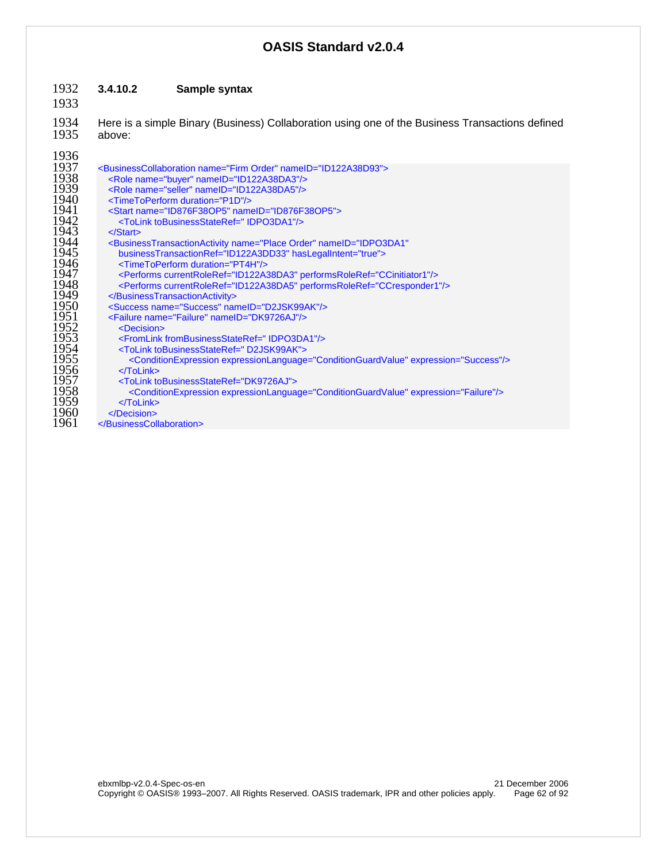## **3.4.10.2 Sample syntax**

1934 Here is a simple Binary (Business) Collaboration using one of the Business Transactions defined<br>1935 above: above:

| 1937 | <businesscollaboration name="Firm Order" nameid="ID122A38D93"></businesscollaboration>                      |
|------|-------------------------------------------------------------------------------------------------------------|
| 1938 | <role name="buyer" nameid="ID122A38DA3"></role>                                                             |
| 1939 | <role name="seller" nameid="ID122A38DA5"></role>                                                            |
| 1940 | <timetoperform duration="P1D"></timetoperform>                                                              |
| 1941 | <start name="ID876F38OP5" nameid="ID876F38OP5"></start>                                                     |
| 1942 | <tolink tobusinessstateref="IDPO3DA1"></tolink>                                                             |
| 1943 | $\langle$ Start $\rangle$                                                                                   |
| 1944 | <businesstransactionactivity <="" name="Place Order" nameid="IDPO3DA1" th=""></businesstransactionactivity> |
| 1945 | businessTransactionRef="ID122A3DD33" hasLegalIntent="true">                                                 |
| 1946 | <timetoperform duration="PT4H"></timetoperform>                                                             |
| 1947 | <performs currentroleref="ID122A38DA3" performsroleref="CCinitiator1"></performs>                           |
| 1948 | <performs currentroleref="ID122A38DA5" performsroleref="CCresponder1"></performs>                           |
| 1949 |                                                                                                             |
| 1950 | <success name="Success" nameid="D2JSK99AK"></success>                                                       |
| 1951 | <failure name="Failure" nameid="DK9726AJ"></failure>                                                        |
| 1952 | <decision></decision>                                                                                       |
| 1953 | <fromlink frombusinessstateref="IDPO3DA1"></fromlink>                                                       |
| 1954 | <tolink tobusinessstateref="D2JSK99AK"></tolink>                                                            |
| 1955 | <conditionexpression expression="Success" expressionlanguage="ConditionGuardValue"></conditionexpression>   |
| 1956 | $<$ $T$ oLink $>$                                                                                           |
| 1957 | <tolink tobusinessstateref="DK9726AJ"></tolink>                                                             |
| 1958 | <conditionexpression expression="Failure" expressionlanguage="ConditionGuardValue"></conditionexpression>   |
| 1959 | $<$ $T$ oLink $>$                                                                                           |
| 1960 |                                                                                                             |
| 1961 |                                                                                                             |
|      |                                                                                                             |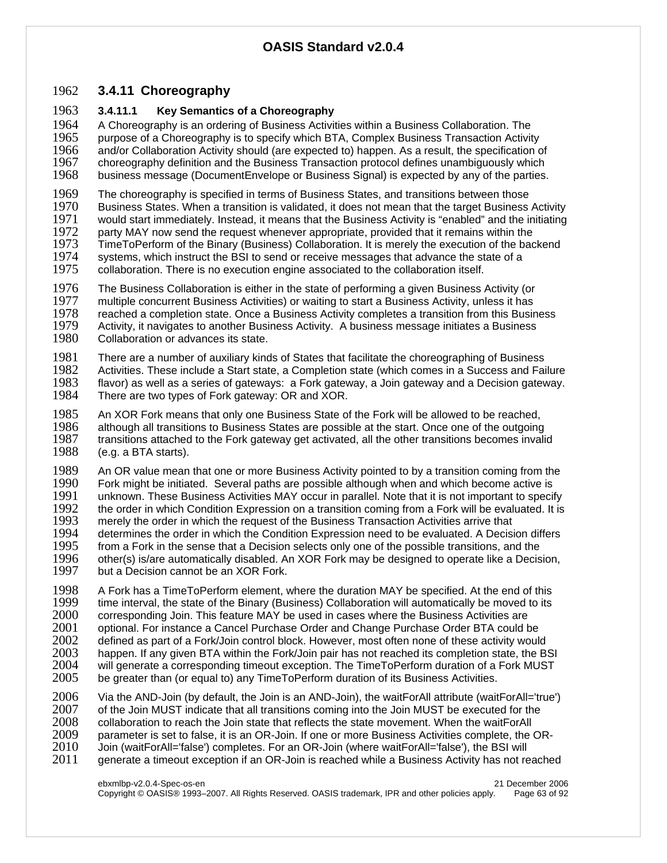## 1962 **3.4.11 Choreography**

#### 1963 **3.4.11.1 Key Semantics of a Choreography**

1964 A Choreography is an ordering of Business Activities within a Business Collaboration. The 1965 uppendent our post a Choreography is to specify which BTA. Complex Business Transaction Activity 1965 purpose of a Choreography is to specify which BTA, Complex Business Transaction Activity<br>1966 and/or Collaboration Activity should (are expected to) happen. As a result, the specification o 1966 and/or Collaboration Activity should (are expected to) happen. As a result, the specification of 1967 choreography definition and the Business Transaction protocol defines unambiquously which 1967 choreography definition and the Business Transaction protocol defines unambiguously which<br>1968 business message (DocumentEnvelope or Business Signal) is expected by any of the parties. business message (DocumentEnvelope or Business Signal) is expected by any of the parties.

1969 The choreography is specified in terms of Business States, and transitions between those<br>1970 Business States. When a transition is validated, it does not mean that the target Business 1970 Business States. When a transition is validated, it does not mean that the target Business Activity<br>1971 vould start immediately, Instead, it means that the Business Activity is "enabled" and the initiating would start immediately. Instead, it means that the Business Activity is "enabled" and the initiating 1972 party MAY now send the request whenever appropriate, provided that it remains within the 1973 TimeToPerform of the Binary (Business) Collaboration. It is merely the execution of the backend 1974 systems, which instruct the BSI to send or receive messages that advance the state of a 1974 systems, which instruct the BSI to send or receive messages that advance the state of a<br>1975 collaboration. There is no execution engine associated to the collaboration itself.

collaboration. There is no execution engine associated to the collaboration itself.

1976 The Business Collaboration is either in the state of performing a given Business Activity (or 1977 multiple concurrent Business Activities) or waiting to start a Business Activity, unless it has 1977 multiple concurrent Business Activities) or waiting to start a Business Activity, unless it has 1978 reached a completion state. Once a Business Activity completes a transition from this Busin 1978 reached a completion state. Once a Business Activity completes a transition from this Business<br>1979 – Activity, it navigates to another Business Activity. A business message initiates a Business 1979 Activity, it navigates to another Business Activity. A business message initiates a Business 1980 Collaboration or advances its state. Collaboration or advances its state.

1981 There are a number of auxiliary kinds of States that facilitate the choreographing of Business<br>1982 Activities. These include a Start state, a Completion state (which comes in a Success and Fai

1982 Activities. These include a Start state, a Completion state (which comes in a Success and Failure 1983 fi<br>1983 flavor) as well as a series of gateways: a Fork gateway, a Join gateway and a Decision gateway. 1983 flavor) as well as a series of gateways: a Fork gateway, a Join gateway and a Decision gateway.<br>1984 There are two types of Fork gateway: OR and XOR. There are two types of Fork gateway: OR and XOR.

1985 An XOR Fork means that only one Business State of the Fork will be allowed to be reached,<br>1986 although all transitions to Business States are possible at the start. Once one of the outgoing 1986 although all transitions to Business States are possible at the start. Once one of the outgoing 1987 transitions attached to the Fork gateway get activated, all the other transitions becomes invali transitions attached to the Fork gateway get activated, all the other transitions becomes invalid 1988 (e.g. a BTA starts).

1989 An OR value mean that one or more Business Activity pointed to by a transition coming from the 1990 Fork might be initiated. Several paths are possible although when and which become active is 1990 Fork might be initiated. Several paths are possible although when and which become active is<br>1991 Lunknown. These Business Activities MAY occur in parallel. Note that it is not important to specit 1991 unknown. These Business Activities MAY occur in parallel. Note that it is not important to specify<br>1992 the order in which Condition Expression on a transition coming from a Fork will be evaluated. It is 1992 the order in which Condition Expression on a transition coming from a Fork will be evaluated. It is 1993 merely the order in which the request of the Business Transaction Activities arrive that 1993 merely the order in which the request of the Business Transaction Activities arrive that 1994 determines the order in which the Condition Expression need to be evaluated. A Decisi 1994 determines the order in which the Condition Expression need to be evaluated. A Decision differs 1995 from a Fork in the sense that a Decision selects only one of the possible transitions, and the 1995 from a Fork in the sense that a Decision selects only one of the possible transitions, and the 1996 other(s) is/are automatically disabled. An XOR Fork may be designed to operate like a Decis 1996 other(s) is/are automatically disabled. An XOR Fork may be designed to operate like a Decision, 1997 but a Decision, but a Decision cannot be an XOR Fork.

1998 A Fork has a TimeToPerform element, where the duration MAY be specified. At the end of this 1999 time interval, the state of the Binary (Business) Collaboration will automatically be moved to its 1999 time interval, the state of the Binary (Business) Collaboration will automatically be moved to its its<br>2000 corresponding Join. This feature MAY be used in cases where the Business Activities are 2000 corresponding Join. This feature MAY be used in cases where the Business Activities are 2001 optional. For instance a Cancel Purchase Order and Change Purchase Order BTA could be<br>2002 defined as part of a Fork/Join control block. However, most often none of these activity would 2002 defined as part of a Fork/Join control block. However, most often none of these activity would<br>2003 happen. If any given BTA within the Fork/Join pair has not reached its completion state, the B 2003 happen. If any given BTA within the Fork/Join pair has not reached its completion state, the BSI<br>2004 will generate a corresponding timeout exception. The TimeToPerform duration of a Fork MUST 2004 will generate a corresponding timeout exception. The TimeToPerform duration of a Fork MUST<br>2005 be greater than (or equal to) any TimeToPerform duration of its Business Activities. be greater than (or equal to) any TimeToPerform duration of its Business Activities.

2006 Via the AND-Join (by default, the Join is an AND-Join), the waitForAll attribute (waitForAll='true')<br>2007 of the Join MUST indicate that all transitions coming into the Join MUST be executed for the 2007 of the Join MUST indicate that all transitions coming into the Join MUST be executed for the 2008 collaboration to reach the Join state that reflects the state movement. When the waitForAll 2008 collaboration to reach the Join state that reflects the state movement. When the waitForAll<br>2009 coarameter is set to false, it is an OR-Join. If one or more Business Activities complete, the 2009 parameter is set to false, it is an OR-Join. If one or more Business Activities complete, the OR-<br>2010 Upin (waitForAll='false') completes. For an OR-Join (where waitForAll='false'), the BSI will 2010 Join (waitForAll='false') completes. For an OR-Join (where waitForAll='false'), the BSI will 2011 generate a timeout exception if an OR-Join is reached while a Business Activity has not reached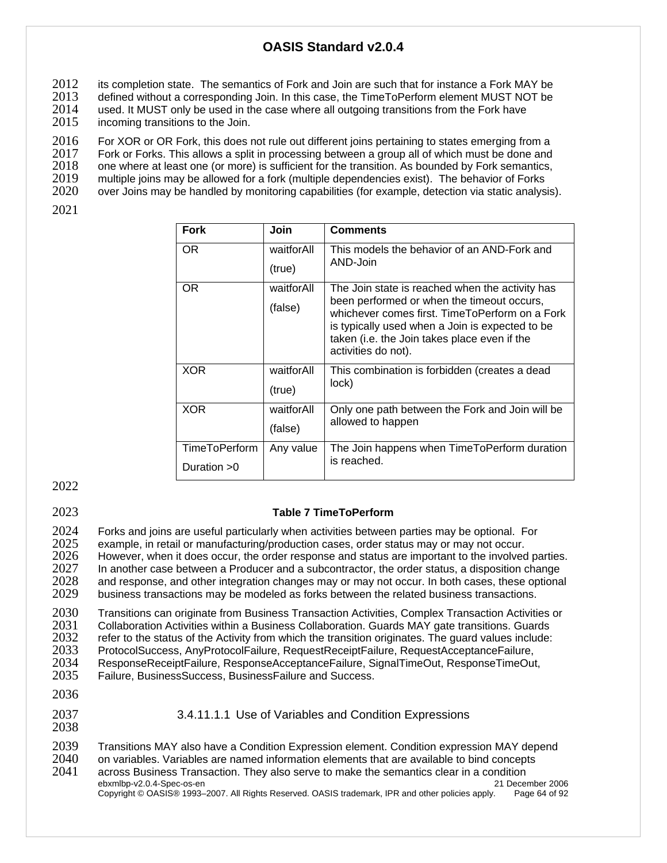2012 its completion state. The semantics of Fork and Join are such that for instance a Fork MAY be <br>2013 defined without a corresponding Join. In this case, the TimeToPerform element MUST NOT be

2013 defined without a corresponding Join. In this case, the TimeToPerform element MUST NOT be <br>2014 Used. It MUST only be used in the case where all outgoing transitions from the Fork have

2014 used. It MUST only be used in the case where all outgoing transitions from the Fork have <br>2015 incoming transitions to the Join.

incoming transitions to the Join.

2016 For XOR or OR Fork, this does not rule out different joins pertaining to states emerging from a<br>2017 Fork or Forks. This allows a split in processing between a group all of which must be done and 2017 Fork or Forks. This allows a split in processing between a group all of which must be done and 2018 one where at least one (or more) is sufficient for the transition. As bounded by Fork semantics, 2018 one where at least one (or more) is sufficient for the transition. As bounded by Fork semantics,<br>2019 multiple joins may be allowed for a fork (multiple dependencies exist). The behavior of Forks

2019 multiple joins may be allowed for a fork (multiple dependencies exist). The behavior of Forks<br>2020 over Joins may be handled by monitoring capabilities (for example, detection via static analys

over Joins may be handled by monitoring capabilities (for example, detection via static analysis).

2021

| <b>Fork</b>   | Join       | <b>Comments</b>                                                                                                                                                                                                        |
|---------------|------------|------------------------------------------------------------------------------------------------------------------------------------------------------------------------------------------------------------------------|
| OR.           | waitforAll | This models the behavior of an AND-Fork and<br>AND-Join                                                                                                                                                                |
|               | (true)     |                                                                                                                                                                                                                        |
| OR.           | waitforAll | The Join state is reached when the activity has                                                                                                                                                                        |
|               | (false)    | been performed or when the timeout occurs,<br>whichever comes first. TimeToPerform on a Fork<br>is typically used when a Join is expected to be<br>taken (i.e. the Join takes place even if the<br>activities do not). |
| <b>XOR</b>    | waitforAll | This combination is forbidden (creates a dead<br>lock)                                                                                                                                                                 |
|               | (true)     |                                                                                                                                                                                                                        |
| <b>XOR</b>    | waitforAll | Only one path between the Fork and Join will be                                                                                                                                                                        |
|               | (false)    | allowed to happen                                                                                                                                                                                                      |
| TimeToPerform | Any value  | The Join happens when TimeToPerform duration                                                                                                                                                                           |
| Duration $>0$ |            | is reached.                                                                                                                                                                                                            |

2022

## 2023 **Table 7 TimeToPerform**

2024 Forks and joins are useful particularly when activities between parties may be optional. For <br>2025 example, in retail or manufacturing/production cases, order status may or may not occur. 2025 example, in retail or manufacturing/production cases, order status may or may not occur.<br>2026 However, when it does occur, the order response and status are important to the involved 2026 However, when it does occur, the order response and status are important to the involved parties.<br>2027 Hanother case between a Producer and a subcontractor, the order status, a disposition change 2027 In another case between a Producer and a subcontractor, the order status, a disposition change<br>2028 and response, and other integration changes may or may not occur. In both cases, these optiona 2028 and response, and other integration changes may or may not occur. In both cases, these optional 2029 business transactions may be modeled as forks between the related business transactions. business transactions may be modeled as forks between the related business transactions.

2030 Transitions can originate from Business Transaction Activities, Complex Transaction Activities or<br>2031 Collaboration Activities within a Business Collaboration. Guards MAY gate transitions. Guards 2031 Collaboration Activities within a Business Collaboration. Guards MAY gate transitions. Guards<br>2032 Frefer to the status of the Activity from which the transition originates. The guard values include: refer to the status of the Activity from which the transition originates. The guard values include: 2033 ProtocolSuccess, AnyProtocolFailure, RequestReceiptFailure, RequestAcceptanceFailure, ResponseReceiptFailure, ResponseAcceptanceFailure, SignalTimeOut, ResponseTimeOut, 2035 Failure, BusinessSuccess, BusinessFailure and Success.

- 2036
- 2037 3.4.11.1.1 Use of Variables and Condition Expressions 2038

2039 Transitions MAY also have a Condition Expression element. Condition expression MAY depend<br>2040 on variables. Variables are named information elements that are available to bind concepts

2040 on variables. Variables are named information elements that are available to bind concepts

ebxmlbp-v2.0.4-Spec-os-en 21 December 2006 2041 across Business Transaction. They also serve to make the semantics clear in a condition

Copyright © OASIS® 1993–2007. All Rights Reserved. OASIS trademark, IPR and other policies apply. Page 64 of 92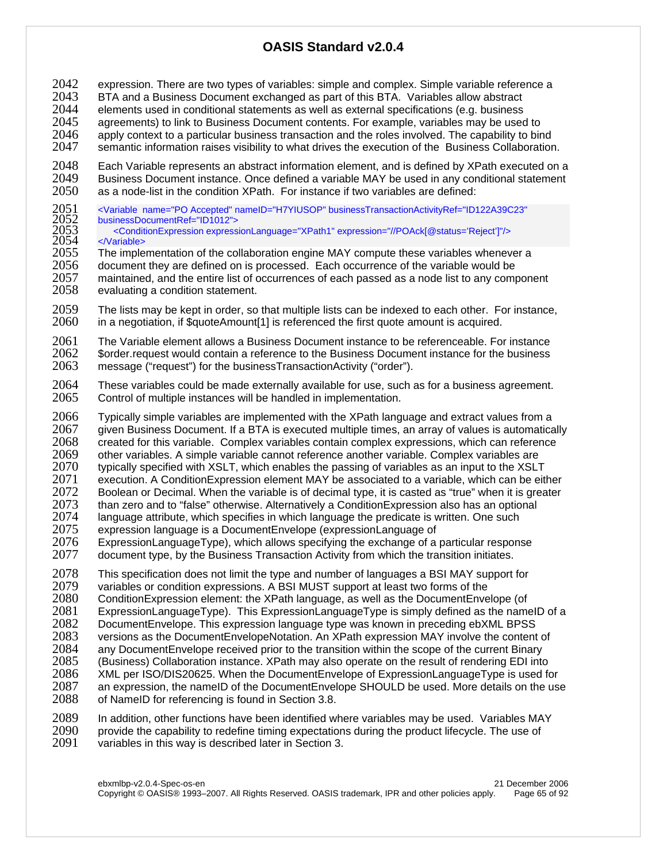- 2042 expression. There are two types of variables: simple and complex. Simple variable reference a<br>2043 BTA and a Business Document exchanged as part of this BTA. Variables allow abstract
- 2043 BTA and a Business Document exchanged as part of this BTA. Variables allow abstract
- 2044 elements used in conditional statements as well as external specifications (e.g. business<br>2045 agreements) to link to Business Document contents. For example, variables may be used
- agreements) to link to Business Document contents. For example, variables may be used to
- 2046 apply context to a particular business transaction and the roles involved. The capability to bind
- 2047 semantic information raises visibility to what drives the execution of the Business Collaboration.
- 2048 Each Variable represents an abstract information element, and is defined by XPath executed on a<br>2049 Business Document instance. Once defined a variable MAY be used in any conditional statement 2049 Business Document instance. Once defined a variable MAY be used in any conditional statement 2050 as a node-list in the condition XPath. For instance if two variables are defined: as a node-list in the condition XPath. For instance if two variables are defined:
- 2051 <Variable name="PO Accepted" nameID="H7YIUSOP" businessTransactionActivityRef="ID122A39C23" businessDocumentRef="ID1012">
- 2053 <ConditionExpression expressionLanguage="XPath1" expression="//POAck[@status='Reject']"/>
- 2054 </variable><br>2055 The imple The implementation of the collaboration engine MAY compute these variables whenever a 2056 document they are defined on is processed. Each occurrence of the variable would be<br>2057 maintained, and the entire list of occurrences of each passed as a node list to any comi 2057 maintained, and the entire list of occurrences of each passed as a node list to any component 2058 evaluating a condition statement. evaluating a condition statement.
- 2059 The lists may be kept in order, so that multiple lists can be indexed to each other. For instance, 2060 in a negotiation, if \$quoteAmount[1] is referenced the first quote amount is acquired.
- 2061 The Variable element allows a Business Document instance to be referenceable. For instance<br>2062 Sorder request would contain a reference to the Business Document instance for the business 2062 \$order.request would contain a reference to the Business Document instance for the business<br>2063 message ("request") for the businessTransactionActivity ("order"). message ("request") for the businessTransactionActivity ("order").
- 2064 These variables could be made externally available for use, such as for a business agreement.<br>2065 Control of multiple instances will be handled in implementation. Control of multiple instances will be handled in implementation.
- 2066 Typically simple variables are implemented with the XPath language and extract values from a<br>2067 given Business Document. If a BTA is executed multiple times, an array of values is automatica given Business Document. If a BTA is executed multiple times, an array of values is automatically 2068 created for this variable. Complex variables contain complex expressions, which can reference 2069 other variables. A simple variable cannot reference another variables are 2069 other variables. A simple variable cannot reference another variable. Complex variables are<br>2070 Urbically specified with XSLT, which enables the passing of variables as an input to the XSLT 2070 typically specified with XSLT, which enables the passing of variables as an input to the XSLT<br>2071 execution. A ConditionExpression element MAY be associated to a variable, which can be eit execution. A ConditionExpression element MAY be associated to a variable, which can be either 2072 Boolean or Decimal. When the variable is of decimal type, it is casted as "true" when it is greater 2073 than zero and to "false" otherwise. Alternatively a ConditionExpression also has an optional 2073 than zero and to "false" otherwise. Alternatively a ConditionExpression also has an optional<br>2074 language attribute, which specifies in which language the predicate is written. One such 2074 language attribute, which specifies in which language the predicate is written. One such <br>2075 expression language is a DocumentEnvelope (expressionLanguage of
- 2075 expression language is a DocumentEnvelope (expressionLanguage of 2076 ExpressionLanguage of a
- ExpressionLanguageType), which allows specifying the exchange of a particular response 2077 document type, by the Business Transaction Activity from which the transition initiates.
- 2078 This specification does not limit the type and number of languages a BSI MAY support for <br>2079 variables or condition expressions. A BSI MUST support at least two forms of the
- 2079 variables or condition expressions. A BSI MUST support at least two forms of the 2080 ConditionExpression element: the XPath language, as well as the DocumentEnve 2080 ConditionExpression element: the XPath language, as well as the DocumentEnvelope (of 2081 Construction 20<br>2081 ExpressionLanguageType). This ExpressionLanguageType is simply defined as the name 2081 ExpressionLanguageType). This ExpressionLanguageType is simply defined as the nameID of a<br>2082 DocumentEnvelope. This expression language type was known in preceding ebXML BPSS 2082 DocumentEnvelope. This expression language type was known in preceding ebXML BPSS<br>2083 versions as the DocumentEnvelopeNotation. An XPath expression MAY involve the content 2083 versions as the DocumentEnvelopeNotation. An XPath expression MAY involve the content of 2084 any DocumentEnvelope received prior to the transition within the scope of the current Binary 2084 any DocumentEnvelope received prior to the transition within the scope of the current Binary<br>2085 (Business) Collaboration instance. XPath may also operate on the result of rendering EDI into 2085 (Business) Collaboration instance. XPath may also operate on the result of rendering EDI into 2086 XML per ISO/DIS20625. When the DocumentEnvelope of ExpressionLanguageType is used for 2087 an expression, the nameID of the DocumentEnvelope SHOULD be used. More details on the use 2088 of NameID for referencing is found in Section 3.8. of NameID for referencing is found in Section 3.8.
- 2089 In addition, other functions have been identified where variables may be used. Variables MAY<br>2090 provide the capability to redefine timing expectations during the product lifecycle. The use of 2090 provide the capability to redefine timing expectations during the product lifecycle. The use of 2091 variables in this way is described later in Section 3. variables in this way is described later in Section 3.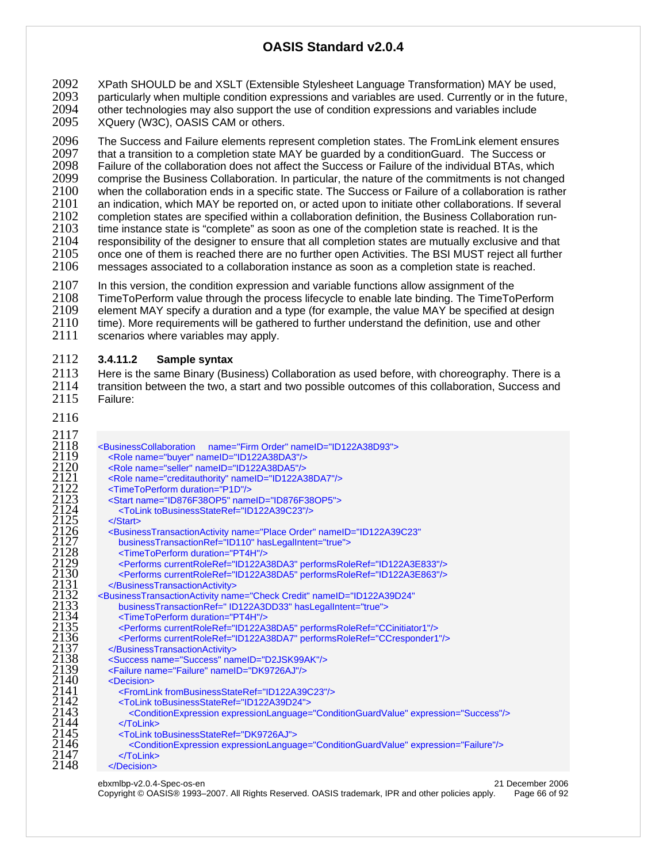2092 XPath SHOULD be and XSLT (Extensible Stylesheet Language Transformation) MAY be used,<br>2093 particularly when multiple condition expressions and variables are used. Currently or in the futur 2093 particularly when multiple condition expressions and variables are used. Currently or in the future, <br>2094 other technologies may also support the use of condition expressions and variables include other technologies may also support the use of condition expressions and variables include XQuery (W3C), OASIS CAM or others.

2096 The Success and Failure elements represent completion states. The From Link element ensures<br>2097 that a transition to a completion state MAY be quarded by a condition Guard. The Success or 2097 that a transition to a completion state MAY be guarded by a conditionGuard. The Success or 2098 Failure of the collaboration does not affect the Success or Failure of the individual BTAs, which Failure of the collaboration does not affect the Success or Failure of the individual BTAs, which 2099 comprise the Business Collaboration. In particular, the nature of the commitments is not changed<br>2100 when the collaboration ends in a specific state. The Success or Failure of a collaboration is rather 2100 when the collaboration ends in a specific state. The Success or Failure of a collaboration is rather 2101 an indication, which MAY be reported on, or acted upon to initiate other collaborations. If several 2101 an indication, which MAY be reported on, or acted upon to initiate other collaborations. If several 2102 completion states are specified within a collaboration checkination from-2102 completion states are specified within a collaboration definition, the Business Collaboration run-<br>2103 time instance state is "complete" as soon as one of the completion state is reached. It is the 2103 time instance state is "complete" as soon as one of the completion state is reached. It is the 2104 responsibility of the designer to ensure that all completion states are mutually exclusive and 2104 responsibility of the designer to ensure that all completion states are mutually exclusive and that <br>2105 once one of them is reached there are no further open Activities. The BSI MUST reiect all further once one of them is reached there are no further open Activities. The BSI MUST reject all further messages associated to a collaboration instance as soon as a completion state is reached.

2107 In this version, the condition expression and variable functions allow assignment of the 2108 TimeToPerform value through the process lifecycle to enable late binding. The TimeTo 2108 TimeToPerform value through the process lifecycle to enable late binding. The TimeToPerform<br>2109 element MAY specify a duration and a type (for example, the value MAY be specified at design 2109 element MAY specify a duration and a type (for example, the value MAY be specified at design 2110 time). More requirements will be gathered to further understand the definition, use and other

2110 time). More requirements will be gathered to further understand the definition, use and other 2111 scenarios where variables may apply. scenarios where variables may apply.

#### **3.4.11.2 Sample syntax**

2113 Here is the same Binary (Business) Collaboration as used before, with choreography. There is a<br>2114 transition between the two, a start and two possible outcomes of this collaboration. Success and 2114 transition between the two, a start and two possible outcomes of this collaboration, Success and 2115 Failure: Failure:

| 2117                                                                                  |                                                                                                                          |                  |
|---------------------------------------------------------------------------------------|--------------------------------------------------------------------------------------------------------------------------|------------------|
| 2118                                                                                  | <businesscollaboration<br>name="Firm Order" nameID="ID122A38D93"&gt;</businesscollaboration<br>                          |                  |
| $\frac{2119}{2120}$                                                                   | <role name="buyer" nameid="ID122A38DA3"></role>                                                                          |                  |
|                                                                                       | <role name="seller" nameid="ID122A38DA5"></role>                                                                         |                  |
| 2121                                                                                  | <role name="creditauthority" nameid="ID122A38DA7"></role>                                                                |                  |
| 2122                                                                                  | <timetoperform duration="P1D"></timetoperform>                                                                           |                  |
| $\frac{2\overline{1}\overline{2}\overline{3}}{2\overline{1}\overline{2}\overline{4}}$ | <start name="ID876F38OP5" nameid="ID876F38OP5"></start>                                                                  |                  |
|                                                                                       | <tolink tobusinessstateref="ID122A39C23"></tolink>                                                                       |                  |
| 2125                                                                                  | $<$ /Start $>$                                                                                                           |                  |
| 2126                                                                                  | <businesstransactionactivity <="" name="Place Order" nameid="ID122A39C23" th=""><th></th></businesstransactionactivity>  |                  |
| 2127                                                                                  | businessTransactionRef="ID110" hasLegalIntent="true">                                                                    |                  |
|                                                                                       | <timetoperform duration="PT4H"></timetoperform>                                                                          |                  |
| $\frac{2\overline{1}\overline{2}8}{2\overline{1}\overline{2}9}$                       |                                                                                                                          |                  |
| 2130                                                                                  | <performs currentroleref="ID122A38DA3" performsroleref="ID122A3E833"></performs>                                         |                  |
|                                                                                       | <performs currentroleref="ID122A38DA5" performsroleref="ID122A3E863"></performs>                                         |                  |
| 2131                                                                                  |                                                                                                                          |                  |
| $21\overline{3}2$<br>$21\overline{3}3$                                                | <businesstransactionactivity <="" name="Check Credit" nameid="ID122A39D24" th=""><th></th></businesstransactionactivity> |                  |
|                                                                                       | businessTransactionRef=" ID122A3DD33" hasLegalIntent="true">                                                             |                  |
| 2134                                                                                  | <timetoperform duration="PT4H"></timetoperform>                                                                          |                  |
| 2135                                                                                  | <performs currentroleref="ID122A38DA5" performsroleref="CCinitiator1"></performs>                                        |                  |
|                                                                                       | <performs currentroleref="ID122A38DA7" performsroleref="CCresponder1"></performs>                                        |                  |
| 2136<br>2137<br>2138                                                                  |                                                                                                                          |                  |
|                                                                                       | <success name="Success" nameid="D2JSK99AK"></success>                                                                    |                  |
| 2139                                                                                  | <failure name="Failure" nameid="DK9726AJ"></failure>                                                                     |                  |
| 2140                                                                                  | <decision></decision>                                                                                                    |                  |
| 2141                                                                                  | <fromlink frombusinessstateref="ID122A39C23"></fromlink>                                                                 |                  |
| 2142                                                                                  | <tolink tobusinessstateref="ID122A39D24"></tolink>                                                                       |                  |
| 2143                                                                                  | <conditionexpression expression="Success" expressionlanguage="ConditionGuardValue"></conditionexpression>                |                  |
| 2144                                                                                  | $<$ $T$ oLink $>$                                                                                                        |                  |
| 2145                                                                                  | <tolink tobusinessstateref="DK9726AJ"></tolink>                                                                          |                  |
| 2146                                                                                  | <conditionexpression expression="Failure" expressionlanguage="ConditionGuardValue"></conditionexpression>                |                  |
| 2147                                                                                  |                                                                                                                          |                  |
| 2148                                                                                  |                                                                                                                          |                  |
|                                                                                       | ebxmlbp-v2.0.4-Spec-os-en                                                                                                | 21 December 2006 |
|                                                                                       |                                                                                                                          |                  |

Copyright © OASIS® 1993–2007. All Rights Reserved. OASIS trademark, IPR and other policies apply. Page 66 of 92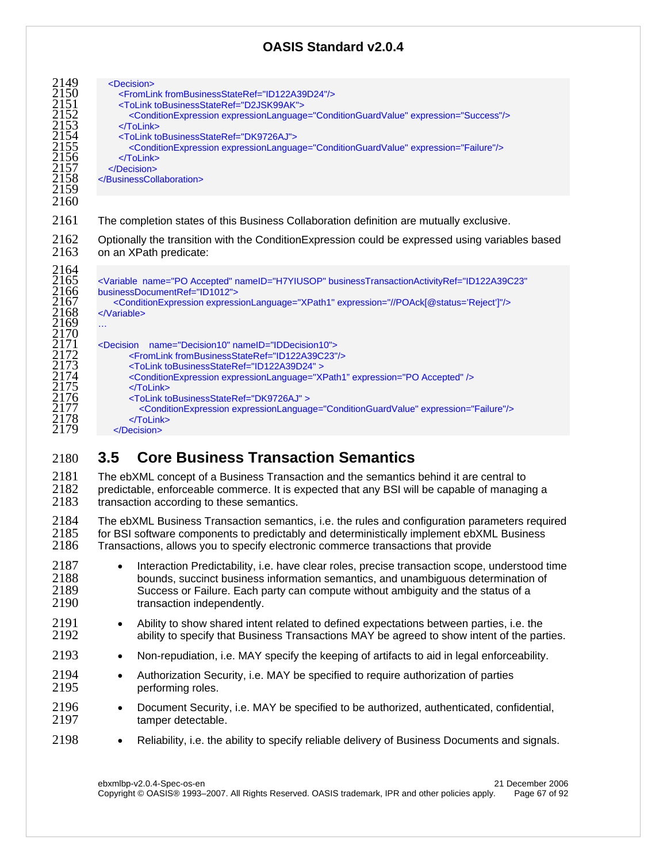| 2149<br>2150<br>2151<br>2152<br>2153<br>2154<br>2155<br>2156<br>2157<br>2158<br>2159 | <decision><br/><fromlink frombusinessstateref="ID122A39D24"></fromlink><br/><tolink tobusinessstateref="D2JSK99AK"><br/><conditionexpression expression="Success" expressionlanguage="ConditionGuardValue"></conditionexpression><br/><math>&lt;</math><math>T</math>oLink<math>&gt;</math><br/><tolink tobusinessstateref="DK9726AJ"><br/><conditionexpression expression="Failure" expressionlanguage="ConditionGuardValue"></conditionexpression><br/><math>&lt;</math><math>T</math>oLink<math>&gt;</math><br/></tolink></tolink></decision><br> |
|--------------------------------------------------------------------------------------|------------------------------------------------------------------------------------------------------------------------------------------------------------------------------------------------------------------------------------------------------------------------------------------------------------------------------------------------------------------------------------------------------------------------------------------------------------------------------------------------------------------------------------------------------|
| 2160                                                                                 |                                                                                                                                                                                                                                                                                                                                                                                                                                                                                                                                                      |
| 2161                                                                                 | The completion states of this Business Collaboration definition are mutually exclusive.                                                                                                                                                                                                                                                                                                                                                                                                                                                              |
| 2162<br>2163                                                                         | Optionally the transition with the ConditionExpression could be expressed using variables based<br>on an XPath predicate:                                                                                                                                                                                                                                                                                                                                                                                                                            |
| 2164<br>2165<br>2166<br>2167<br>2168<br>2169<br>2170                                 | <variable <br="" businesstransactionactivityref="ID122A39C23" name="PO Accepted" nameid="H7YIUSOP">businessDocumentRef="ID1012"&gt;<br/><conditionexpression expression="//POAck[@status='Reject']" expressionlanguage="XPath1"></conditionexpression><br/></variable><br>$\cdots$                                                                                                                                                                                                                                                                   |
| 2171<br>2172<br>2173<br>2174<br>2175<br>2176<br>2177<br>2178                         | <decision name="Decision10" nameid="IDDecision10"><br/><fromlink frombusinessstateref="ID122A39C23"></fromlink><br/><tolink tobusinessstateref="ID122A39D24"><br/><conditionexpression expression="PO Accepted" expressionlanguage="XPath1"></conditionexpression><br/><math>&lt;</math>ToLink&gt;<br/><tolink tobusinessstateref="DK9726AJ"><br/><conditionexpression expression="Failure" expressionlanguage="ConditionGuardValue"></conditionexpression><br/><math>&lt;</math>ToLink&gt;</tolink></tolink></decision>                             |
| 2179                                                                                 |                                                                                                                                                                                                                                                                                                                                                                                                                                                                                                                                                      |

# **3.5 Core Business Transaction Semantics**

The ebXML concept of a Business Transaction and the semantics behind it are central to 2182 predictable, enforceable commerce. It is expected that any BSI will be capable of managing a 2183 transaction according to these semantics.

2184 The ebXML Business Transaction semantics, i.e. the rules and configuration parameters required<br>2185 for BSI software components to predictably and deterministically implement ebXML Business 2185 for BSI software components to predictably and deterministically implement ebXML Business<br>2186 Transactions, allows vou to specify electronic commerce transactions that provide Transactions, allows you to specify electronic commerce transactions that provide

- Interaction Predictability, i.e. have clear roles, precise transaction scope, understood time bounds, succinct business information semantics, and unambiguous determination of Success or Failure. Each party can compute without ambiguity and the status of a transaction independently.
- <sup>2191</sup> Ability to show shared intent related to defined expectations between parties, i.e. the<br><sup>2192</sup> ability to specify that Business Transactions MAY be agreed to show intent of the par ability to specify that Business Transactions MAY be agreed to show intent of the parties.
- Non-repudiation, i.e. MAY specify the keeping of artifacts to aid in legal enforceability.
- Authorization Security, i.e. MAY be specified to require authorization of parties 2195 performing roles.
- 2196 Document Security, i.e. MAY be specified to be authorized, authenticated, confidential,<br>2197 · Tamper detectable. tamper detectable.
- 2198 Reliability, i.e. the ability to specify reliable delivery of Business Documents and signals.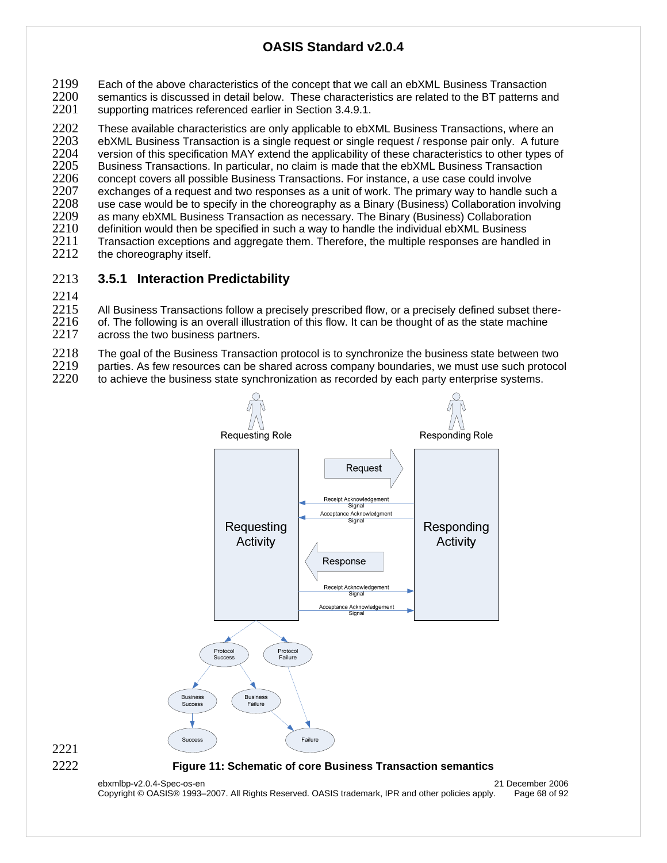2199 Each of the above characteristics of the concept that we call an ebXML Business Transaction<br>2200 semantics is discussed in detail below. These characteristics are related to the BT patterns are 2200 semantics is discussed in detail below. These characteristics are related to the BT patterns and 2201 supporting matrices referenced earlier in Section 3.4.9.1. supporting matrices referenced earlier in Section 3.4.9.1.

2202 These available characteristics are only applicable to ebXML Business Transactions, where an <br>2203 ebXML Business Transaction is a single request or single request / response pair only. A future 2203 ebXML Business Transaction is a single request or single request / response pair only. A future<br>2204 version of this specification MAY extend the applicability of these characteristics to other types of 2204 version of this specification MAY extend the applicability of these characteristics to other types of 2205 Business Transactions. In particular, no claim is made that the ebXML Business Transaction 2205 Business Transactions. In particular, no claim is made that the ebXML Business Transaction<br>2206 Concept covers all possible Business Transactions. For instance, a use case could involve 2206 concept covers all possible Business Transactions. For instance, a use case could involve<br>2207 exchanges of a reguest and two responses as a unit of work. The primary way to handle su 2207 exchanges of a request and two responses as a unit of work. The primary way to handle such a<br>2208 use case would be to specify in the choreography as a Binary (Business) Collaboration involving 2208 use case would be to specify in the choreography as a Binary (Business) Collaboration involving<br>2209 as many ebXML Business Transaction as necessary. The Binary (Business) Collaboration 2209 as many ebXML Business Transaction as necessary. The Binary (Business) Collaboration<br>2210 definition would then be specified in such a way to handle the individual ebXML Business  $2210$  definition would then be specified in such a way to handle the individual ebXML Business  $2211$  Transaction exceptions and aggregate them. Therefore, the multiple responses are handle 2211 Transaction exceptions and aggregate them. Therefore, the multiple responses are handled in <br>2212 the choreography itself. the choreography itself.

## 2213 **3.5.1 Interaction Predictability**

2214

2215 All Business Transactions follow a precisely prescribed flow, or a precisely defined subset there-<br>2216 of. The following is an overall illustration of this flow. It can be thought of as the state machine 2216 of. The following is an overall illustration of this flow. It can be thought of as the state machine  $2217$  across the two business partners.

across the two business partners.

2218 The goal of the Business Transaction protocol is to synchronize the business state between two<br>2219 parties. As few resources can be shared across company boundaries, we must use such protoco

 $2219$  parties. As few resources can be shared across company boundaries, we must use such protocol  $2220$  to achieve the business state synchronization as recorded by each party enterprise systems.

to achieve the business state synchronization as recorded by each party enterprise systems.



ebxmlbp-v2.0.4-Spec-os-en 21 December 2006 Copyright © OASIS® 1993–2007. All Rights Reserved. OASIS trademark, IPR and other policies apply. Page 68 of 92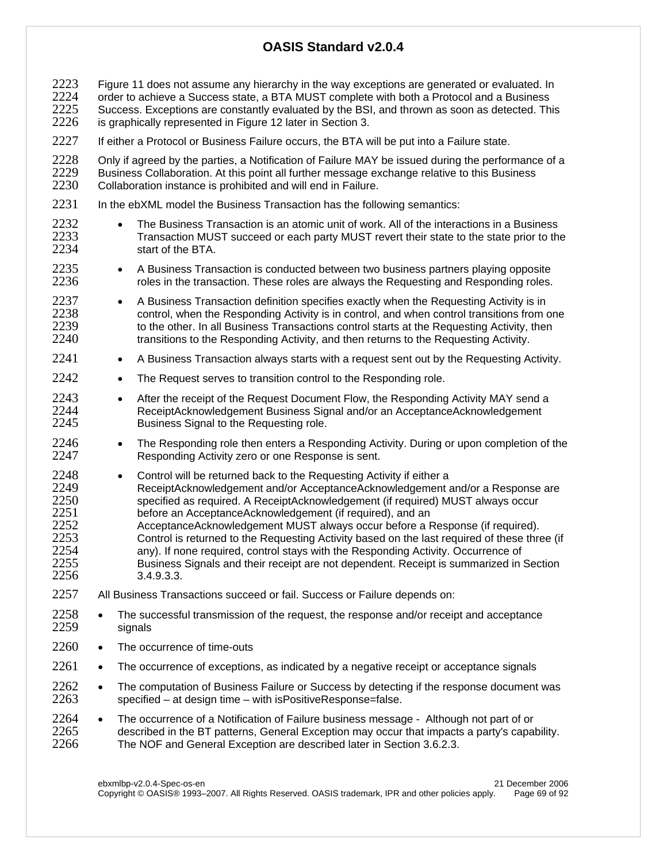2223 Figure 11 does not assume any hierarchy in the way exceptions are generated or evaluated. In<br>2224 order to achieve a Success state, a BTA MUST complete with both a Protocol and a Business  $2224$  order to achieve a Success state, a BTA MUST complete with both a Protocol and a Business<br>2225 Success. Exceptions are constantly evaluated by the BSI, and thrown as soon as detected. Th 2225 Success. Exceptions are constantly evaluated by the BSI, and thrown as soon as detected. This 2226 is graphically represented in Figure 12 later in Section 3. is graphically represented in Figure 12 later in Section 3.

2227 If either a Protocol or Business Failure occurs, the BTA will be put into a Failure state.

2228 Only if agreed by the parties, a Notification of Failure MAY be issued during the performance of a 2229 Business Collaboration. At this point all further message exchange relative to this Business 2229 Business Collaboration. At this point all further message exchange relative to this Business<br>2230 Collaboration instance is prohibited and will end in Failure. Collaboration instance is prohibited and will end in Failure.

- 2231 In the ebXML model the Business Transaction has the following semantics:
- 2232 The Business Transaction is an atomic unit of work. All of the interactions in a Business<br>2233 Transaction MUST succeed or each party MUST revert their state to the state prior to the 2233 Transaction MUST succeed or each party MUST revert their state to the state prior to the 2234 start of the BTA.
- 2235 A Business Transaction is conducted between two business partners playing opposite<br>2236  **Partic Prendict** roles in the transaction. These roles are always the Requesting and Responding roles. roles in the transaction. These roles are always the Requesting and Responding roles.
- 2237 A Business Transaction definition specifies exactly when the Requesting Activity is in 2238 control, when the Responding Activity is in control, and when control transitions from one<br>2239 to the other In all Business Transactions control starts at the Requesting Activity then to the other. In all Business Transactions control starts at the Requesting Activity, then 2240 transitions to the Responding Activity, and then returns to the Requesting Activity.
- 2241 A Business Transaction always starts with a request sent out by the Requesting Activity.
- 2242 The Request serves to transition control to the Responding role.
- 2243 After the receipt of the Request Document Flow, the Responding Activity MAY send a<br>2244  **Receipt Acknowledgement Business Signal and/or an Acceptance Acknowledgement** ReceiptAcknowledgement Business Signal and/or an AcceptanceAcknowledgement 2245 Business Signal to the Requesting role.
- 2246 The Responding role then enters a Responding Activity. During or upon completion of the 2247 Responding Activity zero or one Response is sent.
- 2248 Control will be returned back to the Requesting Activity if either a<br>2249  **ReceiptAcknowledgement and/or AcceptanceAcknowledgement** 2249 ReceiptAcknowledgement and/or AcceptanceAcknowledgement and/or a Response are<br>2250 specified as required A ReceiptAcknowledgement (if required) MUST always occur specified as required. A ReceiptAcknowledgement (if required) MUST always occur 2251 before an AcceptanceAcknowledgement (if required), and an 2252 AcceptanceAcknowledgement MUST always occur before a Response (if required).<br>2253 Control is returned to the Requesting Activity based on the last required of these thre 2253 Control is returned to the Requesting Activity based on the last required of these three (if 2254 control stave required. control stavs with the Responding Activity. Occurrence of 2254 any). If none required, control stays with the Responding Activity. Occurrence of 2255 Business Signals and their receipt are not dependent. Receipt is summarized in 2255 Business Signals and their receipt are not dependent. Receipt is summarized in Section  $3.4.9.3.3.$
- 2257 All Business Transactions succeed or fail. Success or Failure depends on:
- 2258 The successful transmission of the request, the response and/or receipt and acceptance<br>2259 signals signals
- 2260 The occurrence of time-outs
- 2261 The occurrence of exceptions, as indicated by a negative receipt or acceptance signals
- 2262 The computation of Business Failure or Success by detecting if the response document was<br>2263 specified at design time with is Positive Response=false  $specified - at design time - with isPositiveResponse = false.$
- 2264 The occurrence of a Notification of Failure business message Although not part of or<br>2265 contracts a party's capal 2265 described in the BT patterns, General Exception may occur that impacts a party's capability.<br>2266 The NOF and General Exception are described later in Section 3.6.2.3. The NOF and General Exception are described later in Section 3.6.2.3.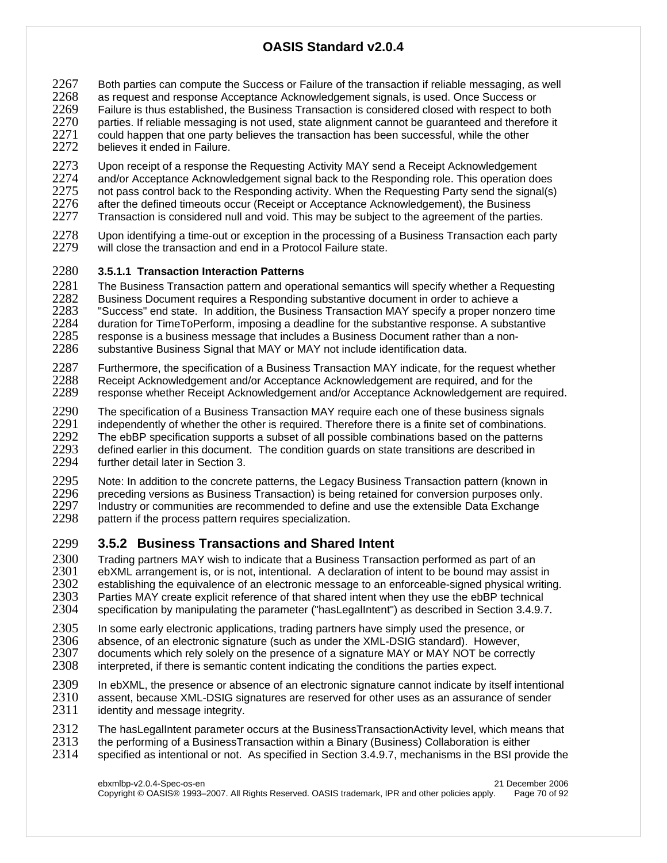- 2267 Both parties can compute the Success or Failure of the transaction if reliable messaging, as well<br>2268 as request and response Acceptance Acknowledgement signals, is used. Once Success or
- 2268 as request and response Acceptance Acknowledgement signals, is used. Once Success or 2269 Failure is thus established, the Business Transaction is considered closed with respect to both 2270 parties. If reliable messaging is not used, state alignment cannot be quaranteed and therefore i
- parties. If reliable messaging is not used, state alignment cannot be guaranteed and therefore it  $2271$  could happen that one party believes the transaction has been successful, while the other
- 2272 believes it ended in Failure.
- 2273 Upon receipt of a response the Requesting Activity MAY send a Receipt Acknowledgement<br>2274 and/or Acceptance Acknowledgement signal back to the Responding role. This operation do 2274 and/or Acceptance Acknowledgement signal back to the Responding role. This operation does<br>2275 on the pass control back to the Responding activity. When the Reguesting Party send the signal(s) 2275 not pass control back to the Responding activity. When the Requesting Party send the signal(s) 2276 after the defined timeouts occur (Receipt or Acceptance Acknowledgement), the Business 2276 after the defined timeouts occur (Receipt or Acceptance Acknowledgement), the Business<br>2277 Transaction is considered null and void. This may be subject to the agreement of the partie Transaction is considered null and void. This may be subject to the agreement of the parties.
- 2278 Upon identifying a time-out or exception in the processing of a Business Transaction each party<br>2279 will close the transaction and end in a Protocol Failure state. will close the transaction and end in a Protocol Failure state.

## 2280 **3.5.1.1 Transaction Interaction Patterns**

- 2281 The Business Transaction pattern and operational semantics will specify whether a Requesting<br>2282 Business Document requires a Responding substantive document in order to achieve a 2282 Business Document requires a Responding substantive document in order to achieve a<br>2283 Fuccess end state. In addition, the Business Transaction MAY specify a proper nonze 2283 STA Success" end state. In addition, the Business Transaction MAY specify a proper nonzero time<br>2284 State duration for TimeToPerform, imposing a deadline for the substantive response. A substantive 2284 duration for TimeToPerform, imposing a deadline for the substantive response. A substantive 2285 response is a business message that includes a Business Document rather than a non-2285 response is a business message that includes a Business Document rather than a non-<br>2286 substantive Business Signal that MAY or MAY not include identification data. substantive Business Signal that MAY or MAY not include identification data.
- 2287 Furthermore, the specification of a Business Transaction MAY indicate, for the request whether 2288 Receipt Acknowledgement and/or Acceptance Acknowledgement and for the 2288 Receipt Acknowledgement and/or Acceptance Acknowledgement are required, and for the 2289 response whether Receipt Acknowledgement and/or Acceptance Acknowledgement are required response whether Receipt Acknowledgement and/or Acceptance Acknowledgement are required.
- 2290 The specification of a Business Transaction MAY require each one of these business signals<br>2291 independently of whether the other is required. Therefore there is a finite set of combinations. 2291 independently of whether the other is required. Therefore there is a finite set of combinations.<br>2292 The ebBP specification supports a subset of all possible combinations based on the patterns 2292 The ebBP specification supports a subset of all possible combinations based on the patterns<br>2293 defined earlier in this document. The condition guards on state transitions are described in 2293 defined earlier in this document. The condition guards on state transitions are described in 2294 further detail later in Section 3. further detail later in Section 3.
- 2295 Note: In addition to the concrete patterns, the Legacy Business Transaction pattern (known in 2296 preceding versions as Business Transaction) is being retained for conversion purposes only. 2296 preceding versions as Business Transaction) is being retained for conversion purposes only.<br>2297 Pladustry or communities are recommended to define and use the extensible Data Exchange Industry or communities are recommended to define and use the extensible Data Exchange 2298 pattern if the process pattern requires specialization.

# 2299 **3.5.2 Business Transactions and Shared Intent**

- 2300 Trading partners MAY wish to indicate that a Business Transaction performed as part of an <br>2301 ebXML arrangement is, or is not, intentional. A declaration of intent to be bound may assist ebXML arrangement is, or is not, intentional. A declaration of intent to be bound may assist in 2302 establishing the equivalence of an electronic message to an enforceable-signed physical writing.<br>2303 Parties MAY create explicit reference of that shared intent when they use the ebBP technical 2303 Parties MAY create explicit reference of that shared intent when they use the ebBP technical<br>2304 specification by manipulating the parameter ("hasLegalIntent") as described in Section 3.4.9.7 specification by manipulating the parameter ("hasLegalIntent") as described in Section 3.4.9.7.
- 2305 In some early electronic applications, trading partners have simply used the presence, or 2306 absence, or an electronic signature (such as under the XML-DSIG standard). However,
- 2306 absence, of an electronic signature (such as under the XML-DSIG standard). However,<br>2307 documents which rely solely on the presence of a signature MAY or MAY NOT be correct
- 2307 documents which rely solely on the presence of a signature MAY or MAY NOT be correctly 2308 interpreted, if there is semantic content indicating the conditions the parties expect. interpreted, if there is semantic content indicating the conditions the parties expect.
- 2309 In ebXML, the presence or absence of an electronic signature cannot indicate by itself intentional 2310 assent, because XML-DSIG signatures are reserved for other uses as an assurance of sender 2310 assent, because XML-DSIG signatures are reserved for other uses as an assurance of sender<br>2311 identity and message integrity. identity and message integrity.
- 
- 2312 The hasLegalIntent parameter occurs at the BusinessTransactionActivity level, which means that 2313 the performing of a BusinessTransaction within a Binary (Business) Collaboration is either
- 2313 the performing of a BusinessTransaction within a Binary (Business) Collaboration is either 2314 specified as intentional or not. As specified in Section 3.4.9.7, mechanisms in the BSI prov specified as intentional or not. As specified in Section 3.4.9.7, mechanisms in the BSI provide the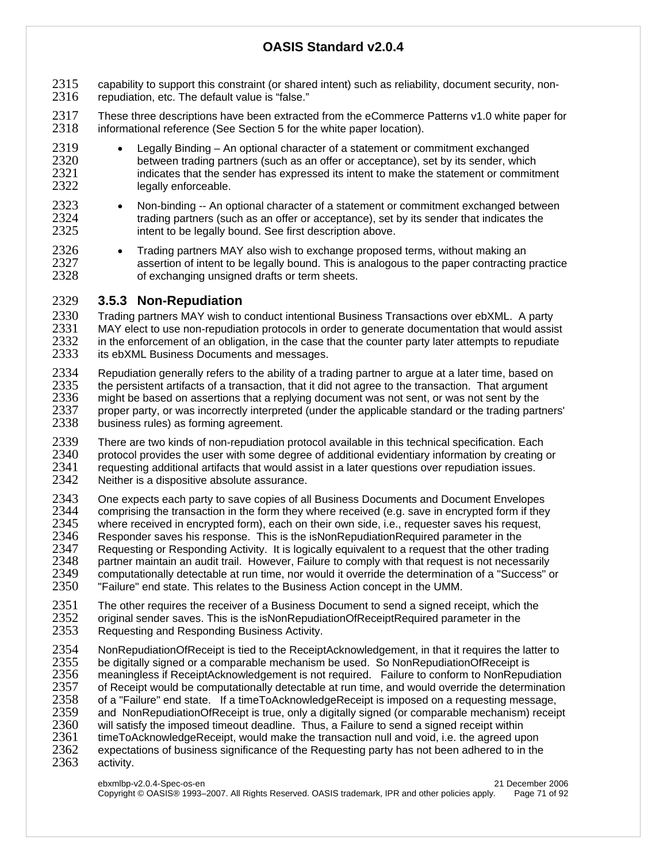- 2315 capability to support this constraint (or shared intent) such as reliability, document security, non-<br>2316 repudiation, etc. The default value is "false." repudiation, etc. The default value is "false."
- 2317 These three descriptions have been extracted from the eCommerce Patterns v1.0 white paper for 2318 informational reference (See Section 5 for the white paper location). informational reference (See Section 5 for the white paper location).
- 2319 Legally Binding An optional character of a statement or commitment exchanged 2320 between trading partners (such as an offer or acceptance), set by its sender, which<br>2321 http://www.indicates that the sender has expressed its intent to make the statement or commitri 2321 indicates that the sender has expressed its intent to make the statement or commitment 2322 legally enforceable.
- <sup>2323</sup> Non-binding -- An optional character of a statement or commitment exchanged between<br>2324 **•** trading partners (such as an offer or acceptance), set by its sender that indicates the  $2324$  trading partners (such as an offer or acceptance), set by its sender that indicates the  $2325$  intent to be legally bound. See first description above. intent to be legally bound. See first description above.
- 2326 Trading partners MAY also wish to exchange proposed terms, without making an 2327 assertion of intent to be legally bound. This is analogous to the paper contracting 2327 assertion of intent to be legally bound. This is analogous to the paper contracting practice<br>2328 of exchanging unsigned drafts or term sheets. of exchanging unsigned drafts or term sheets.

## 2329 **3.5.3 Non-Repudiation**

2330 Trading partners MAY wish to conduct intentional Business Transactions over ebXML. A party<br>2331 MAY elect to use non-repudiation protocols in order to generate documentation that would assis 2331 MAY elect to use non-repudiation protocols in order to generate documentation that would assist<br>2332 in the enforcement of an obligation, in the case that the counter party later attempts to repudiate 2332 in the enforcement of an obligation, in the case that the counter party later attempts to repudiate 2333 its ebXML Business Documents and messages. its ebXML Business Documents and messages.

- 2334 Repudiation generally refers to the ability of a trading partner to argue at a later time, based on 2335 the persistent artifacts of a transaction, that if did not agree to the transaction. That argument 2335 the persistent artifacts of a transaction, that it did not agree to the transaction. That argument 2336 might be based on assertions that a replying document was not sent by the 2336 2336 might be based on assertions that a replying document was not sent, or was not sent by the 2337 proper party, or was incorrectly interpreted (under the applicable standard or the trading part 2337 proper party, or was incorrectly interpreted (under the applicable standard or the trading partners' 2338 business rules) as forming agreement.
- 2339 There are two kinds of non-repudiation protocol available in this technical specification. Each<br>2340 protocol provides the user with some degree of additional evidentiary information by creating 2340 protocol provides the user with some degree of additional evidentiary information by creating or <br>2341 equesting additional artifacts that would assist in a later questions over repudiation issues. 2341 requesting additional artifacts that would assist in a later questions over repudiation issues.<br>2342 Neither is a dispositive absolute assurance. Neither is a dispositive absolute assurance.
- 2343 One expects each party to save copies of all Business Documents and Document Envelopes<br>2344 comprising the transaction in the form they where received (e.g. save in encrypted form if they  $2344$  comprising the transaction in the form they where received (e.g. save in encrypted form if they<br>2345 where received in encrypted form), each on their own side, i.e., requester saves his request, 2345 where received in encrypted form), each on their own side, i.e., requester saves his request, 2346 Besponder saves his response. This is the isNonRepudiationRequired parameter in the 2346 Besponder saves his response. This is the isNonRepudiationRequired parameter in the<br>2347 Bequesting or Responding Activity. It is logically equivalent to a request that the other tra Requesting or Responding Activity. It is logically equivalent to a request that the other trading 2348 partner maintain an audit trail. However, Failure to comply with that request is not necessarily<br>2349 computationally detectable at run time, nor would it override the determination of a "Success" c 2349 computationally detectable at run time, nor would it override the determination of a "Success" or 2350 Failure" end state. This relates to the Business Action concept in the UMM. "Failure" end state. This relates to the Business Action concept in the UMM.
- 2351 The other requires the receiver of a Business Document to send a signed receipt, which the 2352 original sender saves. This is the isNonRepudiationOfReceiptRequired parameter in the 2352 original sender saves. This is the isNonRepudiationOfReceiptRequired parameter in the 2353 Requesting and Responding Business Activity. Requesting and Responding Business Activity.
- 2354 NonRepudiationOfReceipt is tied to the ReceiptAcknowledgement, in that it requires the latter to 2355 be digitally signed or a comparable mechanism be used. So NonRepudiationOfReceipt is 2355 be digitally signed or a comparable mechanism be used. So NonRepudiationOfReceipt is<br>2356 meaningless if ReceiptAcknowledgement is not required. Failure to conform to NonRepu 2356 meaningless if ReceiptAcknowledgement is not required. Failure to conform to NonRepudiation 2357 of Receipt would be computationally detectable at run time, and would override the determination<br>2358 of a "Failure" end state. If a timeToAcknowledgeReceipt is imposed on a requesting message. 2358 of a "Failure" end state. If a timeToAcknowledgeReceipt is imposed on a requesting message,<br>2359 and NonRepudiationOfReceipt is true, only a digitally signed (or comparable mechanism) recei 2359 and NonRepudiationOfReceipt is true, only a digitally signed (or comparable mechanism) receipt<br>2360 will satisfy the imposed timeout deadline. Thus, a Failure to send a signed receipt within 2360 will satisfy the imposed timeout deadline. Thus, a Failure to send a signed receipt within<br>2361 timeToAcknowledgeReceipt, would make the transaction null and void, i.e. the agreed up 2361 timeToAcknowledgeReceipt, would make the transaction null and void, i.e. the agreed upon 2362 expectations of business significance of the Requesting party has not been adhered to in the 2362 expectations of business significance of the Requesting party has not been adhered to in the 2363 activity. activity.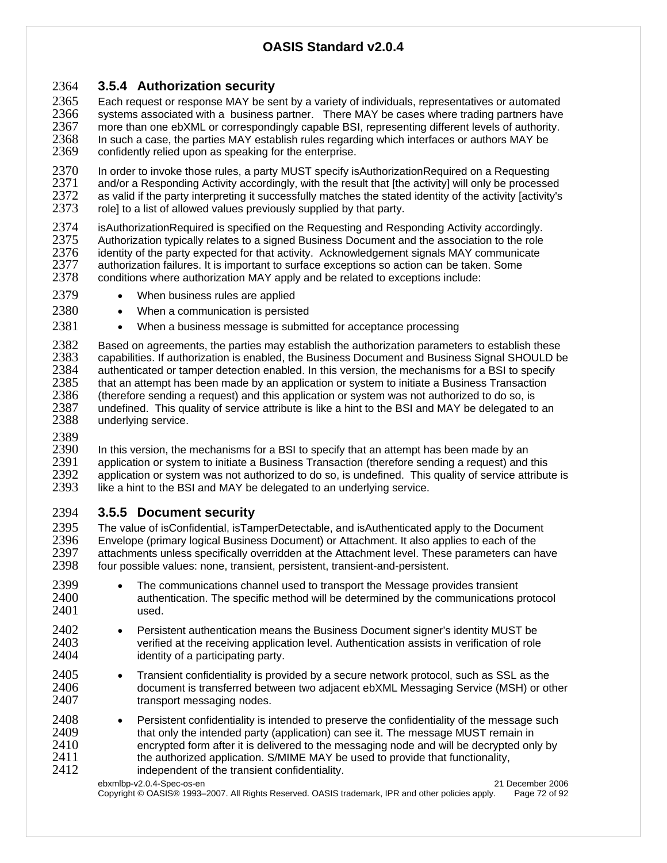## 2364 **3.5.4 Authorization security**

2365 Each request or response MAY be sent by a variety of individuals, representatives or automated<br>2366 systems associated with a business partner. There MAY be cases where trading partners have 2366 systems associated with a business partner. There MAY be cases where trading partners have 2367 more than one ebXML or correspondingly capable BSI, representing different levels of authority. 2367 more than one ebXML or correspondingly capable BSI, representing different levels of authority.<br>2368 In such a case, the parties MAY establish rules regarding which interfaces or authors MAY be 2368 In such a case, the parties MAY establish rules regarding which interfaces or authors MAY be 2369 confidently relied upon as speaking for the enterprise. confidently relied upon as speaking for the enterprise.

2370 In order to invoke those rules, a party MUST specify isAuthorizationRequired on a Requesting<br>2371 and/or a Responding Activity accordingly, with the result that [the activity] will only be processe 2371 and/or a Responding Activity accordingly, with the result that [the activity] will only be processed<br>2372 as valid if the party interpreting it successfully matches the stated identity of the activity [activity's 2372 as valid if the party interpreting it successfully matches the stated identity of the activity [activity's 2373 collet to a list of allowed values previously supplied by that party. role] to a list of allowed values previously supplied by that party.

2374 isAuthorizationRequired is specified on the Requesting and Responding Activity accordingly.<br>2375 Authorization typically relates to a signed Business Document and the association to the role 2375 Authorization typically relates to a signed Business Document and the association to the role<br>2376 identity of the party expected for that activity. Acknowledgement signals MAY communicate 2376 identity of the party expected for that activity. Acknowledgement signals MAY communicate 2377 authorization failures. It is important to surface exceptions so action can be taken. Some 2377 authorization failures. It is important to surface exceptions so action can be taken. Some 2378 conditions where authorization MAY apply and be related to exceptions include: conditions where authorization MAY apply and be related to exceptions include:

- 2379 When business rules are applied
- 2380 When a communication is persisted
- 2381 When a business message is submitted for acceptance processing

2382 Based on agreements, the parties may establish the authorization parameters to establish these<br>2383 capabilities. If authorization is enabled, the Business Document and Business Signal SHOULD b 2383 capabilities. If authorization is enabled, the Business Document and Business Signal SHOULD be 2384 authenticated or tamper detection enabled. In this version, the mechanisms for a BSI to specify<br>2385 that an attempt has been made by an application or system to initiate a Business Transaction 2385 that an attempt has been made by an application or system to initiate a Business Transaction<br>2386 (therefore sending a request) and this application or system was not authorized to do so, is 2386 (therefore sending a request) and this application or system was not authorized to do so, is<br>2387 undefined. This quality of service attribute is like a hint to the BSI and MAY be delegated to 2387 undefined. This quality of service attribute is like a hint to the BSI and MAY be delegated to an 2388 underlying service. underlying service.

2389<br>2390

2390 In this version, the mechanisms for a BSI to specify that an attempt has been made by an 2391 application or system to initiate a Business Transaction (therefore sending a request) and application or system to initiate a Business Transaction (therefore sending a request) and this 2392 application or system was not authorized to do so, is undefined. This quality of service attribute is 2393 like a hint to the BSI and MAY be delegated to an underlying service. like a hint to the BSI and MAY be delegated to an underlying service.

## 2394 **3.5.5 Document security**

2395 The value of isConfidential, isTamperDetectable, and isAuthenticated apply to the Document 2396 Envelope (primary logical Business Document) or Attachment. It also applies to each of the 2396 Envelope (primary logical Business Document) or Attachment. It also applies to each of the<br>2397 Attachments unless specifically overridden at the Attachment level. These parameters can h 2397 attachments unless specifically overridden at the Attachment level. These parameters can have 2398 four possible values: none, transient, persistent, transient-and-persistent. four possible values: none, transient, persistent, transient-and-persistent.

- 2399 The communications channel used to transport the Message provides transient 2400 2400 authentication. The specific method will be determined by the communications protocol<br>2401 sused. used.
- 2402 Persistent authentication means the Business Document signer's identity MUST be<br>2403 verified at the receiving application level. Authentication assists in verification of role 2403 verified at the receiving application level. Authentication assists in verification of role identity of a participating party.
- 2405 Transient confidentiality is provided by a secure network protocol, such as SSL as the 2406  **Confidentiality** is provided by a secure network protocol, such as SSL as the 2406 2406 document is transferred between two adjacent ebXML Messaging Service (MSH) or other 2407 transport messaging nodes.
- 2408 Persistent confidentiality is intended to preserve the confidentiality of the message such 2409 2409 that only the intended party (application) can see it. The message MUST remain in<br>2410 encrypted form after it is delivered to the messaging node and will be decrypted on 2410 encrypted form after it is delivered to the messaging node and will be decrypted only by 2411 the authorized application. S/MIME MAY be used to provide that functionality,<br>2412 findependent of the transient confidentiality. independent of the transient confidentiality.
	- ebxmlbp-v2.0.4-Spec-os-en 21 December 2006

Copyright © OASIS® 1993–2007. All Rights Reserved. OASIS trademark, IPR and other policies apply. Page 72 of 92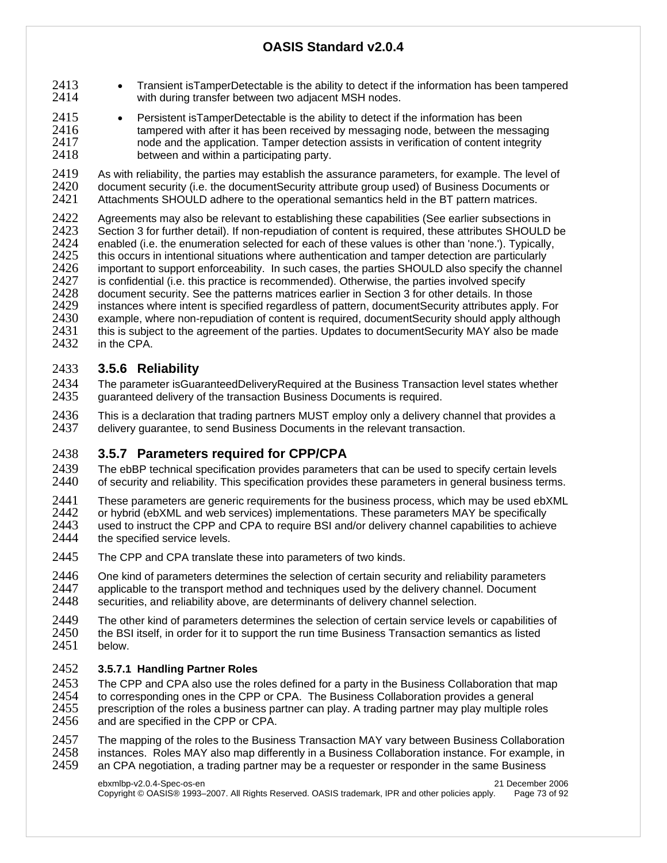- 2413 Transient isTamperDetectable is the ability to detect if the information has been tampered with during transfer between two adiacent MSH nodes. with during transfer between two adjacent MSH nodes.
- 2415 Persistent isTamperDetectable is the ability to detect if the information has been 2416 tampered with after it has been received by messaging node, between the messaging<br>2417 hode and the application Tamper detection assists in verification of content integrity 2417 hode and the application. Tamper detection assists in verification of content integrity<br>2418 between and within a participating party. between and within a participating party.

2419 As with reliability, the parties may establish the assurance parameters, for example. The level of 2420 document security (i.e. the document Security attribute group used) of Business Documents or 2420 document security (i.e. the documentSecurity attribute group used) of Business Documents or <br>2421 Attachments SHOULD adhere to the operational semantics held in the BT pattern matrices. Attachments SHOULD adhere to the operational semantics held in the BT pattern matrices.

2422 Agreements may also be relevant to establishing these capabilities (See earlier subsections in 2423 Section 3 for further detail) If non-repudiation of content is required these attributes SHOULD 2423 Section 3 for further detail). If non-repudiation of content is required, these attributes SHOULD be 2424 enabled (i.e. the enumeration selected for each of these values is other than 'none.'). Typically, 2424 enabled (i.e. the enumeration selected for each of these values is other than 'none.'). Typically,  $2425$  this occurs in intentional situations where authentication and tamper detection are particularly 2425 this occurs in intentional situations where authentication and tamper detection are particularly  $2426$  important to support enforceability. In such cases, the parties SHOULD also specify the change 2426 important to support enforceability. In such cases, the parties SHOULD also specify the channel 2427 is confidential (i.e. this practice is recommended). Otherwise, the parties involved specify 2427 is confidential (i.e. this practice is recommended). Otherwise, the parties involved specify<br>2428 document security. See the patterns matrices earlier in Section 3 for other details. In those 2428 document security. See the patterns matrices earlier in Section 3 for other details. In those 2429 instances where intent is specified regardless of pattern, document Security attributes apply 2429 instances where intent is specified regardless of pattern, documentSecurity attributes apply. For example, where non-repudiation of content is required, documentSecurity should apply although 2431 this is subject to the agreement of the parties. Updates to documentSecurity MAY also be made 2432 in the CPA. in the CPA.

### 2433 **3.5.6 Reliability**

2434 The parameter isGuaranteedDeliveryRequired at the Business Transaction level states whether<br>2435 auaranteed delivery of the transaction Business Documents is required. quaranteed delivery of the transaction Business Documents is required.

2436 This is a declaration that trading partners MUST employ only a delivery channel that provides a 2437 delivery quarantee, to send Business Documents in the relevant transaction. delivery guarantee, to send Business Documents in the relevant transaction.

### 2438 **3.5.7 Parameters required for CPP/CPA**

2439 The ebBP technical specification provides parameters that can be used to specify certain levels<br>2440 of security and reliability. This specification provides these parameters in general business terms of security and reliability. This specification provides these parameters in general business terms.

- 2441 These parameters are generic requirements for the business process, which may be used ebXML<br>2442 or hybrid (ebXML and web services) implementations. These parameters MAY be specifically 2442 or hybrid (ebXML and web services) implementations. These parameters MAY be specifically 2443 used to instruct the CPP and CPA to require BSI and/or delivery channel capabilities to achiev 2443 used to instruct the CPP and CPA to require BSI and/or delivery channel capabilities to achieve 2444 the specified service levels. the specified service levels.
- 2445 The CPP and CPA translate these into parameters of two kinds.

2446 One kind of parameters determines the selection of certain security and reliability parameters<br>2447 applicable to the transport method and techniques used by the delivery channel. Document applicable to the transport method and techniques used by the delivery channel. Document 2448 securities, and reliability above, are determinants of delivery channel selection.

2449 The other kind of parameters determines the selection of certain service levels or capabilities of 2450 the BSI itself. in order for it to support the run time Business Transaction semantics as listed 2450 the BSI itself, in order for it to support the run time Business Transaction semantics as listed 2451 below. below.

#### 2452 **3.5.7.1 Handling Partner Roles**

2453 The CPP and CPA also use the roles defined for a party in the Business Collaboration that map 2454 to corresponding ones in the CPP or CPA. The Business Collaboration provides a general 2454 to corresponding ones in the CPP or CPA. The Business Collaboration provides a general<br>2455 prescription of the roles a business partner can play. A trading partner may play multiple rol 2455 prescription of the roles a business partner can play. A trading partner may play multiple roles 2456 and are specified in the CPP or CPA. and are specified in the CPP or CPA.

2457 The mapping of the roles to the Business Transaction MAY vary between Business Collaboration<br>2458 instances. Roles MAY also map differently in a Business Collaboration instance. For example, in instances. Roles MAY also map differently in a Business Collaboration instance. For example, in 2459 an CPA negotiation, a trading partner may be a requester or responder in the same Business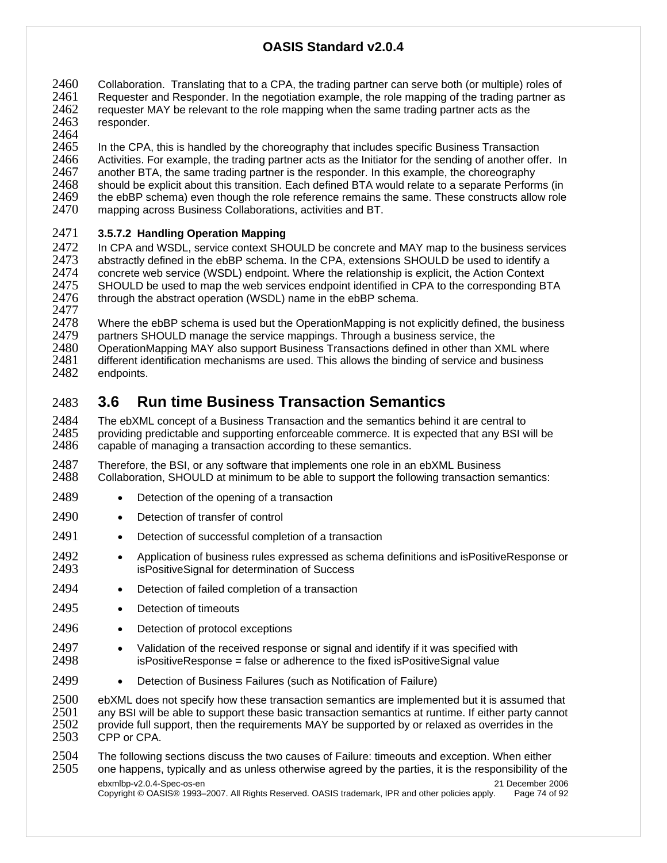2460 Collaboration. Translating that to a CPA, the trading partner can serve both (or multiple) roles of 2461 Requester and Responder. In the negotiation example, the role mapping of the trading partner as  $2461$  Requester and Responder. In the negotiation example, the role mapping of the trading partner as  $2462$  requester MAY be relevant to the role mapping when the same trading partner as the 2462 requester MAY be relevant to the role mapping when the same trading partner acts as the 2463 responder. responder.

2464

2465 In the CPA, this is handled by the choreography that includes specific Business Transaction<br>2466 Activities. For example, the trading partner acts as the Initiator for the sending of another offe 2466 Activities. For example, the trading partner acts as the Initiator for the sending of another offer. In 2467 another BTA, the same trading partner is the responder. In this example, the choreography another BTA, the same trading partner is the responder. In this example, the choreography 2468 should be explicit about this transition. Each defined BTA would relate to a separate Performs (in 2469 the ebBP schema) even though the role reference remains the same. These constructs allow role 2469 the ebBP schema) even though the role reference remains the same. These constructs allow role 2470 mapping across Business Collaborations, activities and BT.

mapping across Business Collaborations, activities and BT.

#### 2471 **3.5.7.2 Handling Operation Mapping**

2472 In CPA and WSDL, service context SHOULD be concrete and MAY map to the business services<br>2473 abstractly defined in the ebBP schema. In the CPA, extensions SHOULD be used to identify a 2473 abstractly defined in the ebBP schema. In the CPA, extensions SHOULD be used to identify a 2474 concrete web service (WSDL) endpoint. Where the relationship is explicit, the Action Context 2475 SHOULD be used to map the web services endpoint identified in CPA to the corresponding B 2475 SHOULD be used to map the web services endpoint identified in CPA to the corresponding BTA<br>2476 through the abstract operation (WSDL) name in the ebBP schema. through the abstract operation (WSDL) name in the ebBP schema.

2477<br>2478

2478 Where the ebBP schema is used but the OperationMapping is not explicitly defined, the business 2479 partners SHOULD manage the service mappings. Through a business service, the

2479 partners SHOULD manage the service mappings. Through a business service, the 2480 OperationMapping MAY also support Business Transactions defined in other than 2

2480 OperationMapping MAY also support Business Transactions defined in other than XML where<br>2481 different identification mechanisms are used. This allows the binding of service and business 2481 different identification mechanisms are used. This allows the binding of service and business 2482 endpoints.

endpoints.

# 2483 **3.6 Run time Business Transaction Semantics**

2484 The ebXML concept of a Business Transaction and the semantics behind it are central to 2485 providing predictable and supporting enforceable commerce. It is expected that any BSI w 2485 providing predictable and supporting enforceable commerce. It is expected that any BSI will be 2486 capable of managing a transaction according to these semantics. capable of managing a transaction according to these semantics.

2487 Therefore, the BSI, or any software that implements one role in an ebXML Business<br>2488 Collaboration, SHOULD at minimum to be able to support the following transaction s 2488 Collaboration, SHOULD at minimum to be able to support the following transaction semantics:

- 2489 Detection of the opening of a transaction
- 2490 Detection of transfer of control
- 2491 Detection of successful completion of a transaction
- 2492 Application of business rules expressed as schema definitions and isPositiveResponse or<br>2493 **•** isPositiveSignal for determination of Success isPositiveSignal for determination of Success
- 2494 Detection of failed completion of a transaction
- 2495 Detection of timeouts
- 2496 Detection of protocol exceptions
- 2497 Validation of the received response or signal and identify if it was specified with<br>2498  **Shoult is Positive Response** = false or adherence to the fixed is Positive Signal value 2498 isPositiveResponse = false or adherence to the fixed isPositiveSignal value
- 2499 Detection of Business Failures (such as Notification of Failure)

2500 ebXML does not specify how these transaction semantics are implemented but it is assumed that <br>2501 any BSI will be able to support these basic transaction semantics at runtime. If either party cannot 2501 any BSI will be able to support these basic transaction semantics at runtime. If either party cannot 2502 provide full support, then the requirements MAY be supported by or relaxed as overrides in the 2502 provide full support, then the requirements MAY be supported by or relaxed as overrides in the 2503 CPP or CPA. CPP or CPA.

2504 The following sections discuss the two causes of Failure: timeouts and exception. When either 2505 one happens, typically and as unless otherwise agreed by the parties, it is the responsibility of the

ebxmlbp-v2.0.4-Spec-os-en 21 December 2006 Copyright © OASIS® 1993–2007. All Rights Reserved. OASIS trademark, IPR and other policies apply. Page 74 of 92 2505 one happens, typically and as unless otherwise agreed by the parties, it is the responsibility of the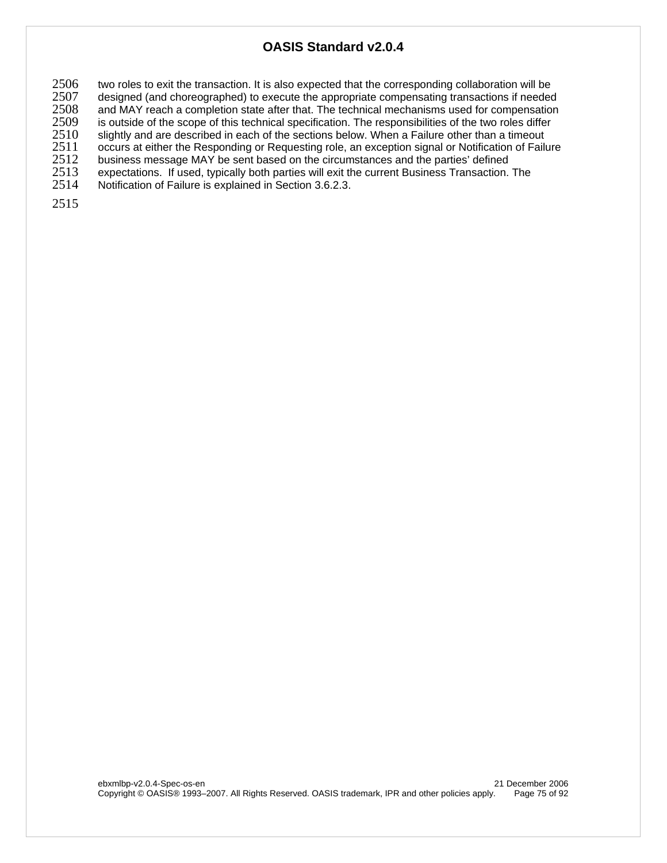2506 two roles to exit the transaction. It is also expected that the corresponding collaboration will be <br>2507 designed (and choreographed) to execute the appropriate compensating transactions if needed

2507 designed (and choreographed) to execute the appropriate compensating transactions if needed<br>2508 and MAY reach a completion state after that. The technical mechanisms used for compensation

2508 and MAY reach a completion state after that. The technical mechanisms used for compensation 2509 is outside of the scope of this technical specification. The responsibilities of the two roles differ

2509 is outside of the scope of this technical specification. The responsibilities of the two roles differ<br>2510 slightly and are described in each of the sections below. When a Failure other than a timeout slightly and are described in each of the sections below. When a Failure other than a timeout

2511 occurs at either the Responding or Requesting role, an exception signal or Notification of Failure 2512 business message MAY be sent based on the circumstances and the parties' defined

2512 business message MAY be sent based on the circumstances and the parties' defined<br>2513 expectations. If used, typically both parties will exit the current Business Transaction. expectations. If used, typically both parties will exit the current Business Transaction. The

2514 Notification of Failure is explained in Section 3.6.2.3.

2515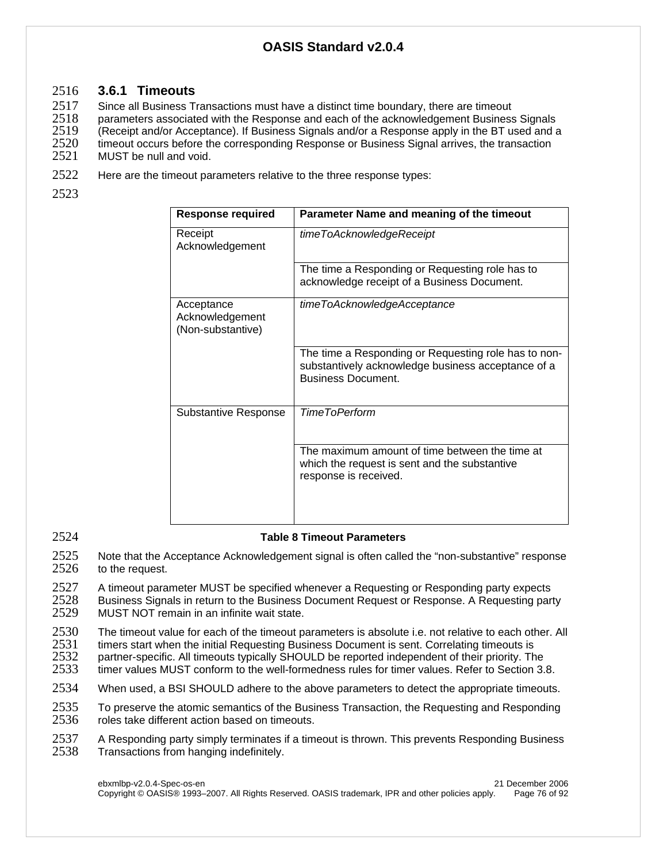#### 2516 **3.6.1 Timeouts**

2517 Since all Business Transactions must have a distinct time boundary, there are timeout

2518 parameters associated with the Response and each of the acknowledgement Business Signals<br>2519 (Receipt and/or Acceptance). If Business Signals and/or a Response apply in the BT used and a 2519 (Receipt and/or Acceptance). If Business Signals and/or a Response apply in the BT used and a<br>2520 timeout occurs before the corresponding Response or Business Signal arrives, the transaction 2520 timeout occurs before the corresponding Response or Business Signal arrives, the transaction MUST be null and void.

- 2522 Here are the timeout parameters relative to the three response types:
- 2523

| <b>Response required</b>                           | Parameter Name and meaning of the timeout                                                                                               |
|----------------------------------------------------|-----------------------------------------------------------------------------------------------------------------------------------------|
| Receipt<br>Acknowledgement                         | timeToAcknowledgeReceipt                                                                                                                |
|                                                    | The time a Responding or Requesting role has to<br>acknowledge receipt of a Business Document.                                          |
| Acceptance<br>Acknowledgement<br>(Non-substantive) | timeToAcknowledgeAcceptance                                                                                                             |
|                                                    | The time a Responding or Requesting role has to non-<br>substantively acknowledge business acceptance of a<br><b>Business Document.</b> |
| <b>Substantive Response</b>                        | <b>TimeToPerform</b>                                                                                                                    |
|                                                    | The maximum amount of time between the time at<br>which the request is sent and the substantive<br>response is received.                |

#### 2524 **Table 8 Timeout Parameters**

2525 Note that the Acceptance Acknowledgement signal is often called the "non-substantive" response<br>2526 to the request. to the request.

2527 A timeout parameter MUST be specified whenever a Requesting or Responding party expects<br>2528 Business Signals in return to the Business Document Request or Response. A Requesting party 2528 Business Signals in return to the Business Document Request or Response. A Requesting party<br>2529 MUST NOT remain in an infinite wait state. MUST NOT remain in an infinite wait state.

2530 The timeout value for each of the timeout parameters is absolute i.e. not relative to each other. All 2531 timers start when the initial Requesting Business Document is sent. Correlating timeouts is 2531 timers start when the initial Requesting Business Document is sent. Correlating timeouts is

- 2532 partner-specific. All timeouts typically SHOULD be reported independent of their priority. The 2533 timer values MUST conform to the well-formedness rules for timer values. Refer to Section 3. timer values MUST conform to the well-formedness rules for timer values. Refer to Section 3.8.
- 2534 When used, a BSI SHOULD adhere to the above parameters to detect the appropriate timeouts.

2535 To preserve the atomic semantics of the Business Transaction, the Requesting and Responding<br>2536 roles take different action based on timeouts. roles take different action based on timeouts.

2537 A Responding party simply terminates if a timeout is thrown. This prevents Responding Business<br>2538 Transactions from hanging indefinitely. Transactions from hanging indefinitely.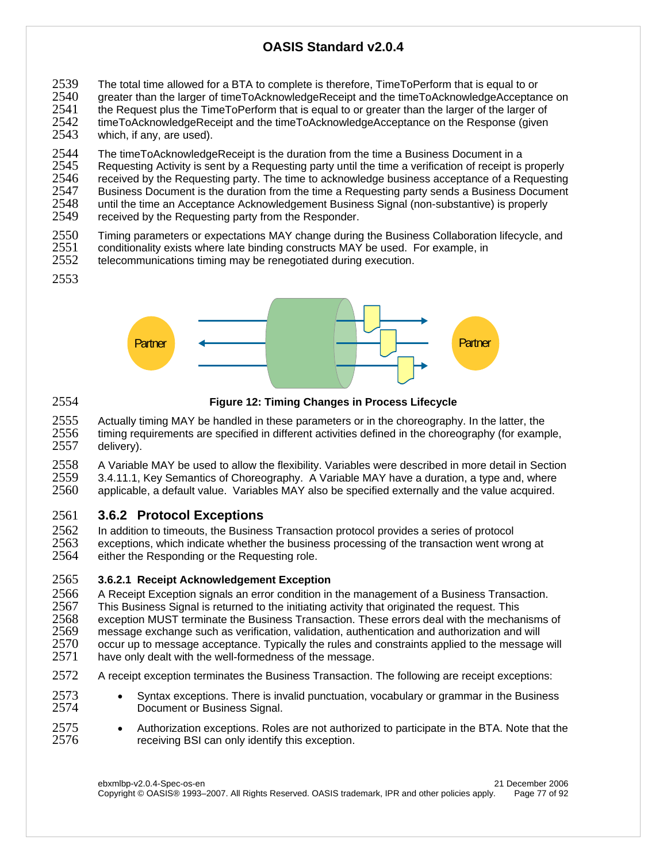- 2539 The total time allowed for a BTA to complete is therefore, TimeToPerform that is equal to or<br>2540 greater than the larger of timeToAcknowledgeReceipt and the timeToAcknowledgeAcceptar
- 2540 greater than the larger of timeToAcknowledgeReceipt and the timeToAcknowledgeAcceptance on
- 2541 the Request plus the TimeToPerform that is equal to or greater than the larger of the larger of the larger of 2542 timeToAcknowledgeReceipt and the timeToAcknowledgeReceipt and the timeToAcknowledgeReceipt and the tim 2542 timeToAcknowledgeReceipt and the timeToAcknowledgeAcceptance on the Response (given 2543 vhich. if anv. are used). which, if any, are used).

2544 The timeToAcknowledgeReceipt is the duration from the time a Business Document in a<br>2545 Requesting Activity is sent by a Requesting party until the time a verification of receipt is 2545 Requesting Activity is sent by a Requesting party until the time a verification of receipt is properly<br>2546 Freceived by the Requesting party. The time to acknowledge business acceptance of a Requesting 2546 received by the Requesting party. The time to acknowledge business acceptance of a Requesting<br>2547 Business Document is the duration from the time a Requesting party sends a Business Document 2547 Business Document is the duration from the time a Requesting party sends a Business Document<br>2548 Until the time an Acceptance Acknowledgement Business Signal (non-substantive) is properly 2548 until the time an Acceptance Acknowledgement Business Signal (non-substantive) is properly 2549 received by the Requesting party from the Responder.

- received by the Requesting party from the Responder.
- 2550 Timing parameters or expectations MAY change during the Business Collaboration lifecycle, and<br>2551 conditionality exists where late binding constructs MAY be used. For example, in
- 2551 conditionality exists where late binding constructs MAY be used. For example, in <br>2552 telecommunications timing may be renegotiated during execution.
- telecommunications timing may be renegotiated during execution.
- 2553



2554 **Figure 12: Timing Changes in Process Lifecycle** 

2555 Actually timing MAY be handled in these parameters or in the choreography. In the latter, the 2556 timing requirements are specified in different activities defined in the choreography (for examp timing requirements are specified in different activities defined in the choreography (for example, 2557 delivery).

2558 A Variable MAY be used to allow the flexibility. Variables were described in more detail in Section<br>2559 3.4.11.1. Key Semantics of Choreography. A Variable MAY have a duration, a type and, where

2559 3.4.11.1, Key Semantics of Choreography. A Variable MAY have a duration, a type and, where applicable, a default value. Variables MAY also be specified externally and the value acquired.

### 2561 **3.6.2 Protocol Exceptions**

2562 In addition to timeouts, the Business Transaction protocol provides a series of protocol 2563 exceptions, which indicate whether the business processing of the transaction went wrong at 2564 either the Responding or the Requesting role.

#### 2565 **3.6.2.1 Receipt Acknowledgement Exception**

2566 A Receipt Exception signals an error condition in the management of a Business Transaction.<br>2567 This Business Signal is returned to the initiating activity that originated the reguest. This 2567 This Business Signal is returned to the initiating activity that originated the request. This 2568 exception MUST terminate the Business Transaction. These errors deal with the mechanisms of 2569 message exchange such as verification, validation, authentication and will 2569 message exchange such as verification, validation, authentication and authorization and will 2570 occur up to message acceptance. Typically the rules and constraints applied to the message will have only dealt with the well-formedness of the message.

- 2572 A receipt exception terminates the Business Transaction. The following are receipt exceptions:
- 2573 Syntax exceptions. There is invalid punctuation, vocabulary or grammar in the Business<br>2574 Document or Business Signal. Document or Business Signal.
- 2575 Authorization exceptions. Roles are not authorized to participate in the BTA. Note that the 2576  **Precelly** receiving BSI can only identify this exception. receiving BSI can only identify this exception.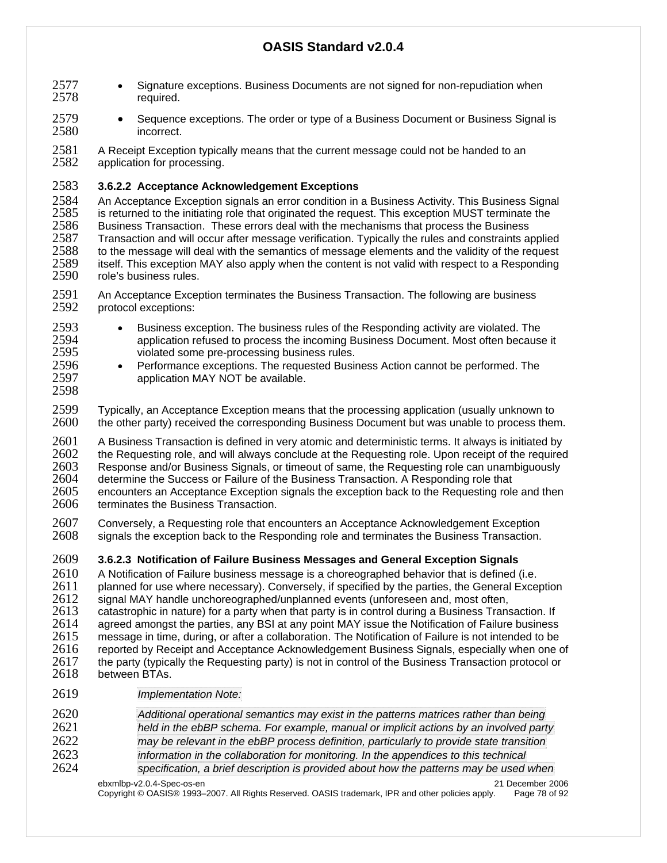- 2577 Signature exceptions. Business Documents are not signed for non-repudiation when 2578 required.
- 2579 Sequence exceptions. The order or type of a Business Document or Business Signal is 2580 incorrect.
- 2581 A Receipt Exception typically means that the current message could not be handed to an <br>2582 application for processing. application for processing.
- 2583 **3.6.2.2 Acceptance Acknowledgement Exceptions**

2584 An Acceptance Exception signals an error condition in a Business Activity. This Business Signal 2585 is returned to the initiating role that originated the request. This exception MUST terminate the 2586 Susiness Transaction. These errors deal with the mechanisms that process the Business 2586 Business Transaction. These errors deal with the mechanisms that process the Business 2587 Transaction and will occur after message verification. Typically the rules and constraints applied 2588 to the message will deal with the semantics of message elements and the validity of the request 2588 to the message will deal with the semantics of message elements and the validity of the request 2589 itself. This exception MAY also apply when the content is not valid with respect to a Responding 2589 itself. This exception MAY also apply when the content is not valid with respect to a Responding role's business rules.

- 2591 An Acceptance Exception terminates the Business Transaction. The following are business<br>2592 protocol exceptions: protocol exceptions:
- 2593 Business exception. The business rules of the Responding activity are violated. The 2594 2594 application refused to process the incoming Business Document. Most often because it<br>2595 violated some pre-processing business rules. violated some pre-processing business rules.
- 2596 Performance exceptions. The requested Business Action cannot be performed. The 2597 application MAY NOT be available.
- 2599 Typically, an Acceptance Exception means that the processing application (usually unknown to 2600 the other party) received the corresponding Business Document but was unable to process then the other party) received the corresponding Business Document but was unable to process them.
- 2601 A Business Transaction is defined in very atomic and deterministic terms. It always is initiated by 2602 the Requesting role, and will always conclude at the Requesting role. Upon receipt of the required 2603 Response and/or Business Signals, or timeout of same, the Requesting role can unambiquously 2603 Response and/or Business Signals, or timeout of same, the Requesting role can unambiguously<br>2604 determine the Success or Failure of the Business Transaction. A Responding role that 2604 determine the Success or Failure of the Business Transaction. A Responding role that 2605 encounters an Acceptance Exception signals the exception back to the Requesting role 2605 encounters an Acceptance Exception signals the exception back to the Requesting role and then <br>2606 terminates the Business Transaction. terminates the Business Transaction.
- 2607 Conversely, a Requesting role that encounters an Acceptance Acknowledgement Exception<br>2608 signals the exception back to the Responding role and terminates the Business Transaction. signals the exception back to the Responding role and terminates the Business Transaction.
- 2609 **3.6.2.3 Notification of Failure Business Messages and General Exception Signals**
- 2610 A Notification of Failure business message is a choreographed behavior that is defined (i.e.<br>2611 planned for use where necessary). Conversely, if specified by the parties, the General Exce 2611 planned for use where necessary). Conversely, if specified by the parties, the General Exception<br>2612 signal MAY handle unchoreographed/unplanned events (unforeseen and, most often,
- 2612 signal MAY handle unchoreographed/unplanned events (unforeseen and, most often, 2613 catastrophic in nature) for a party when that party is in control during a Business Trans
- catastrophic in nature) for a party when that party is in control during a Business Transaction. If 2614 agreed amongst the parties, any BSI at any point MAY issue the Notification of Failure business
- 2615 message in time, during, or after a collaboration. The Notification of Failure is not intended to be 2616 reported by Receipt and Acceptance Acknowledgement Business Signals, especially when one or 2616 reported by Receipt and Acceptance Acknowledgement Business Signals, especially when one of 2617 the party (typically the Requesting party) is not in control of the Business Transaction protocol or
- 2618 between BTAs.

2598

- 2619 *Implementation Note:*
- 2620 *Additional operational semantics may exist in the patterns matrices rather than being*  2621 *held in the ebBP schema. For example, manual or implicit actions by an involved party*  2622 *may be relevant in the ebBP process definition, particularly to provide state transition*  2623 *information in the collaboration for monitoring. In the appendices to this technical*
- 2624 *specification, a brief description is provided about how the patterns may be used when* 
	- ebxmlbp-v2.0.4-Spec-os-en<br>Copyright © OASIS® 1993–2007. All Rights Reserved. OASIS trademark, IPR and other policies apply. Page 78 of 92 Copyright © OASIS® 1993–2007. All Rights Reserved. OASIS trademark, IPR and other policies apply.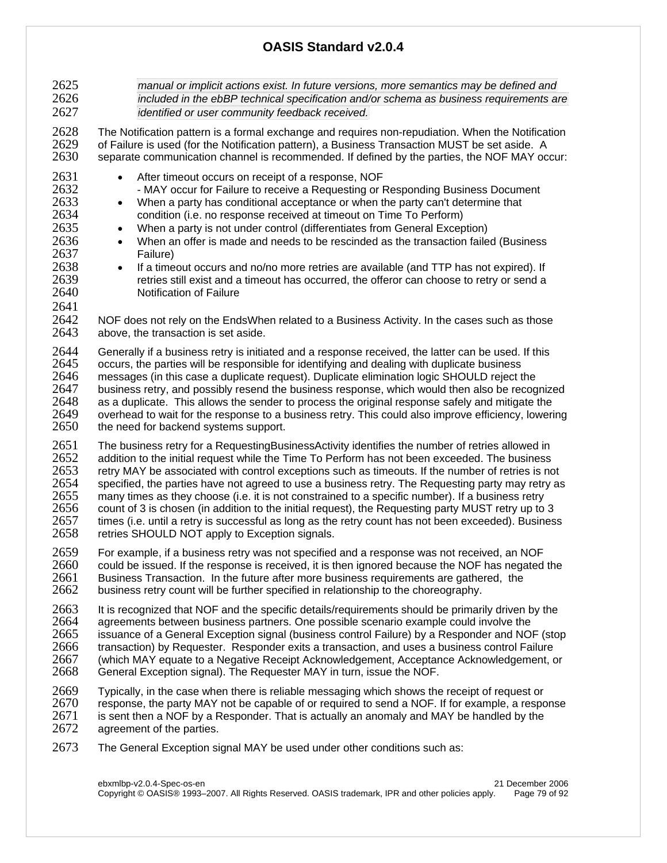2625 *manual or implicit actions exist. In future versions, more semantics may be defined and*  2626 *included in the ebBP technical specification and/or schema as business requirements are*  2627 *identified or user community feedback received.*  2628 The Notification pattern is a formal exchange and requires non-repudiation. When the Notification<br>2629 of Failure is used (for the Notification pattern), a Business Transaction MUST be set aside. A 2629 of Failure is used (for the Notification pattern), a Business Transaction MUST be set aside. A separate communication channel is recommended. If defined by the parties, the NOF MAY occur: 2631 • After timeout occurs on receipt of a response, NOF<br>2632 • MAY occur for Failure to receive a Requesting or I - MAY occur for Failure to receive a Requesting or Responding Business Document 2633 • When a party has conditional acceptance or when the party can't determine that 2634 condition (i.e. no response received at timeout on Time To Perform)<br>2635 • When a party is not under control (differentiates from General Excep • When a party is not under control (differentiates from General Exception) 2636 • When an offer is made and needs to be rescinded as the transaction failed (Business 2637 Failure) 2638 • If a timeout occurs and no/no more retries are available (and TTP has not expired). If retries still exist and a timeout has occurred, the offeror can choose to retry or send a 2640 Notification of Failure 2641 2642 NOF does not rely on the EndsWhen related to a Business Activity. In the cases such as those 2643 above. the transaction is set aside. above, the transaction is set aside. 2644 Generally if a business retry is initiated and a response received, the latter can be used. If this 2645 cccurs the parties will be responsible for identifying and dealing with duplicate business 2645 occurs, the parties will be responsible for identifying and dealing with duplicate business 2646 messages (in this case a duplicate request). Duplicate elimination logic SHOULD reject the 2647 business retry, and possibly resend the business versonse, which would then also be recod 2647 business retry, and possibly resend the business response, which would then also be recognized 2648 as a duplicate. This allows the sender to process the original response safely and mitigate the 2648 as a duplicate. This allows the sender to process the original response safely and mitigate the 2649 version over the response to a business retry. This could also improve efficiency, loweri 2649 overhead to wait for the response to a business retry. This could also improve efficiency, lowering 2650 the need for backend systems support. the need for backend systems support. 2651 The business retry for a RequestingBusinessActivity identifies the number of retries allowed in 2652 addition to the initial request while the Time To Perform has not been exceeded. The business 2652 addition to the initial request while the Time To Perform has not been exceeded. The business<br>2653 retry MAY be associated with control exceptions such as timeouts. If the number of retries is no 2653 retry MAY be associated with control exceptions such as timeouts. If the number of retries is not specified, the parties have not agreed to use a business retry. The Requesting party may retry as 2655 many times as they choose (i.e. it is not constrained to a specific number). If a business retry 2656 count of 3 is chosen (in addition to the initial request), the Requesting party MUST retry up to 3<br>2657 times (i.e. until a retry is successful as long as the retry count has not been exceeded). Busines 2657 times (i.e. until a retry is successful as long as the retry count has not been exceeded). Business 2658 retries SHOULD NOT apply to Exception signals. retries SHOULD NOT apply to Exception signals. 2659 For example, if a business retry was not specified and a response was not received, an NOF<br>2660 could be issued. If the response is received, it is then ignored because the NOF has negated 2660 could be issued. If the response is received, it is then ignored because the NOF has negated the 2661 Business Transaction. In the future after more business requirements are gathered, the 2661 Business Transaction. In the future after more business requirements are gathered, the 2662 business retry count will be further specified in relationship to the choreography. 2663 It is recognized that NOF and the specific details/requirements should be primarily driven by the 2664 agreements between business partners. One possible scenario example could involve the 2665 issuance of a General Exception signal (business control Failure) by a Responder and NOF (stop<br>2666 transaction) by Requester. Responder exits a transaction, and uses a business control Failure 2666 transaction) by Requester. Responder exits a transaction, and uses a business control Failure 2667 (which MAY equate to a Negative Receipt Acknowledgement, Acceptance Acknowledgement, or 2668 General Exception signal). The Requester MAY in turn, issue the NOF. General Exception signal). The Requester MAY in turn, issue the NOF. 2669 Typically, in the case when there is reliable messaging which shows the receipt of request or <br>2670 response, the party MAY not be capable of or required to send a NOF. If for example, a respo response, the party MAY not be capable of or required to send a NOF. If for example, a response  $2671$  is sent then a NOF by a Responder. That is actually an anomaly and MAY be handled by the  $2672$  agreement of the parties. agreement of the parties.

2673 The General Exception signal MAY be used under other conditions such as: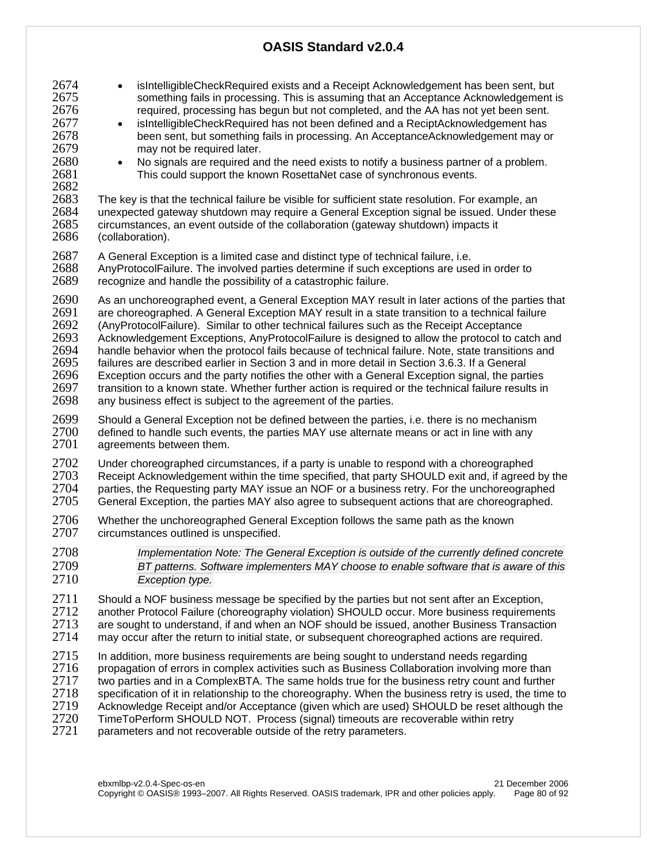- 2674 isIntelligibleCheckRequired exists and a Receipt Acknowledgement has been sent, but 2675 something fails in processing. This is assuming that an Acceptance Acknowledgement is 2676 required, processing has begun but not completed, and the AA has not yet been sent. 2677 • isIntelligibleCheckRequired has not been defined and a ReciptAcknowledgement has been sent, but something fails in processing. An AcceptanceAcknowledgement may or 2679 may not be required later. 2680 • No signals are required and the need exists to notify a business partner of a problem.<br>2681 This could support the known RosettaNet case of synchronous events. This could support the known RosettaNet case of synchronous events. 2682<br>2683 2683 The key is that the technical failure be visible for sufficient state resolution. For example, an 2684 unexpected gateway shutdown may require a General Exception signal be issued. Under these 2685 circumstances, an event outside of the collaboration (gateway shutdown) impacts it 2686 (collaboration). 2687 A General Exception is a limited case and distinct type of technical failure, i.e.<br>2688 AnyProtocolFailure. The involved parties determine if such exceptions are use 2688 AnyProtocolFailure. The involved parties determine if such exceptions are used in order to 2689 recognize and handle the possibility of a catastrophic failure. recognize and handle the possibility of a catastrophic failure. 2690 As an unchoreographed event, a General Exception MAY result in later actions of the parties that <br>2691 are choreographed. A General Exception MAY result in a state transition to a technical failure are choreographed. A General Exception MAY result in a state transition to a technical failure 2692 (AnyProtocolFailure). Similar to other technical failures such as the Receipt Acceptance<br>2693 Acknowledgement Exceptions. AnyProtocolFailure is designed to allow the protocol to ca 2693 Acknowledgement Exceptions, AnyProtocolFailure is designed to allow the protocol to catch and<br>2694 handle behavior when the protocol fails because of technical failure. Note, state transitions and handle behavior when the protocol fails because of technical failure. Note, state transitions and 2695 failures are described earlier in Section 3 and in more detail in Section 3.6.3. If a General Exception occurs and the party notifies the other with a General Exception signal, the parties 2697 transition to a known state. Whether further action is required or the technical failure results in 2698 any business effect is subject to the agreement of the parties. 2699 Should a General Exception not be defined between the parties, i.e. there is no mechanism<br>2700 defined to handle such events, the parties MAY use alternate means or act in line with any  $2700$  defined to handle such events, the parties MAY use alternate means or act in line with any  $2701$  agreements between them. agreements between them. 2702 Under choreographed circumstances, if a party is unable to respond with a choreographed<br>2703 Receipt Acknowledgement within the time specified, that party SHOULD exit and, if agreed 2703 Receipt Acknowledgement within the time specified, that party SHOULD exit and, if agreed by the 2704 parties, the Requesting party MAY issue an NOF or a business retry. For the unchoreographed 2704 parties, the Requesting party MAY issue an NOF or a business retry. For the unchoreographed<br>2705 General Exception, the parties MAY also agree to subsequent actions that are choreographed. General Exception, the parties MAY also agree to subsequent actions that are choreographed. 2706 Whether the unchoreographed General Exception follows the same path as the known<br>2707 circumstances outlined is unspecified. circumstances outlined is unspecified. 2708 *Implementation Note: The General Exception is outside of the currently defined concrete*  2709 *BT patterns. Software implementers MAY choose to enable software that is aware of this*  2710 *Exception type.*  2711 Should a NOF business message be specified by the parties but not sent after an Exception,<br>2712 another Protocol Failure (choreography violation) SHOULD occur. More business requiremen 2712 another Protocol Failure (choreography violation) SHOULD occur. More business requirements<br>2713 are sought to understand. if and when an NOF should be issued, another Business Transaction 2713 are sought to understand, if and when an NOF should be issued, another Business Transaction<br>2714 may occur after the return to initial state, or subsequent choreographed actions are required. may occur after the return to initial state, or subsequent choreographed actions are required. 2715 In addition, more business requirements are being sought to understand needs regarding<br>2716 Propagation of errors in complex activities such as Business Collaboration involving more  $2716$  propagation of errors in complex activities such as Business Collaboration involving more than<br>2717 two parties and in a ComplexBTA. The same holds true for the business retry count and further two parties and in a ComplexBTA. The same holds true for the business retry count and further
- 2718 specification of it in relationship to the choreography. When the business retry is used, the time to
- 
- 2719 Acknowledge Receipt and/or Acceptance (given which are used) SHOULD be reset although the 2720 TimeToPerform SHOULD NOT. Process (signal) timeouts are recoverable within retry
- 2720 TimeToPerform SHOULD NOT. Process (signal) timeouts are recoverable within retry<br>2721 Darameters and not recoverable outside of the retry parameters. parameters and not recoverable outside of the retry parameters.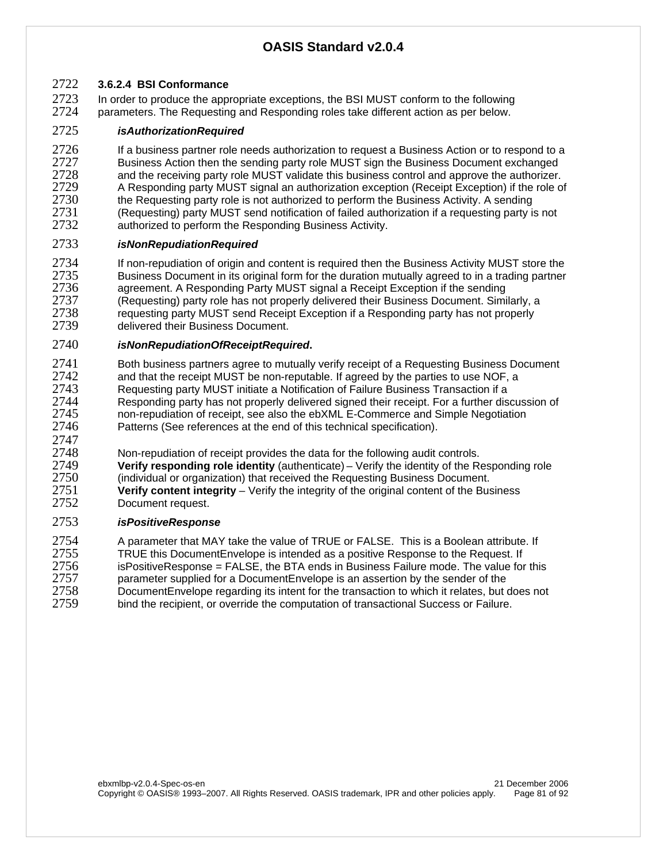#### 2722 **3.6.2.4 BSI Conformance**

2723 In order to produce the appropriate exceptions, the BSI MUST conform to the following<br>2724 parameters. The Requesting and Responding roles take different action as per below. parameters. The Requesting and Responding roles take different action as per below.

#### 2725 *isAuthorizationRequired*

2726 If a business partner role needs authorization to request a Business Action or to respond to a<br>2727 Business Action then the sending party role MUST sign the Business Document exchanged 2727 Business Action then the sending party role MUST sign the Business Document exchanged<br>2728 and the receiving party role MUST validate this business control and approve the authorizer. 2728 and the receiving party role MUST validate this business control and approve the authorizer.<br>2729 A Responding party MUST signal an authorization exception (Receipt Exception) if the role of 2729 A Responding party MUST signal an authorization exception (Receipt Exception) if the role of 2730 the Requesting party role is not authorized to perform the Business Activity. A sending  $2730$  the Requesting party role is not authorized to perform the Business Activity. A sending<br>2731 (Requesting) party MUST send notification of failed authorization if a requesting party i 2731 (Requesting) party MUST send notification of failed authorization if a requesting party is not<br>2732 authorized to perform the Responding Business Activity authorized to perform the Responding Business Activity.

#### 2733 *isNonRepudiationRequired*

2734 If non-repudiation of origin and content is required then the Business Activity MUST store the<br>2735 Business Document in its original form for the duration mutually agreed to in a trading partner 2735 Business Document in its original form for the duration mutually agreed to in a trading partner<br>2736 agreement. A Responding Party MUST signal a Receipt Exception if the sending 2736 agreement. A Responding Party MUST signal a Receipt Exception if the sending<br>2737 (Requesting) party role has not properly delivered their Business Document. Simi 2737 (Requesting) party role has not properly delivered their Business Document. Similarly, a<br>2738 requesting party MUST send Receipt Exception if a Responding party has not properly 2738 requesting party MUST send Receipt Exception if a Responding party has not properly<br>2739 delivered their Business Document. delivered their Business Document.

#### 2740 *isNonRepudiationOfReceiptRequired***.**

2741 Both business partners agree to mutually verify receipt of a Requesting Business Document<br>2742 and that the receipt MUST be non-reputable. If agreed by the parties to use NOF, a 2742 and that the receipt MUST be non-reputable. If agreed by the parties to use NOF, a<br>2743 Requesting party MUST initiate a Notification of Failure Business Transaction if a 2743 Requesting party MUST initiate a Notification of Failure Business Transaction if a<br>2744 Responding party has not properly delivered signed their receipt. For a further dis 2744 Responding party has not properly delivered signed their receipt. For a further discussion of 2745 non-repudiation of receipt, see also the ebXML E-Commerce and Simple Negotiation 2745 non-repudiation of receipt, see also the ebXML E-Commerce and Simple Negotiation<br>2746 **Patterns (See references at the end of** this technical specification). Patterns (See references at the end of this technical specification).

2747<br>2748 2748 Non-repudiation of receipt provides the data for the following audit controls.<br>2749 **Verify responding role identity** (authenticate) – Verify the identity of the Re **Verify responding role identity** (authenticate) – Verify the identity of the Responding role 2750 (individual or organization) that received the Requesting Business Document. 2751 **Verify content integrity** – Verify the integrity of the original content of the Business Document request.

#### 2753 *isPositiveResponse*

2754 A parameter that MAY take the value of TRUE or FALSE. This is a Boolean attribute. If 2755 TRUE this Document Envelope is intended as a positive Response to the Request. If 2755 TRUE this DocumentEnvelope is intended as a positive Response to the Request. If<br>2756 Sispositive Response = FALSE, the BTA ends in Business Failure mode. The value for isPositiveResponse = FALSE, the BTA ends in Business Failure mode. The value for this 2757 parameter supplied for a DocumentEnvelope is an assertion by the sender of the 2758 DocumentEnvelope regarding its intent for the transaction to which it relates, but 2758 DocumentEnvelope regarding its intent for the transaction to which it relates, but does not 2759 bind the recipient, or override the computation of transactional Success or Failure. bind the recipient, or override the computation of transactional Success or Failure.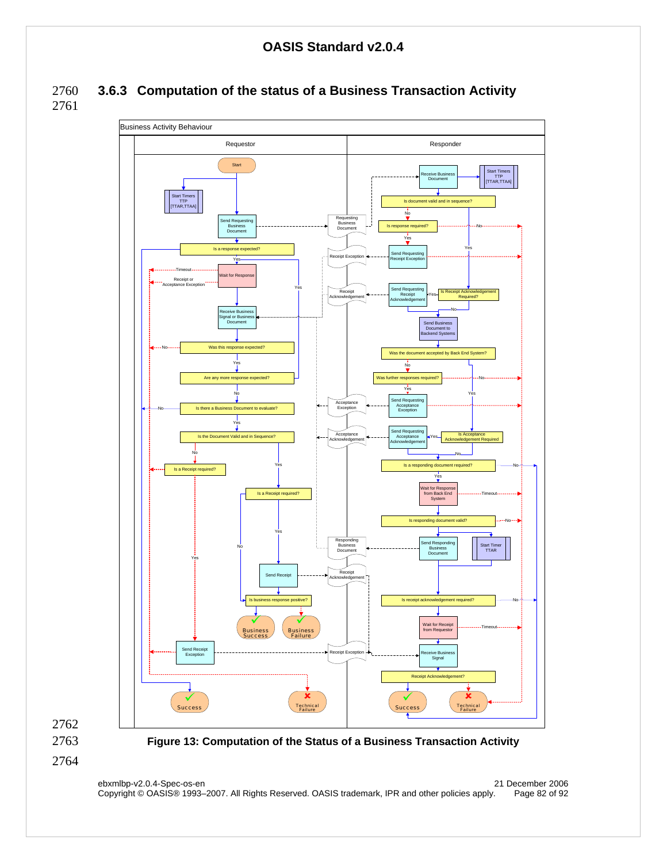2760 **3.6.3 Computation of the status of a Business Transaction Activity**  2761





2763 **Figure 13: Computation of the Status of a Business Transaction Activity** 

2764

ebxmlbp-v2.0.4-Spec-os-en 21 December 2006 Copyright © OASIS® 1993–2007. All Rights Reserved. OASIS trademark, IPR and other policies apply. Page 82 of 92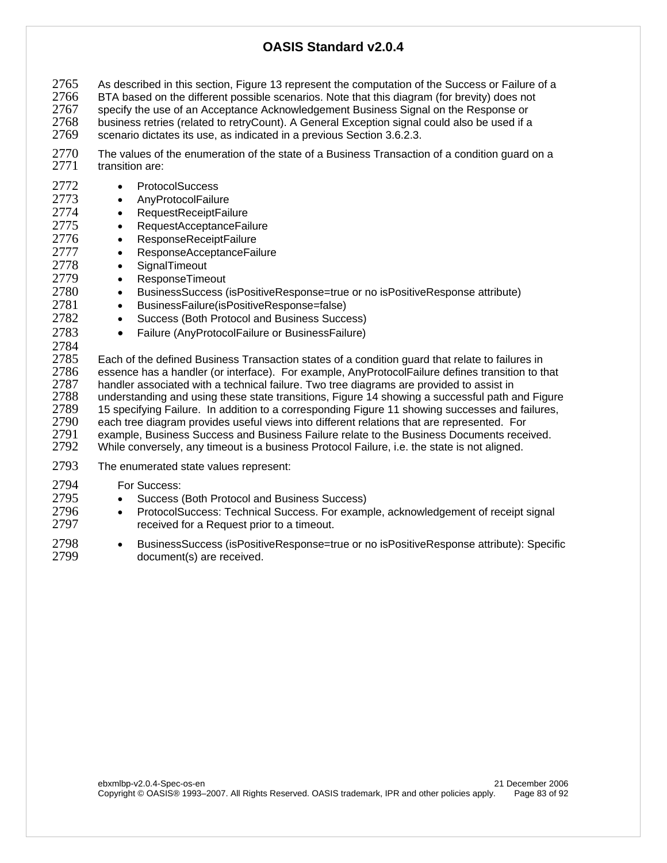2765 As described in this section, Figure 13 represent the computation of the Success or Failure of a<br>2766 BTA based on the different possible scenarios. Note that this diagram (for brevity) does not 2766 BTA based on the different possible scenarios. Note that this diagram (for brevity) does not<br>2767 Specify the use of an Acceptance Acknowledgement Business Signal on the Response or 2767 specify the use of an Acceptance Acknowledgement Business Signal on the Response or<br>2768 business retries (related to retryCount). A General Exception signal could also be used if a 2768 business retries (related to retryCount). A General Exception signal could also be used if a<br>2769 scenario dictates its use, as indicated in a previous Section 3.6.2.3. 2769 scenario dictates its use, as indicated in a previous Section 3.6.2.3.

2770 The values of the enumeration of the state of a Business Transaction of a condition guard on a<br>2771 transition are:

- transition are:
- 2772 ProtocolSuccess
- 2773 AnyProtocolFailure
- 2774 RequestReceiptFailure
- 2775 RequestAcceptanceFailure
- 2776 ResponseReceiptFailure
- 2777 ResponseAcceptanceFailure
- 2778 SignalTimeout
- 2779 ResponseTimeout
- 2780 BusinessSuccess (isPositiveResponse=true or no isPositiveResponse attribute)
- 2781 BusinessFailure(isPositiveResponse=false)
- 2782 Success (Both Protocol and Business Success)
- 2783 Failure (AnyProtocolFailure or BusinessFailure)
- 

2784<br>2785 2785 Each of the defined Business Transaction states of a condition guard that relate to failures in<br>2786 essence has a handler (or interface). For example, AnvProtocolFailure defines transition to the 2786 essence has a handler (or interface). For example, AnyProtocolFailure defines transition to that 2787 handler associated with a technical failure. Two tree diagrams are provided to assist in 2787 handler associated with a technical failure. Two tree diagrams are provided to assist in<br>2788 understanding and using these state transitions. Figure 14 showing a successful path a 2788 understanding and using these state transitions, Figure 14 showing a successful path and Figure 2789 15 specifying Failure. In addition to a corresponding Figure 11 showing successes and failures, 2790 each tree diagram provides useful views into different relations that are represented. For each tree diagram provides useful views into different relations that are represented. For 2791 example, Business Success and Business Failure relate to the Business Documents received.<br>2792 While conversely, any timeout is a business Protocol Failure, i.e. the state is not aligned. While conversely, any timeout is a business Protocol Failure, i.e. the state is not aligned.

2793 The enumerated state values represent:

2794 For Success:

- 2795 Success (Both Protocol and Business Success)<br>2796 ProtocolSuccess: Technical Success. For exam
- 2796 ProtocolSuccess: Technical Success. For example, acknowledgement of receipt signal<br>2797  **ProtocolSuccess** Request prior to a timeout received for a Request prior to a timeout.
- 2798 BusinessSuccess (isPositiveResponse=true or no isPositiveResponse attribute): Specific document(s) are received.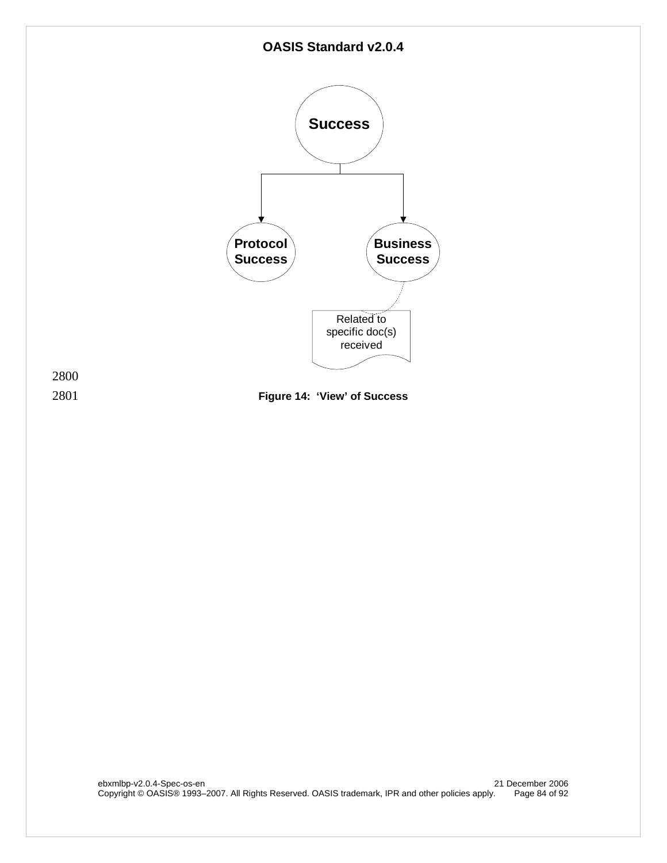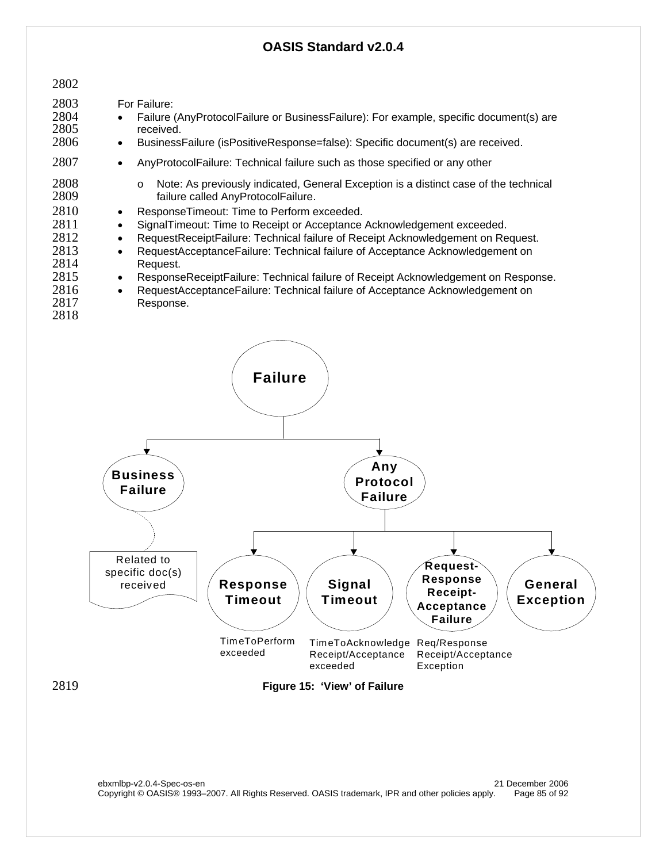

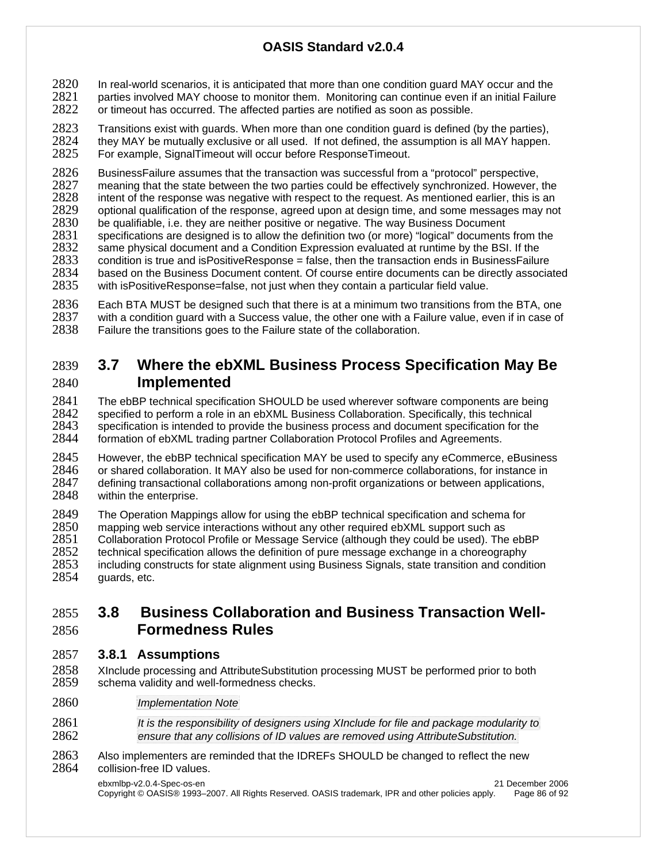2820 In real-world scenarios, it is anticipated that more than one condition guard MAY occur and the<br>2821 parties involved MAY choose to monitor them. Monitoring can continue even if an initial Failure 2821 parties involved MAY choose to monitor them. Monitoring can continue even if an initial Failure<br>2822 or timeout has occurred. The affected parties are notified as soon as possible. or timeout has occurred. The affected parties are notified as soon as possible.

2823 Transitions exist with guards. When more than one condition guard is defined (by the parties), 2824 they MAY be mutually exclusive or all used. If not defined, the assumption is all MAY happen.<br>2825 For example. SignalTimeout will occur before ResponseTimeout. For example, SignalTimeout will occur before ResponseTimeout.

2826 BusinessFailure assumes that the transaction was successful from a "protocol" perspective,<br>2827 meaning that the state between the two parties could be effectively synchronized. However, 2827 meaning that the state between the two parties could be effectively synchronized. However, the 2828 intent of the response was negative with respect to the reguest. As mentioned earlier, this is an 2828 intent of the response was negative with respect to the request. As mentioned earlier, this is an <br>2829 optional qualification of the response, agreed upon at design time, and some messages may not 2829 optional qualification of the response, agreed upon at design time, and some messages may not 2830 be qualifiable, i.e. they are neither positive or negative. The way Business Document 2830 be qualifiable, i.e. they are neither positive or negative. The way Business Document 2831 specifications are designed is to allow the definition two (or more) "logical" documents from the 2832 same physical document and a Condition Expression evaluated at runtime by the BSI. If the 2832 same physical document and a Condition Expression evaluated at runtime by the BSI. If the 2833 condition is true and isPositiveResponse = false, then the transaction ends in BusinessFailur condition is true and isPositiveResponse = false, then the transaction ends in BusinessFailure 2834 based on the Business Document content. Of course entire documents can be directly associated 2835 with is Positive Response=false, not just when they contain a particular field value. with isPositiveResponse=false, not just when they contain a particular field value.

2836 Each BTA MUST be designed such that there is at a minimum two transitions from the BTA, one 2837 with a condition quard with a Success value, the other one with a Failure value, even if in case of 2837 with a condition guard with a Success value, the other one with a Failure value, even if in case of 2838 Failure the transitions goes to the Failure state of the collaboration. Failure the transitions goes to the Failure state of the collaboration.

# 2839 **3.7 Where the ebXML Business Process Specification May Be**  2840 **Implemented**

2841 The ebBP technical specification SHOULD be used wherever software components are being 2842 specified to perform a role in an ebXML Business Collaboration. Specifically, this technical 2842 specified to perform a role in an ebXML Business Collaboration. Specifically, this technical<br>2843 specification is intended to provide the business process and document specification for the 2843 specification is intended to provide the business process and document specification for the 2844 formation of ebXML trading partner Collaboration Protocol Profiles and Agreements. formation of ebXML trading partner Collaboration Protocol Profiles and Agreements.

2845 However, the ebBP technical specification MAY be used to specify any eCommerce, eBusiness<br>2846 or shared collaboration. It MAY also be used for non-commerce collaborations, for instance in 2846 or shared collaboration. It MAY also be used for non-commerce collaborations, for instance in<br>2847 o defining transactional collaborations among non-profit organizations or between applications. 2847 defining transactional collaborations among non-profit organizations or between applications,<br>2848 vithin the enterprise. within the enterprise.

2849 The Operation Mappings allow for using the ebBP technical specification and schema for <br>2850 mapping web service interactions without any other required ebXML support such as 2850 mapping web service interactions without any other required ebXML support such as <br>2851 Collaboration Protocol Profile or Message Service (although they could be used). The 2851 Collaboration Protocol Profile or Message Service (although they could be used). The ebBP<br>2852 technical specification allows the definition of pure message exchange in a choreography 2852 technical specification allows the definition of pure message exchange in a choreography 2853 including constructs for state alignment using Business Signals, state transition and condition 2854 unards, etc. guards, etc.

### 2855 **3.8 Business Collaboration and Business Transaction Well-**2856 **Formedness Rules**

#### 2857 **3.8.1 Assumptions**

- 2858 XInclude processing and AttributeSubstitution processing MUST be performed prior to both 2859 schema validity and well-formedness checks. schema validity and well-formedness checks.
- 2860 *Implementation Note*
- 2861 *It is the responsibility of designers using XInclude for file and package modularity to*  2862 *ensure that any collisions of ID values are removed using AttributeSubstitution.*
- 2863 Also implementers are reminded that the IDREFs SHOULD be changed to reflect the new 2864 collision-free ID values.

ebxmlbp-v2.0.4-Spec-os-en 21 December 2006 Copyright © OASIS® 1993–2007. All Rights Reserved. OASIS trademark, IPR and other policies apply. Page 86 of 92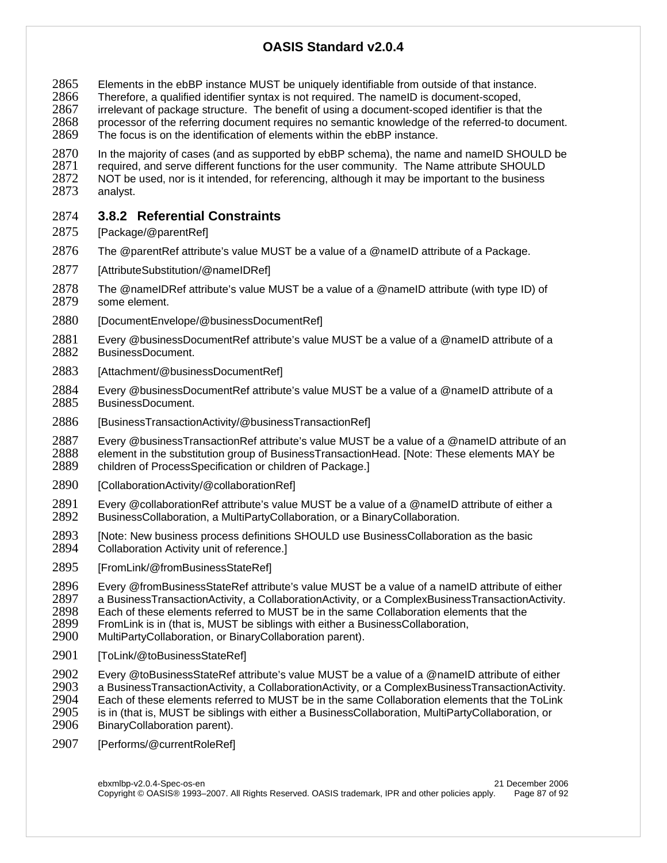- 2865 Elements in the ebBP instance MUST be uniquely identifiable from outside of that instance.<br>2866 Therefore, a qualified identifier syntax is not required. The namelD is document-scoped,
- 2866 Therefore, a qualified identifier syntax is not required. The nameID is document-scoped,<br>2867 Firrelevant of package structure. The benefit of using a document-scoped identifier is that
- 2867 irrelevant of package structure. The benefit of using a document-scoped identifier is that the<br>2868 orgoessor of the referring document requires no semantic knowledge of the referred-to docum 2868 processor of the referring document requires no semantic knowledge of the referred-to document.
- 2869 The focus is on the identification of elements within the ebBP instance.
- 2870 In the majority of cases (and as supported by ebBP schema), the name and nameID SHOULD be 2871 required, and serve different functions for the user community. The Name attribute SHOULD 2871 required, and serve different functions for the user community. The Name attribute SHOULD<br>2872 NOT be used, nor is it intended, for referencing, although it may be important to the business 2872 NOT be used, nor is it intended, for referencing, although it may be important to the business 2873 analyst. analyst.

#### 2874 **3.8.2 Referential Constraints**

- 2875 [Package/@parentRef]
- 2876 The @parentRef attribute's value MUST be a value of a @nameID attribute of a Package.
- 2877 [AttributeSubstitution/@nameIDRef]
- 2878 The @nameIDRef attribute's value MUST be a value of a @nameID attribute (with type ID) of 2879 some element. some element.
- 2880 [DocumentEnvelope/@businessDocumentRef]
- 2881 Every @businessDocumentRef attribute's value MUST be a value of a @nameID attribute of a 2882 BusinessDocument.
- 2883 [Attachment/@businessDocumentRef]
- 2884 Every @businessDocumentRef attribute's value MUST be a value of a @nameID attribute of a 2885 BusinessDocument.
- 2886 [BusinessTransactionActivity/@businessTransactionRef]

2887 Every @businessTransactionRef attribute's value MUST be a value of a @nameID attribute of an <br>2888 element in the substitution group of BusinessTransactionHead. [Note: These elements MAY be 2888 element in the substitution group of BusinessTransactionHead. [Note: These elements MAY be 2889 children of ProcessSpecification or children of Package.] children of ProcessSpecification or children of Package.]

- 2890 [CollaborationActivity/@collaborationRef]
- 2891 Every @collaborationRef attribute's value MUST be a value of a @nameID attribute of either a<br>2892 BusinessCollaboration, a MultiPartyCollaboration, or a BinaryCollaboration. BusinessCollaboration, a MultiPartyCollaboration, or a BinaryCollaboration.
- 2893 [Note: New business process definitions SHOULD use BusinessCollaboration as the basic<br>2894 Collaboration Activity unit of reference. Collaboration Activity unit of reference.]
- 2895 [FromLink/@fromBusinessStateRef]
- 2896 Every @fromBusinessStateRef attribute's value MUST be a value of a nameID attribute of either<br>2897 a BusinessTransactionActivity, a CollaborationActivity, or a ComplexBusinessTransactionActivity.
- 2897 a BusinessTransactionActivity, a CollaborationActivity, or a ComplexBusinessTransactionActivity.<br>2898 Each of these elements referred to MUST be in the same Collaboration elements that the
- 2898 Each of these elements referred to MUST be in the same Collaboration elements that the 2899 From Link is in (that is, MUST be siblings with either a BusinessCollaboration,
- 2899 FromLink is in (that is, MUST be siblings with either a BusinessCollaboration, 2900 MultiPartyCollaboration, or BinaryCollaboration parent). MultiPartyCollaboration, or BinaryCollaboration parent).
- 2901 [ToLink/@toBusinessStateRefl]
- 2902 Every @toBusinessStateRef attribute's value MUST be a value of a @nameID attribute of either<br>2903 a BusinessTransactionActivity, a CollaborationActivity, or a ComplexBusinessTransactionActivity 2903 a BusinessTransactionActivity, a CollaborationActivity, or a ComplexBusinessTransactionActivity. 2904 Each of these elements referred to MUST be in the same Collaboration elements that the ToLink<br>2905 is in (that is, MUST be siblings with either a BusinessCollaboration, MultiPartyCollaboration, or 2905 is in (that is, MUST be siblings with either a BusinessCollaboration, MultiPartyCollaboration, or <br>2906 BinaryCollaboration parent). BinaryCollaboration parent).
- 2907 [Performs/@currentRoleRef]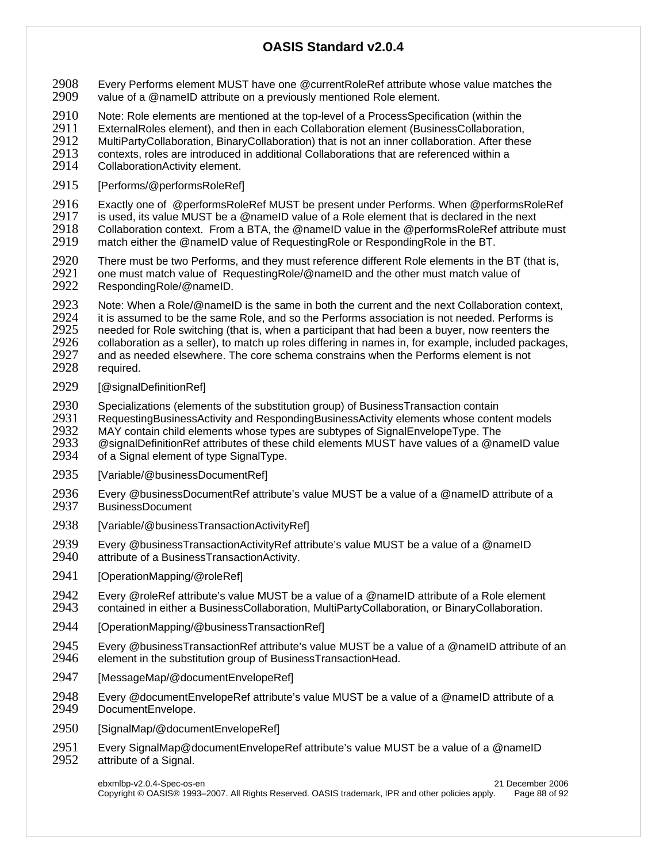- 2908 Every Performs element MUST have one @currentRoleRef attribute whose value matches the 2909 value of a @namelD attribute on a previously mentioned Role element. value of a @nameID attribute on a previously mentioned Role element.
- 2910 Note: Role elements are mentioned at the top-level of a ProcessSpecification (within the 2911 FxternalRoles element) and then in each Collaboration element (BusinessCollaboration)
- ExternalRoles element), and then in each Collaboration element (BusinessCollaboration,
- 2912 MultiPartyCollaboration, BinaryCollaboration) that is not an inner collaboration. After these<br>2913 Contexts, roles are introduced in additional Collaborations that are referenced within a
- 2913 contexts, roles are introduced in additional Collaborations that are referenced within a<br>2914 CollaborationActivity element.
- CollaborationActivity element.
- 2915 [Performs/@performsRoleRef]
- 2916 Exactly one of @performsRoleRef MUST be present under Performs. When @performsRoleRef<br>2917 is used. its value MUST be a @nameID value of a Role element that is declared in the next
- 2917 is used, its value MUST be a @nameID value of a Role element that is declared in the next<br>2918 Collaboration context. From a BTA, the @nameID value in the @performsRoleRef attribute
- 2918 Collaboration context. From a BTA, the @nameID value in the @performsRoleRef attribute must 2919 match either the @nameID value of RequestionRole or RespondingRole in the BT.
- match either the @nameID value of RequestingRole or RespondingRole in the BT.
- 2920 There must be two Performs, and they must reference different Role elements in the BT (that is, 2921 one must match value of RequestingRole/@nameID and the other must match value of <br>2922 RespondingRole/@nameID. RespondingRole/@nameID.
- 2923 Note: When a Role/@nameID is the same in both the current and the next Collaboration context,<br>2924 it is assumed to be the same Role, and so the Performs association is not needed. Performs is 2924 it is assumed to be the same Role, and so the Performs association is not needed. Performs is<br>2925 eneeded for Role switching (that is, when a participant that had been a buver, now reenters the 2925 needed for Role switching (that is, when a participant that had been a buyer, now reenters the 2926 collaboration as a seller), to match up roles differing in names in, for example, included package 2926 collaboration as a seller), to match up roles differing in names in, for example, included packages, 2927 and as needed elsewhere. The core schema constrains when the Performs element is not
- 2927 and as needed elsewhere. The core schema constrains when the Performs element is not 2928 required. required.
- 2929 [@signalDefinitionRef]
- 2930 Specializations (elements of the substitution group) of BusinessTransaction contain<br>2931 RequestingBusinessActivity and RespondingBusinessActivity elements whose conte
- 2931 RequestingBusinessActivity and RespondingBusinessActivity elements whose content models<br>2932 MAY contain child elements whose types are subtypes of SignalEnvelopeType. The
- 2932 MAY contain child elements whose types are subtypes of SignalEnvelopeType. The<br>2933 CesignalDefinitionRef attributes of these child elements MUST have values of a @na
- 2933 @signalDefinitionRef attributes of these child elements MUST have values of a @nameID value<br>2934 of a Signal element of type SignalType. of a Signal element of type SignalType.
- 2935 [Variable/@businessDocumentRefl]
- 2936 Every @businessDocumentRef attribute's value MUST be a value of a @nameID attribute of a 2937 BusinessDocument
- 2938 [Variable/@businessTransactionActivityRef]
- 2939 Every @businessTransactionActivityRef attribute's value MUST be a value of a @nameID<br>2940 attribute of a BusinessTransactionActivity. attribute of a BusinessTransactionActivity.
- 2941 [OperationMapping/@roleRef]
- 2942 Every @roleRef attribute's value MUST be a value of a @nameID attribute of a Role element<br>2943 contained in either a BusinessCollaboration. MultiPartyCollaboration. or BinaryCollaboration. contained in either a BusinessCollaboration, MultiPartyCollaboration, or BinaryCollaboration.
- 2944 [OperationMapping/@businessTransactionRef]
- 2945 Every @businessTransactionRef attribute's value MUST be a value of a @nameID attribute of an 2946 element in the substitution group of BusinessTransactionHead. element in the substitution group of BusinessTransactionHead.
- 2947 [MessageMap/@documentEnvelopeRef]
- 2948 Every @documentEnvelopeRef attribute's value MUST be a value of a @nameID attribute of a 2949 DocumentEnvelope. DocumentEnvelope.
- 2950 [SignalMap/@documentEnvelopeRef]
- 2951 Every SignalMap@documentEnvelopeRef attribute's value MUST be a value of a @nameID<br>2952 attribute of a Signal. attribute of a Signal.

ebxmlbp-v2.0.4-Spec-os-en 21 December 2006 Copyright © OASIS® 1993–2007. All Rights Reserved. OASIS trademark, IPR and other policies apply. Page 88 of 92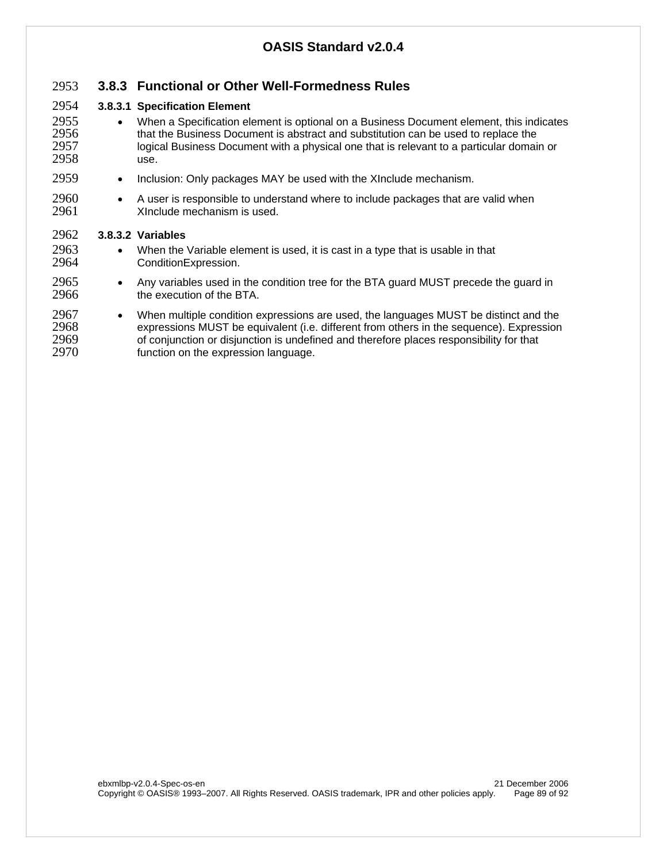#### 2953 **3.8.3 Functional or Other Well-Formedness Rules**

#### 2954 **3.8.3.1 Specification Element**

- <sup>2955</sup> When a Specification element is optional on a Business Document element, this indicates 2956  **The Susiness Document is abstract and substitution can be used to replace the** 2956 that the Business Document is abstract and substitution can be used to replace the<br>2957 colorical Business Document with a physical one that is relevant to a particular domain logical Business Document with a physical one that is relevant to a particular domain or 2958 use.
- 2959 Inclusion: Only packages MAY be used with the XInclude mechanism.
- 2960 A user is responsible to understand where to include packages that are valid when Xinclude mechanism is used.

#### 2962 **3.8.3.2 Variables**

- 2963 When the Variable element is used, it is cast in a type that is usable in that 2964 ConditionExpression.
- 2965 Any variables used in the condition tree for the BTA guard MUST precede the guard in 2966 the execution of the BTA.
- 2967 When multiple condition expressions are used, the languages MUST be distinct and the 2968 expressions MUST be equivalent (i.e. different from others in the sequence). Expression 2968 expressions MUST be equivalent (i.e. different from others in the sequence). Expression<br>2969 of conjunction or disiunction is undefined and therefore places responsibility for that 2969 of conjunction or disjunction is undefined and therefore places responsibility for that 2970 function on the expression language.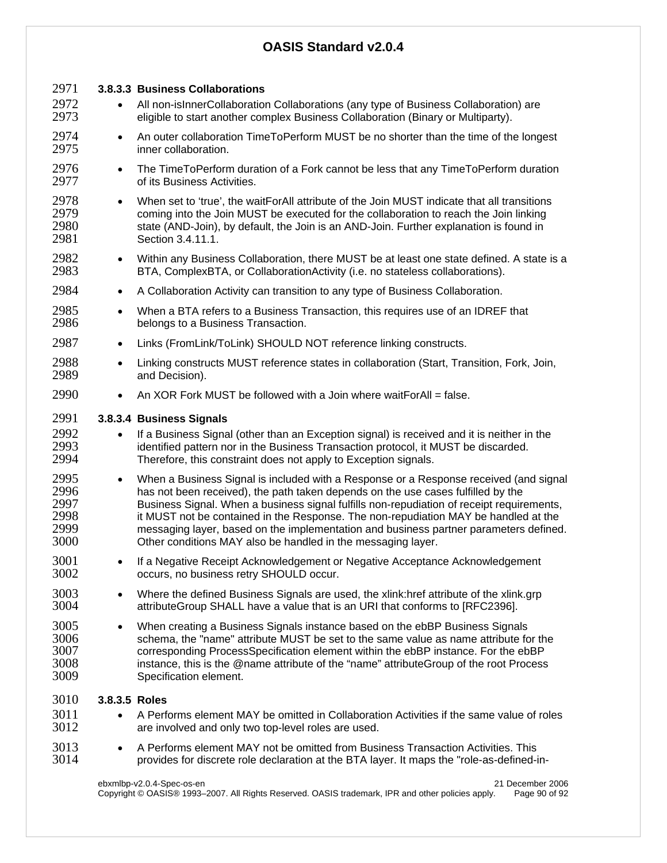| 2971                                         |               | 3.8.3.3 Business Collaborations                                                                                                                                                                                                                                                                                                                                                                                                                                                                                        |
|----------------------------------------------|---------------|------------------------------------------------------------------------------------------------------------------------------------------------------------------------------------------------------------------------------------------------------------------------------------------------------------------------------------------------------------------------------------------------------------------------------------------------------------------------------------------------------------------------|
| 2972<br>2973                                 |               | All non-isInnerCollaboration Collaborations (any type of Business Collaboration) are<br>eligible to start another complex Business Collaboration (Binary or Multiparty).                                                                                                                                                                                                                                                                                                                                               |
| 2974<br>2975                                 | $\bullet$     | An outer collaboration TimeToPerform MUST be no shorter than the time of the longest<br>inner collaboration.                                                                                                                                                                                                                                                                                                                                                                                                           |
| 2976<br>2977                                 | $\bullet$     | The TimeToPerform duration of a Fork cannot be less that any TimeToPerform duration<br>of its Business Activities.                                                                                                                                                                                                                                                                                                                                                                                                     |
| 2978<br>2979<br>2980<br>2981                 | $\bullet$     | When set to 'true', the waitForAll attribute of the Join MUST indicate that all transitions<br>coming into the Join MUST be executed for the collaboration to reach the Join linking<br>state (AND-Join), by default, the Join is an AND-Join. Further explanation is found in<br>Section 3.4.11.1.                                                                                                                                                                                                                    |
| 2982<br>2983                                 | $\bullet$     | Within any Business Collaboration, there MUST be at least one state defined. A state is a<br>BTA, ComplexBTA, or CollaborationActivity (i.e. no stateless collaborations).                                                                                                                                                                                                                                                                                                                                             |
| 2984                                         | $\bullet$     | A Collaboration Activity can transition to any type of Business Collaboration.                                                                                                                                                                                                                                                                                                                                                                                                                                         |
| 2985<br>2986                                 | $\bullet$     | When a BTA refers to a Business Transaction, this requires use of an IDREF that<br>belongs to a Business Transaction.                                                                                                                                                                                                                                                                                                                                                                                                  |
| 2987                                         | $\bullet$     | Links (FromLink/ToLink) SHOULD NOT reference linking constructs.                                                                                                                                                                                                                                                                                                                                                                                                                                                       |
| 2988<br>2989                                 | $\bullet$     | Linking constructs MUST reference states in collaboration (Start, Transition, Fork, Join,<br>and Decision).                                                                                                                                                                                                                                                                                                                                                                                                            |
| 2990                                         | $\bullet$     | An XOR Fork MUST be followed with a Join where waitForAll = false.                                                                                                                                                                                                                                                                                                                                                                                                                                                     |
| 2991                                         |               | 3.8.3.4 Business Signals                                                                                                                                                                                                                                                                                                                                                                                                                                                                                               |
| 2992<br>2993<br>2994                         | $\bullet$     | If a Business Signal (other than an Exception signal) is received and it is neither in the<br>identified pattern nor in the Business Transaction protocol, it MUST be discarded.<br>Therefore, this constraint does not apply to Exception signals.                                                                                                                                                                                                                                                                    |
| 2995<br>2996<br>2997<br>2998<br>2999<br>3000 | $\bullet$     | When a Business Signal is included with a Response or a Response received (and signal<br>has not been received), the path taken depends on the use cases fulfilled by the<br>Business Signal. When a business signal fulfills non-repudiation of receipt requirements,<br>it MUST not be contained in the Response. The non-repudiation MAY be handled at the<br>messaging layer, based on the implementation and business partner parameters defined.<br>Other conditions MAY also be handled in the messaging layer. |
| 3001<br>3002                                 |               | If a Negative Receipt Acknowledgement or Negative Acceptance Acknowledgement<br>occurs, no business retry SHOULD occur.                                                                                                                                                                                                                                                                                                                                                                                                |
| 3003<br>3004                                 | $\bullet$     | Where the defined Business Signals are used, the xlink:href attribute of the xlink.grp<br>attributeGroup SHALL have a value that is an URI that conforms to [RFC2396].                                                                                                                                                                                                                                                                                                                                                 |
| 3005<br>3006<br>3007<br>3008<br>3009         | $\bullet$     | When creating a Business Signals instance based on the ebBP Business Signals<br>schema, the "name" attribute MUST be set to the same value as name attribute for the<br>corresponding ProcessSpecification element within the ebBP instance. For the ebBP<br>instance, this is the @name attribute of the "name" attributeGroup of the root Process<br>Specification element.                                                                                                                                          |
| 3010                                         | 3.8.3.5 Roles |                                                                                                                                                                                                                                                                                                                                                                                                                                                                                                                        |
| 3011<br>3012                                 | $\bullet$     | A Performs element MAY be omitted in Collaboration Activities if the same value of roles<br>are involved and only two top-level roles are used.                                                                                                                                                                                                                                                                                                                                                                        |
| 3013<br>3014                                 | $\bullet$     | A Performs element MAY not be omitted from Business Transaction Activities. This<br>provides for discrete role declaration at the BTA layer. It maps the "role-as-defined-in-                                                                                                                                                                                                                                                                                                                                          |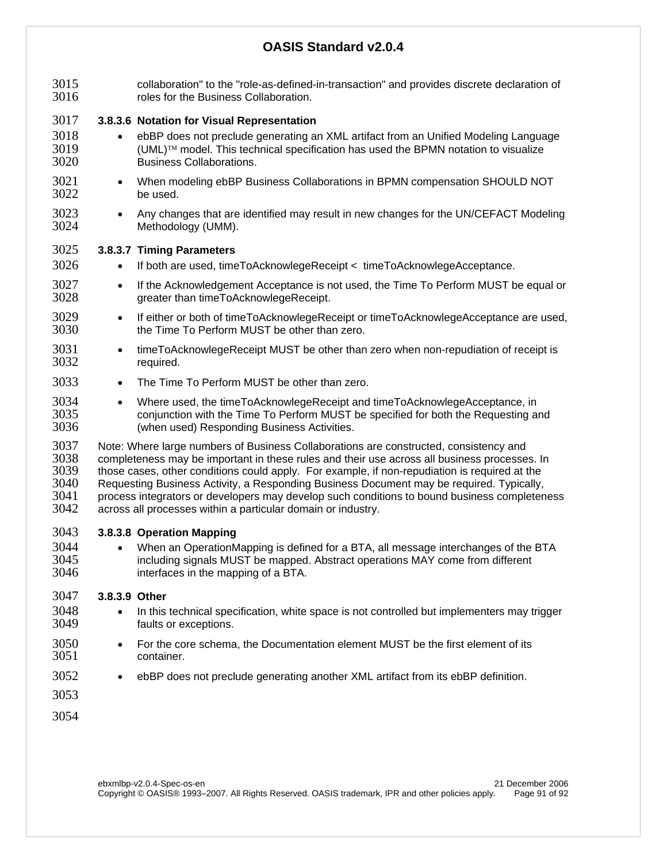3015 collaboration" to the "role-as-defined-in-transaction" and provides discrete declaration of 3016 collaboration of roles for the Business Collaboration. 3017 **3.8.3.6 Notation for Visual Representation**  3018 • ebBP does not preclude generating an XML artifact from an Unified Modeling Language  $3019$  (UML)<sup>™</sup> model. This technical specification has used the BPMN notation to visualize  $3020$  Business Collaborations. Business Collaborations. 3021 • When modeling ebBP Business Collaborations in BPMN compensation SHOULD NOT 3022 be used. 3023 • Any changes that are identified may result in new changes for the UN/CEFACT Modeling 3024 Methodology (UMM). 3025 **3.8.3.7 Timing Parameters**  3026 • If both are used, timeToAcknowlegeReceipt < timeToAcknowlegeAcceptance. 3027 • If the Acknowledgement Acceptance is not used, the Time To Perform MUST be equal or 3028 greater than timeToAcknowlegeReceipt. 3029 • If either or both of timeToAcknowlegeReceipt or timeToAcknowlegeAcceptance are used,<br>3030 the Time To Perform MUST be other than zero. the Time To Perform MUST be other than zero. 3031 • timeToAcknowlegeReceipt MUST be other than zero when non-repudiation of receipt is<br>3032 required. required. 3033 • The Time To Perform MUST be other than zero. 3034 • Where used, the timeToAcknowlegeReceipt and timeToAcknowlegeAcceptance, in 3035 conjunction with the Time To Perform MUST be specified for both the Requesting and<br>3036 (when used) Responding Business Activities. (when used) Responding Business Activities. 3037 Note: Where large numbers of Business Collaborations are constructed, consistency and<br>3038 Completeness may be important in these rules and their use across all business processe 3038 completeness may be important in these rules and their use across all business processes. In<br>3039 those cases, other conditions could apply. For example, if non-repudiation is required at the those cases, other conditions could apply. For example, if non-repudiation is required at the 3040 Requesting Business Activity, a Responding Business Document may be required. Typically, 3041 process integrators or developers may develop such conditions to bound business completeness 3042 across all processes within a particular domain or industry. across all processes within a particular domain or industry. 3043 **3.8.3.8 Operation Mapping**  3044 • When an OperationMapping is defined for a BTA, all message interchanges of the BTA<br>3045 **• Including signals MUST be mapped.** Abstract operations MAY come from different including signals MUST be mapped. Abstract operations MAY come from different 3046 interfaces in the mapping of a BTA. 3047 **3.8.3.9 Other**  3048 • In this technical specification, white space is not controlled but implementers may trigger faults or exceptions. 3050 • For the core schema, the Documentation element MUST be the first element of its 3051 container. 3052 • ebBP does not preclude generating another XML artifact from its ebBP definition. 3053 3054